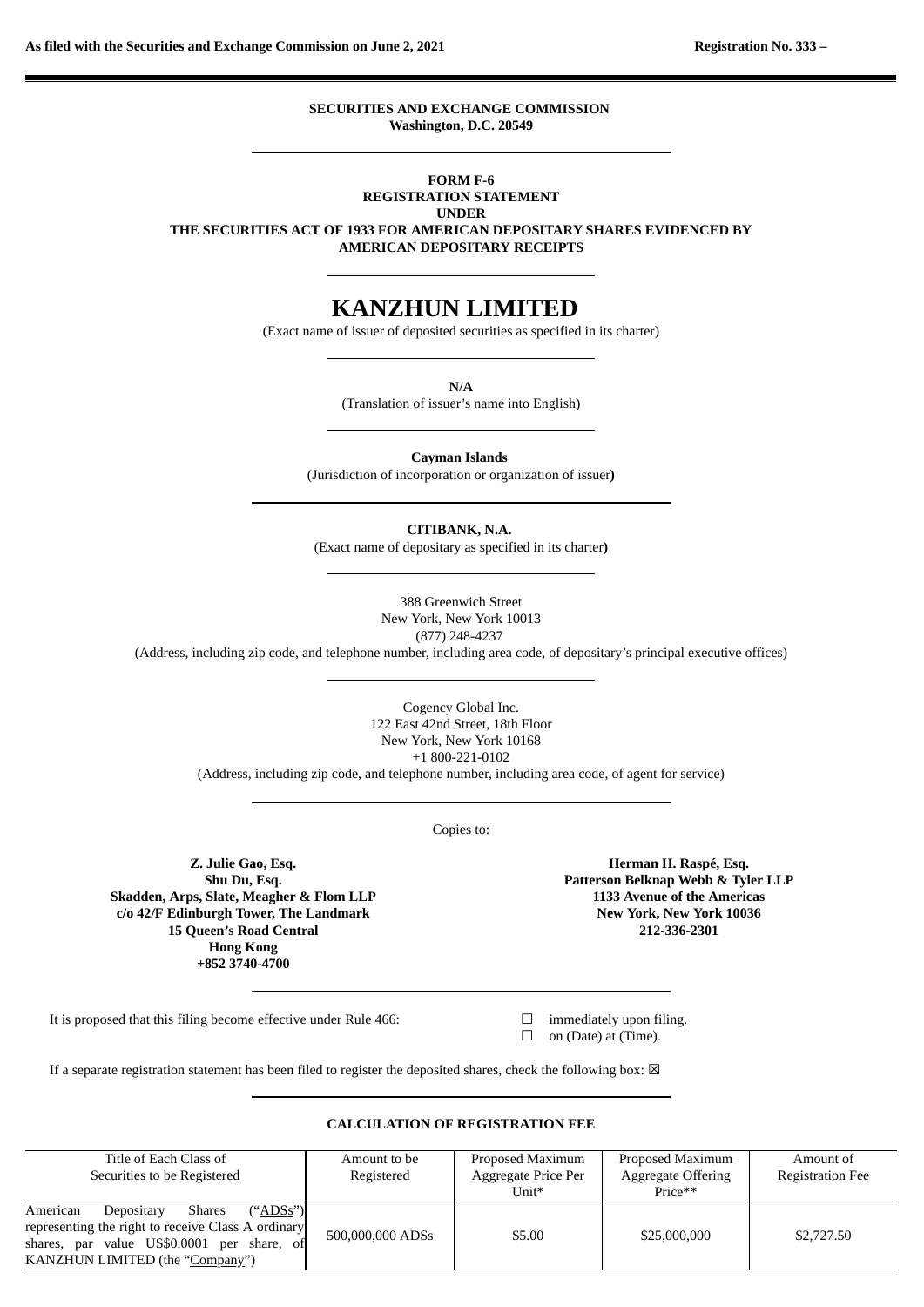**SECURITIES AND EXCHANGE COMMISSION Washington, D.C. 20549**

#### **FORM F-6 REGISTRATION STATEMENT**

**UNDER**

**THE SECURITIES ACT OF 1933 FOR AMERICAN DEPOSITARY SHARES EVIDENCED BY AMERICAN DEPOSITARY RECEIPTS**

# **KANZHUN LIMITED**

(Exact name of issuer of deposited securities as specified in its charter)

**N/A**

(Translation of issuer's name into English)

**Cayman Islands**

(Jurisdiction of incorporation or organization of issuer**)**

**CITIBANK, N.A.**

(Exact name of depositary as specified in its charter**)**

388 Greenwich Street New York, New York 10013 (877) 248-4237

(Address, including zip code, and telephone number, including area code, of depositary's principal executive offices)

Cogency Global Inc. 122 East 42nd Street, 18th Floor New York, New York 10168 +1 800-221-0102

(Address, including zip code, and telephone number, including area code, of agent for service)

Copies to:

**Z. Julie Gao, Esq. Shu Du, Esq. Skadden, Arps, Slate, Meagher & Flom LLP c/o 42/F Edinburgh Tower, The Landmark 15 Queen's Road Central Hong Kong +852 3740-4700**

**Herman H. Raspé, Esq. Patterson Belknap Webb & Tyler LLP 1133 Avenue of the Americas New York, New York 10036 212-336-2301**

It is proposed that this filing become effective under Rule 466:  $\Box$  immediately upon filing.

 $\Box$  on (Date) at (Time).

If a separate registration statement has been filed to register the deposited shares, check the following box:  $\boxtimes$ 

#### Title of Each Class of Securities to be Registered Amount to be Registered Proposed Maximum Aggregate Price Per Unit\* Proposed Maximum Aggregate Offering Price\*\* Amount of Registration Fee American Depositary Shares ("ADSs") representing the right to receive Class A ordinary shares, par value US\$0.0001 per share, of KANZHUN LIMITED (the "Company") 500,000,000 ADSs 55.00 <br>525,000,000 \$2,727.50

#### **CALCULATION OF REGISTRATION FEE**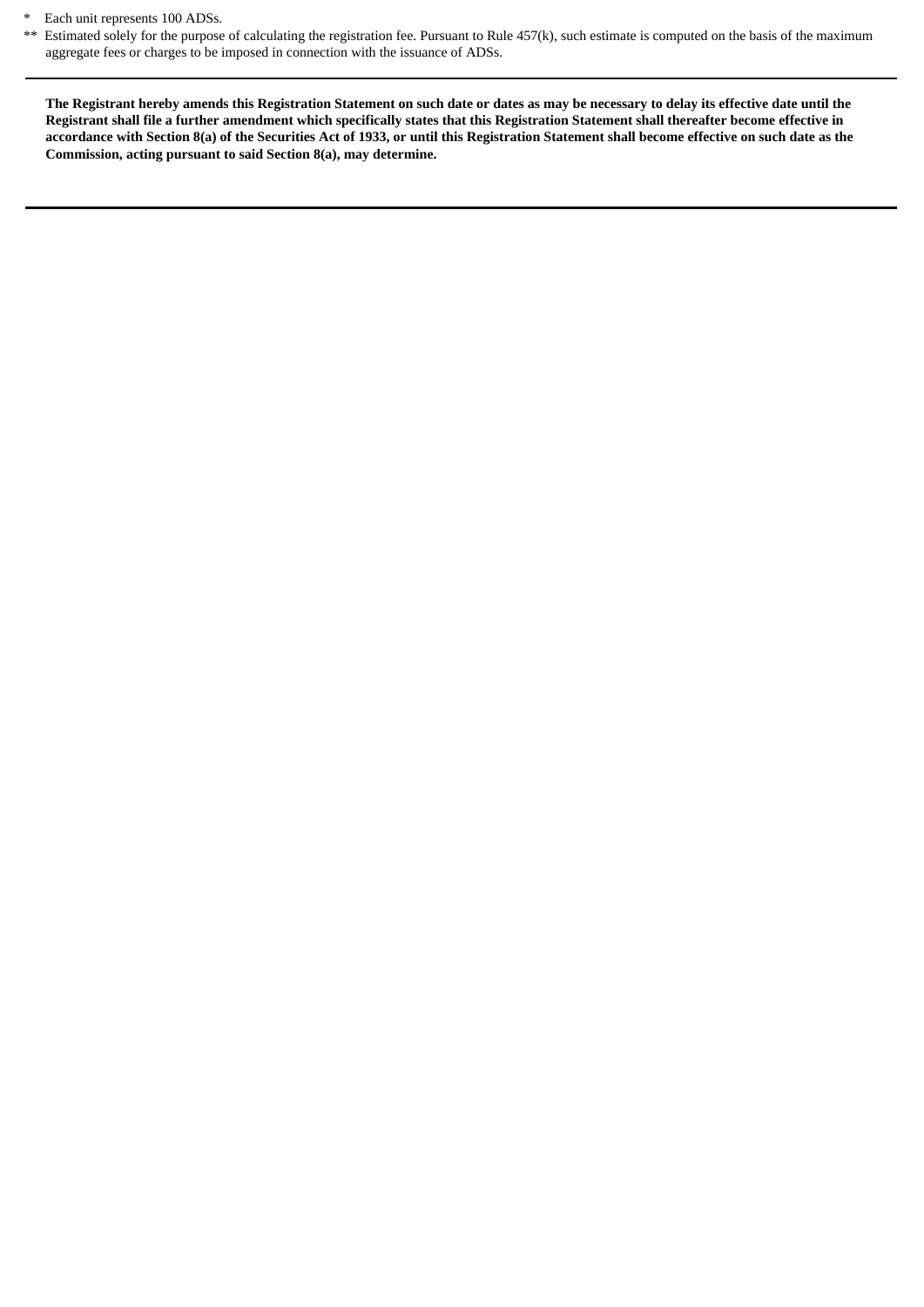\* Each unit represents 100 ADSs.

\*\* Estimated solely for the purpose of calculating the registration fee. Pursuant to Rule 457(k), such estimate is computed on the basis of the maximum aggregate fees or charges to be imposed in connection with the issuance of ADSs.

The Registrant hereby amends this Registration Statement on such date or dates as may be necessary to delay its effective date until the Registrant shall file a further amendment which specifically states that this Registration Statement shall thereafter become effective in accordance with Section 8(a) of the Securities Act of 1933, or until this Registration Statement shall become effective on such date as the **Commission, acting pursuant to said Section 8(a), may determine.**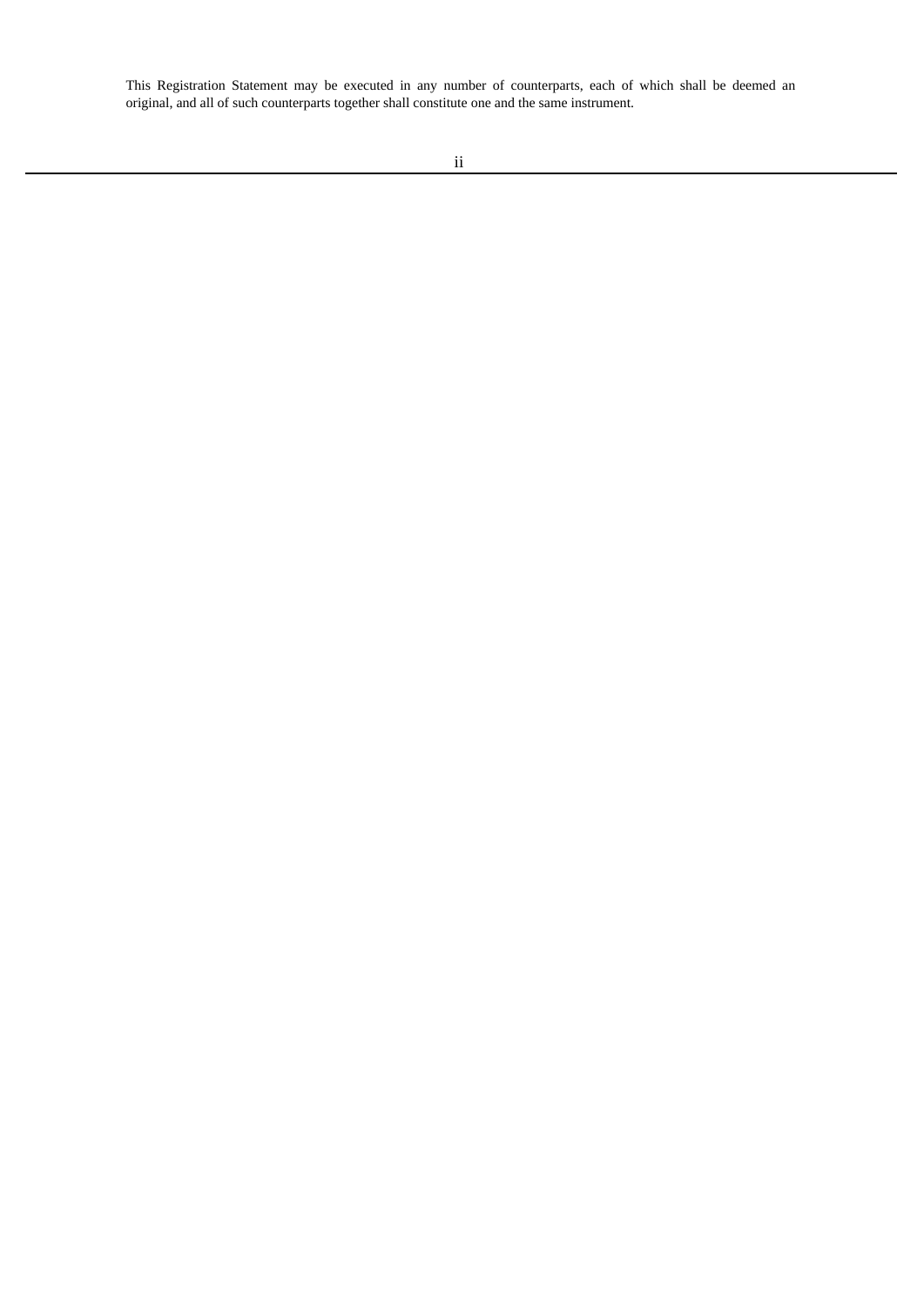This Registration Statement may be executed in any number of counterparts, each of which shall be deemed an original, and all of such counterparts together shall constitute one and the same instrument.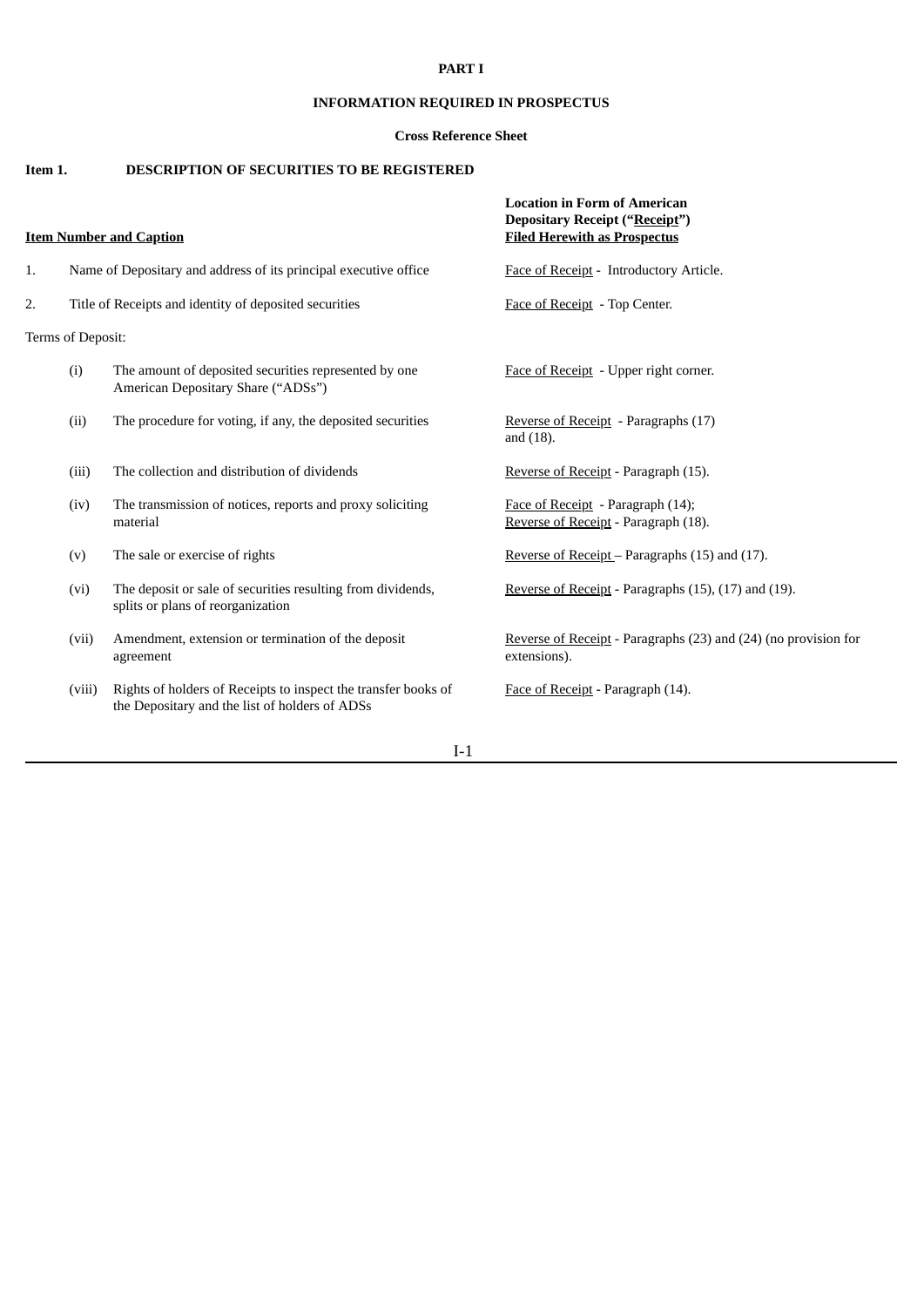### **PART I**

### **INFORMATION REQUIRED IN PROSPECTUS**

### **Cross Reference Sheet**

## **Item 1. DESCRIPTION OF SECURITIES TO BE REGISTERED**

| <b>Item Number and Caption</b> |                                                                  |                                                                                                                  | <b>Location in Form of American</b><br><b>Depositary Receipt ("Receipt")</b><br><b>Filed Herewith as Prospectus</b> |  |
|--------------------------------|------------------------------------------------------------------|------------------------------------------------------------------------------------------------------------------|---------------------------------------------------------------------------------------------------------------------|--|
| 1.                             | Name of Depositary and address of its principal executive office |                                                                                                                  | Face of Receipt - Introductory Article.                                                                             |  |
| 2.                             | Title of Receipts and identity of deposited securities           |                                                                                                                  | Face of Receipt - Top Center.                                                                                       |  |
| Terms of Deposit:              |                                                                  |                                                                                                                  |                                                                                                                     |  |
|                                | (i)                                                              | The amount of deposited securities represented by one<br>American Depositary Share ("ADSs")                      | Face of Receipt - Upper right corner.                                                                               |  |
|                                | (ii)                                                             | The procedure for voting, if any, the deposited securities                                                       | Reverse of Receipt - Paragraphs (17)<br>and $(18)$ .                                                                |  |
|                                | (iii)                                                            | The collection and distribution of dividends                                                                     | Reverse of Receipt - Paragraph (15).                                                                                |  |
|                                | (iv)                                                             | The transmission of notices, reports and proxy soliciting<br>material                                            | Face of Receipt - Paragraph (14);<br>Reverse of Receipt - Paragraph (18).                                           |  |
|                                | (v)                                                              | The sale or exercise of rights                                                                                   | Reverse of Receipt – Paragraphs $(15)$ and $(17)$ .                                                                 |  |
|                                | (vi)                                                             | The deposit or sale of securities resulting from dividends,<br>splits or plans of reorganization                 | Reverse of Receipt - Paragraphs (15), (17) and (19).                                                                |  |
|                                | (vii)                                                            | Amendment, extension or termination of the deposit<br>agreement                                                  | Reverse of Receipt - Paragraphs (23) and (24) (no provision for<br>extensions).                                     |  |
|                                | (viii)                                                           | Rights of holders of Receipts to inspect the transfer books of<br>the Depositary and the list of holders of ADSs | Face of Receipt - Paragraph (14).                                                                                   |  |

I-1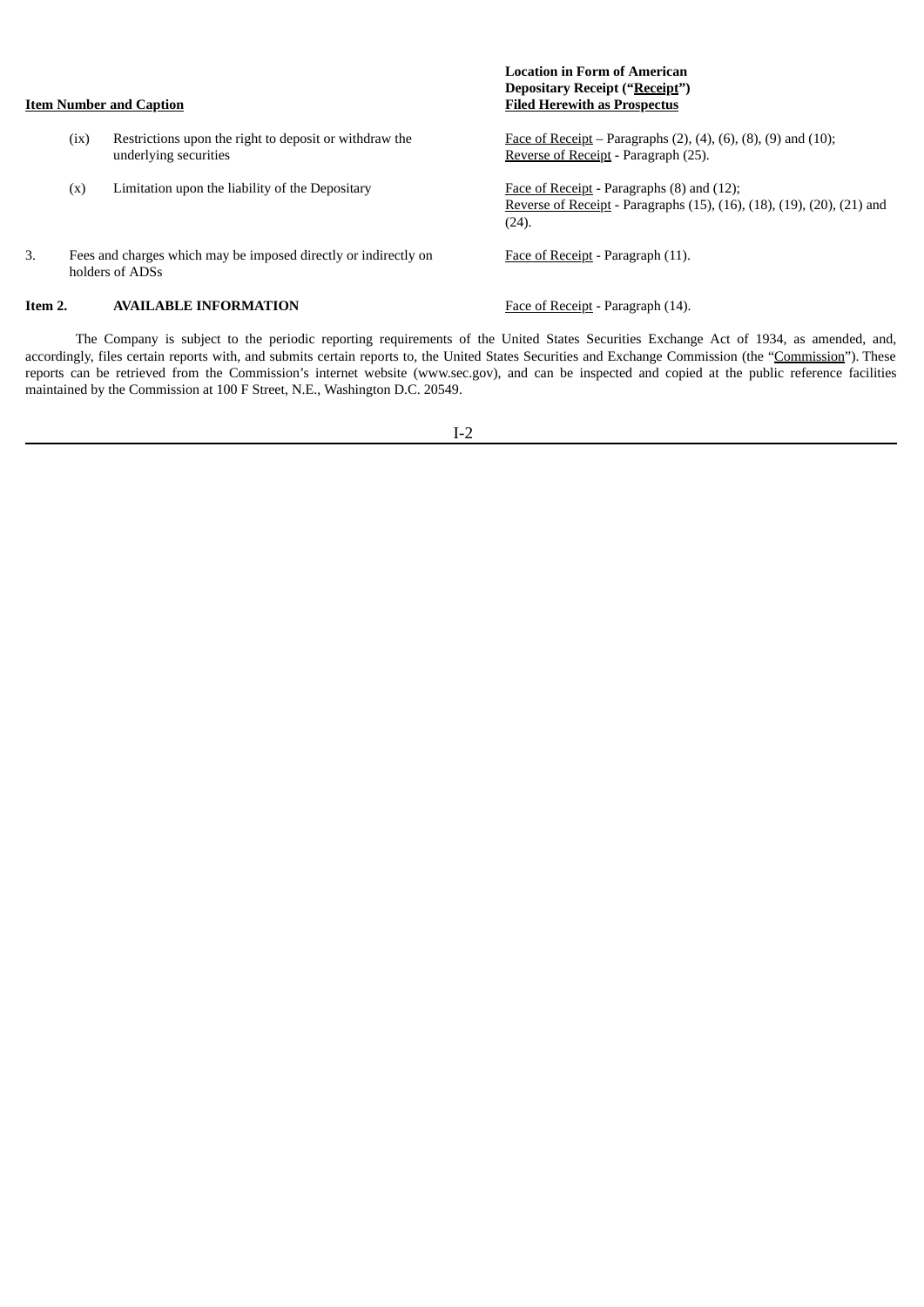| <b>Item Number and Caption</b> |      |                                                                                    | <b>Depositary Receipt ("Receipt")</b><br><b>Filed Herewith as Prospectus</b>                                                         |
|--------------------------------|------|------------------------------------------------------------------------------------|--------------------------------------------------------------------------------------------------------------------------------------|
|                                | (ix) | Restrictions upon the right to deposit or withdraw the<br>underlying securities    | <u>Face of Receipt</u> – Paragraphs $(2)$ , $(4)$ , $(6)$ , $(8)$ , $(9)$ and $(10)$ ;<br>Reverse of Receipt - Paragraph (25).       |
|                                | (x)  | Limitation upon the liability of the Depositary                                    | <b>Face of Receipt</b> - Paragraphs (8) and (12);<br>Reverse of Receipt - Paragraphs (15), (16), (18), (19), (20), (21) and<br>(24). |
| 3.                             |      | Fees and charges which may be imposed directly or indirectly on<br>holders of ADSs | Face of Receipt - Paragraph (11).                                                                                                    |
| Item 2.                        |      | <b>AVAILABLE INFORMATION</b>                                                       | Face of Receipt - Paragraph (14).                                                                                                    |

**Location in Form of American**

The Company is subject to the periodic reporting requirements of the United States Securities Exchange Act of 1934, as amended, and, accordingly, files certain reports with, and submits certain reports to, the United States Securities and Exchange Commission (the "Commission"). These reports can be retrieved from the Commission's internet website (www.sec.gov), and can be inspected and copied at the public reference facilities maintained by the Commission at 100 F Street, N.E., Washington D.C. 20549.

I-2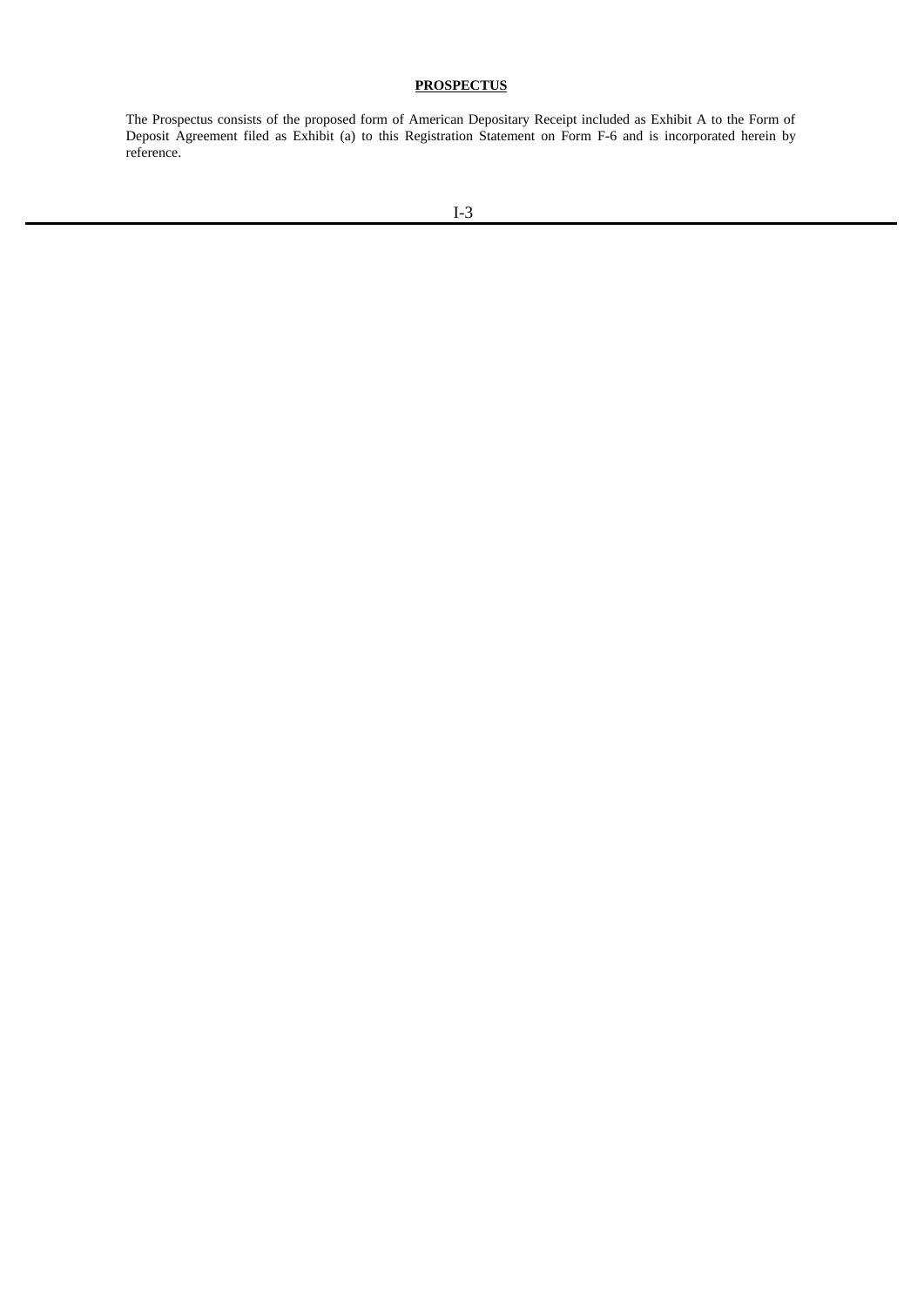### **PROSPECTUS**

The Prospectus consists of the proposed form of American Depositary Receipt included as Exhibit A to the Form of Deposit Agreement filed as Exhibit (a) to this Registration Statement on Form F-6 and is incorporated herein by reference.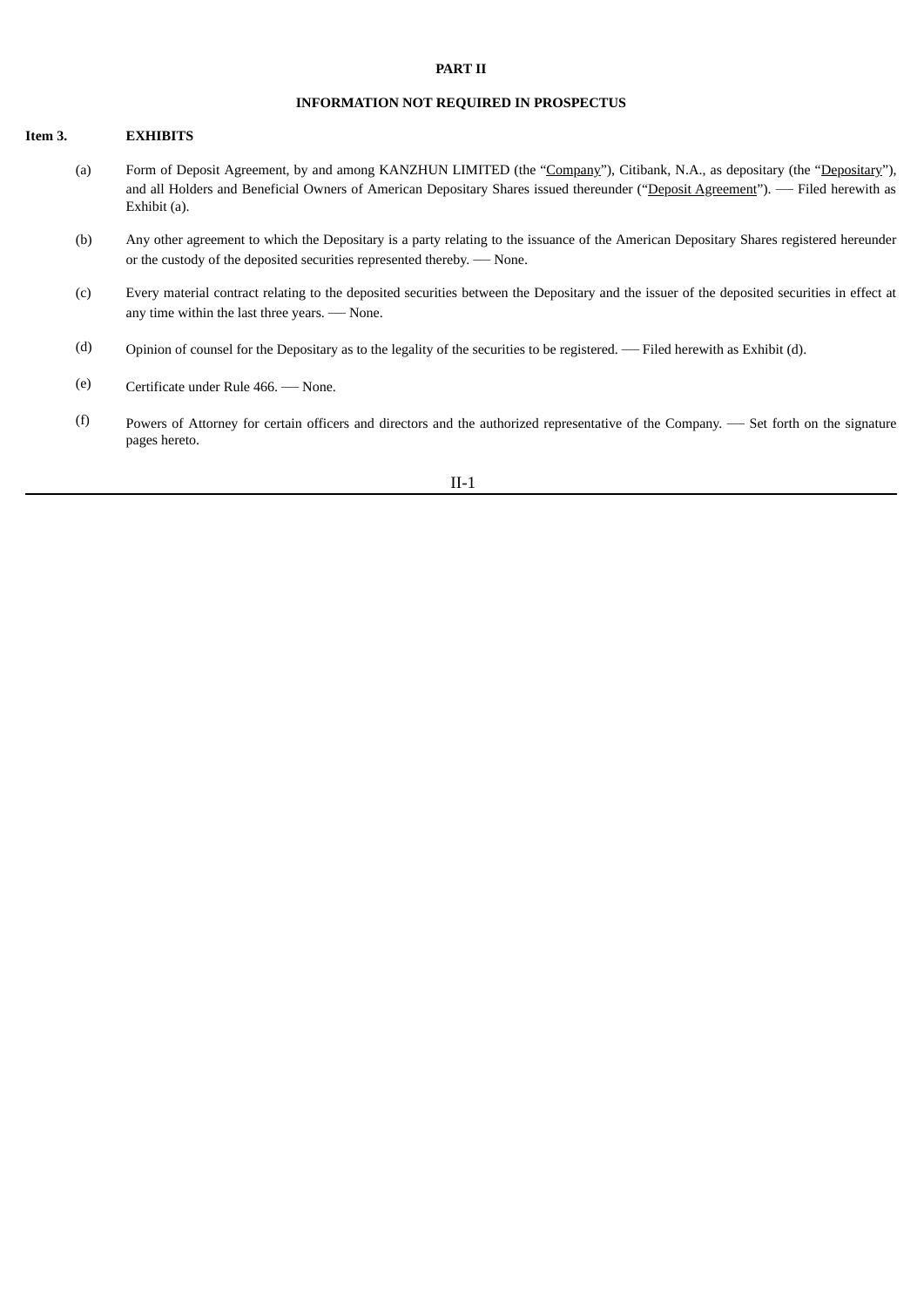#### **PART II**

### **INFORMATION NOT REQUIRED IN PROSPECTUS**

#### **Item 3. EXHIBITS**

- (a) Form of Deposit Agreement, by and among KANZHUN LIMITED (the "Company"), Citibank, N.A., as depositary (the "Depositary"), and all Holders and Beneficial Owners of American Depositary Shares issued thereunder ("Deposit Agreement"). — Filed herewith as Exhibit (a).
- (b) Any other agreement to which the Depositary is a party relating to the issuance of the American Depositary Shares registered hereunder or the custody of the deposited securities represented thereby. - None.
- (c) Every material contract relating to the deposited securities between the Depositary and the issuer of the deposited securities in effect at any time within the last three years. - None.
- $(d)$  Opinion of counsel for the Depositary as to the legality of the securities to be registered. Filed herewith as Exhibit (d).
- (e) Certificate under Rule 466. \_\_\_ None.
- $(f)$  Powers of Attorney for certain officers and directors and the authorized representative of the Company. Set forth on the signature pages hereto.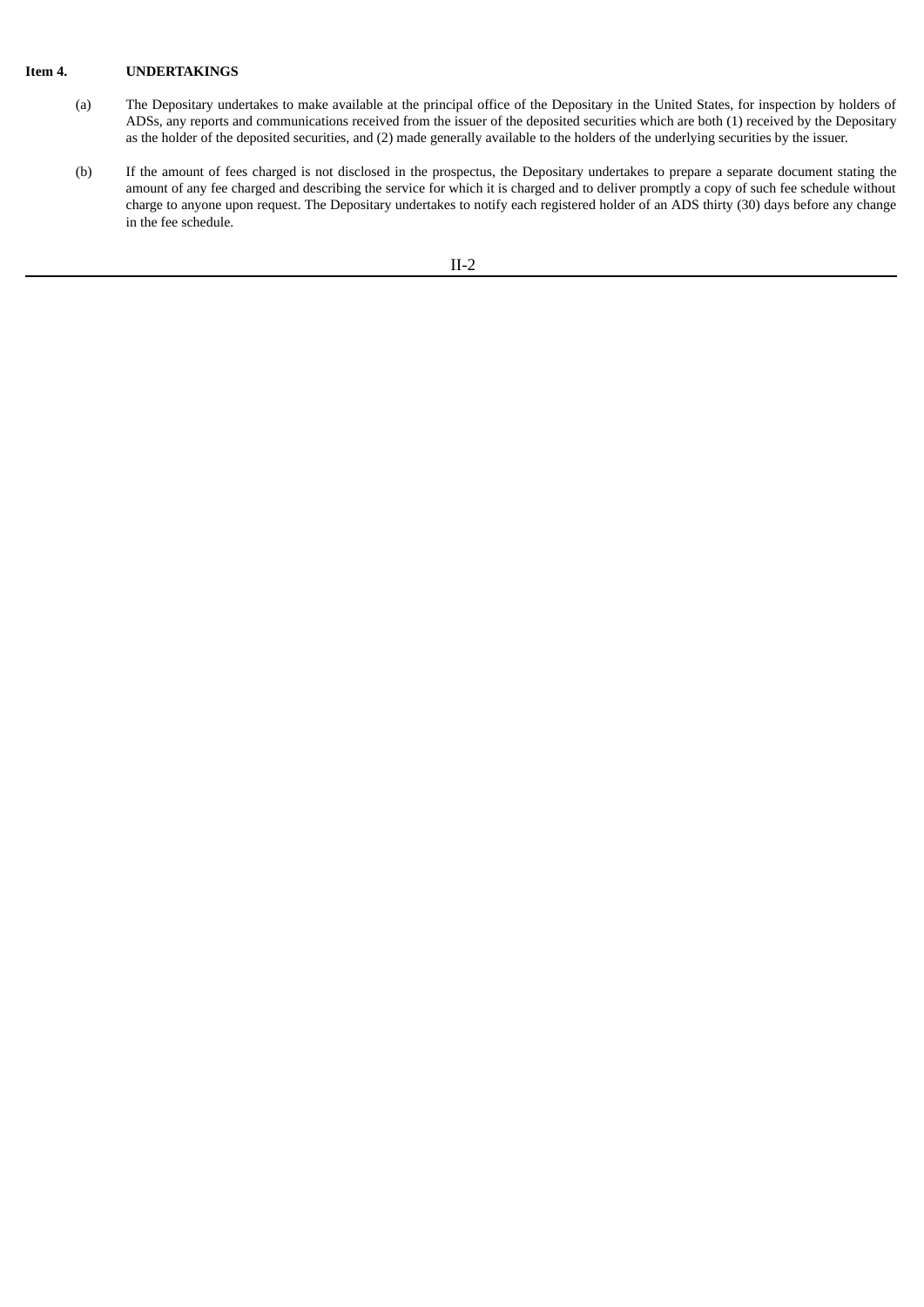### **Item 4. UNDERTAKINGS**

- (a) The Depositary undertakes to make available at the principal office of the Depositary in the United States, for inspection by holders of ADSs, any reports and communications received from the issuer of the deposited securities which are both (1) received by the Depositary as the holder of the deposited securities, and (2) made generally available to the holders of the underlying securities by the issuer.
- (b) If the amount of fees charged is not disclosed in the prospectus, the Depositary undertakes to prepare a separate document stating the amount of any fee charged and describing the service for which it is charged and to deliver promptly a copy of such fee schedule without charge to anyone upon request. The Depositary undertakes to notify each registered holder of an ADS thirty (30) days before any change in the fee schedule.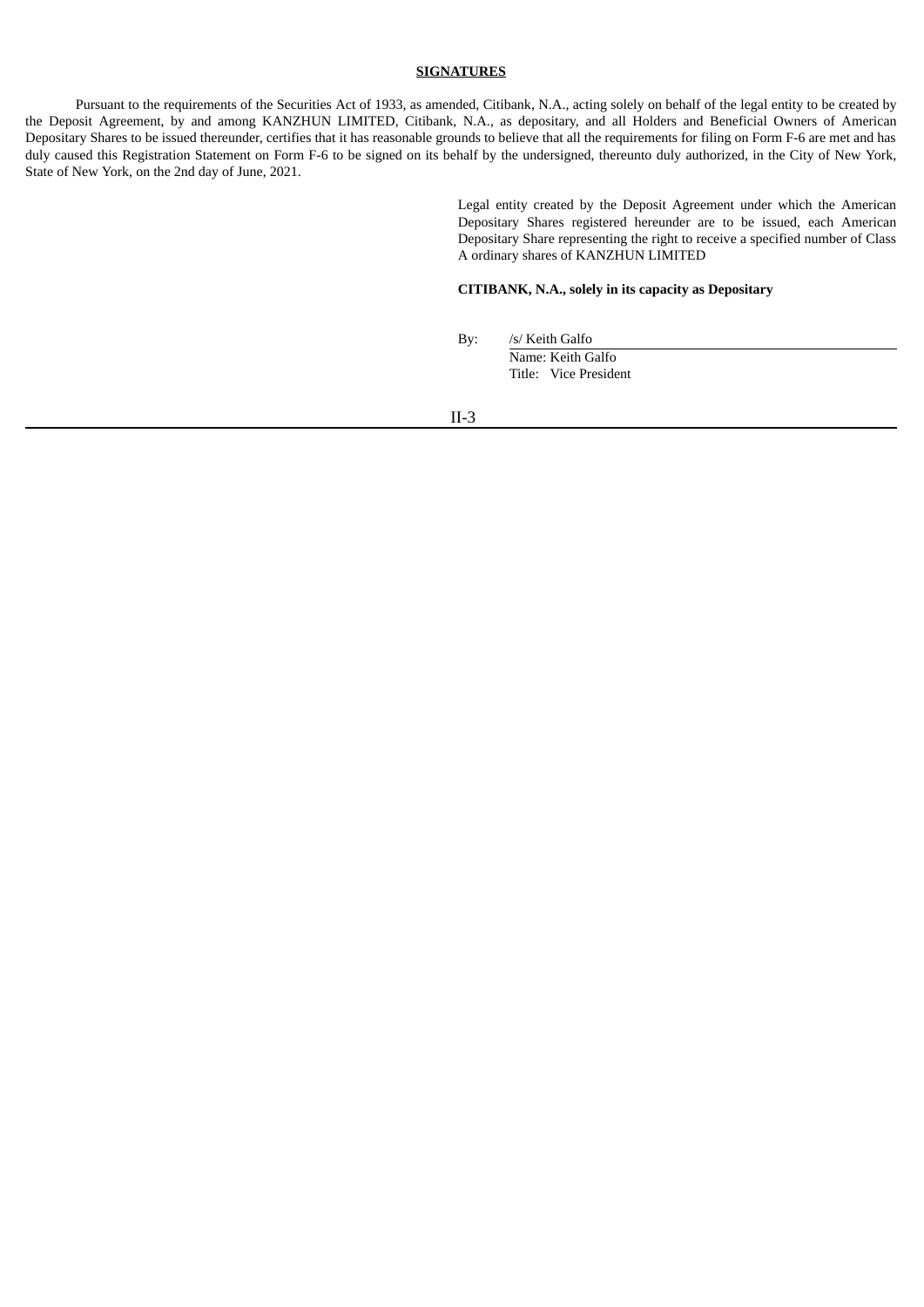### **SIGNATURES**

Pursuant to the requirements of the Securities Act of 1933, as amended, Citibank, N.A., acting solely on behalf of the legal entity to be created by the Deposit Agreement, by and among KANZHUN LIMITED, Citibank, N.A., as depositary, and all Holders and Beneficial Owners of American Depositary Shares to be issued thereunder, certifies that it has reasonable grounds to believe that all the requirements for filing on Form F-6 are met and has duly caused this Registration Statement on Form F-6 to be signed on its behalf by the undersigned, thereunto duly authorized, in the City of New York, State of New York, on the 2nd day of June, 2021.

> Legal entity created by the Deposit Agreement under which the American Depositary Shares registered hereunder are to be issued, each American Depositary Share representing the right to receive a specified number of Class A ordinary shares of KANZHUN LIMITED

### **CITIBANK, N.A., solely in its capacity as Depositary**

By: /s/ Keith Galfo Name: Keith Galfo

Title: Vice President

II-3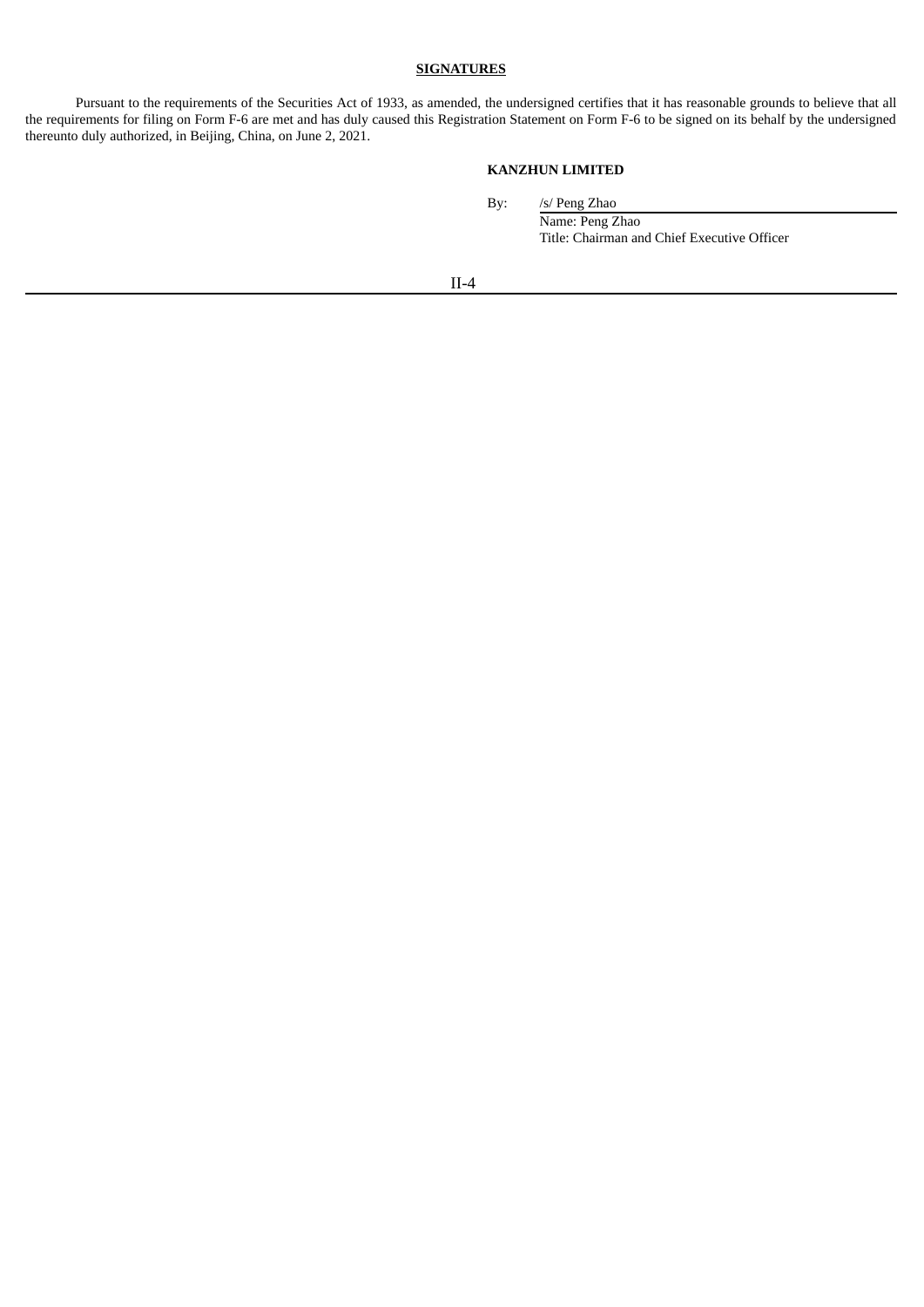### **SIGNATURES**

Pursuant to the requirements of the Securities Act of 1933, as amended, the undersigned certifies that it has reasonable grounds to believe that all the requirements for filing on Form F-6 are met and has duly caused this Registration Statement on Form F-6 to be signed on its behalf by the undersigned thereunto duly authorized, in Beijing, China, on June 2, 2021.

### **KANZHUN LIMITED**

By: /s/ Peng Zhao

Name: Peng Zhao Title: Chairman and Chief Executive Officer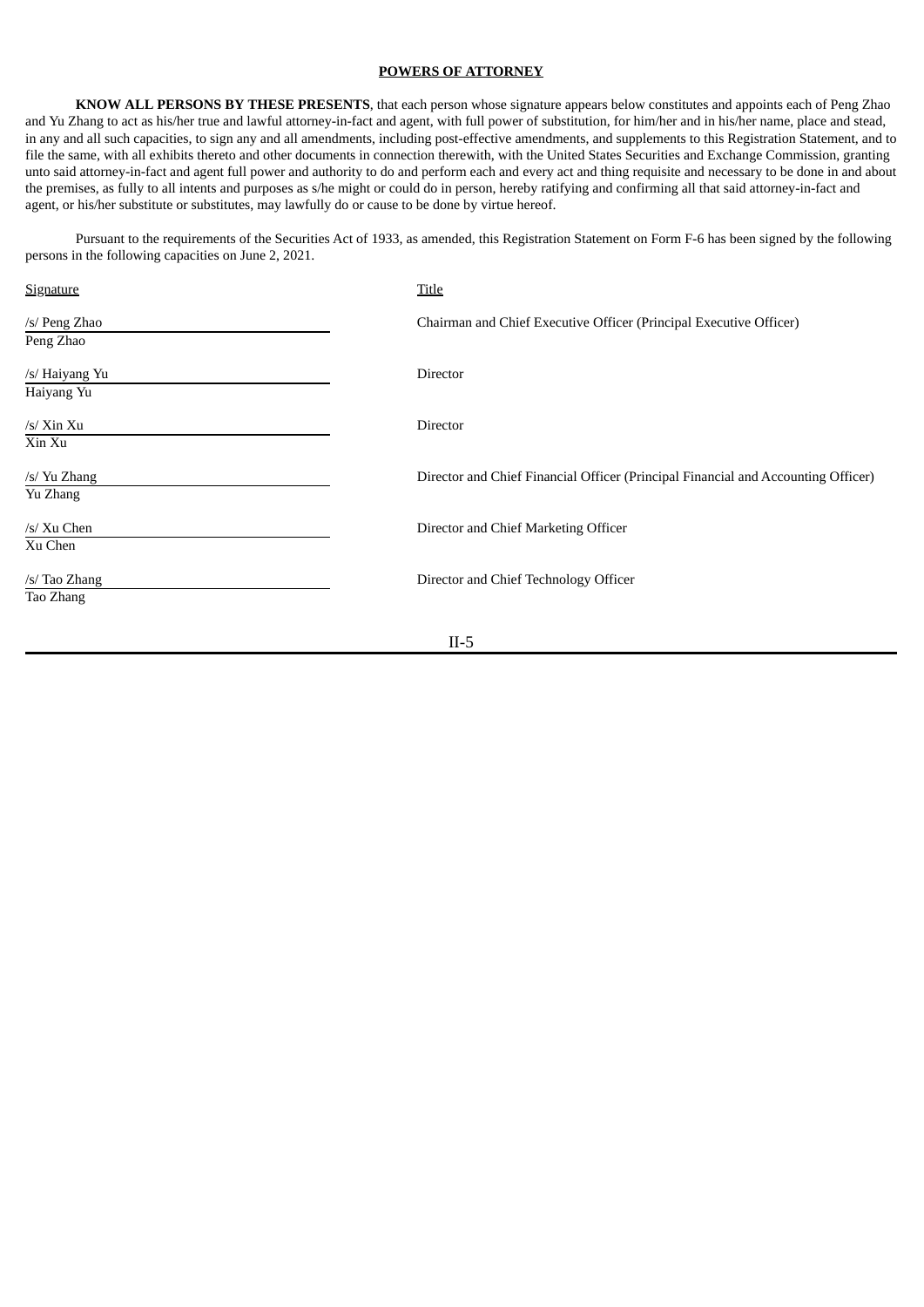#### **POWERS OF ATTORNEY**

**KNOW ALL PERSONS BY THESE PRESENTS**, that each person whose signature appears below constitutes and appoints each of Peng Zhao and Yu Zhang to act as his/her true and lawful attorney-in-fact and agent, with full power of substitution, for him/her and in his/her name, place and stead, in any and all such capacities, to sign any and all amendments, including post-effective amendments, and supplements to this Registration Statement, and to file the same, with all exhibits thereto and other documents in connection therewith, with the United States Securities and Exchange Commission, granting unto said attorney-in-fact and agent full power and authority to do and perform each and every act and thing requisite and necessary to be done in and about the premises, as fully to all intents and purposes as s/he might or could do in person, hereby ratifying and confirming all that said attorney-in-fact and agent, or his/her substitute or substitutes, may lawfully do or cause to be done by virtue hereof.

Pursuant to the requirements of the Securities Act of 1933, as amended, this Registration Statement on Form F-6 has been signed by the following persons in the following capacities on June 2, 2021.

| Signature      | Title                                                                             |
|----------------|-----------------------------------------------------------------------------------|
| /s/ Peng Zhao  | Chairman and Chief Executive Officer (Principal Executive Officer)                |
| Peng Zhao      |                                                                                   |
| /s/ Haiyang Yu | Director                                                                          |
| Haiyang Yu     |                                                                                   |
| $/s/$ Xin Xu   | Director                                                                          |
| Xin Xu         |                                                                                   |
| /s/ Yu Zhang   | Director and Chief Financial Officer (Principal Financial and Accounting Officer) |
| Yu Zhang       |                                                                                   |
| /s/ Xu Chen    | Director and Chief Marketing Officer                                              |
| Xu Chen        |                                                                                   |
| /s/ Tao Zhang  | Director and Chief Technology Officer                                             |
| Tao Zhang      |                                                                                   |
|                |                                                                                   |
|                | $II-5$                                                                            |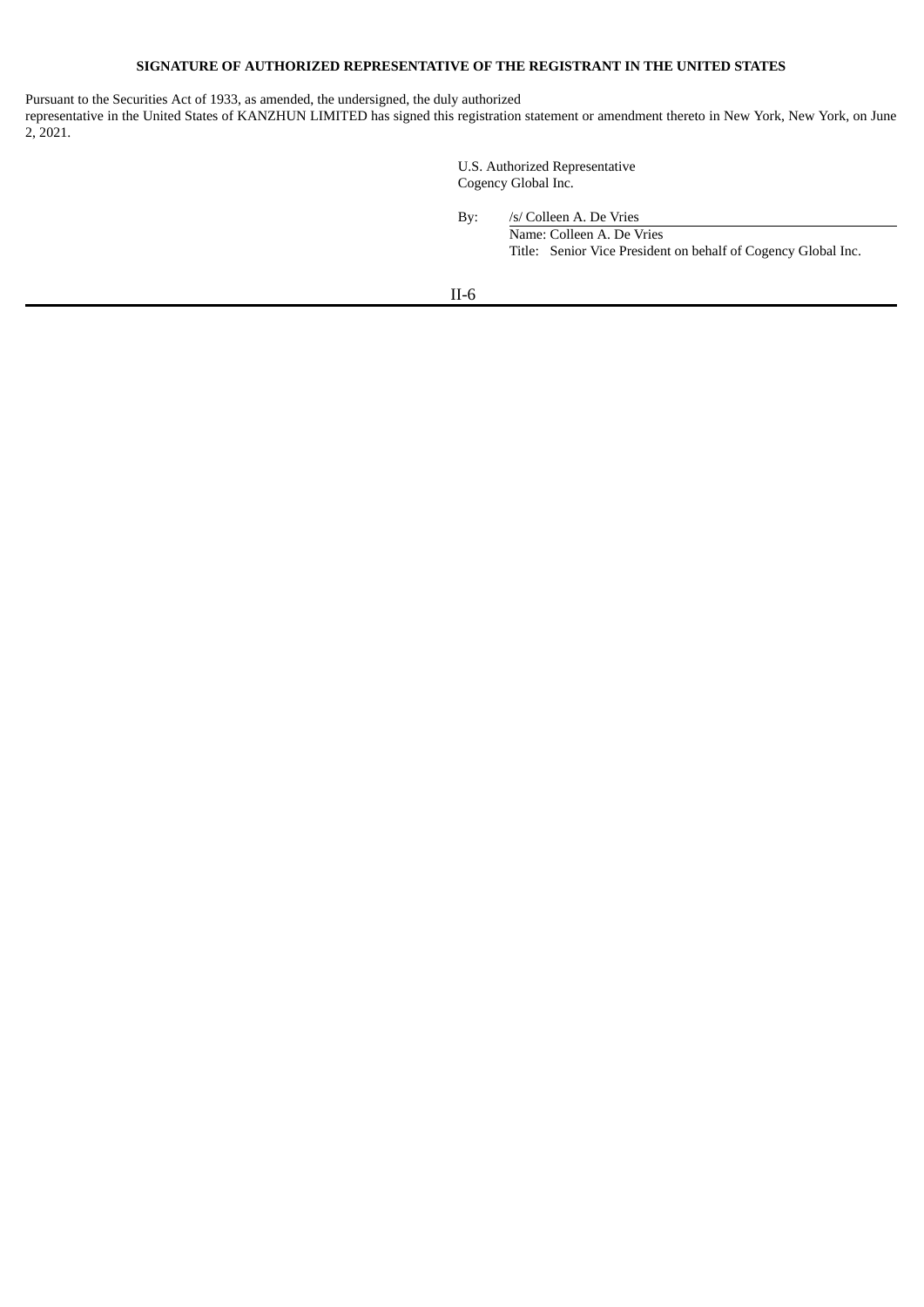### **SIGNATURE OF AUTHORIZED REPRESENTATIVE OF THE REGISTRANT IN THE UNITED STATES**

Pursuant to the Securities Act of 1933, as amended, the undersigned, the duly authorized

representative in the United States of KANZHUN LIMITED has signed this registration statement or amendment thereto in New York, New York, on June 2, 2021.

> U.S. Authorized Representative Cogency Global Inc.

By: /s/ Colleen A. De Vries Name: Colleen A. De Vries Title: Senior Vice President on behalf of Cogency Global Inc.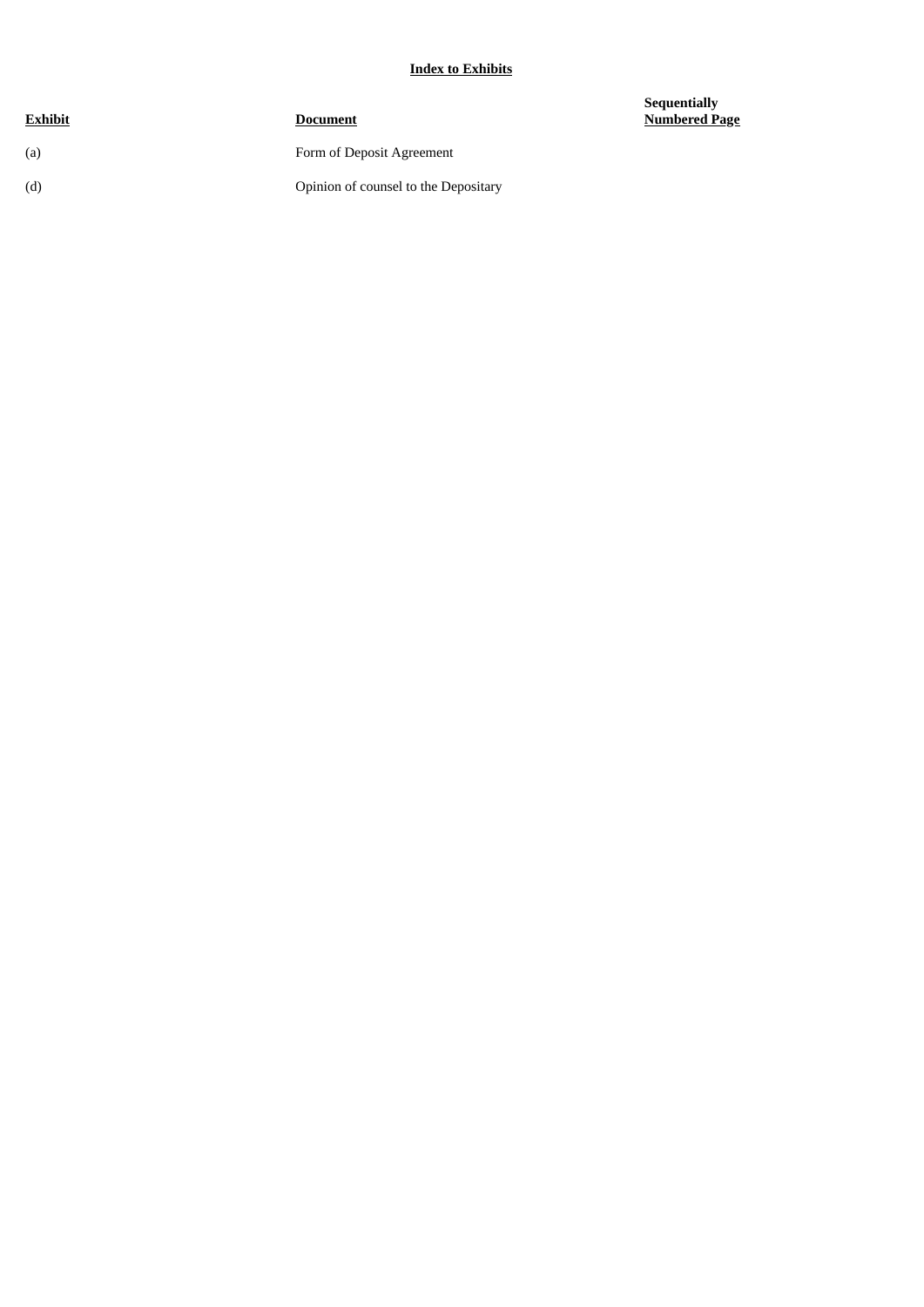### **Index to Exhibits**

| <b>Document</b>                      |
|--------------------------------------|
| Form of Deposit Agreement            |
| Opinion of counsel to the Depositary |
|                                      |

**Sequentially Numbered Page**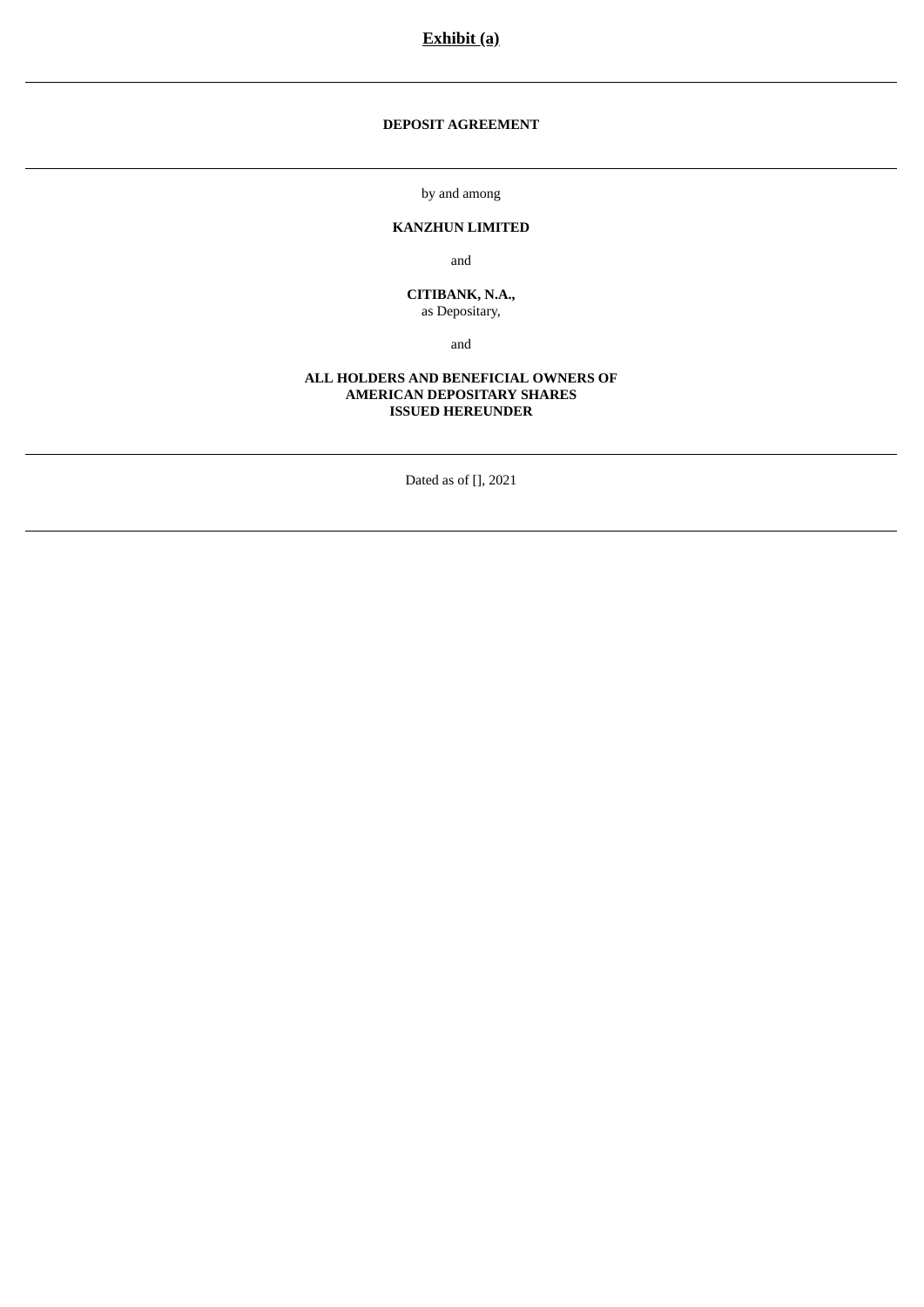**DEPOSIT AGREEMENT**

by and among

### **KANZHUN LIMITED**

and

**CITIBANK, N.A.,** as Depositary,

and

### **ALL HOLDERS AND BENEFICIAL OWNERS OF AMERICAN DEPOSITARY SHARES ISSUED HEREUNDER**

Dated as of [], 2021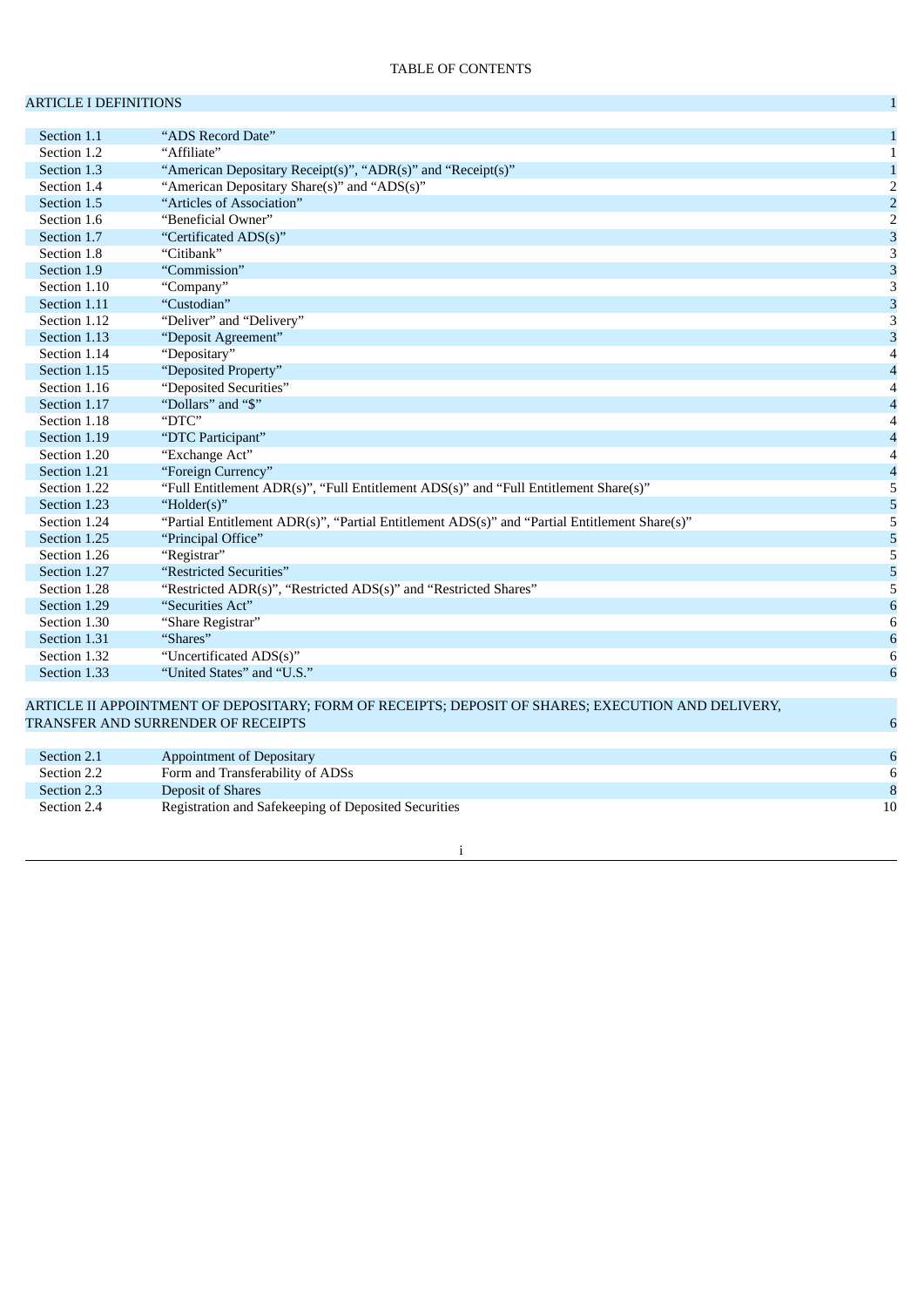## ARTICLE I DEFINITIONS **1**

| Section 1.1  | "ADS Record Date"                                                                                  | $\mathbf{1}$              |
|--------------|----------------------------------------------------------------------------------------------------|---------------------------|
| Section 1.2  | "Affiliate"                                                                                        | $\mathbf{1}$              |
| Section 1.3  | "American Depositary Receipt(s)", "ADR(s)" and "Receipt(s)"                                        | $\mathbf{1}$              |
| Section 1.4  | "American Depositary Share(s)" and "ADS(s)"                                                        | $\overline{2}$            |
| Section 1.5  | "Articles of Association"                                                                          | $\overline{\mathbf{c}}$   |
| Section 1.6  | "Beneficial Owner"                                                                                 | $\overline{2}$            |
| Section 1.7  | "Certificated ADS(s)"                                                                              | $\mathbf{3}$              |
| Section 1.8  | "Citibank"                                                                                         | $\ensuremath{\mathsf{3}}$ |
| Section 1.9  | "Commission"                                                                                       | 3                         |
| Section 1.10 | "Company"                                                                                          | $\overline{3}$            |
| Section 1.11 | "Custodian"                                                                                        | 3                         |
| Section 1.12 | "Deliver" and "Delivery"                                                                           | 3                         |
| Section 1.13 | "Deposit Agreement"                                                                                | $\overline{3}$            |
| Section 1.14 | "Depositary"                                                                                       | $\overline{4}$            |
| Section 1.15 | "Deposited Property"                                                                               | $\overline{\mathcal{A}}$  |
| Section 1.16 | "Deposited Securities"                                                                             | $\overline{4}$            |
| Section 1.17 | "Dollars" and "\$"                                                                                 | $\overline{\mathcal{A}}$  |
| Section 1.18 | "DTC"                                                                                              | $\overline{4}$            |
| Section 1.19 | "DTC Participant"                                                                                  | $\overline{\mathcal{A}}$  |
| Section 1.20 | "Exchange Act"                                                                                     | $\overline{\mathcal{A}}$  |
| Section 1.21 | "Foreign Currency"                                                                                 | $\overline{\mathcal{L}}$  |
| Section 1.22 | "Full Entitlement ADR(s)", "Full Entitlement ADS(s)" and "Full Entitlement Share(s)"               | 5                         |
| Section 1.23 | "Holder(s)"                                                                                        | 5                         |
| Section 1.24 | "Partial Entitlement ADR(s)", "Partial Entitlement ADS(s)" and "Partial Entitlement Share(s)"      | 5                         |
| Section 1.25 | "Principal Office"                                                                                 | 5                         |
| Section 1.26 | "Registrar"                                                                                        | $\overline{5}$            |
| Section 1.27 | "Restricted Securities"                                                                            | 5                         |
| Section 1.28 | "Restricted ADR(s)", "Restricted ADS(s)" and "Restricted Shares"                                   | 5                         |
| Section 1.29 | "Securities Act"                                                                                   | $\boldsymbol{6}$          |
| Section 1.30 | "Share Registrar"                                                                                  | 6                         |
| Section 1.31 | "Shares"                                                                                           | $\boldsymbol{6}$          |
| Section 1.32 | "Uncertificated ADS(s)"                                                                            | 6                         |
| Section 1.33 | "United States" and "U.S."                                                                         | 6                         |
|              |                                                                                                    |                           |
|              | ARTICLE II APPOINTMENT OF DEPOSITARY; FORM OF RECEIPTS; DEPOSIT OF SHARES; EXECUTION AND DELIVERY, |                           |
|              | TRANSFER AND SURRENDER OF RECEIPTS                                                                 | 6                         |
|              |                                                                                                    |                           |
| Section 2.1  | <b>Appointment of Depositary</b>                                                                   | $\boldsymbol{6}$          |
| Section 2.2  | Form and Transferability of ADSs                                                                   | 6                         |
| Section 2.3  | Deposit of Shares                                                                                  | 8                         |

i

Section 2.4 Registration and Safekeeping of Deposited Securities 10 and 20 Apr 2.1 and 2.1 and 2.1 and 2.1 and 2.1 and 2.1 and 2.1 and 2.1 and 2.1 and 2.1 and 2.1 and 2.1 and 2.1 and 2.1 and 2.1 and 2.1 and 2.1 and 2.1 and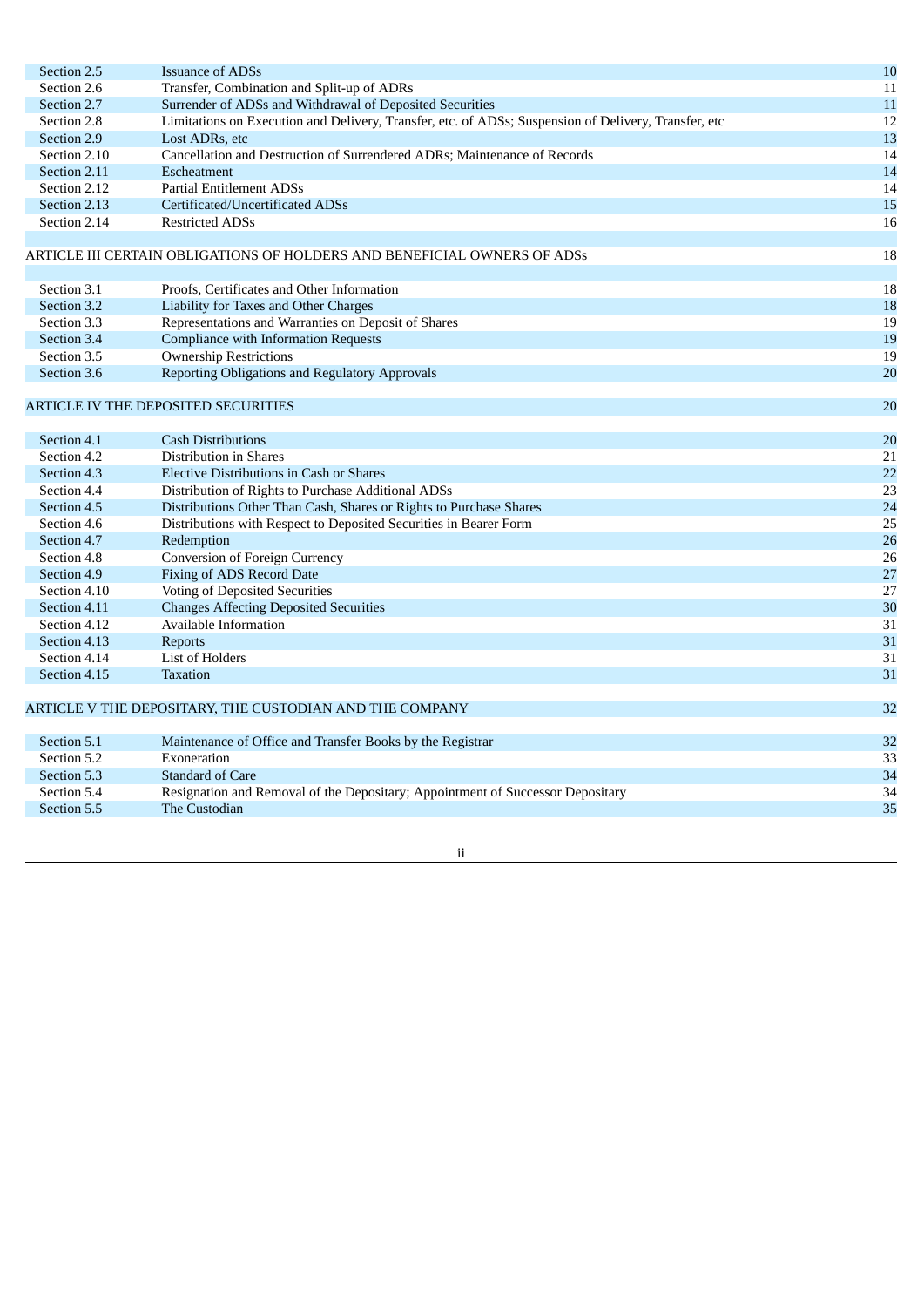| Section 2.5  | <b>Issuance of ADSs</b>                                                                              | 10 |
|--------------|------------------------------------------------------------------------------------------------------|----|
| Section 2.6  | Transfer, Combination and Split-up of ADRs                                                           | 11 |
| Section 2.7  | Surrender of ADSs and Withdrawal of Deposited Securities                                             | 11 |
| Section 2.8  | Limitations on Execution and Delivery, Transfer, etc. of ADSs; Suspension of Delivery, Transfer, etc | 12 |
| Section 2.9  | Lost ADRs, etc                                                                                       | 13 |
| Section 2.10 | Cancellation and Destruction of Surrendered ADRs; Maintenance of Records                             | 14 |
| Section 2.11 | Escheatment                                                                                          | 14 |
| Section 2.12 | <b>Partial Entitlement ADSs</b>                                                                      | 14 |
| Section 2.13 | Certificated/Uncertificated ADSs                                                                     | 15 |
| Section 2.14 | <b>Restricted ADSs</b>                                                                               | 16 |
|              | ARTICLE III CERTAIN OBLIGATIONS OF HOLDERS AND BENEFICIAL OWNERS OF ADSs                             | 18 |
| Section 3.1  | Proofs, Certificates and Other Information                                                           | 18 |
| Section 3.2  | Liability for Taxes and Other Charges                                                                | 18 |
| Section 3.3  | Representations and Warranties on Deposit of Shares                                                  | 19 |
| Section 3.4  | <b>Compliance with Information Requests</b>                                                          | 19 |
| Section 3.5  | <b>Ownership Restrictions</b>                                                                        | 19 |
| Section 3.6  | Reporting Obligations and Regulatory Approvals                                                       | 20 |
|              |                                                                                                      |    |
|              | ARTICLE IV THE DEPOSITED SECURITIES                                                                  | 20 |
|              |                                                                                                      |    |
| Section 4.1  | <b>Cash Distributions</b>                                                                            | 20 |
| Section 4.2  | Distribution in Shares                                                                               | 21 |
| Section 4.3  | <b>Elective Distributions in Cash or Shares</b>                                                      | 22 |
| Section 4.4  | Distribution of Rights to Purchase Additional ADSs                                                   | 23 |
| Section 4.5  | Distributions Other Than Cash, Shares or Rights to Purchase Shares                                   | 24 |
| Section 4.6  | Distributions with Respect to Deposited Securities in Bearer Form                                    | 25 |
| Section 4.7  | Redemption                                                                                           | 26 |
| Section 4.8  | <b>Conversion of Foreign Currency</b>                                                                | 26 |
| Section 4.9  | Fixing of ADS Record Date                                                                            | 27 |
| Section 4.10 | Voting of Deposited Securities                                                                       | 27 |
| Section 4.11 | <b>Changes Affecting Deposited Securities</b>                                                        | 30 |
| Section 4.12 | Available Information                                                                                | 31 |
| Section 4.13 | Reports                                                                                              | 31 |
| Section 4.14 | List of Holders                                                                                      | 31 |
| Section 4.15 | <b>Taxation</b>                                                                                      | 31 |
|              | ARTICLE V THE DEPOSITARY, THE CUSTODIAN AND THE COMPANY                                              | 32 |
| Section 5.1  | Maintenance of Office and Transfer Books by the Registrar                                            | 32 |
| Section 5.2  | Exoneration                                                                                          | 33 |
| Section 5.3  | <b>Standard of Care</b>                                                                              | 34 |
| Section 5.4  | Resignation and Removal of the Depositary; Appointment of Successor Depositary                       | 34 |
| Section 5.5  | The Custodian                                                                                        | 35 |
|              |                                                                                                      |    |

### ii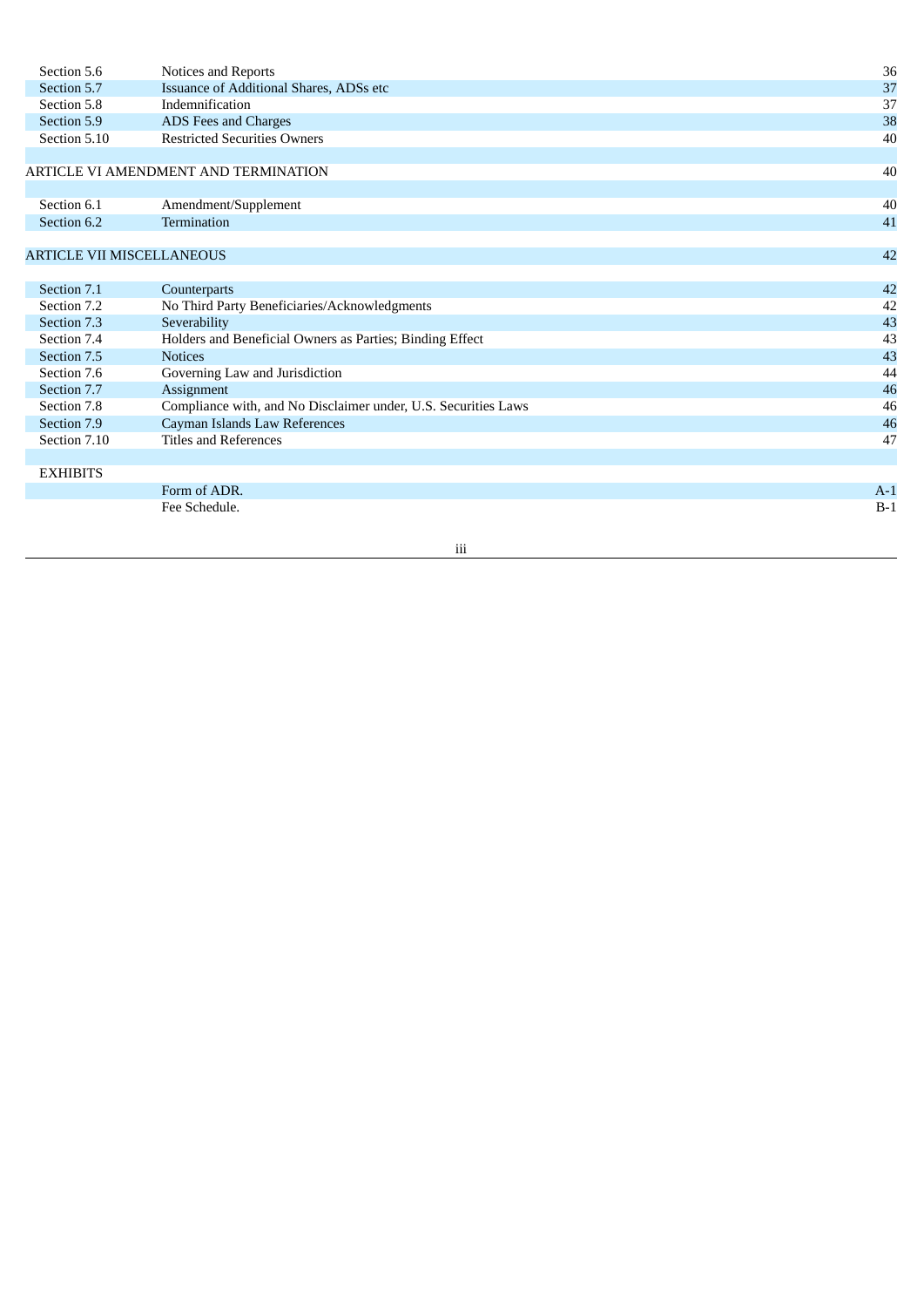| Section 5.6                      | Notices and Reports                                            | 36    |
|----------------------------------|----------------------------------------------------------------|-------|
| Section 5.7                      | Issuance of Additional Shares, ADSs etc                        | 37    |
| Section 5.8                      | Indemnification                                                | 37    |
| Section 5.9                      | ADS Fees and Charges                                           | 38    |
| Section 5.10                     | <b>Restricted Securities Owners</b>                            | 40    |
|                                  |                                                                |       |
|                                  | ARTICLE VI AMENDMENT AND TERMINATION                           | 40    |
|                                  |                                                                |       |
| Section 6.1                      | Amendment/Supplement                                           | 40    |
| Section 6.2                      | Termination                                                    | 41    |
|                                  |                                                                |       |
| <b>ARTICLE VII MISCELLANEOUS</b> |                                                                | 42    |
|                                  |                                                                |       |
| Section 7.1                      | Counterparts                                                   | 42    |
| Section 7.2                      | No Third Party Beneficiaries/Acknowledgments                   | 42    |
| Section 7.3                      | Severability                                                   | 43    |
| Section 7.4                      | Holders and Beneficial Owners as Parties; Binding Effect       | 43    |
| Section 7.5                      | <b>Notices</b>                                                 | 43    |
| Section 7.6                      | Governing Law and Jurisdiction                                 | 44    |
| Section 7.7                      | Assignment                                                     | 46    |
| Section 7.8                      | Compliance with, and No Disclaimer under, U.S. Securities Laws | 46    |
| Section 7.9                      | Cayman Islands Law References                                  | 46    |
| Section 7.10                     | <b>Titles and References</b>                                   | 47    |
|                                  |                                                                |       |
| <b>EXHIBITS</b>                  |                                                                |       |
|                                  | Form of ADR.                                                   | $A-1$ |
|                                  | Fee Schedule.                                                  | $B-1$ |
|                                  |                                                                |       |

iii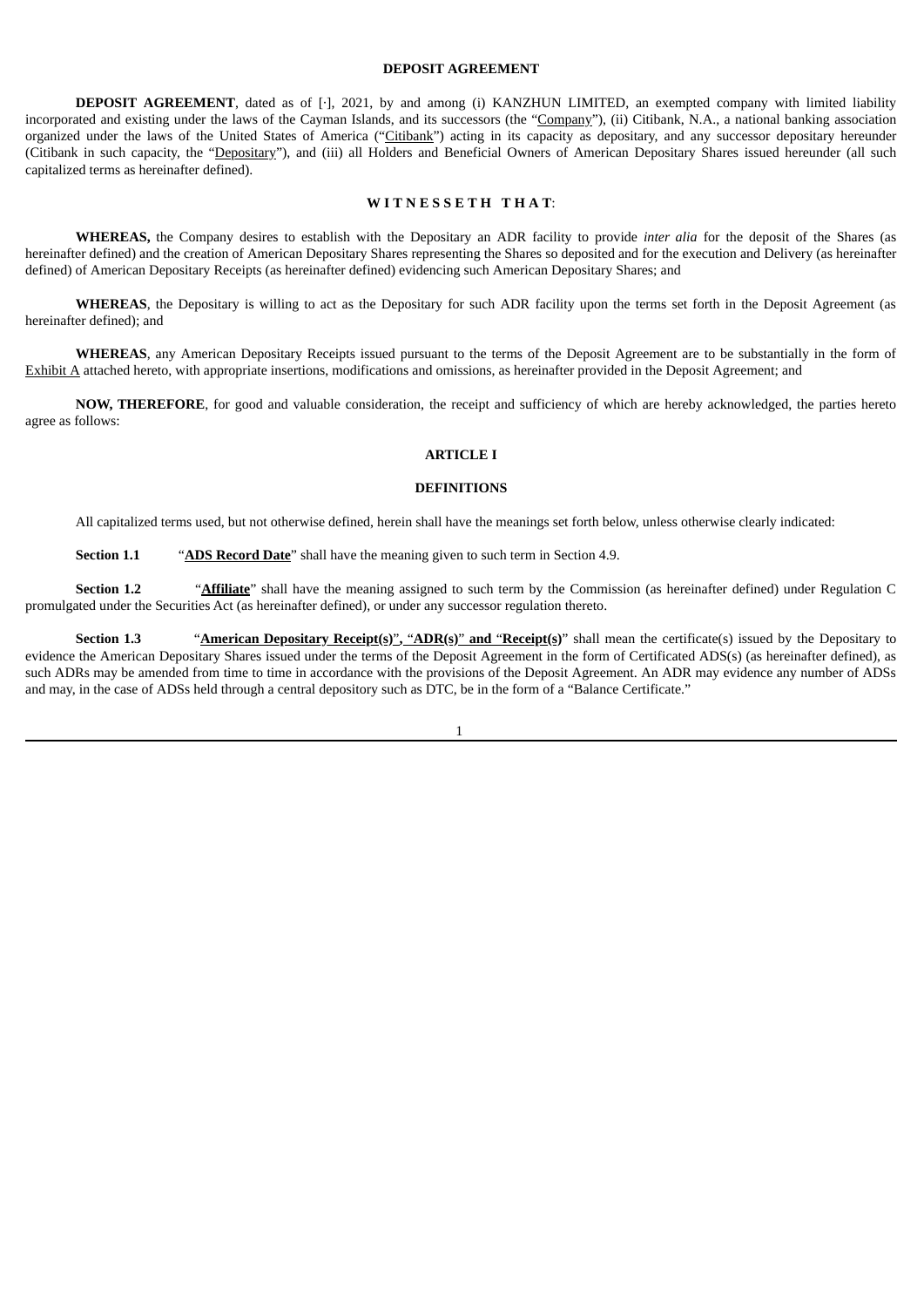#### **DEPOSIT AGREEMENT**

**DEPOSIT AGREEMENT**, dated as of [·], 2021, by and among (i) KANZHUN LIMITED, an exempted company with limited liability incorporated and existing under the laws of the Cayman Islands, and its successors (the "Company"), (ii) Citibank, N.A., a national banking association organized under the laws of the United States of America ("Citibank") acting in its capacity as depositary, and any successor depositary hereunder (Citibank in such capacity, the "Depositary"), and (iii) all Holders and Beneficial Owners of American Depositary Shares issued hereunder (all such capitalized terms as hereinafter defined).

#### **W I T N E S S E T H T H A T**:

**WHEREAS,** the Company desires to establish with the Depositary an ADR facility to provide *inter alia* for the deposit of the Shares (as hereinafter defined) and the creation of American Depositary Shares representing the Shares so deposited and for the execution and Delivery (as hereinafter defined) of American Depositary Receipts (as hereinafter defined) evidencing such American Depositary Shares; and

**WHEREAS**, the Depositary is willing to act as the Depositary for such ADR facility upon the terms set forth in the Deposit Agreement (as hereinafter defined); and

**WHEREAS**, any American Depositary Receipts issued pursuant to the terms of the Deposit Agreement are to be substantially in the form of Exhibit A attached hereto, with appropriate insertions, modifications and omissions, as hereinafter provided in the Deposit Agreement; and

**NOW, THEREFORE**, for good and valuable consideration, the receipt and sufficiency of which are hereby acknowledged, the parties hereto agree as follows:

### **ARTICLE I**

#### **DEFINITIONS**

All capitalized terms used, but not otherwise defined, herein shall have the meanings set forth below, unless otherwise clearly indicated:

**Section 1.1** "**ADS Record Date**" shall have the meaning given to such term in Section 4.9.

**Section 1.2** "**Affiliate**" shall have the meaning assigned to such term by the Commission (as hereinafter defined) under Regulation C promulgated under the Securities Act (as hereinafter defined), or under any successor regulation thereto.

**Section 1.3** "**American Depositary Receipt(s)**", "**ADR(s)**" and "Receipt(s)" shall mean the certificate(s) issued by the Depositary to evidence the American Depositary Shares issued under the terms of the Deposit Agreement in the form of Certificated ADS(s) (as hereinafter defined), as such ADRs may be amended from time to time in accordance with the provisions of the Deposit Agreement. An ADR may evidence any number of ADSs and may, in the case of ADSs held through a central depository such as DTC, be in the form of a "Balance Certificate."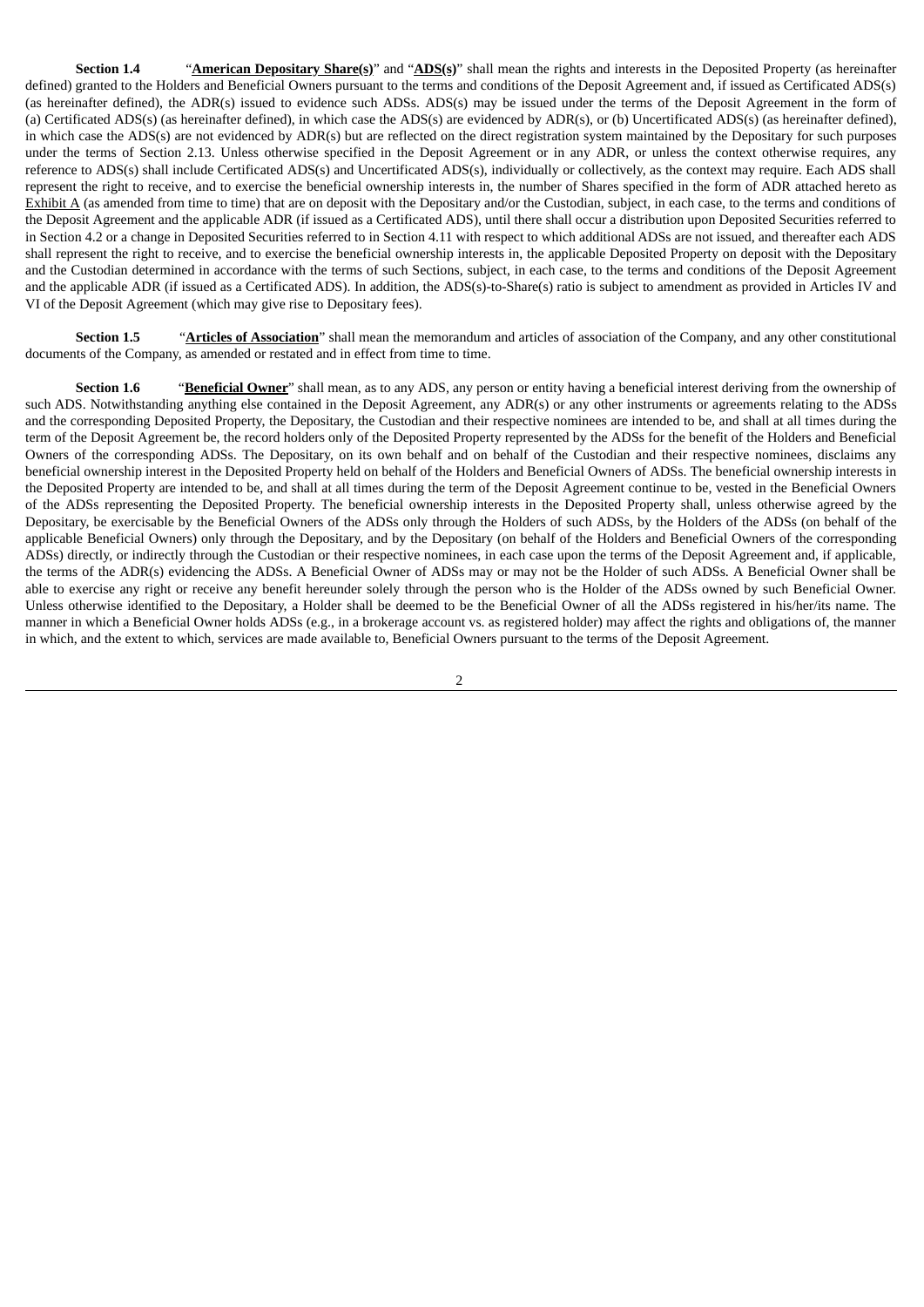**Section 1.4** "**American Depositary Share(s)**" and "**ADS(s)**" shall mean the rights and interests in the Deposited Property (as hereinafter defined) granted to the Holders and Beneficial Owners pursuant to the terms and conditions of the Deposit Agreement and, if issued as Certificated ADS(s) (as hereinafter defined), the ADR(s) issued to evidence such ADSs. ADS(s) may be issued under the terms of the Deposit Agreement in the form of (a) Certificated ADS(s) (as hereinafter defined), in which case the ADS(s) are evidenced by ADR(s), or (b) Uncertificated ADS(s) (as hereinafter defined), in which case the ADS(s) are not evidenced by ADR(s) but are reflected on the direct registration system maintained by the Depositary for such purposes under the terms of Section 2.13. Unless otherwise specified in the Deposit Agreement or in any ADR, or unless the context otherwise requires, any reference to ADS(s) shall include Certificated ADS(s) and Uncertificated ADS(s), individually or collectively, as the context may require. Each ADS shall represent the right to receive, and to exercise the beneficial ownership interests in, the number of Shares specified in the form of ADR attached hereto as Exhibit A (as amended from time to time) that are on deposit with the Depositary and/or the Custodian, subject, in each case, to the terms and conditions of the Deposit Agreement and the applicable ADR (if issued as a Certificated ADS), until there shall occur a distribution upon Deposited Securities referred to in Section 4.2 or a change in Deposited Securities referred to in Section 4.11 with respect to which additional ADSs are not issued, and thereafter each ADS shall represent the right to receive, and to exercise the beneficial ownership interests in, the applicable Deposited Property on deposit with the Depositary and the Custodian determined in accordance with the terms of such Sections, subject, in each case, to the terms and conditions of the Deposit Agreement and the applicable ADR (if issued as a Certificated ADS). In addition, the ADS(s)-to-Share(s) ratio is subject to amendment as provided in Articles IV and VI of the Deposit Agreement (which may give rise to Depositary fees).

**Section 1.5** "**Articles of Association**" shall mean the memorandum and articles of association of the Company, and any other constitutional documents of the Company, as amended or restated and in effect from time to time.

**Section 1.6** "**Beneficial Owner**" shall mean, as to any ADS, any person or entity having a beneficial interest deriving from the ownership of such ADS. Notwithstanding anything else contained in the Deposit Agreement, any ADR(s) or any other instruments or agreements relating to the ADSs and the corresponding Deposited Property, the Depositary, the Custodian and their respective nominees are intended to be, and shall at all times during the term of the Deposit Agreement be, the record holders only of the Deposited Property represented by the ADSs for the benefit of the Holders and Beneficial Owners of the corresponding ADSs. The Depositary, on its own behalf and on behalf of the Custodian and their respective nominees, disclaims any beneficial ownership interest in the Deposited Property held on behalf of the Holders and Beneficial Owners of ADSs. The beneficial ownership interests in the Deposited Property are intended to be, and shall at all times during the term of the Deposit Agreement continue to be, vested in the Beneficial Owners of the ADSs representing the Deposited Property. The beneficial ownership interests in the Deposited Property shall, unless otherwise agreed by the Depositary, be exercisable by the Beneficial Owners of the ADSs only through the Holders of such ADSs, by the Holders of the ADSs (on behalf of the applicable Beneficial Owners) only through the Depositary, and by the Depositary (on behalf of the Holders and Beneficial Owners of the corresponding ADSs) directly, or indirectly through the Custodian or their respective nominees, in each case upon the terms of the Deposit Agreement and, if applicable, the terms of the ADR(s) evidencing the ADSs. A Beneficial Owner of ADSs may or may not be the Holder of such ADSs. A Beneficial Owner shall be able to exercise any right or receive any benefit hereunder solely through the person who is the Holder of the ADSs owned by such Beneficial Owner. Unless otherwise identified to the Depositary, a Holder shall be deemed to be the Beneficial Owner of all the ADSs registered in his/her/its name. The manner in which a Beneficial Owner holds ADSs (e.g., in a brokerage account vs. as registered holder) may affect the rights and obligations of, the manner in which, and the extent to which, services are made available to, Beneficial Owners pursuant to the terms of the Deposit Agreement.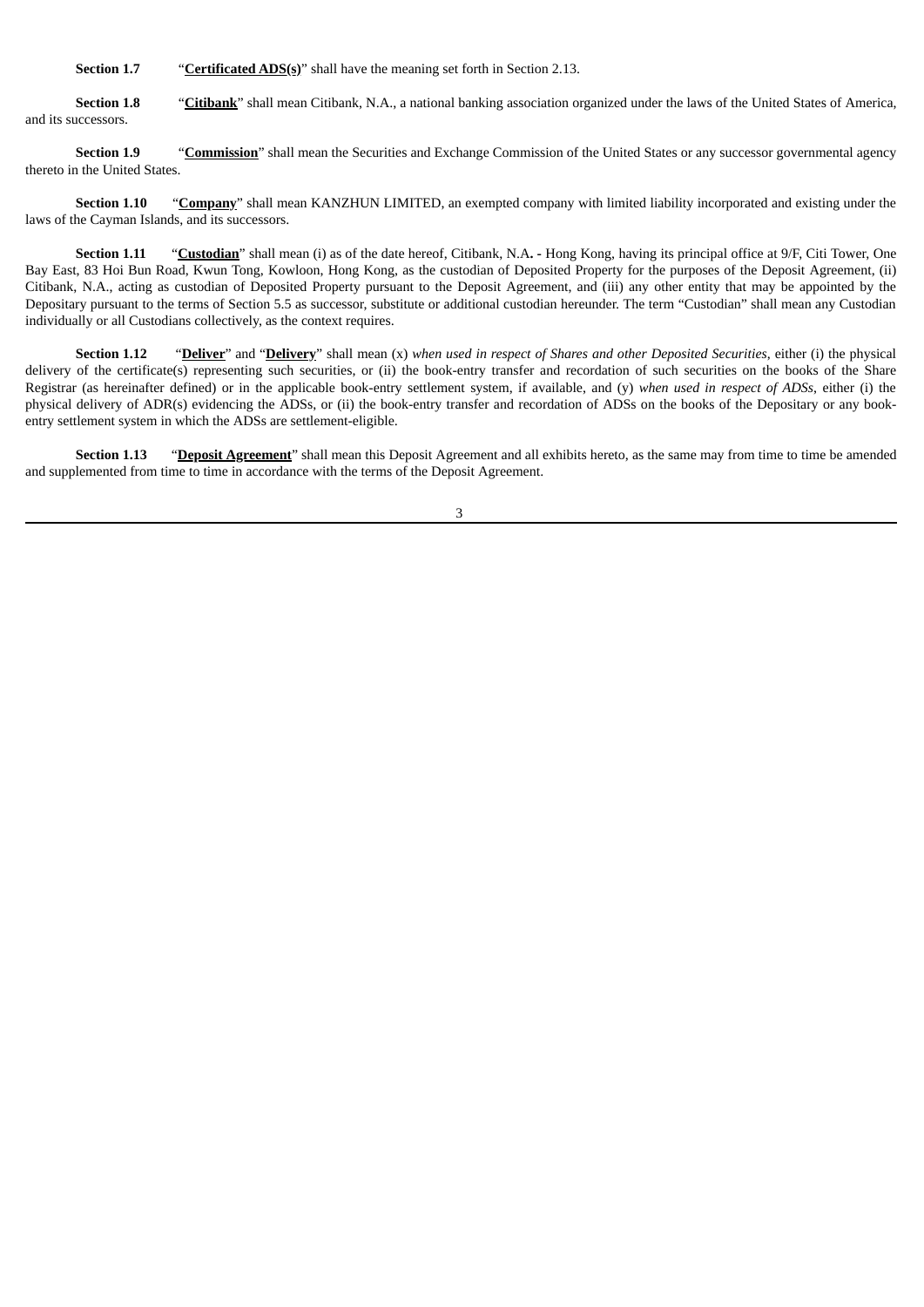**Section 1.7** "**Certificated ADS(s)**" shall have the meaning set forth in Section 2.13.

**Section 1.8** "Citibank" shall mean Citibank, N.A., a national banking association organized under the laws of the United States of America, and its successors.

**Section 1.9** "**Commission**" shall mean the Securities and Exchange Commission of the United States or any successor governmental agency thereto in the United States.

**Section 1.10** "**Company**" shall mean KANZHUN LIMITED, an exempted company with limited liability incorporated and existing under the laws of the Cayman Islands, and its successors.

**Section 1.11** "**Custodian**" shall mean (i) as of the date hereof, Citibank, N.A**. -** Hong Kong, having its principal office at 9/F, Citi Tower, One Bay East, 83 Hoi Bun Road, Kwun Tong, Kowloon, Hong Kong, as the custodian of Deposited Property for the purposes of the Deposit Agreement, (ii) Citibank, N.A., acting as custodian of Deposited Property pursuant to the Deposit Agreement, and (iii) any other entity that may be appointed by the Depositary pursuant to the terms of Section 5.5 as successor, substitute or additional custodian hereunder. The term "Custodian" shall mean any Custodian individually or all Custodians collectively, as the context requires.

Section 1.12 "Deliver" and "Delivery" shall mean (x) when used in respect of Shares and other Deposited Securities, either (i) the physical delivery of the certificate(s) representing such securities, or (ii) the book-entry transfer and recordation of such securities on the books of the Share Registrar (as hereinafter defined) or in the applicable book-entry settlement system, if available, and (y) *when used in respect of ADSs*, either (i) the physical delivery of ADR(s) evidencing the ADSs, or (ii) the book-entry transfer and recordation of ADSs on the books of the Depositary or any bookentry settlement system in which the ADSs are settlement-eligible.

**Section 1.13** "**Deposit Agreement**" shall mean this Deposit Agreement and all exhibits hereto, as the same may from time to time be amended and supplemented from time to time in accordance with the terms of the Deposit Agreement.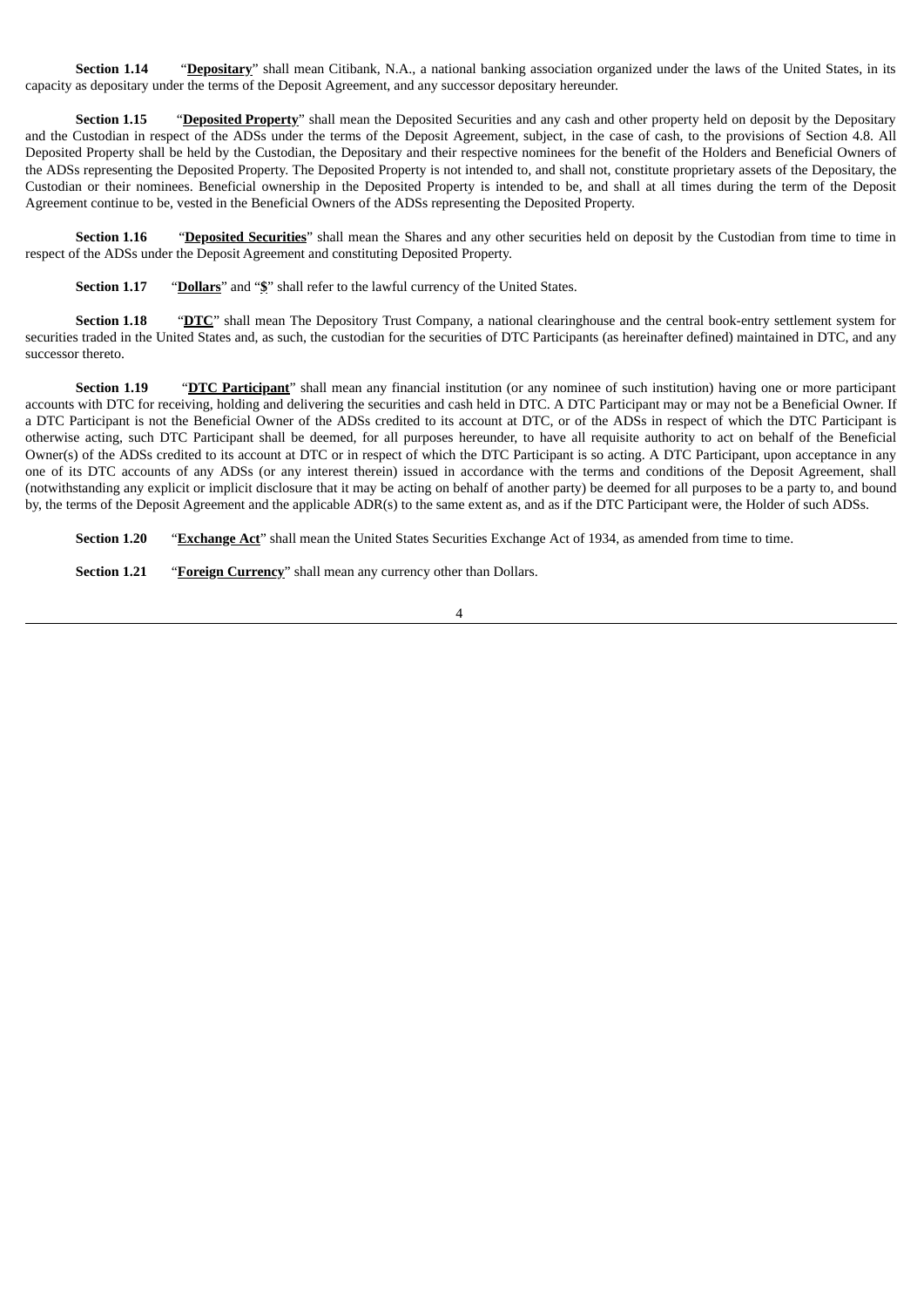**Section 1.14** "Depositary" shall mean Citibank, N.A., a national banking association organized under the laws of the United States, in its capacity as depositary under the terms of the Deposit Agreement, and any successor depositary hereunder.

**Section 1.15** "Deposited Property" shall mean the Deposited Securities and any cash and other property held on deposit by the Depositary and the Custodian in respect of the ADSs under the terms of the Deposit Agreement, subject, in the case of cash, to the provisions of Section 4.8. All Deposited Property shall be held by the Custodian, the Depositary and their respective nominees for the benefit of the Holders and Beneficial Owners of the ADSs representing the Deposited Property. The Deposited Property is not intended to, and shall not, constitute proprietary assets of the Depositary, the Custodian or their nominees. Beneficial ownership in the Deposited Property is intended to be, and shall at all times during the term of the Deposit Agreement continue to be, vested in the Beneficial Owners of the ADSs representing the Deposited Property.

**Section 1.16** "**Deposited Securities**" shall mean the Shares and any other securities held on deposit by the Custodian from time to time in respect of the ADSs under the Deposit Agreement and constituting Deposited Property.

**Section 1.17** "**Dollars**" and "**\$**" shall refer to the lawful currency of the United States.

**Section 1.18** "DTC" shall mean The Depository Trust Company, a national clearinghouse and the central book-entry settlement system for securities traded in the United States and, as such, the custodian for the securities of DTC Participants (as hereinafter defined) maintained in DTC, and any successor thereto.

**Section 1.19** "**DTC Participant**" shall mean any financial institution (or any nominee of such institution) having one or more participant accounts with DTC for receiving, holding and delivering the securities and cash held in DTC. A DTC Participant may or may not be a Beneficial Owner. If a DTC Participant is not the Beneficial Owner of the ADSs credited to its account at DTC, or of the ADSs in respect of which the DTC Participant is otherwise acting, such DTC Participant shall be deemed, for all purposes hereunder, to have all requisite authority to act on behalf of the Beneficial Owner(s) of the ADSs credited to its account at DTC or in respect of which the DTC Participant is so acting. A DTC Participant, upon acceptance in any one of its DTC accounts of any ADSs (or any interest therein) issued in accordance with the terms and conditions of the Deposit Agreement, shall (notwithstanding any explicit or implicit disclosure that it may be acting on behalf of another party) be deemed for all purposes to be a party to, and bound by, the terms of the Deposit Agreement and the applicable ADR(s) to the same extent as, and as if the DTC Participant were, the Holder of such ADSs.

**Section 1.20** "**Exchange Act**" shall mean the United States Securities Exchange Act of 1934, as amended from time to time.

**Section 1.21** "**Foreign Currency**" shall mean any currency other than Dollars.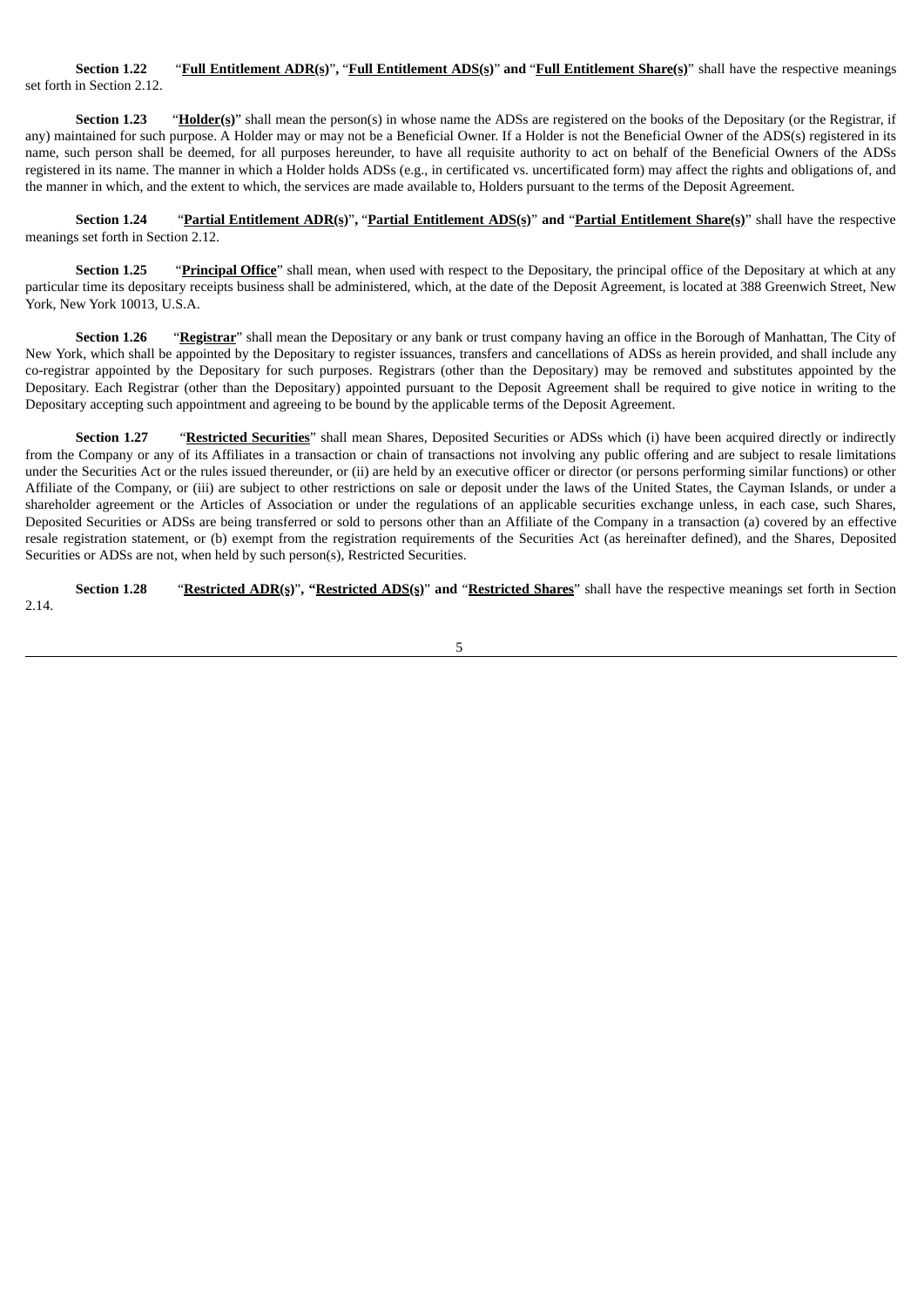**Section 1.22** "**Full Entitlement ADR(s)**"**,** "**Full Entitlement ADS(s)**" **and** "**Full Entitlement Share(s)**" shall have the respective meanings set forth in Section 2.12.

**Section 1.23** "**Holder(s)**" shall mean the person(s) in whose name the ADSs are registered on the books of the Depositary (or the Registrar, if any) maintained for such purpose. A Holder may or may not be a Beneficial Owner. If a Holder is not the Beneficial Owner of the ADS(s) registered in its name, such person shall be deemed, for all purposes hereunder, to have all requisite authority to act on behalf of the Beneficial Owners of the ADSs registered in its name. The manner in which a Holder holds ADSs (e.g., in certificated vs. uncertificated form) may affect the rights and obligations of, and the manner in which, and the extent to which, the services are made available to, Holders pursuant to the terms of the Deposit Agreement.

**Section 1.24** "**Partial Entitlement ADR(s)**"**,** "**Partial Entitlement ADS(s)**" **and** "**Partial Entitlement Share(s)**" shall have the respective meanings set forth in Section 2.12.

**Section 1.25** "**Principal Office**" shall mean, when used with respect to the Depositary, the principal office of the Depositary at which at any particular time its depositary receipts business shall be administered, which, at the date of the Deposit Agreement, is located at 388 Greenwich Street, New York, New York 10013, U.S.A.

**Section 1.26** "**Registrar**" shall mean the Depositary or any bank or trust company having an office in the Borough of Manhattan, The City of New York, which shall be appointed by the Depositary to register issuances, transfers and cancellations of ADSs as herein provided, and shall include any co-registrar appointed by the Depositary for such purposes. Registrars (other than the Depositary) may be removed and substitutes appointed by the Depositary. Each Registrar (other than the Depositary) appointed pursuant to the Deposit Agreement shall be required to give notice in writing to the Depositary accepting such appointment and agreeing to be bound by the applicable terms of the Deposit Agreement.

**Section 1.27** "Restricted Securities" shall mean Shares, Deposited Securities or ADSs which (i) have been acquired directly or indirectly from the Company or any of its Affiliates in a transaction or chain of transactions not involving any public offering and are subject to resale limitations under the Securities Act or the rules issued thereunder, or (ii) are held by an executive officer or director (or persons performing similar functions) or other Affiliate of the Company, or (iii) are subject to other restrictions on sale or deposit under the laws of the United States, the Cayman Islands, or under a shareholder agreement or the Articles of Association or under the regulations of an applicable securities exchange unless, in each case, such Shares, Deposited Securities or ADSs are being transferred or sold to persons other than an Affiliate of the Company in a transaction (a) covered by an effective resale registration statement, or (b) exempt from the registration requirements of the Securities Act (as hereinafter defined), and the Shares, Deposited Securities or ADSs are not, when held by such person(s), Restricted Securities.

**Section 1.28** "**Restricted ADR(s)**"**, "Restricted ADS(s)**" **and** "**Restricted Shares**" shall have the respective meanings set forth in Section 2.14.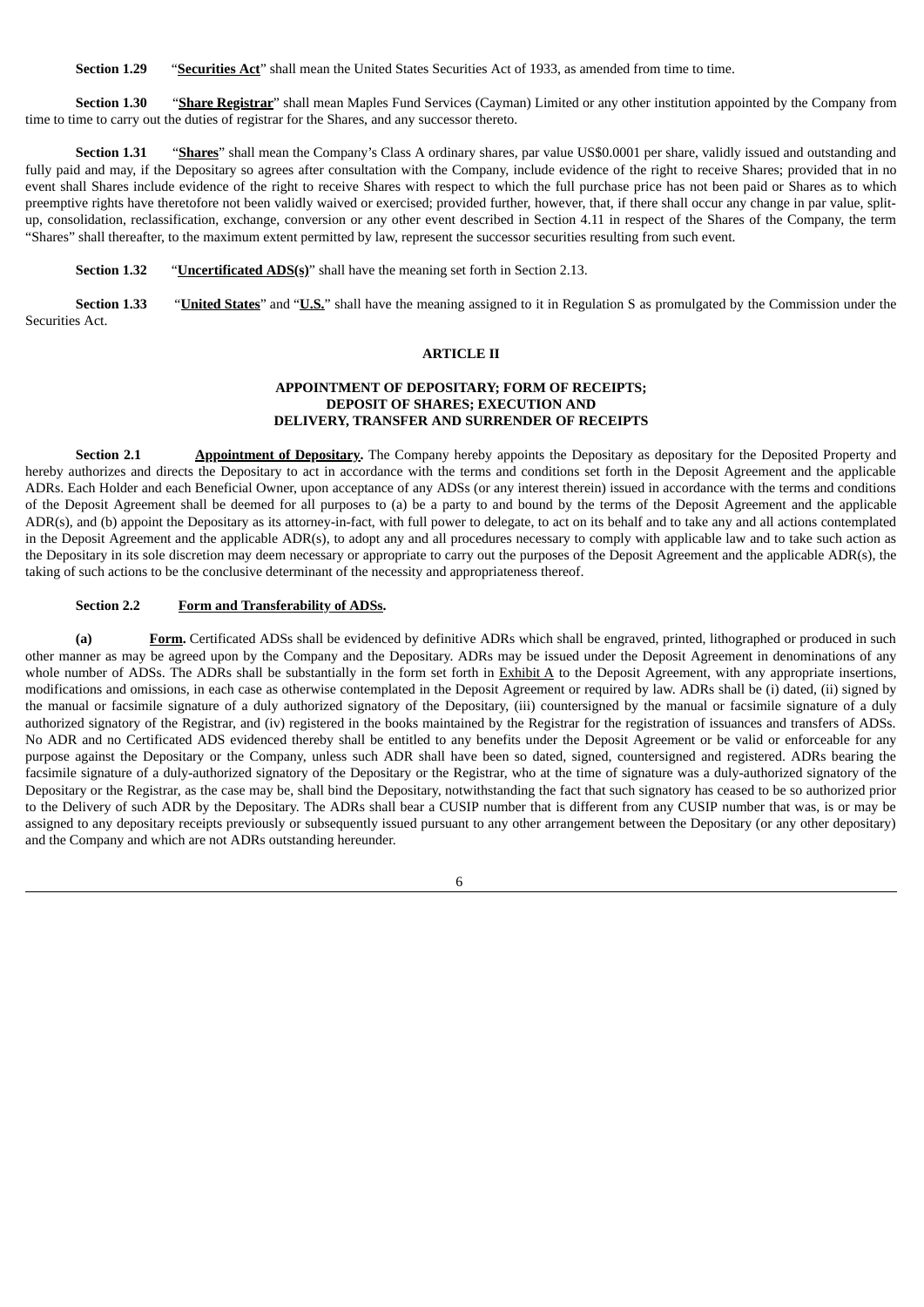**Section 1.29** "**Securities Act**" shall mean the United States Securities Act of 1933, as amended from time to time.

**Section 1.30** "**Share Registrar**" shall mean Maples Fund Services (Cayman) Limited or any other institution appointed by the Company from time to time to carry out the duties of registrar for the Shares, and any successor thereto.

**Section 1.31** "**Shares**" shall mean the Company's Class A ordinary shares, par value US\$0.0001 per share, validly issued and outstanding and fully paid and may, if the Depositary so agrees after consultation with the Company, include evidence of the right to receive Shares; provided that in no event shall Shares include evidence of the right to receive Shares with respect to which the full purchase price has not been paid or Shares as to which preemptive rights have theretofore not been validly waived or exercised; provided further, however, that, if there shall occur any change in par value, splitup, consolidation, reclassification, exchange, conversion or any other event described in Section 4.11 in respect of the Shares of the Company, the term "Shares" shall thereafter, to the maximum extent permitted by law, represent the successor securities resulting from such event.

**Section 1.32** "**Uncertificated ADS(s)**" shall have the meaning set forth in Section 2.13.

**Section 1.33** "**United States**" and "**U.S.**" shall have the meaning assigned to it in Regulation S as promulgated by the Commission under the Securities Act.

### **ARTICLE II**

#### **APPOINTMENT OF DEPOSITARY; FORM OF RECEIPTS; DEPOSIT OF SHARES; EXECUTION AND DELIVERY, TRANSFER AND SURRENDER OF RECEIPTS**

**Section 2.1 Appointment of Depositary.** The Company hereby appoints the Depositary as depositary for the Deposited Property and hereby authorizes and directs the Depositary to act in accordance with the terms and conditions set forth in the Deposit Agreement and the applicable ADRs. Each Holder and each Beneficial Owner, upon acceptance of any ADSs (or any interest therein) issued in accordance with the terms and conditions of the Deposit Agreement shall be deemed for all purposes to (a) be a party to and bound by the terms of the Deposit Agreement and the applicable ADR(s), and (b) appoint the Depositary as its attorney-in-fact, with full power to delegate, to act on its behalf and to take any and all actions contemplated in the Deposit Agreement and the applicable ADR(s), to adopt any and all procedures necessary to comply with applicable law and to take such action as the Depositary in its sole discretion may deem necessary or appropriate to carry out the purposes of the Deposit Agreement and the applicable ADR(s), the taking of such actions to be the conclusive determinant of the necessity and appropriateness thereof.

### **Section 2.2 Form and Transferability of ADSs.**

**(a) Form.** Certificated ADSs shall be evidenced by definitive ADRs which shall be engraved, printed, lithographed or produced in such other manner as may be agreed upon by the Company and the Depositary. ADRs may be issued under the Deposit Agreement in denominations of any whole number of ADSs. The ADRs shall be substantially in the form set forth in  $Exhibit A$  to the Deposit Agreement, with any appropriate insertions, modifications and omissions, in each case as otherwise contemplated in the Deposit Agreement or required by law. ADRs shall be (i) dated, (ii) signed by the manual or facsimile signature of a duly authorized signatory of the Depositary, (iii) countersigned by the manual or facsimile signature of a duly authorized signatory of the Registrar, and (iv) registered in the books maintained by the Registrar for the registration of issuances and transfers of ADSs. No ADR and no Certificated ADS evidenced thereby shall be entitled to any benefits under the Deposit Agreement or be valid or enforceable for any purpose against the Depositary or the Company, unless such ADR shall have been so dated, signed, countersigned and registered. ADRs bearing the facsimile signature of a duly-authorized signatory of the Depositary or the Registrar, who at the time of signature was a duly-authorized signatory of the Depositary or the Registrar, as the case may be, shall bind the Depositary, notwithstanding the fact that such signatory has ceased to be so authorized prior to the Delivery of such ADR by the Depositary. The ADRs shall bear a CUSIP number that is different from any CUSIP number that was, is or may be assigned to any depositary receipts previously or subsequently issued pursuant to any other arrangement between the Depositary (or any other depositary) and the Company and which are not ADRs outstanding hereunder.

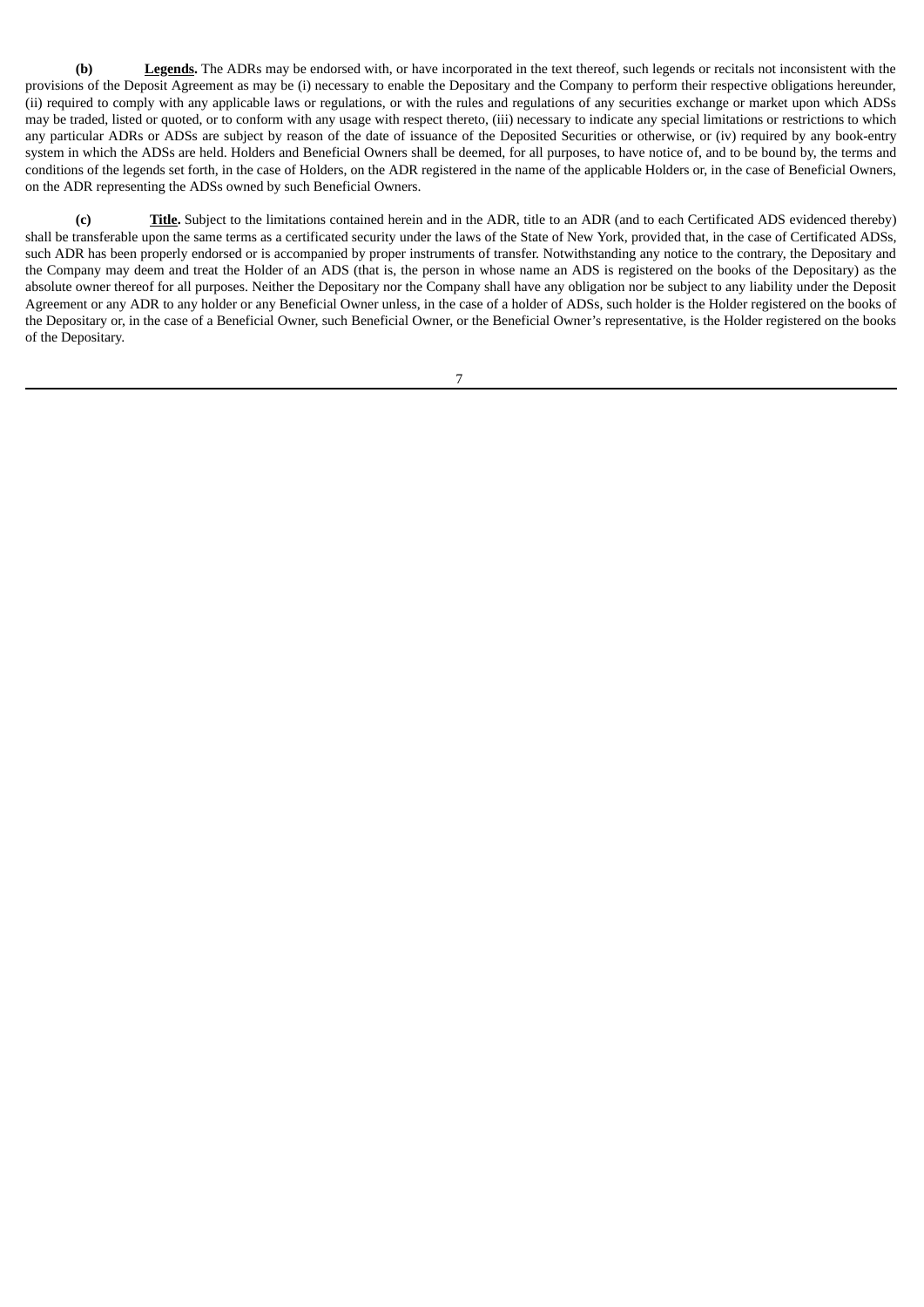**(b) Legends.** The ADRs may be endorsed with, or have incorporated in the text thereof, such legends or recitals not inconsistent with the provisions of the Deposit Agreement as may be (i) necessary to enable the Depositary and the Company to perform their respective obligations hereunder, (ii) required to comply with any applicable laws or regulations, or with the rules and regulations of any securities exchange or market upon which ADSs may be traded, listed or quoted, or to conform with any usage with respect thereto, (iii) necessary to indicate any special limitations or restrictions to which any particular ADRs or ADSs are subject by reason of the date of issuance of the Deposited Securities or otherwise, or (iv) required by any book-entry system in which the ADSs are held. Holders and Beneficial Owners shall be deemed, for all purposes, to have notice of, and to be bound by, the terms and conditions of the legends set forth, in the case of Holders, on the ADR registered in the name of the applicable Holders or, in the case of Beneficial Owners, on the ADR representing the ADSs owned by such Beneficial Owners.

**(c) Title.** Subject to the limitations contained herein and in the ADR, title to an ADR (and to each Certificated ADS evidenced thereby) shall be transferable upon the same terms as a certificated security under the laws of the State of New York, provided that, in the case of Certificated ADSs, such ADR has been properly endorsed or is accompanied by proper instruments of transfer. Notwithstanding any notice to the contrary, the Depositary and the Company may deem and treat the Holder of an ADS (that is, the person in whose name an ADS is registered on the books of the Depositary) as the absolute owner thereof for all purposes. Neither the Depositary nor the Company shall have any obligation nor be subject to any liability under the Deposit Agreement or any ADR to any holder or any Beneficial Owner unless, in the case of a holder of ADSs, such holder is the Holder registered on the books of the Depositary or, in the case of a Beneficial Owner, such Beneficial Owner, or the Beneficial Owner's representative, is the Holder registered on the books of the Depositary.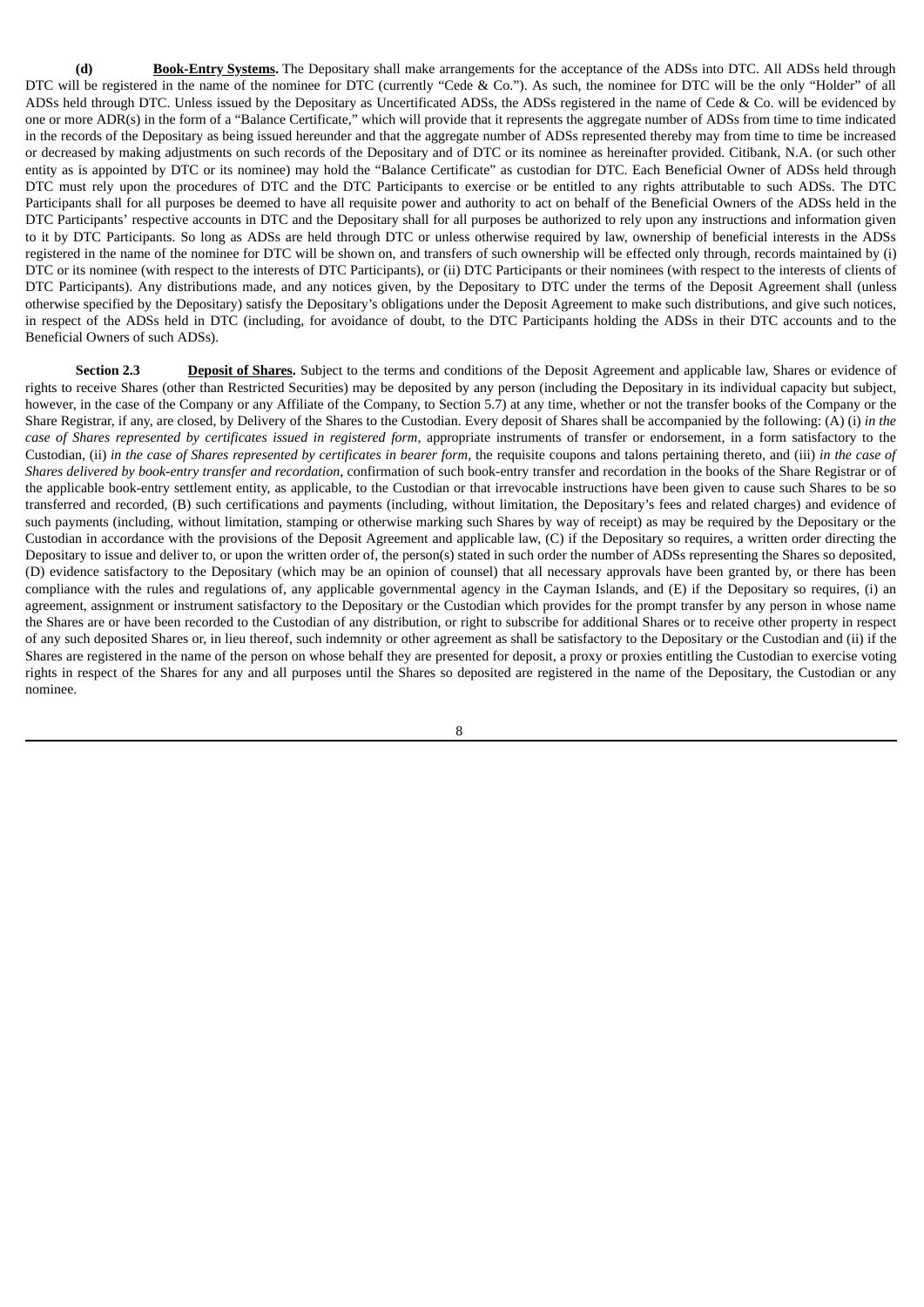**(d) Book-Entry Systems.** The Depositary shall make arrangements for the acceptance of the ADSs into DTC. All ADSs held through DTC will be registered in the name of the nominee for DTC (currently "Cede & Co."). As such, the nominee for DTC will be the only "Holder" of all ADSs held through DTC. Unless issued by the Depositary as Uncertificated ADSs, the ADSs registered in the name of Cede & Co. will be evidenced by one or more ADR(s) in the form of a "Balance Certificate," which will provide that it represents the aggregate number of ADSs from time to time indicated in the records of the Depositary as being issued hereunder and that the aggregate number of ADSs represented thereby may from time to time be increased or decreased by making adjustments on such records of the Depositary and of DTC or its nominee as hereinafter provided. Citibank, N.A. (or such other entity as is appointed by DTC or its nominee) may hold the "Balance Certificate" as custodian for DTC. Each Beneficial Owner of ADSs held through DTC must rely upon the procedures of DTC and the DTC Participants to exercise or be entitled to any rights attributable to such ADSs. The DTC Participants shall for all purposes be deemed to have all requisite power and authority to act on behalf of the Beneficial Owners of the ADSs held in the DTC Participants' respective accounts in DTC and the Depositary shall for all purposes be authorized to rely upon any instructions and information given to it by DTC Participants. So long as ADSs are held through DTC or unless otherwise required by law, ownership of beneficial interests in the ADSs registered in the name of the nominee for DTC will be shown on, and transfers of such ownership will be effected only through, records maintained by (i) DTC or its nominee (with respect to the interests of DTC Participants), or (ii) DTC Participants or their nominees (with respect to the interests of clients of DTC Participants). Any distributions made, and any notices given, by the Depositary to DTC under the terms of the Deposit Agreement shall (unless otherwise specified by the Depositary) satisfy the Depositary's obligations under the Deposit Agreement to make such distributions, and give such notices, in respect of the ADSs held in DTC (including, for avoidance of doubt, to the DTC Participants holding the ADSs in their DTC accounts and to the Beneficial Owners of such ADSs).

**Section 2.3 Deposit of Shares.** Subject to the terms and conditions of the Deposit Agreement and applicable law, Shares or evidence of rights to receive Shares (other than Restricted Securities) may be deposited by any person (including the Depositary in its individual capacity but subject, however, in the case of the Company or any Affiliate of the Company, to Section 5.7) at any time, whether or not the transfer books of the Company or the Share Registrar, if any, are closed, by Delivery of the Shares to the Custodian. Every deposit of Shares shall be accompanied by the following: (A) (i) *in the case of Shares represented by certificates issued in registered form*, appropriate instruments of transfer or endorsement, in a form satisfactory to the Custodian, (ii) in the case of Shares represented by certificates in bearer form, the requisite coupons and talons pertaining thereto, and (iii) in the case of *Shares delivered by book-entry transfer and recordation*, confirmation of such book-entry transfer and recordation in the books of the Share Registrar or of the applicable book-entry settlement entity, as applicable, to the Custodian or that irrevocable instructions have been given to cause such Shares to be so transferred and recorded, (B) such certifications and payments (including, without limitation, the Depositary's fees and related charges) and evidence of such payments (including, without limitation, stamping or otherwise marking such Shares by way of receipt) as may be required by the Depositary or the Custodian in accordance with the provisions of the Deposit Agreement and applicable law, (C) if the Depositary so requires, a written order directing the Depositary to issue and deliver to, or upon the written order of, the person(s) stated in such order the number of ADSs representing the Shares so deposited, (D) evidence satisfactory to the Depositary (which may be an opinion of counsel) that all necessary approvals have been granted by, or there has been compliance with the rules and regulations of, any applicable governmental agency in the Cayman Islands, and (E) if the Depositary so requires, (i) an agreement, assignment or instrument satisfactory to the Depositary or the Custodian which provides for the prompt transfer by any person in whose name the Shares are or have been recorded to the Custodian of any distribution, or right to subscribe for additional Shares or to receive other property in respect of any such deposited Shares or, in lieu thereof, such indemnity or other agreement as shall be satisfactory to the Depositary or the Custodian and (ii) if the Shares are registered in the name of the person on whose behalf they are presented for deposit, a proxy or proxies entitling the Custodian to exercise voting rights in respect of the Shares for any and all purposes until the Shares so deposited are registered in the name of the Depositary, the Custodian or any nominee.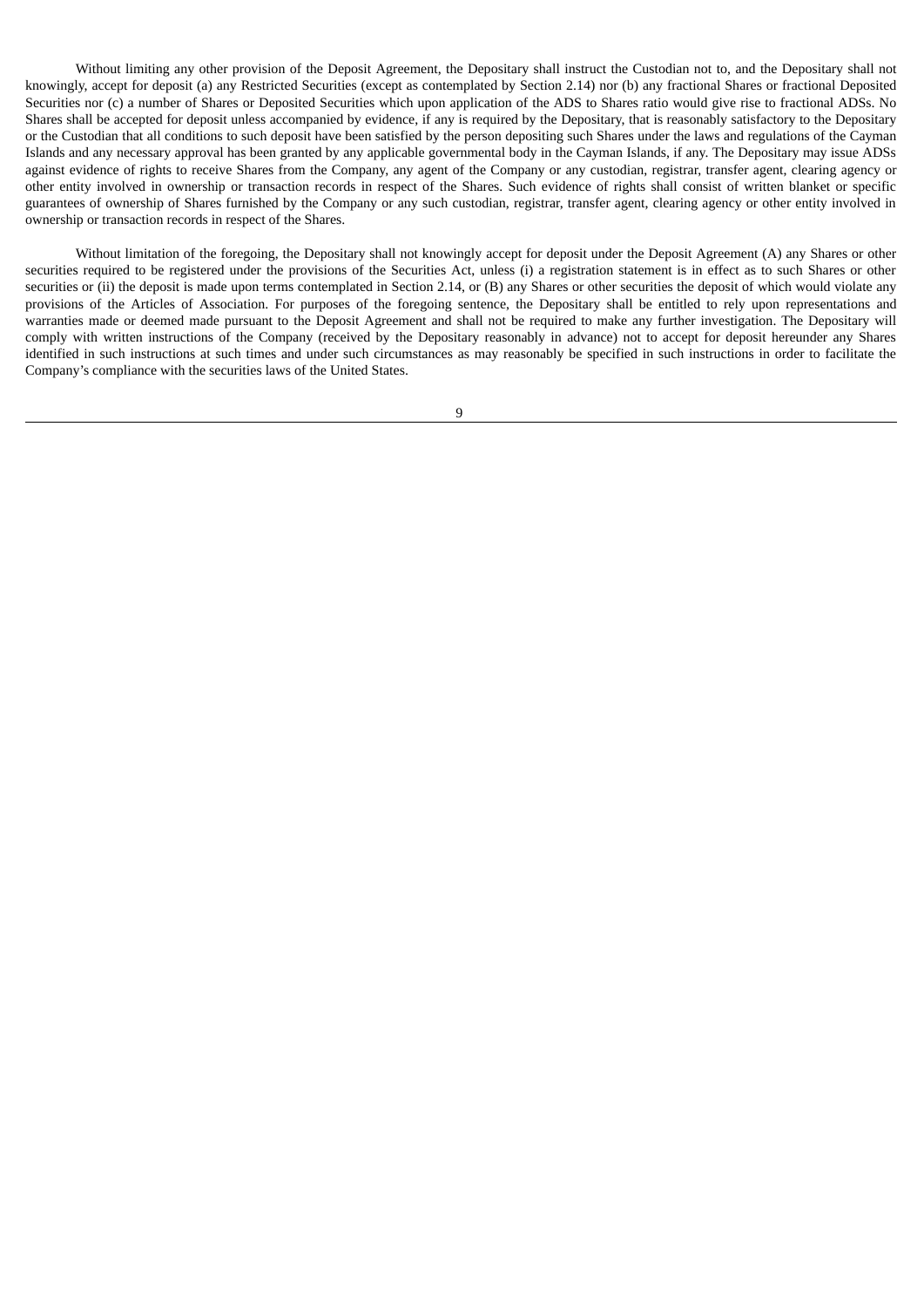Without limiting any other provision of the Deposit Agreement, the Depositary shall instruct the Custodian not to, and the Depositary shall not knowingly, accept for deposit (a) any Restricted Securities (except as contemplated by Section 2.14) nor (b) any fractional Shares or fractional Deposited Securities nor (c) a number of Shares or Deposited Securities which upon application of the ADS to Shares ratio would give rise to fractional ADSs. No Shares shall be accepted for deposit unless accompanied by evidence, if any is required by the Depositary, that is reasonably satisfactory to the Depositary or the Custodian that all conditions to such deposit have been satisfied by the person depositing such Shares under the laws and regulations of the Cayman Islands and any necessary approval has been granted by any applicable governmental body in the Cayman Islands, if any. The Depositary may issue ADSs against evidence of rights to receive Shares from the Company, any agent of the Company or any custodian, registrar, transfer agent, clearing agency or other entity involved in ownership or transaction records in respect of the Shares. Such evidence of rights shall consist of written blanket or specific guarantees of ownership of Shares furnished by the Company or any such custodian, registrar, transfer agent, clearing agency or other entity involved in ownership or transaction records in respect of the Shares.

Without limitation of the foregoing, the Depositary shall not knowingly accept for deposit under the Deposit Agreement (A) any Shares or other securities required to be registered under the provisions of the Securities Act, unless (i) a registration statement is in effect as to such Shares or other securities or (ii) the deposit is made upon terms contemplated in Section 2.14, or (B) any Shares or other securities the deposit of which would violate any provisions of the Articles of Association. For purposes of the foregoing sentence, the Depositary shall be entitled to rely upon representations and warranties made or deemed made pursuant to the Deposit Agreement and shall not be required to make any further investigation. The Depositary will comply with written instructions of the Company (received by the Depositary reasonably in advance) not to accept for deposit hereunder any Shares identified in such instructions at such times and under such circumstances as may reasonably be specified in such instructions in order to facilitate the Company's compliance with the securities laws of the United States.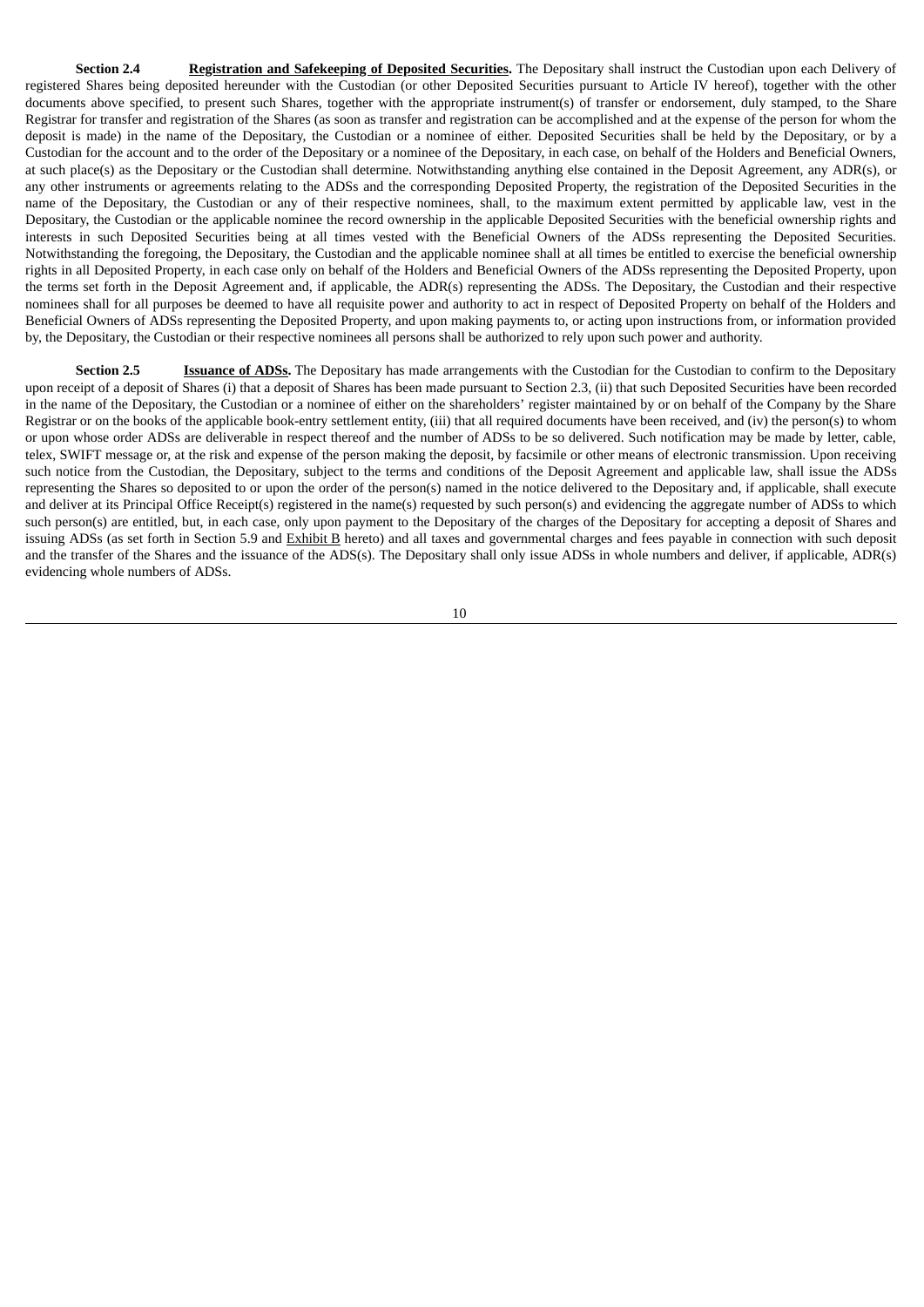**Section 2.4 Registration and Safekeeping of Deposited Securities**. The Depositary shall instruct the Custodian upon each Delivery of registered Shares being deposited hereunder with the Custodian (or other Deposited Securities pursuant to Article IV hereof), together with the other documents above specified, to present such Shares, together with the appropriate instrument(s) of transfer or endorsement, duly stamped, to the Share Registrar for transfer and registration of the Shares (as soon as transfer and registration can be accomplished and at the expense of the person for whom the deposit is made) in the name of the Depositary, the Custodian or a nominee of either. Deposited Securities shall be held by the Depositary, or by a Custodian for the account and to the order of the Depositary or a nominee of the Depositary, in each case, on behalf of the Holders and Beneficial Owners, at such place(s) as the Depositary or the Custodian shall determine. Notwithstanding anything else contained in the Deposit Agreement, any ADR(s), or any other instruments or agreements relating to the ADSs and the corresponding Deposited Property, the registration of the Deposited Securities in the name of the Depositary, the Custodian or any of their respective nominees, shall, to the maximum extent permitted by applicable law, vest in the Depositary, the Custodian or the applicable nominee the record ownership in the applicable Deposited Securities with the beneficial ownership rights and interests in such Deposited Securities being at all times vested with the Beneficial Owners of the ADSs representing the Deposited Securities. Notwithstanding the foregoing, the Depositary, the Custodian and the applicable nominee shall at all times be entitled to exercise the beneficial ownership rights in all Deposited Property, in each case only on behalf of the Holders and Beneficial Owners of the ADSs representing the Deposited Property, upon the terms set forth in the Deposit Agreement and, if applicable, the ADR(s) representing the ADSs. The Depositary, the Custodian and their respective nominees shall for all purposes be deemed to have all requisite power and authority to act in respect of Deposited Property on behalf of the Holders and Beneficial Owners of ADSs representing the Deposited Property, and upon making payments to, or acting upon instructions from, or information provided by, the Depositary, the Custodian or their respective nominees all persons shall be authorized to rely upon such power and authority.

**Section 2.5 Issuance of ADSs.** The Depositary has made arrangements with the Custodian for the Custodian to confirm to the Depositary upon receipt of a deposit of Shares (i) that a deposit of Shares has been made pursuant to Section 2.3, (ii) that such Deposited Securities have been recorded in the name of the Depositary, the Custodian or a nominee of either on the shareholders' register maintained by or on behalf of the Company by the Share Registrar or on the books of the applicable book-entry settlement entity, (iii) that all required documents have been received, and (iv) the person(s) to whom or upon whose order ADSs are deliverable in respect thereof and the number of ADSs to be so delivered. Such notification may be made by letter, cable, telex, SWIFT message or, at the risk and expense of the person making the deposit, by facsimile or other means of electronic transmission. Upon receiving such notice from the Custodian, the Depositary, subject to the terms and conditions of the Deposit Agreement and applicable law, shall issue the ADSs representing the Shares so deposited to or upon the order of the person(s) named in the notice delivered to the Depositary and, if applicable, shall execute and deliver at its Principal Office Receipt(s) registered in the name(s) requested by such person(s) and evidencing the aggregate number of ADSs to which such person(s) are entitled, but, in each case, only upon payment to the Depositary of the charges of the Depositary for accepting a deposit of Shares and issuing ADSs (as set forth in Section 5.9 and Exhibit B hereto) and all taxes and governmental charges and fees payable in connection with such deposit and the transfer of the Shares and the issuance of the ADS(s). The Depositary shall only issue ADSs in whole numbers and deliver, if applicable, ADR(s) evidencing whole numbers of ADSs.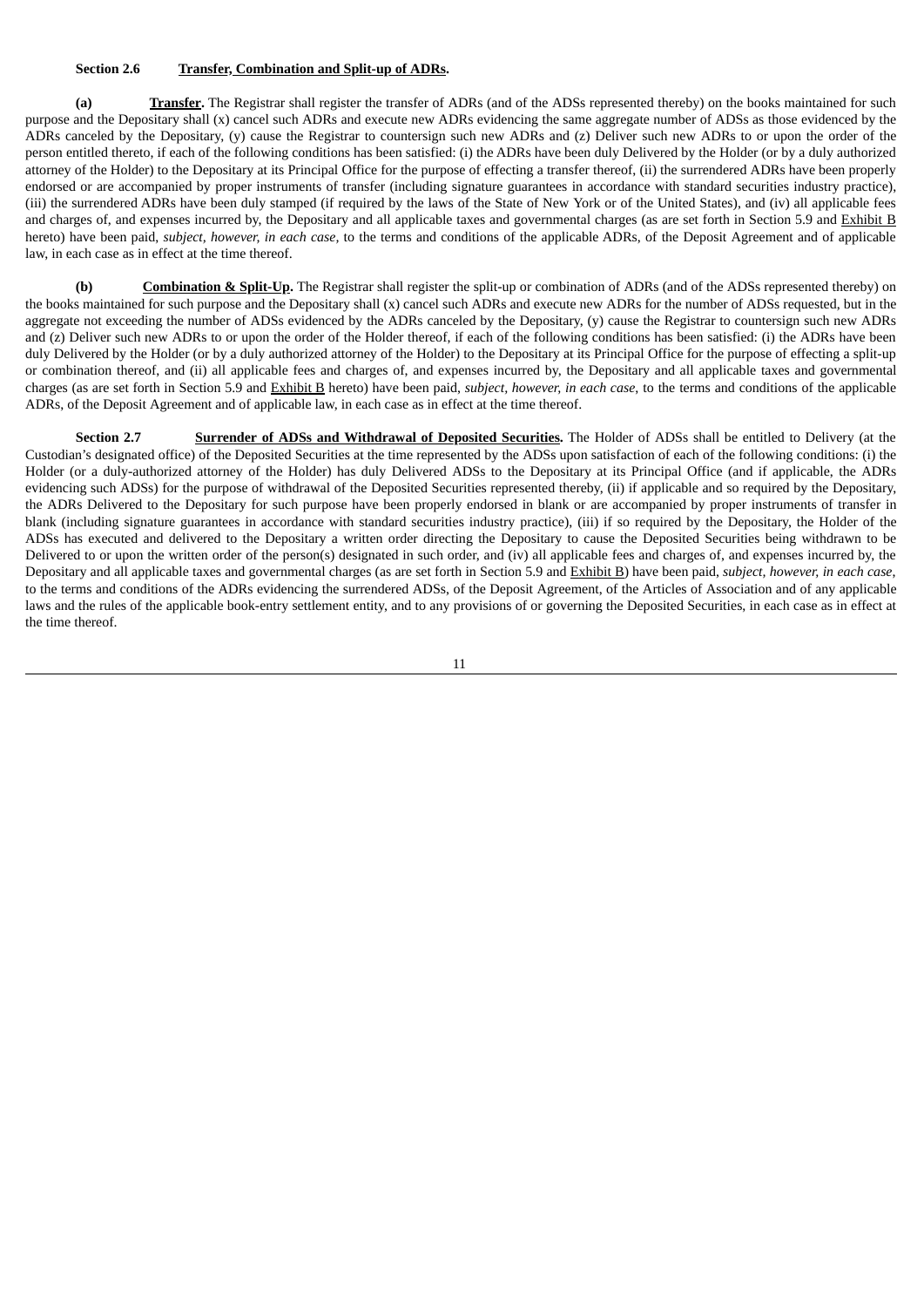### **Section 2.6 Transfer, Combination and Split-up of ADRs.**

**(a) Transfer.** The Registrar shall register the transfer of ADRs (and of the ADSs represented thereby) on the books maintained for such purpose and the Depositary shall (x) cancel such ADRs and execute new ADRs evidencing the same aggregate number of ADSs as those evidenced by the ADRs canceled by the Depositary, (y) cause the Registrar to countersign such new ADRs and (z) Deliver such new ADRs to or upon the order of the person entitled thereto, if each of the following conditions has been satisfied: (i) the ADRs have been duly Delivered by the Holder (or by a duly authorized attorney of the Holder) to the Depositary at its Principal Office for the purpose of effecting a transfer thereof, (ii) the surrendered ADRs have been properly endorsed or are accompanied by proper instruments of transfer (including signature guarantees in accordance with standard securities industry practice), (iii) the surrendered ADRs have been duly stamped (if required by the laws of the State of New York or of the United States), and (iv) all applicable fees and charges of, and expenses incurred by, the Depositary and all applicable taxes and governmental charges (as are set forth in Section 5.9 and Exhibit B hereto) have been paid, *subject, however, in each case,* to the terms and conditions of the applicable ADRs, of the Deposit Agreement and of applicable law, in each case as in effect at the time thereof.

**(b) Combination & Split-Up.** The Registrar shall register the split-up or combination of ADRs (and of the ADSs represented thereby) on the books maintained for such purpose and the Depositary shall (x) cancel such ADRs and execute new ADRs for the number of ADSs requested, but in the aggregate not exceeding the number of ADSs evidenced by the ADRs canceled by the Depositary, (y) cause the Registrar to countersign such new ADRs and (z) Deliver such new ADRs to or upon the order of the Holder thereof, if each of the following conditions has been satisfied: (i) the ADRs have been duly Delivered by the Holder (or by a duly authorized attorney of the Holder) to the Depositary at its Principal Office for the purpose of effecting a split-up or combination thereof, and (ii) all applicable fees and charges of, and expenses incurred by, the Depositary and all applicable taxes and governmental charges (as are set forth in Section 5.9 and Exhibit B hereto) have been paid, *subject, however, in each case*, to the terms and conditions of the applicable ADRs, of the Deposit Agreement and of applicable law, in each case as in effect at the time thereof.

**Section 2.7 Surrender of ADSs and Withdrawal of Deposited Securities.** The Holder of ADSs shall be entitled to Delivery (at the Custodian's designated office) of the Deposited Securities at the time represented by the ADSs upon satisfaction of each of the following conditions: (i) the Holder (or a duly-authorized attorney of the Holder) has duly Delivered ADSs to the Depositary at its Principal Office (and if applicable, the ADRs evidencing such ADSs) for the purpose of withdrawal of the Deposited Securities represented thereby, (ii) if applicable and so required by the Depositary, the ADRs Delivered to the Depositary for such purpose have been properly endorsed in blank or are accompanied by proper instruments of transfer in blank (including signature guarantees in accordance with standard securities industry practice), (iii) if so required by the Depositary, the Holder of the ADSs has executed and delivered to the Depositary a written order directing the Depositary to cause the Deposited Securities being withdrawn to be Delivered to or upon the written order of the person(s) designated in such order, and (iv) all applicable fees and charges of, and expenses incurred by, the Depositary and all applicable taxes and governmental charges (as are set forth in Section 5.9 and Exhibit B) have been paid, *subject, however, in each case*, to the terms and conditions of the ADRs evidencing the surrendered ADSs, of the Deposit Agreement, of the Articles of Association and of any applicable laws and the rules of the applicable book-entry settlement entity, and to any provisions of or governing the Deposited Securities, in each case as in effect at the time thereof.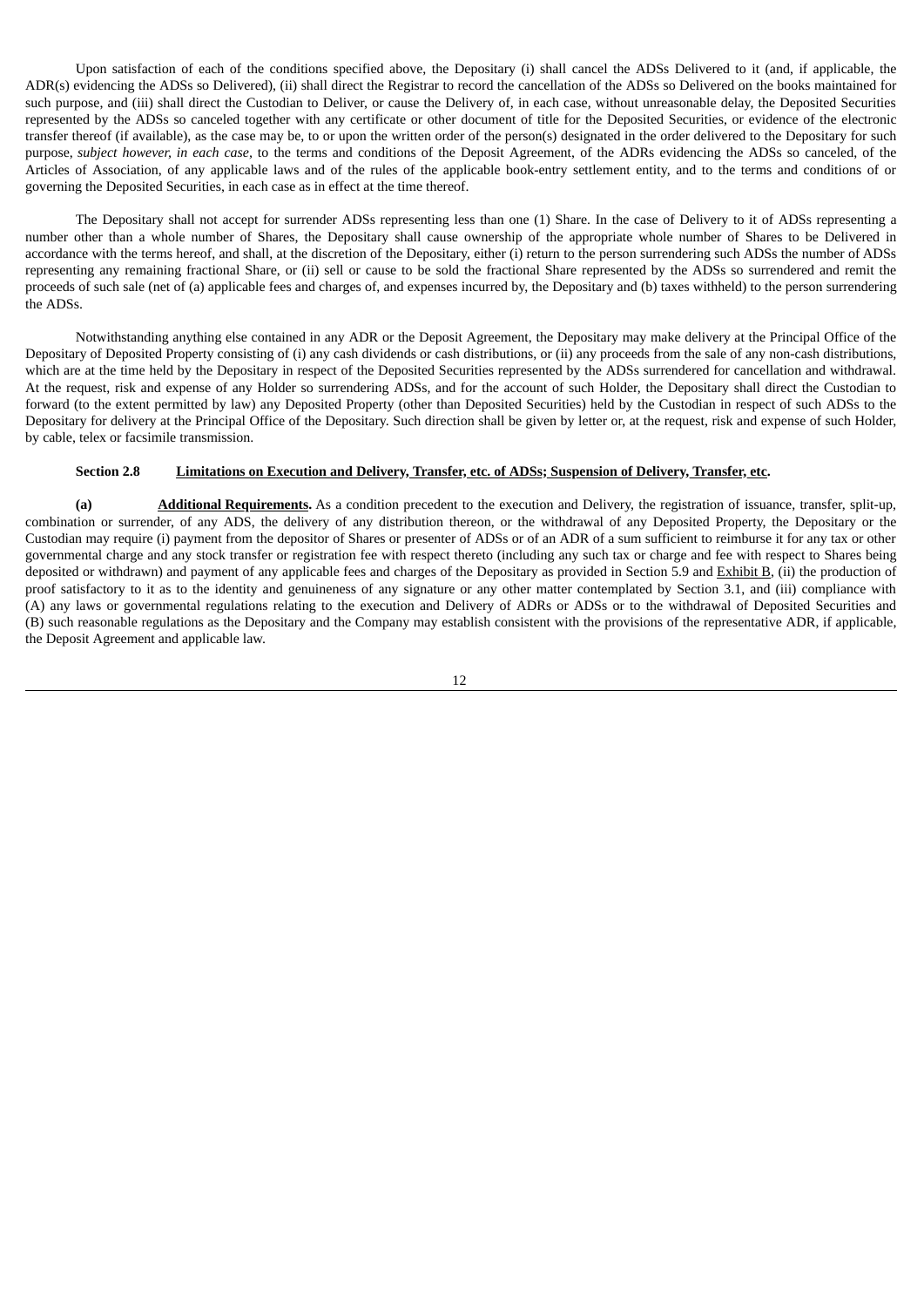Upon satisfaction of each of the conditions specified above, the Depositary (i) shall cancel the ADSs Delivered to it (and, if applicable, the ADR(s) evidencing the ADSs so Delivered), (ii) shall direct the Registrar to record the cancellation of the ADSs so Delivered on the books maintained for such purpose, and (iii) shall direct the Custodian to Deliver, or cause the Delivery of, in each case, without unreasonable delay, the Deposited Securities represented by the ADSs so canceled together with any certificate or other document of title for the Deposited Securities, or evidence of the electronic transfer thereof (if available), as the case may be, to or upon the written order of the person(s) designated in the order delivered to the Depositary for such purpose, *subject however, in each case,* to the terms and conditions of the Deposit Agreement, of the ADRs evidencing the ADSs so canceled, of the Articles of Association, of any applicable laws and of the rules of the applicable book-entry settlement entity, and to the terms and conditions of or governing the Deposited Securities, in each case as in effect at the time thereof.

The Depositary shall not accept for surrender ADSs representing less than one (1) Share. In the case of Delivery to it of ADSs representing a number other than a whole number of Shares, the Depositary shall cause ownership of the appropriate whole number of Shares to be Delivered in accordance with the terms hereof, and shall, at the discretion of the Depositary, either (i) return to the person surrendering such ADSs the number of ADSs representing any remaining fractional Share, or (ii) sell or cause to be sold the fractional Share represented by the ADSs so surrendered and remit the proceeds of such sale (net of (a) applicable fees and charges of, and expenses incurred by, the Depositary and (b) taxes withheld) to the person surrendering the ADSs.

Notwithstanding anything else contained in any ADR or the Deposit Agreement, the Depositary may make delivery at the Principal Office of the Depositary of Deposited Property consisting of (i) any cash dividends or cash distributions, or (ii) any proceeds from the sale of any non-cash distributions, which are at the time held by the Depositary in respect of the Deposited Securities represented by the ADSs surrendered for cancellation and withdrawal. At the request, risk and expense of any Holder so surrendering ADSs, and for the account of such Holder, the Depositary shall direct the Custodian to forward (to the extent permitted by law) any Deposited Property (other than Deposited Securities) held by the Custodian in respect of such ADSs to the Depositary for delivery at the Principal Office of the Depositary. Such direction shall be given by letter or, at the request, risk and expense of such Holder, by cable, telex or facsimile transmission.

### Section 2.8 Limitations on Execution and Delivery, Transfer, etc. of ADSs; Suspension of Delivery, Transfer, etc.

**(a) Additional Requirements.** As a condition precedent to the execution and Delivery, the registration of issuance, transfer, split-up, combination or surrender, of any ADS, the delivery of any distribution thereon, or the withdrawal of any Deposited Property, the Depositary or the Custodian may require (i) payment from the depositor of Shares or presenter of ADSs or of an ADR of a sum sufficient to reimburse it for any tax or other governmental charge and any stock transfer or registration fee with respect thereto (including any such tax or charge and fee with respect to Shares being deposited or withdrawn) and payment of any applicable fees and charges of the Depositary as provided in Section 5.9 and Exhibit B, (ii) the production of proof satisfactory to it as to the identity and genuineness of any signature or any other matter contemplated by Section 3.1, and (iii) compliance with (A) any laws or governmental regulations relating to the execution and Delivery of ADRs or ADSs or to the withdrawal of Deposited Securities and (B) such reasonable regulations as the Depositary and the Company may establish consistent with the provisions of the representative ADR, if applicable, the Deposit Agreement and applicable law.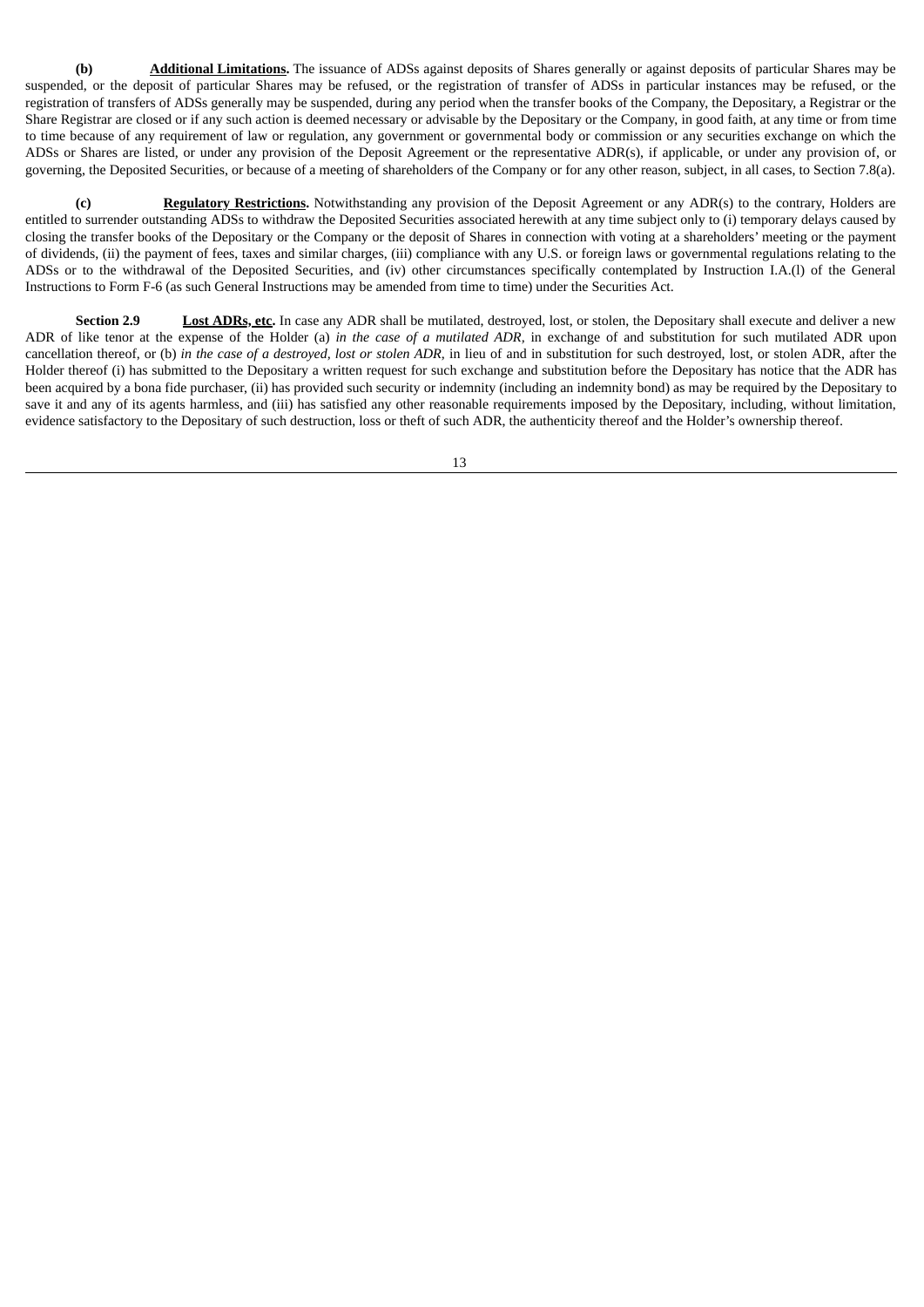**(b) Additional Limitations.** The issuance of ADSs against deposits of Shares generally or against deposits of particular Shares may be suspended, or the deposit of particular Shares may be refused, or the registration of transfer of ADSs in particular instances may be refused, or the registration of transfers of ADSs generally may be suspended, during any period when the transfer books of the Company, the Depositary, a Registrar or the Share Registrar are closed or if any such action is deemed necessary or advisable by the Depositary or the Company, in good faith, at any time or from time to time because of any requirement of law or regulation, any government or governmental body or commission or any securities exchange on which the ADSs or Shares are listed, or under any provision of the Deposit Agreement or the representative ADR(s), if applicable, or under any provision of, or governing, the Deposited Securities, or because of a meeting of shareholders of the Company or for any other reason, subject, in all cases, to Section 7.8(a).

**(c) Regulatory Restrictions.** Notwithstanding any provision of the Deposit Agreement or any ADR(s) to the contrary, Holders are entitled to surrender outstanding ADSs to withdraw the Deposited Securities associated herewith at any time subject only to (i) temporary delays caused by closing the transfer books of the Depositary or the Company or the deposit of Shares in connection with voting at a shareholders' meeting or the payment of dividends, (ii) the payment of fees, taxes and similar charges, (iii) compliance with any U.S. or foreign laws or governmental regulations relating to the ADSs or to the withdrawal of the Deposited Securities, and (iv) other circumstances specifically contemplated by Instruction I.A.(l) of the General Instructions to Form F-6 (as such General Instructions may be amended from time to time) under the Securities Act.

**Section 2.9 Lost ADRs, etc.** In case any ADR shall be mutilated, destroyed, lost, or stolen, the Depositary shall execute and deliver a new ADR of like tenor at the expense of the Holder (a) *in the case of a mutilated ADR,* in exchange of and substitution for such mutilated ADR upon cancellation thereof, or (b) in the case of a destroyed, lost or stolen ADR, in lieu of and in substitution for such destroyed, lost, or stolen ADR, after the Holder thereof (i) has submitted to the Depositary a written request for such exchange and substitution before the Depositary has notice that the ADR has been acquired by a bona fide purchaser, (ii) has provided such security or indemnity (including an indemnity bond) as may be required by the Depositary to save it and any of its agents harmless, and (iii) has satisfied any other reasonable requirements imposed by the Depositary, including, without limitation, evidence satisfactory to the Depositary of such destruction, loss or theft of such ADR, the authenticity thereof and the Holder's ownership thereof.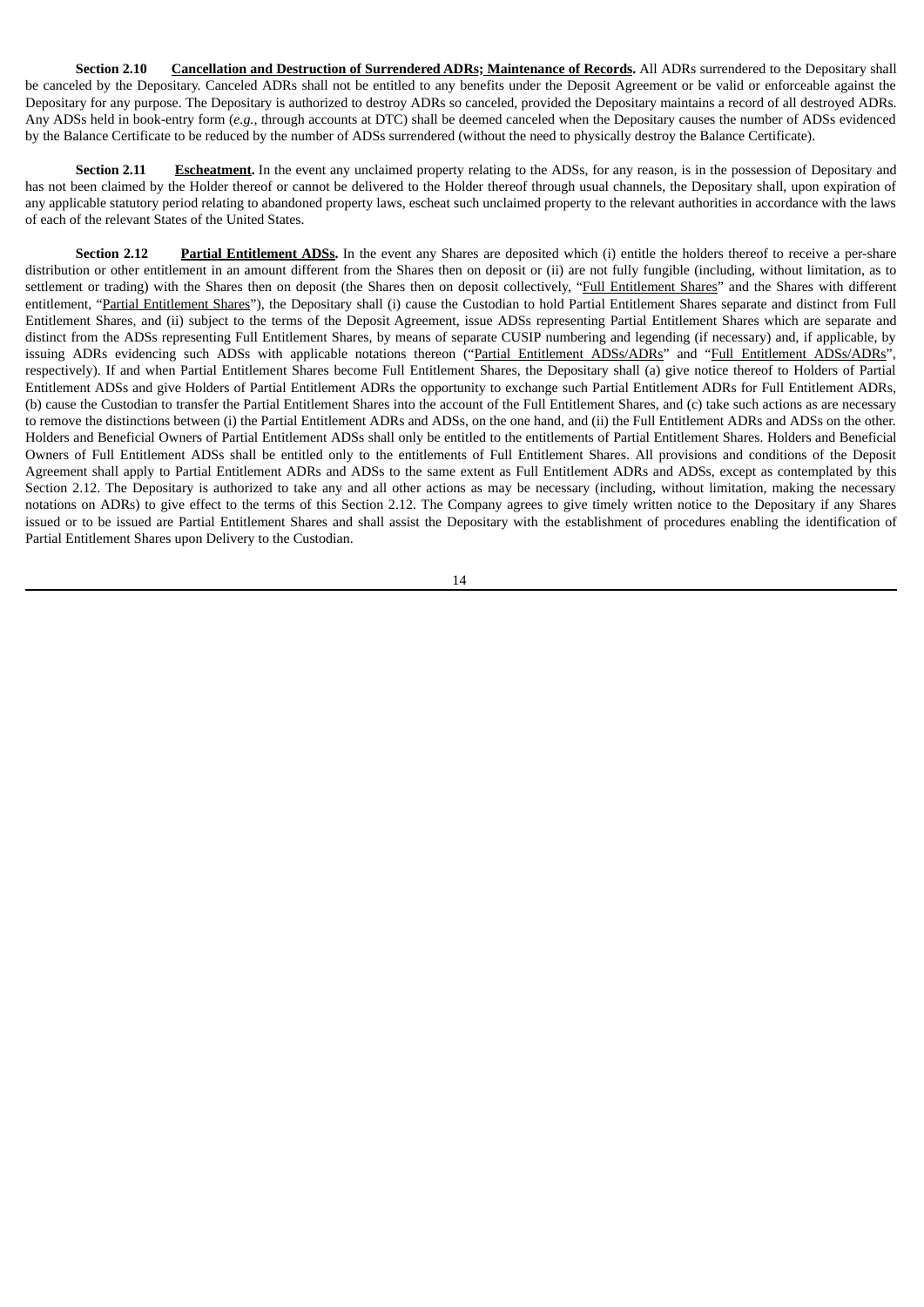**Section 2.10 Cancellation and Destruction of Surrendered ADRs; Maintenance of Records.** All ADRs surrendered to the Depositary shall be canceled by the Depositary. Canceled ADRs shall not be entitled to any benefits under the Deposit Agreement or be valid or enforceable against the Depositary for any purpose. The Depositary is authorized to destroy ADRs so canceled, provided the Depositary maintains a record of all destroyed ADRs. Any ADSs held in book-entry form (*e.g.*, through accounts at DTC) shall be deemed canceled when the Depositary causes the number of ADSs evidenced by the Balance Certificate to be reduced by the number of ADSs surrendered (without the need to physically destroy the Balance Certificate).

**Section 2.11 Escheatment.** In the event any unclaimed property relating to the ADSs, for any reason, is in the possession of Depositary and has not been claimed by the Holder thereof or cannot be delivered to the Holder thereof through usual channels, the Depositary shall, upon expiration of any applicable statutory period relating to abandoned property laws, escheat such unclaimed property to the relevant authorities in accordance with the laws of each of the relevant States of the United States.

**Section 2.12 Partial Entitlement ADSs.** In the event any Shares are deposited which (i) entitle the holders thereof to receive a per-share distribution or other entitlement in an amount different from the Shares then on deposit or (ii) are not fully fungible (including, without limitation, as to settlement or trading) with the Shares then on deposit (the Shares then on deposit collectively, "Full Entitlement Shares" and the Shares with different entitlement, "Partial Entitlement Shares"), the Depositary shall (i) cause the Custodian to hold Partial Entitlement Shares separate and distinct from Full Entitlement Shares, and (ii) subject to the terms of the Deposit Agreement, issue ADSs representing Partial Entitlement Shares which are separate and distinct from the ADSs representing Full Entitlement Shares, by means of separate CUSIP numbering and legending (if necessary) and, if applicable, by issuing ADRs evidencing such ADSs with applicable notations thereon ("Partial Entitlement ADSs/ADRs" and "Full Entitlement ADSs/ADRs", respectively). If and when Partial Entitlement Shares become Full Entitlement Shares, the Depositary shall (a) give notice thereof to Holders of Partial Entitlement ADSs and give Holders of Partial Entitlement ADRs the opportunity to exchange such Partial Entitlement ADRs for Full Entitlement ADRs, (b) cause the Custodian to transfer the Partial Entitlement Shares into the account of the Full Entitlement Shares, and (c) take such actions as are necessary to remove the distinctions between (i) the Partial Entitlement ADRs and ADSs, on the one hand, and (ii) the Full Entitlement ADRs and ADSs on the other. Holders and Beneficial Owners of Partial Entitlement ADSs shall only be entitled to the entitlements of Partial Entitlement Shares. Holders and Beneficial Owners of Full Entitlement ADSs shall be entitled only to the entitlements of Full Entitlement Shares. All provisions and conditions of the Deposit Agreement shall apply to Partial Entitlement ADRs and ADSs to the same extent as Full Entitlement ADRs and ADSs, except as contemplated by this Section 2.12. The Depositary is authorized to take any and all other actions as may be necessary (including, without limitation, making the necessary notations on ADRs) to give effect to the terms of this Section 2.12. The Company agrees to give timely written notice to the Depositary if any Shares issued or to be issued are Partial Entitlement Shares and shall assist the Depositary with the establishment of procedures enabling the identification of Partial Entitlement Shares upon Delivery to the Custodian.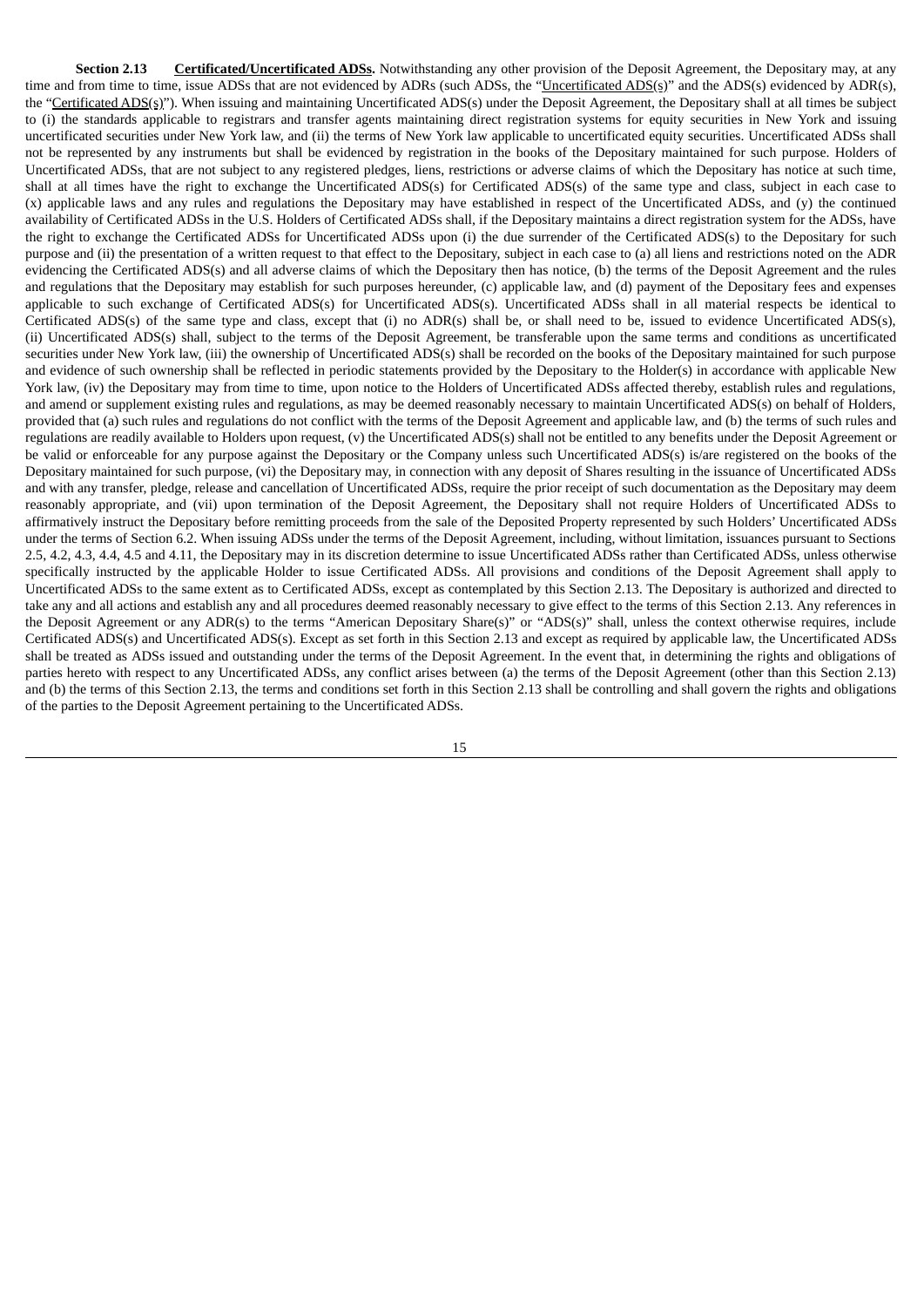**Section 2.13 Certificated/Uncertificated ADSs.** Notwithstanding any other provision of the Deposit Agreement, the Depositary may, at any time and from time to time, issue ADSs that are not evidenced by ADRs (such ADSs, the "Uncertificated ADS(s)" and the ADS(s) evidenced by ADR(s), the "Certificated ADS(s)"). When issuing and maintaining Uncertificated ADS(s) under the Deposit Agreement, the Depositary shall at all times be subject to (i) the standards applicable to registrars and transfer agents maintaining direct registration systems for equity securities in New York and issuing uncertificated securities under New York law, and (ii) the terms of New York law applicable to uncertificated equity securities. Uncertificated ADSs shall not be represented by any instruments but shall be evidenced by registration in the books of the Depositary maintained for such purpose. Holders of Uncertificated ADSs, that are not subject to any registered pledges, liens, restrictions or adverse claims of which the Depositary has notice at such time, shall at all times have the right to exchange the Uncertificated ADS(s) for Certificated ADS(s) of the same type and class, subject in each case to (x) applicable laws and any rules and regulations the Depositary may have established in respect of the Uncertificated ADSs, and (y) the continued availability of Certificated ADSs in the U.S. Holders of Certificated ADSs shall, if the Depositary maintains a direct registration system for the ADSs, have the right to exchange the Certificated ADSs for Uncertificated ADSs upon (i) the due surrender of the Certificated ADS(s) to the Depositary for such purpose and (ii) the presentation of a written request to that effect to the Depositary, subject in each case to (a) all liens and restrictions noted on the ADR evidencing the Certificated ADS(s) and all adverse claims of which the Depositary then has notice, (b) the terms of the Deposit Agreement and the rules and regulations that the Depositary may establish for such purposes hereunder, (c) applicable law, and (d) payment of the Depositary fees and expenses applicable to such exchange of Certificated ADS(s) for Uncertificated ADS(s). Uncertificated ADSs shall in all material respects be identical to Certificated ADS(s) of the same type and class, except that (i) no ADR(s) shall be, or shall need to be, issued to evidence Uncertificated ADS(s), (ii) Uncertificated ADS(s) shall, subject to the terms of the Deposit Agreement, be transferable upon the same terms and conditions as uncertificated securities under New York law, (iii) the ownership of Uncertificated ADS(s) shall be recorded on the books of the Depositary maintained for such purpose and evidence of such ownership shall be reflected in periodic statements provided by the Depositary to the Holder(s) in accordance with applicable New York law, (iv) the Depositary may from time to time, upon notice to the Holders of Uncertificated ADSs affected thereby, establish rules and regulations, and amend or supplement existing rules and regulations, as may be deemed reasonably necessary to maintain Uncertificated ADS(s) on behalf of Holders, provided that (a) such rules and regulations do not conflict with the terms of the Deposit Agreement and applicable law, and (b) the terms of such rules and regulations are readily available to Holders upon request, (v) the Uncertificated ADS(s) shall not be entitled to any benefits under the Deposit Agreement or be valid or enforceable for any purpose against the Depositary or the Company unless such Uncertificated ADS(s) is/are registered on the books of the Depositary maintained for such purpose, (vi) the Depositary may, in connection with any deposit of Shares resulting in the issuance of Uncertificated ADSs and with any transfer, pledge, release and cancellation of Uncertificated ADSs, require the prior receipt of such documentation as the Depositary may deem reasonably appropriate, and (vii) upon termination of the Deposit Agreement, the Depositary shall not require Holders of Uncertificated ADSs to affirmatively instruct the Depositary before remitting proceeds from the sale of the Deposited Property represented by such Holders' Uncertificated ADSs under the terms of Section 6.2. When issuing ADSs under the terms of the Deposit Agreement, including, without limitation, issuances pursuant to Sections 2.5, 4.2, 4.3, 4.4, 4.5 and 4.11, the Depositary may in its discretion determine to issue Uncertificated ADSs rather than Certificated ADSs, unless otherwise specifically instructed by the applicable Holder to issue Certificated ADSs. All provisions and conditions of the Deposit Agreement shall apply to Uncertificated ADSs to the same extent as to Certificated ADSs, except as contemplated by this Section 2.13. The Depositary is authorized and directed to take any and all actions and establish any and all procedures deemed reasonably necessary to give effect to the terms of this Section 2.13. Any references in the Deposit Agreement or any ADR(s) to the terms "American Depositary Share(s)" or "ADS(s)" shall, unless the context otherwise requires, include Certificated ADS(s) and Uncertificated ADS(s). Except as set forth in this Section 2.13 and except as required by applicable law, the Uncertificated ADSs shall be treated as ADSs issued and outstanding under the terms of the Deposit Agreement. In the event that, in determining the rights and obligations of parties hereto with respect to any Uncertificated ADSs, any conflict arises between (a) the terms of the Deposit Agreement (other than this Section 2.13) and (b) the terms of this Section 2.13, the terms and conditions set forth in this Section 2.13 shall be controlling and shall govern the rights and obligations of the parties to the Deposit Agreement pertaining to the Uncertificated ADSs.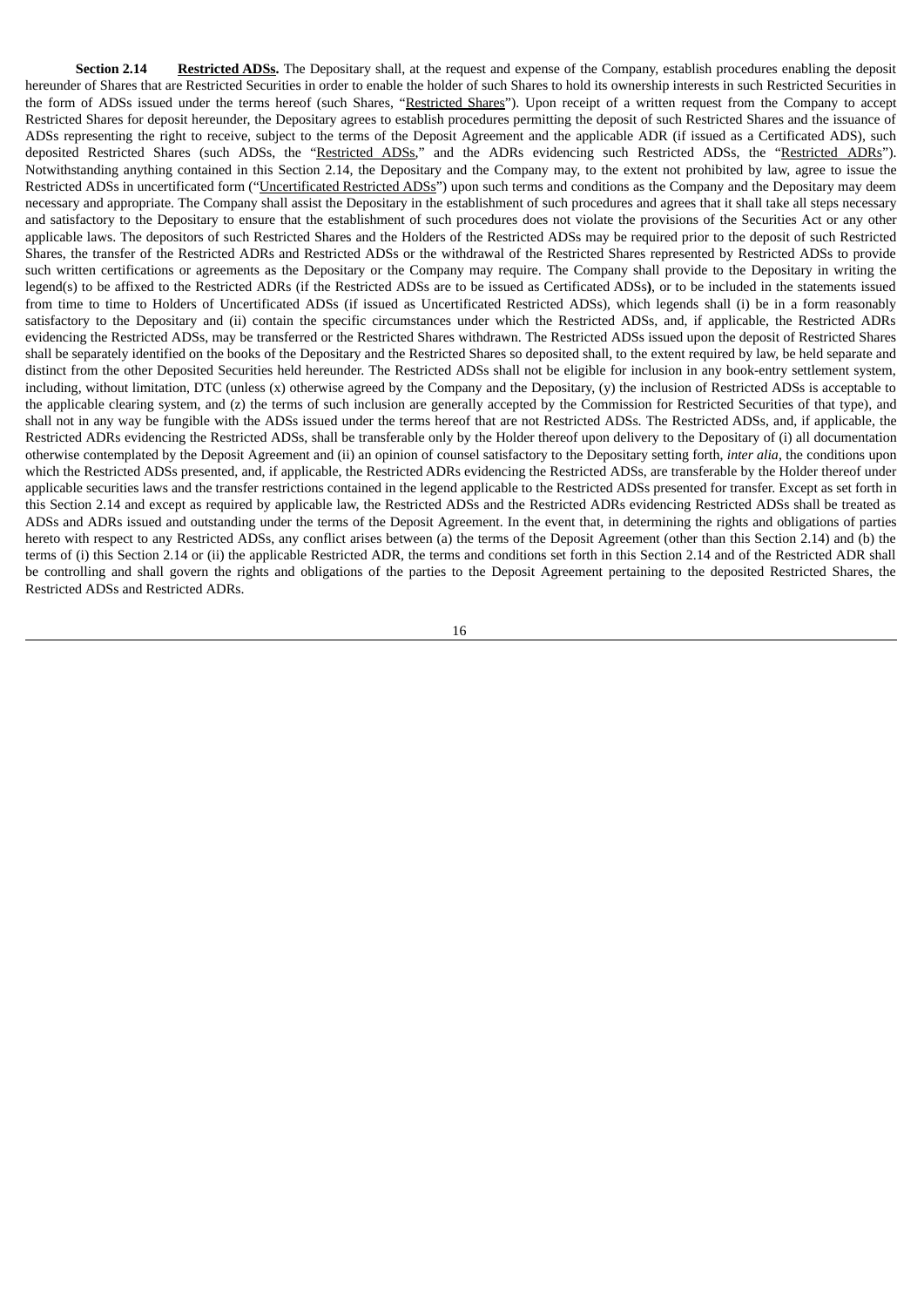**Section 2.14 Restricted ADSs.** The Depositary shall, at the request and expense of the Company, establish procedures enabling the deposit hereunder of Shares that are Restricted Securities in order to enable the holder of such Shares to hold its ownership interests in such Restricted Securities in the form of ADSs issued under the terms hereof (such Shares, "Restricted Shares"). Upon receipt of a written request from the Company to accept Restricted Shares for deposit hereunder, the Depositary agrees to establish procedures permitting the deposit of such Restricted Shares and the issuance of ADSs representing the right to receive, subject to the terms of the Deposit Agreement and the applicable ADR (if issued as a Certificated ADS), such deposited Restricted Shares (such ADSs, the "Restricted ADSs," and the ADRs evidencing such Restricted ADSs, the "Restricted ADRs"). Notwithstanding anything contained in this Section 2.14, the Depositary and the Company may, to the extent not prohibited by law, agree to issue the Restricted ADSs in uncertificated form ("Uncertificated Restricted ADSs") upon such terms and conditions as the Company and the Depositary may deem necessary and appropriate. The Company shall assist the Depositary in the establishment of such procedures and agrees that it shall take all steps necessary and satisfactory to the Depositary to ensure that the establishment of such procedures does not violate the provisions of the Securities Act or any other applicable laws. The depositors of such Restricted Shares and the Holders of the Restricted ADSs may be required prior to the deposit of such Restricted Shares, the transfer of the Restricted ADRs and Restricted ADSs or the withdrawal of the Restricted Shares represented by Restricted ADSs to provide such written certifications or agreements as the Depositary or the Company may require. The Company shall provide to the Depositary in writing the legend(s) to be affixed to the Restricted ADRs (if the Restricted ADSs are to be issued as Certificated ADSs**)**, or to be included in the statements issued from time to time to Holders of Uncertificated ADSs (if issued as Uncertificated Restricted ADSs), which legends shall (i) be in a form reasonably satisfactory to the Depositary and (ii) contain the specific circumstances under which the Restricted ADSs, and, if applicable, the Restricted ADRs evidencing the Restricted ADSs, may be transferred or the Restricted Shares withdrawn. The Restricted ADSs issued upon the deposit of Restricted Shares shall be separately identified on the books of the Depositary and the Restricted Shares so deposited shall, to the extent required by law, be held separate and distinct from the other Deposited Securities held hereunder. The Restricted ADSs shall not be eligible for inclusion in any book-entry settlement system, including, without limitation, DTC (unless (x) otherwise agreed by the Company and the Depositary, (y) the inclusion of Restricted ADSs is acceptable to the applicable clearing system, and (z) the terms of such inclusion are generally accepted by the Commission for Restricted Securities of that type), and shall not in any way be fungible with the ADSs issued under the terms hereof that are not Restricted ADSs. The Restricted ADSs, and, if applicable, the Restricted ADRs evidencing the Restricted ADSs, shall be transferable only by the Holder thereof upon delivery to the Depositary of (i) all documentation otherwise contemplated by the Deposit Agreement and (ii) an opinion of counsel satisfactory to the Depositary setting forth, *inter alia*, the conditions upon which the Restricted ADSs presented, and, if applicable, the Restricted ADRs evidencing the Restricted ADSs, are transferable by the Holder thereof under applicable securities laws and the transfer restrictions contained in the legend applicable to the Restricted ADSs presented for transfer. Except as set forth in this Section 2.14 and except as required by applicable law, the Restricted ADSs and the Restricted ADRs evidencing Restricted ADSs shall be treated as ADSs and ADRs issued and outstanding under the terms of the Deposit Agreement. In the event that, in determining the rights and obligations of parties hereto with respect to any Restricted ADSs, any conflict arises between (a) the terms of the Deposit Agreement (other than this Section 2.14) and (b) the terms of (i) this Section 2.14 or (ii) the applicable Restricted ADR, the terms and conditions set forth in this Section 2.14 and of the Restricted ADR shall be controlling and shall govern the rights and obligations of the parties to the Deposit Agreement pertaining to the deposited Restricted Shares, the Restricted ADSs and Restricted ADRs.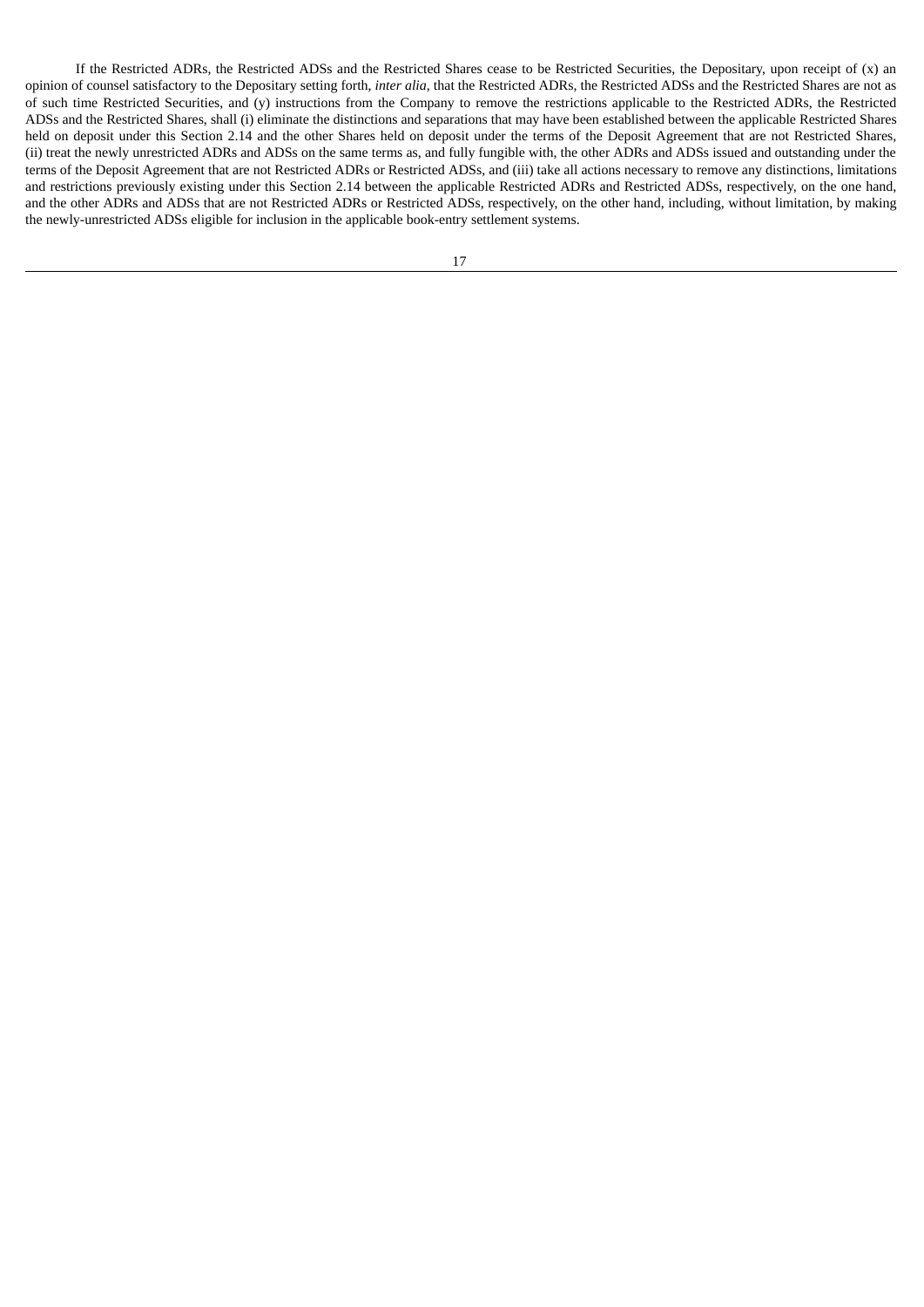If the Restricted ADRs, the Restricted ADSs and the Restricted Shares cease to be Restricted Securities, the Depositary, upon receipt of (x) an opinion of counsel satisfactory to the Depositary setting forth, *inter alia*, that the Restricted ADRs, the Restricted ADSs and the Restricted Shares are not as of such time Restricted Securities, and (y) instructions from the Company to remove the restrictions applicable to the Restricted ADRs, the Restricted ADSs and the Restricted Shares, shall (i) eliminate the distinctions and separations that may have been established between the applicable Restricted Shares held on deposit under this Section 2.14 and the other Shares held on deposit under the terms of the Deposit Agreement that are not Restricted Shares, (ii) treat the newly unrestricted ADRs and ADSs on the same terms as, and fully fungible with, the other ADRs and ADSs issued and outstanding under the terms of the Deposit Agreement that are not Restricted ADRs or Restricted ADSs, and (iii) take all actions necessary to remove any distinctions, limitations and restrictions previously existing under this Section 2.14 between the applicable Restricted ADRs and Restricted ADSs, respectively, on the one hand, and the other ADRs and ADSs that are not Restricted ADRs or Restricted ADSs, respectively, on the other hand, including, without limitation, by making the newly-unrestricted ADSs eligible for inclusion in the applicable book-entry settlement systems.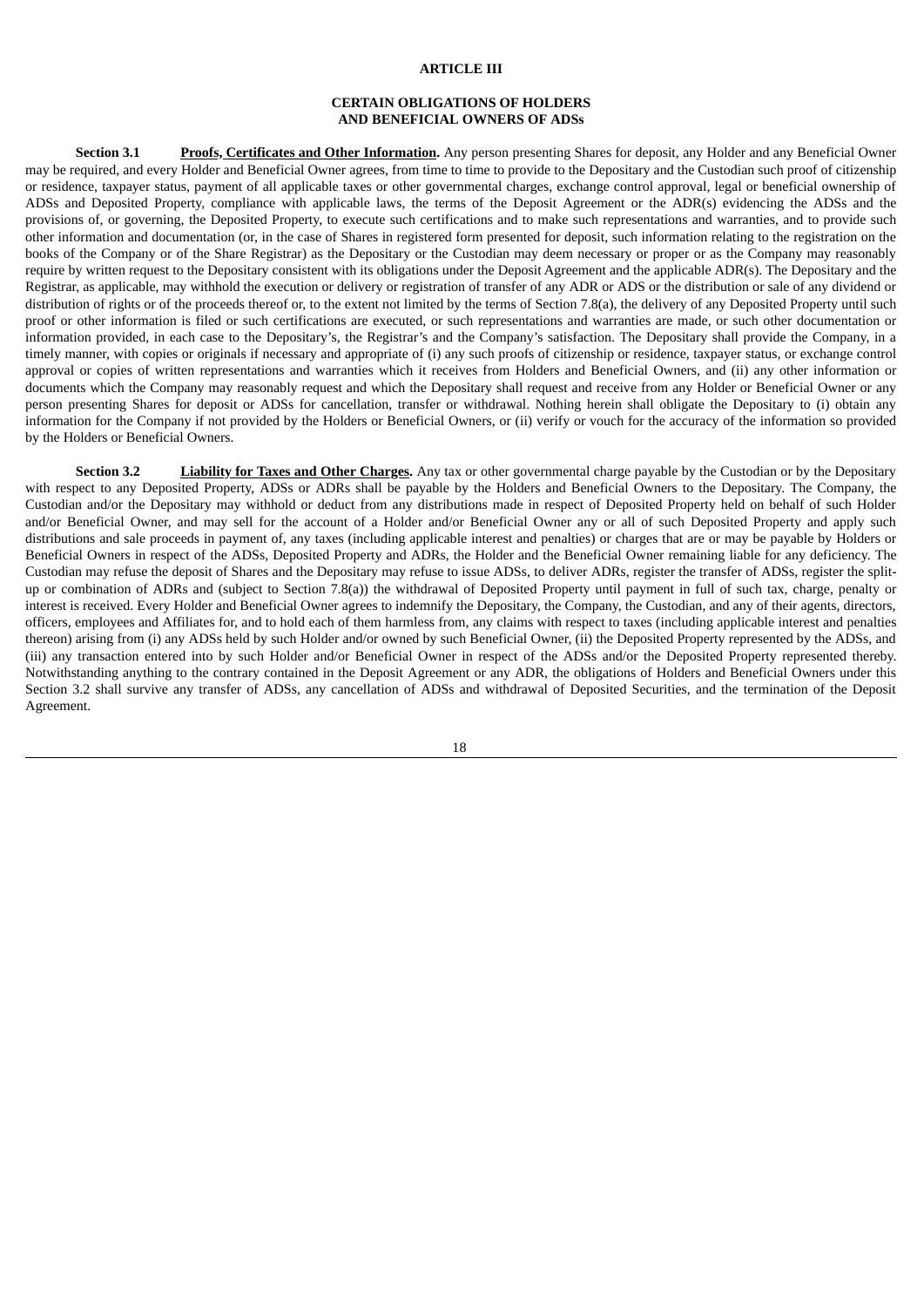#### **ARTICLE III**

### **CERTAIN OBLIGATIONS OF HOLDERS AND BENEFICIAL OWNERS OF ADSs**

**Section 3.1 Proofs, Certificates and Other Information.** Any person presenting Shares for deposit, any Holder and any Beneficial Owner may be required, and every Holder and Beneficial Owner agrees, from time to time to provide to the Depositary and the Custodian such proof of citizenship or residence, taxpayer status, payment of all applicable taxes or other governmental charges, exchange control approval, legal or beneficial ownership of ADSs and Deposited Property, compliance with applicable laws, the terms of the Deposit Agreement or the ADR(s) evidencing the ADSs and the provisions of, or governing, the Deposited Property, to execute such certifications and to make such representations and warranties, and to provide such other information and documentation (or, in the case of Shares in registered form presented for deposit, such information relating to the registration on the books of the Company or of the Share Registrar) as the Depositary or the Custodian may deem necessary or proper or as the Company may reasonably require by written request to the Depositary consistent with its obligations under the Deposit Agreement and the applicable ADR(s). The Depositary and the Registrar, as applicable, may withhold the execution or delivery or registration of transfer of any ADR or ADS or the distribution or sale of any dividend or distribution of rights or of the proceeds thereof or, to the extent not limited by the terms of Section 7.8(a), the delivery of any Deposited Property until such proof or other information is filed or such certifications are executed, or such representations and warranties are made, or such other documentation or information provided, in each case to the Depositary's, the Registrar's and the Company's satisfaction. The Depositary shall provide the Company, in a timely manner, with copies or originals if necessary and appropriate of (i) any such proofs of citizenship or residence, taxpayer status, or exchange control approval or copies of written representations and warranties which it receives from Holders and Beneficial Owners, and (ii) any other information or documents which the Company may reasonably request and which the Depositary shall request and receive from any Holder or Beneficial Owner or any person presenting Shares for deposit or ADSs for cancellation, transfer or withdrawal. Nothing herein shall obligate the Depositary to (i) obtain any information for the Company if not provided by the Holders or Beneficial Owners, or (ii) verify or vouch for the accuracy of the information so provided by the Holders or Beneficial Owners.

**Section 3.2 Liability for Taxes and Other Charges.** Any tax or other governmental charge payable by the Custodian or by the Depositary with respect to any Deposited Property, ADSs or ADRs shall be payable by the Holders and Beneficial Owners to the Depositary. The Company, the Custodian and/or the Depositary may withhold or deduct from any distributions made in respect of Deposited Property held on behalf of such Holder and/or Beneficial Owner, and may sell for the account of a Holder and/or Beneficial Owner any or all of such Deposited Property and apply such distributions and sale proceeds in payment of, any taxes (including applicable interest and penalties) or charges that are or may be payable by Holders or Beneficial Owners in respect of the ADSs, Deposited Property and ADRs, the Holder and the Beneficial Owner remaining liable for any deficiency. The Custodian may refuse the deposit of Shares and the Depositary may refuse to issue ADSs, to deliver ADRs, register the transfer of ADSs, register the splitup or combination of ADRs and (subject to Section 7.8(a)) the withdrawal of Deposited Property until payment in full of such tax, charge, penalty or interest is received. Every Holder and Beneficial Owner agrees to indemnify the Depositary, the Company, the Custodian, and any of their agents, directors, officers, employees and Affiliates for, and to hold each of them harmless from, any claims with respect to taxes (including applicable interest and penalties thereon) arising from (i) any ADSs held by such Holder and/or owned by such Beneficial Owner, (ii) the Deposited Property represented by the ADSs, and (iii) any transaction entered into by such Holder and/or Beneficial Owner in respect of the ADSs and/or the Deposited Property represented thereby. Notwithstanding anything to the contrary contained in the Deposit Agreement or any ADR, the obligations of Holders and Beneficial Owners under this Section 3.2 shall survive any transfer of ADSs, any cancellation of ADSs and withdrawal of Deposited Securities, and the termination of the Deposit Agreement.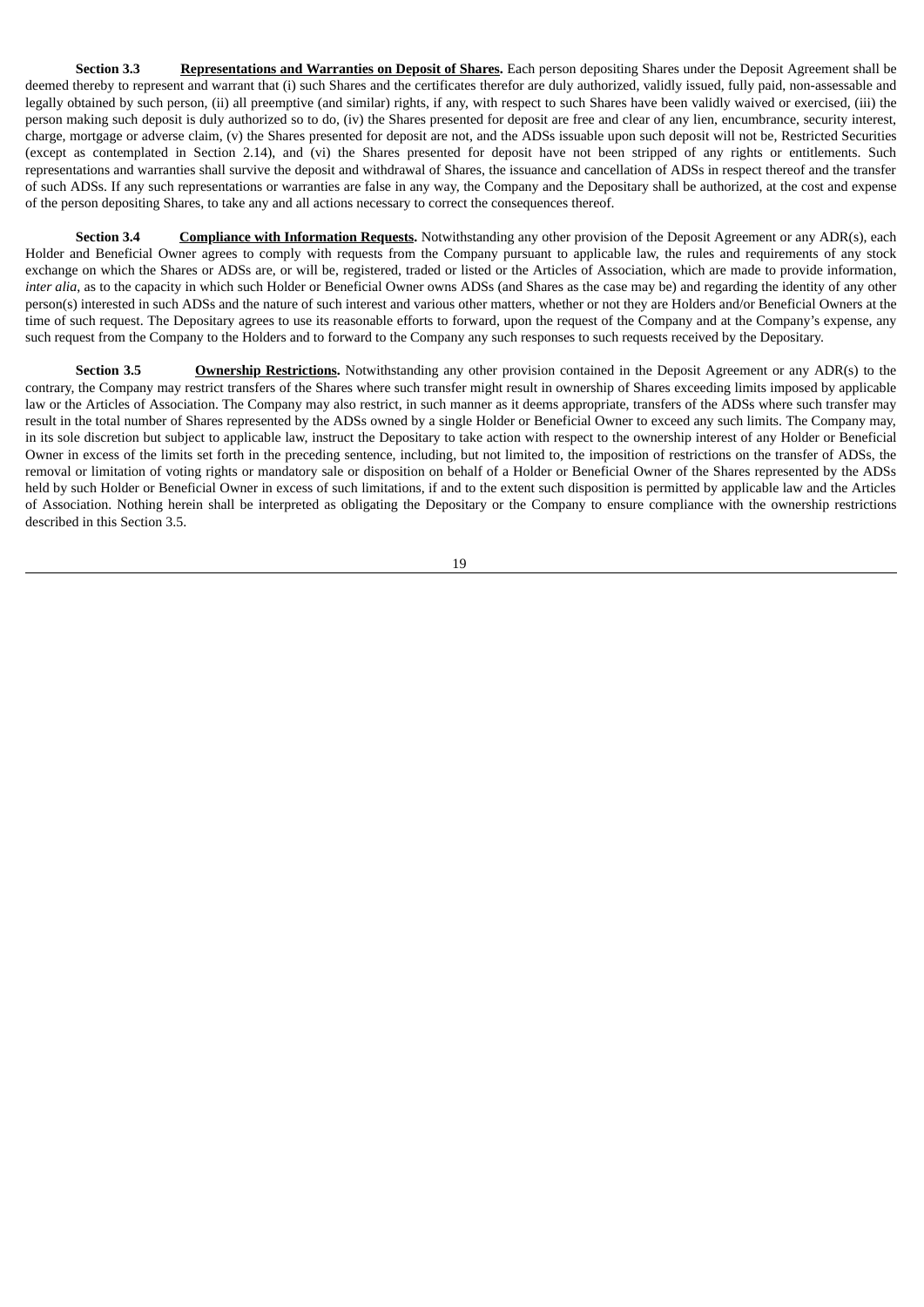**Section 3.3 Representations and Warranties on Deposit of Shares.** Each person depositing Shares under the Deposit Agreement shall be deemed thereby to represent and warrant that (i) such Shares and the certificates therefor are duly authorized, validly issued, fully paid, non-assessable and legally obtained by such person, (ii) all preemptive (and similar) rights, if any, with respect to such Shares have been validly waived or exercised, (iii) the person making such deposit is duly authorized so to do, (iv) the Shares presented for deposit are free and clear of any lien, encumbrance, security interest, charge, mortgage or adverse claim, (v) the Shares presented for deposit are not, and the ADSs issuable upon such deposit will not be, Restricted Securities (except as contemplated in Section 2.14), and (vi) the Shares presented for deposit have not been stripped of any rights or entitlements. Such representations and warranties shall survive the deposit and withdrawal of Shares, the issuance and cancellation of ADSs in respect thereof and the transfer of such ADSs. If any such representations or warranties are false in any way, the Company and the Depositary shall be authorized, at the cost and expense of the person depositing Shares, to take any and all actions necessary to correct the consequences thereof.

**Section 3.4 Compliance with Information Requests.** Notwithstanding any other provision of the Deposit Agreement or any ADR(s), each Holder and Beneficial Owner agrees to comply with requests from the Company pursuant to applicable law, the rules and requirements of any stock exchange on which the Shares or ADSs are, or will be, registered, traded or listed or the Articles of Association, which are made to provide information, *inter alia*, as to the capacity in which such Holder or Beneficial Owner owns ADSs (and Shares as the case may be) and regarding the identity of any other person(s) interested in such ADSs and the nature of such interest and various other matters, whether or not they are Holders and/or Beneficial Owners at the time of such request. The Depositary agrees to use its reasonable efforts to forward, upon the request of the Company and at the Company's expense, any such request from the Company to the Holders and to forward to the Company any such responses to such requests received by the Depositary.

**Section 3.5 Ownership Restrictions.** Notwithstanding any other provision contained in the Deposit Agreement or any ADR(s) to the contrary, the Company may restrict transfers of the Shares where such transfer might result in ownership of Shares exceeding limits imposed by applicable law or the Articles of Association. The Company may also restrict, in such manner as it deems appropriate, transfers of the ADSs where such transfer may result in the total number of Shares represented by the ADSs owned by a single Holder or Beneficial Owner to exceed any such limits. The Company may, in its sole discretion but subject to applicable law, instruct the Depositary to take action with respect to the ownership interest of any Holder or Beneficial Owner in excess of the limits set forth in the preceding sentence, including, but not limited to, the imposition of restrictions on the transfer of ADSs, the removal or limitation of voting rights or mandatory sale or disposition on behalf of a Holder or Beneficial Owner of the Shares represented by the ADSs held by such Holder or Beneficial Owner in excess of such limitations, if and to the extent such disposition is permitted by applicable law and the Articles of Association. Nothing herein shall be interpreted as obligating the Depositary or the Company to ensure compliance with the ownership restrictions described in this Section 3.5.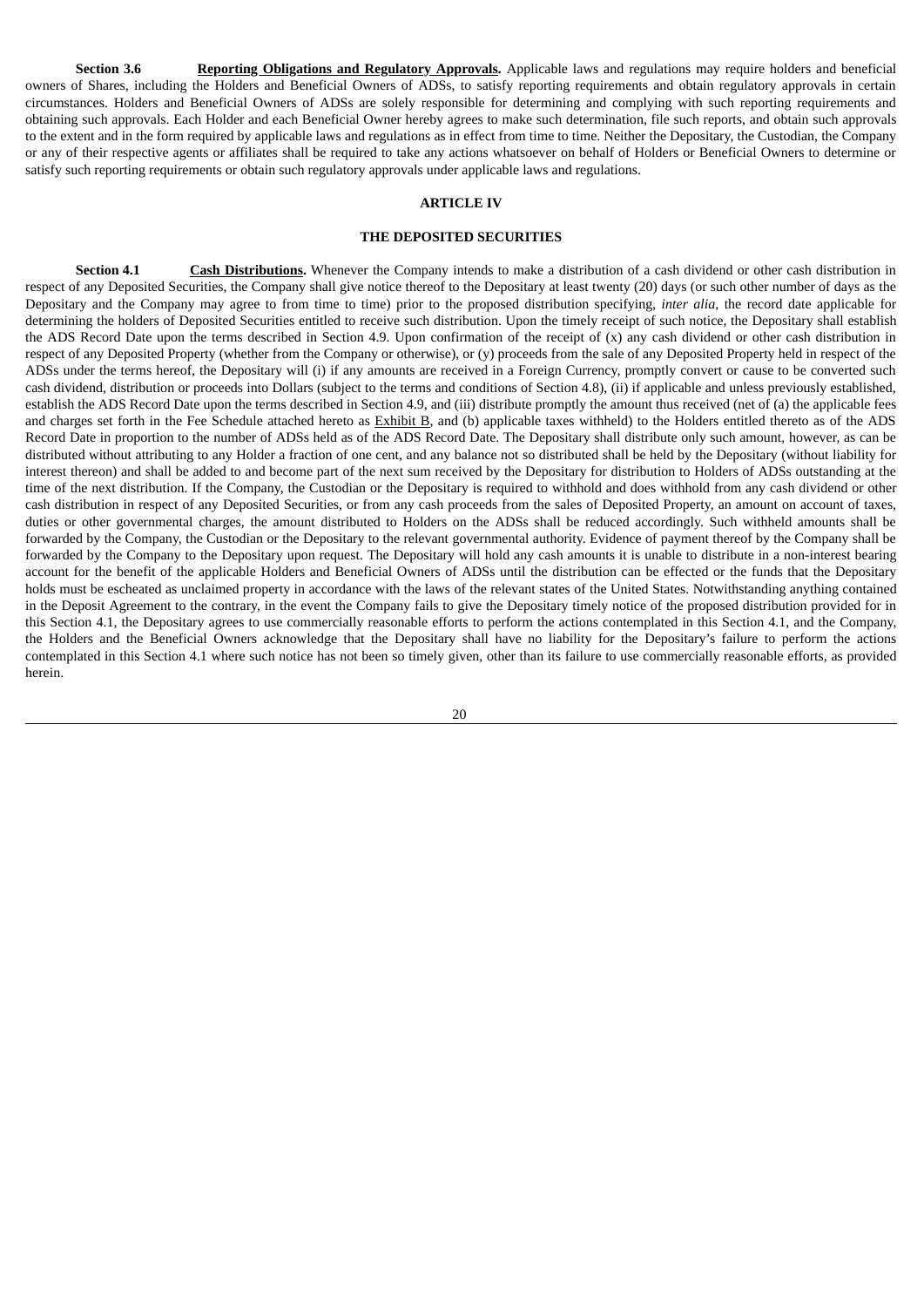**Section 3.6 Reporting Obligations and Regulatory Approvals.** Applicable laws and regulations may require holders and beneficial owners of Shares, including the Holders and Beneficial Owners of ADSs, to satisfy reporting requirements and obtain regulatory approvals in certain circumstances. Holders and Beneficial Owners of ADSs are solely responsible for determining and complying with such reporting requirements and obtaining such approvals. Each Holder and each Beneficial Owner hereby agrees to make such determination, file such reports, and obtain such approvals to the extent and in the form required by applicable laws and regulations as in effect from time to time. Neither the Depositary, the Custodian, the Company or any of their respective agents or affiliates shall be required to take any actions whatsoever on behalf of Holders or Beneficial Owners to determine or satisfy such reporting requirements or obtain such regulatory approvals under applicable laws and regulations.

# **ARTICLE IV**

#### **THE DEPOSITED SECURITIES**

**Section 4.1 Cash Distributions.** Whenever the Company intends to make a distribution of a cash dividend or other cash distribution in respect of any Deposited Securities, the Company shall give notice thereof to the Depositary at least twenty (20) days (or such other number of days as the Depositary and the Company may agree to from time to time) prior to the proposed distribution specifying, *inter alia*, the record date applicable for determining the holders of Deposited Securities entitled to receive such distribution. Upon the timely receipt of such notice, the Depositary shall establish the ADS Record Date upon the terms described in Section 4.9. Upon confirmation of the receipt of  $(x)$  any cash dividend or other cash distribution in respect of any Deposited Property (whether from the Company or otherwise), or (y) proceeds from the sale of any Deposited Property held in respect of the ADSs under the terms hereof, the Depositary will (i) if any amounts are received in a Foreign Currency, promptly convert or cause to be converted such cash dividend, distribution or proceeds into Dollars (subject to the terms and conditions of Section 4.8), (ii) if applicable and unless previously established, establish the ADS Record Date upon the terms described in Section 4.9, and (iii) distribute promptly the amount thus received (net of (a) the applicable fees and charges set forth in the Fee Schedule attached hereto as Exhibit B, and (b) applicable taxes withheld) to the Holders entitled thereto as of the ADS Record Date in proportion to the number of ADSs held as of the ADS Record Date. The Depositary shall distribute only such amount, however, as can be distributed without attributing to any Holder a fraction of one cent, and any balance not so distributed shall be held by the Depositary (without liability for interest thereon) and shall be added to and become part of the next sum received by the Depositary for distribution to Holders of ADSs outstanding at the time of the next distribution. If the Company, the Custodian or the Depositary is required to withhold and does withhold from any cash dividend or other cash distribution in respect of any Deposited Securities, or from any cash proceeds from the sales of Deposited Property, an amount on account of taxes, duties or other governmental charges, the amount distributed to Holders on the ADSs shall be reduced accordingly. Such withheld amounts shall be forwarded by the Company, the Custodian or the Depositary to the relevant governmental authority. Evidence of payment thereof by the Company shall be forwarded by the Company to the Depositary upon request. The Depositary will hold any cash amounts it is unable to distribute in a non-interest bearing account for the benefit of the applicable Holders and Beneficial Owners of ADSs until the distribution can be effected or the funds that the Depositary holds must be escheated as unclaimed property in accordance with the laws of the relevant states of the United States. Notwithstanding anything contained in the Deposit Agreement to the contrary, in the event the Company fails to give the Depositary timely notice of the proposed distribution provided for in this Section 4.1, the Depositary agrees to use commercially reasonable efforts to perform the actions contemplated in this Section 4.1, and the Company, the Holders and the Beneficial Owners acknowledge that the Depositary shall have no liability for the Depositary's failure to perform the actions contemplated in this Section 4.1 where such notice has not been so timely given, other than its failure to use commercially reasonable efforts, as provided herein.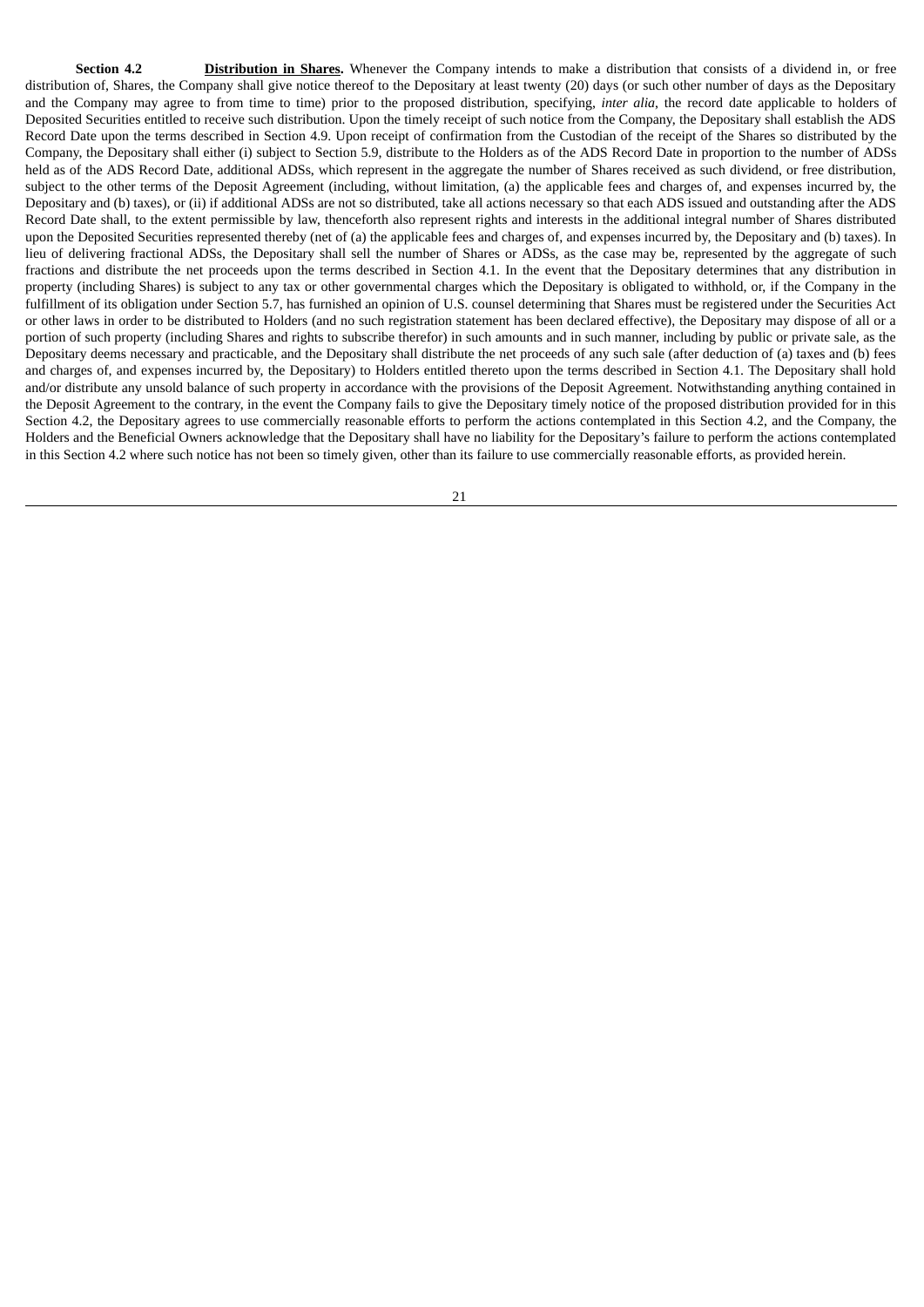**Section 4.2 Distribution in Shares.** Whenever the Company intends to make a distribution that consists of a dividend in, or free distribution of, Shares, the Company shall give notice thereof to the Depositary at least twenty (20) days (or such other number of days as the Depositary and the Company may agree to from time to time) prior to the proposed distribution, specifying, *inter alia*, the record date applicable to holders of Deposited Securities entitled to receive such distribution. Upon the timely receipt of such notice from the Company, the Depositary shall establish the ADS Record Date upon the terms described in Section 4.9. Upon receipt of confirmation from the Custodian of the receipt of the Shares so distributed by the Company, the Depositary shall either (i) subject to Section 5.9, distribute to the Holders as of the ADS Record Date in proportion to the number of ADSs held as of the ADS Record Date, additional ADSs, which represent in the aggregate the number of Shares received as such dividend, or free distribution, subject to the other terms of the Deposit Agreement (including, without limitation, (a) the applicable fees and charges of, and expenses incurred by, the Depositary and (b) taxes), or (ii) if additional ADSs are not so distributed, take all actions necessary so that each ADS issued and outstanding after the ADS Record Date shall, to the extent permissible by law, thenceforth also represent rights and interests in the additional integral number of Shares distributed upon the Deposited Securities represented thereby (net of (a) the applicable fees and charges of, and expenses incurred by, the Depositary and (b) taxes). In lieu of delivering fractional ADSs, the Depositary shall sell the number of Shares or ADSs, as the case may be, represented by the aggregate of such fractions and distribute the net proceeds upon the terms described in Section 4.1. In the event that the Depositary determines that any distribution in property (including Shares) is subject to any tax or other governmental charges which the Depositary is obligated to withhold, or, if the Company in the fulfillment of its obligation under Section 5.7, has furnished an opinion of U.S. counsel determining that Shares must be registered under the Securities Act or other laws in order to be distributed to Holders (and no such registration statement has been declared effective), the Depositary may dispose of all or a portion of such property (including Shares and rights to subscribe therefor) in such amounts and in such manner, including by public or private sale, as the Depositary deems necessary and practicable, and the Depositary shall distribute the net proceeds of any such sale (after deduction of (a) taxes and (b) fees and charges of, and expenses incurred by, the Depositary) to Holders entitled thereto upon the terms described in Section 4.1. The Depositary shall hold and/or distribute any unsold balance of such property in accordance with the provisions of the Deposit Agreement. Notwithstanding anything contained in the Deposit Agreement to the contrary, in the event the Company fails to give the Depositary timely notice of the proposed distribution provided for in this Section 4.2, the Depositary agrees to use commercially reasonable efforts to perform the actions contemplated in this Section 4.2, and the Company, the Holders and the Beneficial Owners acknowledge that the Depositary shall have no liability for the Depositary's failure to perform the actions contemplated in this Section 4.2 where such notice has not been so timely given, other than its failure to use commercially reasonable efforts, as provided herein.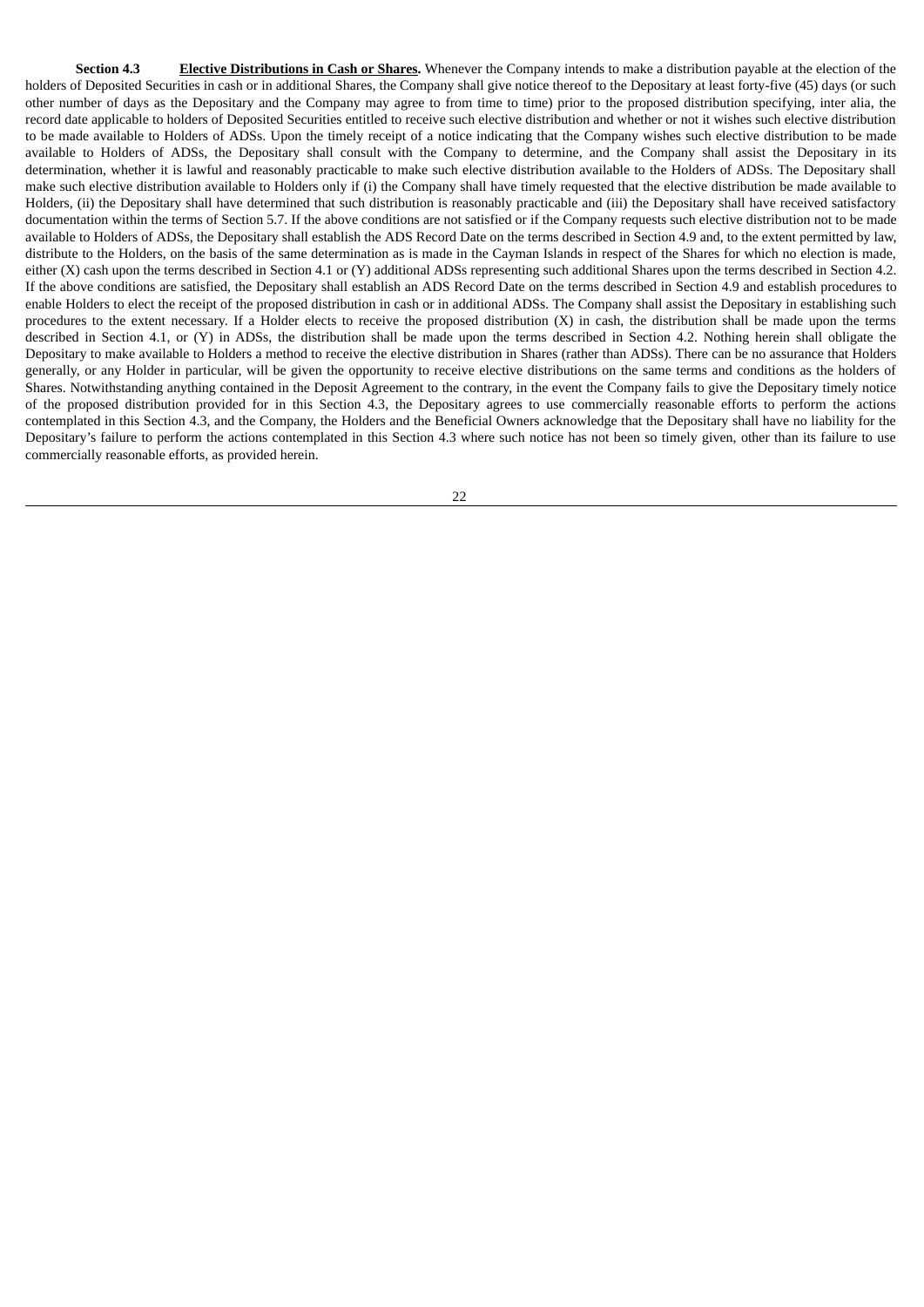**Section 4.3 Elective Distributions in Cash or Shares.** Whenever the Company intends to make a distribution payable at the election of the holders of Deposited Securities in cash or in additional Shares, the Company shall give notice thereof to the Depositary at least forty-five (45) days (or such other number of days as the Depositary and the Company may agree to from time to time) prior to the proposed distribution specifying, inter alia, the record date applicable to holders of Deposited Securities entitled to receive such elective distribution and whether or not it wishes such elective distribution to be made available to Holders of ADSs. Upon the timely receipt of a notice indicating that the Company wishes such elective distribution to be made available to Holders of ADSs, the Depositary shall consult with the Company to determine, and the Company shall assist the Depositary in its determination, whether it is lawful and reasonably practicable to make such elective distribution available to the Holders of ADSs. The Depositary shall make such elective distribution available to Holders only if (i) the Company shall have timely requested that the elective distribution be made available to Holders, (ii) the Depositary shall have determined that such distribution is reasonably practicable and (iii) the Depositary shall have received satisfactory documentation within the terms of Section 5.7. If the above conditions are not satisfied or if the Company requests such elective distribution not to be made available to Holders of ADSs, the Depositary shall establish the ADS Record Date on the terms described in Section 4.9 and, to the extent permitted by law, distribute to the Holders, on the basis of the same determination as is made in the Cayman Islands in respect of the Shares for which no election is made, either (X) cash upon the terms described in Section 4.1 or (Y) additional ADSs representing such additional Shares upon the terms described in Section 4.2. If the above conditions are satisfied, the Depositary shall establish an ADS Record Date on the terms described in Section 4.9 and establish procedures to enable Holders to elect the receipt of the proposed distribution in cash or in additional ADSs. The Company shall assist the Depositary in establishing such procedures to the extent necessary. If a Holder elects to receive the proposed distribution (X) in cash, the distribution shall be made upon the terms described in Section 4.1, or (Y) in ADSs, the distribution shall be made upon the terms described in Section 4.2. Nothing herein shall obligate the Depositary to make available to Holders a method to receive the elective distribution in Shares (rather than ADSs). There can be no assurance that Holders generally, or any Holder in particular, will be given the opportunity to receive elective distributions on the same terms and conditions as the holders of Shares. Notwithstanding anything contained in the Deposit Agreement to the contrary, in the event the Company fails to give the Depositary timely notice of the proposed distribution provided for in this Section 4.3, the Depositary agrees to use commercially reasonable efforts to perform the actions contemplated in this Section 4.3, and the Company, the Holders and the Beneficial Owners acknowledge that the Depositary shall have no liability for the Depositary's failure to perform the actions contemplated in this Section 4.3 where such notice has not been so timely given, other than its failure to use commercially reasonable efforts, as provided herein.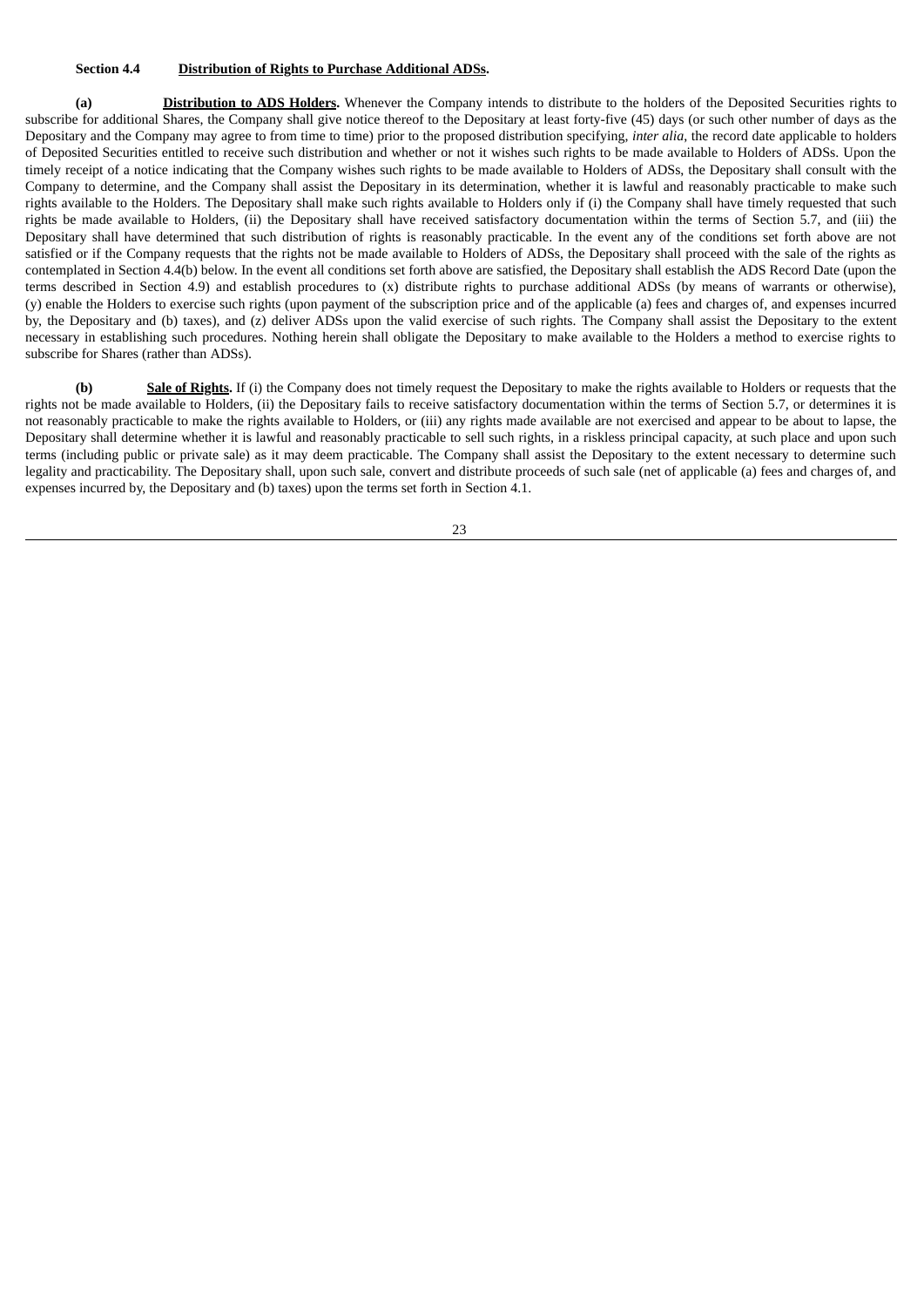#### **Section 4.4 Distribution of Rights to Purchase Additional ADSs.**

**(a) Distribution to ADS Holders.** Whenever the Company intends to distribute to the holders of the Deposited Securities rights to subscribe for additional Shares, the Company shall give notice thereof to the Depositary at least forty-five (45) days (or such other number of days as the Depositary and the Company may agree to from time to time) prior to the proposed distribution specifying, *inter alia*, the record date applicable to holders of Deposited Securities entitled to receive such distribution and whether or not it wishes such rights to be made available to Holders of ADSs. Upon the timely receipt of a notice indicating that the Company wishes such rights to be made available to Holders of ADSs, the Depositary shall consult with the Company to determine, and the Company shall assist the Depositary in its determination, whether it is lawful and reasonably practicable to make such rights available to the Holders. The Depositary shall make such rights available to Holders only if (i) the Company shall have timely requested that such rights be made available to Holders, (ii) the Depositary shall have received satisfactory documentation within the terms of Section 5.7, and (iii) the Depositary shall have determined that such distribution of rights is reasonably practicable. In the event any of the conditions set forth above are not satisfied or if the Company requests that the rights not be made available to Holders of ADSs, the Depositary shall proceed with the sale of the rights as contemplated in Section 4.4(b) below. In the event all conditions set forth above are satisfied, the Depositary shall establish the ADS Record Date (upon the terms described in Section 4.9) and establish procedures to (x) distribute rights to purchase additional ADSs (by means of warrants or otherwise), (y) enable the Holders to exercise such rights (upon payment of the subscription price and of the applicable (a) fees and charges of, and expenses incurred by, the Depositary and (b) taxes), and (z) deliver ADSs upon the valid exercise of such rights. The Company shall assist the Depositary to the extent necessary in establishing such procedures. Nothing herein shall obligate the Depositary to make available to the Holders a method to exercise rights to subscribe for Shares (rather than ADSs).

**(b) Sale of Rights.** If (i) the Company does not timely request the Depositary to make the rights available to Holders or requests that the rights not be made available to Holders, (ii) the Depositary fails to receive satisfactory documentation within the terms of Section 5.7, or determines it is not reasonably practicable to make the rights available to Holders, or (iii) any rights made available are not exercised and appear to be about to lapse, the Depositary shall determine whether it is lawful and reasonably practicable to sell such rights, in a riskless principal capacity, at such place and upon such terms (including public or private sale) as it may deem practicable. The Company shall assist the Depositary to the extent necessary to determine such legality and practicability. The Depositary shall, upon such sale, convert and distribute proceeds of such sale (net of applicable (a) fees and charges of, and expenses incurred by, the Depositary and (b) taxes) upon the terms set forth in Section 4.1.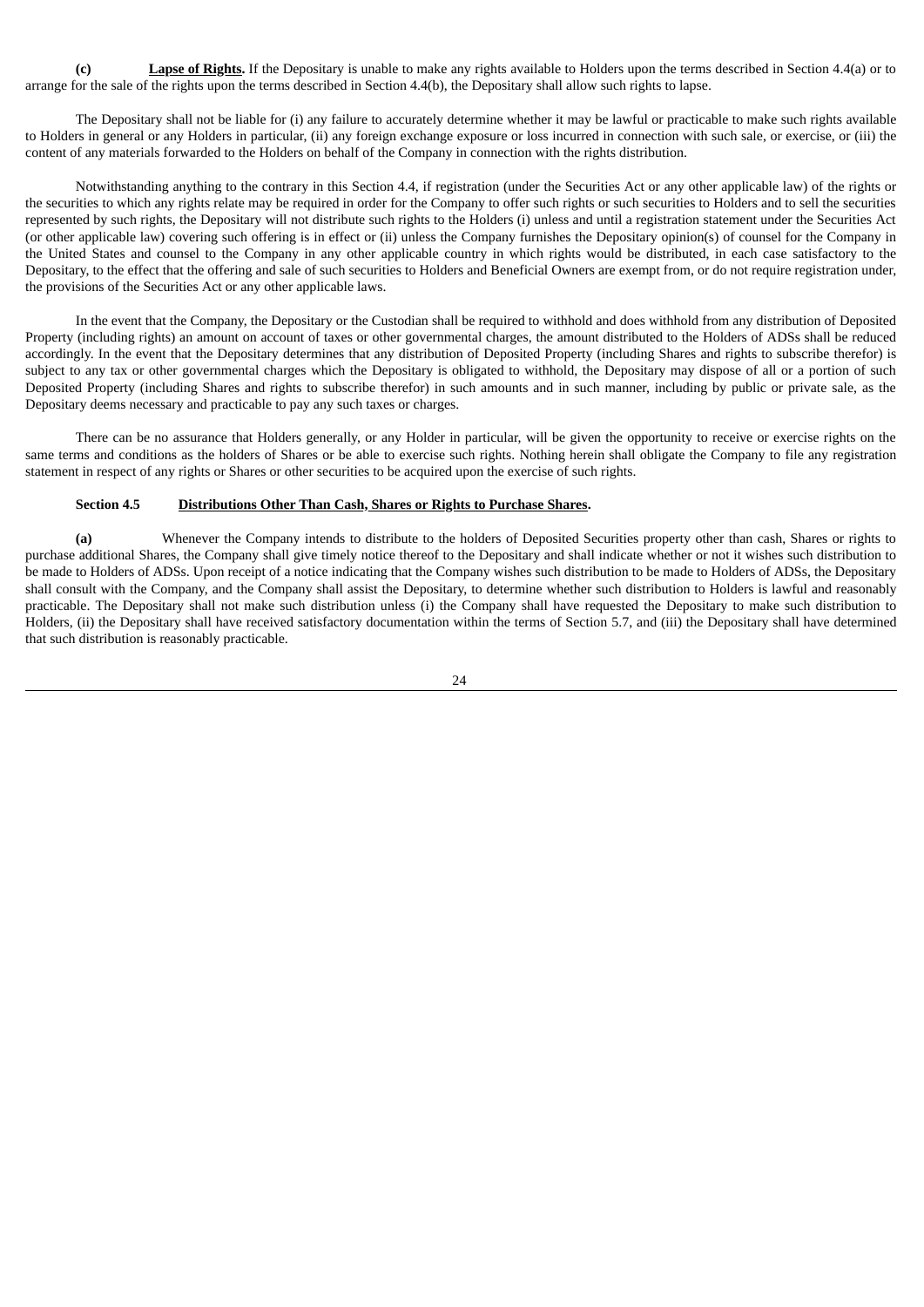**(c) Lapse of Rights.** If the Depositary is unable to make any rights available to Holders upon the terms described in Section 4.4(a) or to arrange for the sale of the rights upon the terms described in Section 4.4(b), the Depositary shall allow such rights to lapse.

The Depositary shall not be liable for (i) any failure to accurately determine whether it may be lawful or practicable to make such rights available to Holders in general or any Holders in particular, (ii) any foreign exchange exposure or loss incurred in connection with such sale, or exercise, or (iii) the content of any materials forwarded to the Holders on behalf of the Company in connection with the rights distribution.

Notwithstanding anything to the contrary in this Section 4.4, if registration (under the Securities Act or any other applicable law) of the rights or the securities to which any rights relate may be required in order for the Company to offer such rights or such securities to Holders and to sell the securities represented by such rights, the Depositary will not distribute such rights to the Holders (i) unless and until a registration statement under the Securities Act (or other applicable law) covering such offering is in effect or (ii) unless the Company furnishes the Depositary opinion(s) of counsel for the Company in the United States and counsel to the Company in any other applicable country in which rights would be distributed, in each case satisfactory to the Depositary, to the effect that the offering and sale of such securities to Holders and Beneficial Owners are exempt from, or do not require registration under, the provisions of the Securities Act or any other applicable laws.

In the event that the Company, the Depositary or the Custodian shall be required to withhold and does withhold from any distribution of Deposited Property (including rights) an amount on account of taxes or other governmental charges, the amount distributed to the Holders of ADSs shall be reduced accordingly. In the event that the Depositary determines that any distribution of Deposited Property (including Shares and rights to subscribe therefor) is subject to any tax or other governmental charges which the Depositary is obligated to withhold, the Depositary may dispose of all or a portion of such Deposited Property (including Shares and rights to subscribe therefor) in such amounts and in such manner, including by public or private sale, as the Depositary deems necessary and practicable to pay any such taxes or charges.

There can be no assurance that Holders generally, or any Holder in particular, will be given the opportunity to receive or exercise rights on the same terms and conditions as the holders of Shares or be able to exercise such rights. Nothing herein shall obligate the Company to file any registration statement in respect of any rights or Shares or other securities to be acquired upon the exercise of such rights.

### **Section 4.5 Distributions Other Than Cash, Shares or Rights to Purchase Shares.**

**(a)** Whenever the Company intends to distribute to the holders of Deposited Securities property other than cash, Shares or rights to purchase additional Shares, the Company shall give timely notice thereof to the Depositary and shall indicate whether or not it wishes such distribution to be made to Holders of ADSs. Upon receipt of a notice indicating that the Company wishes such distribution to be made to Holders of ADSs, the Depositary shall consult with the Company, and the Company shall assist the Depositary, to determine whether such distribution to Holders is lawful and reasonably practicable. The Depositary shall not make such distribution unless (i) the Company shall have requested the Depositary to make such distribution to Holders, (ii) the Depositary shall have received satisfactory documentation within the terms of Section 5.7, and (iii) the Depositary shall have determined that such distribution is reasonably practicable.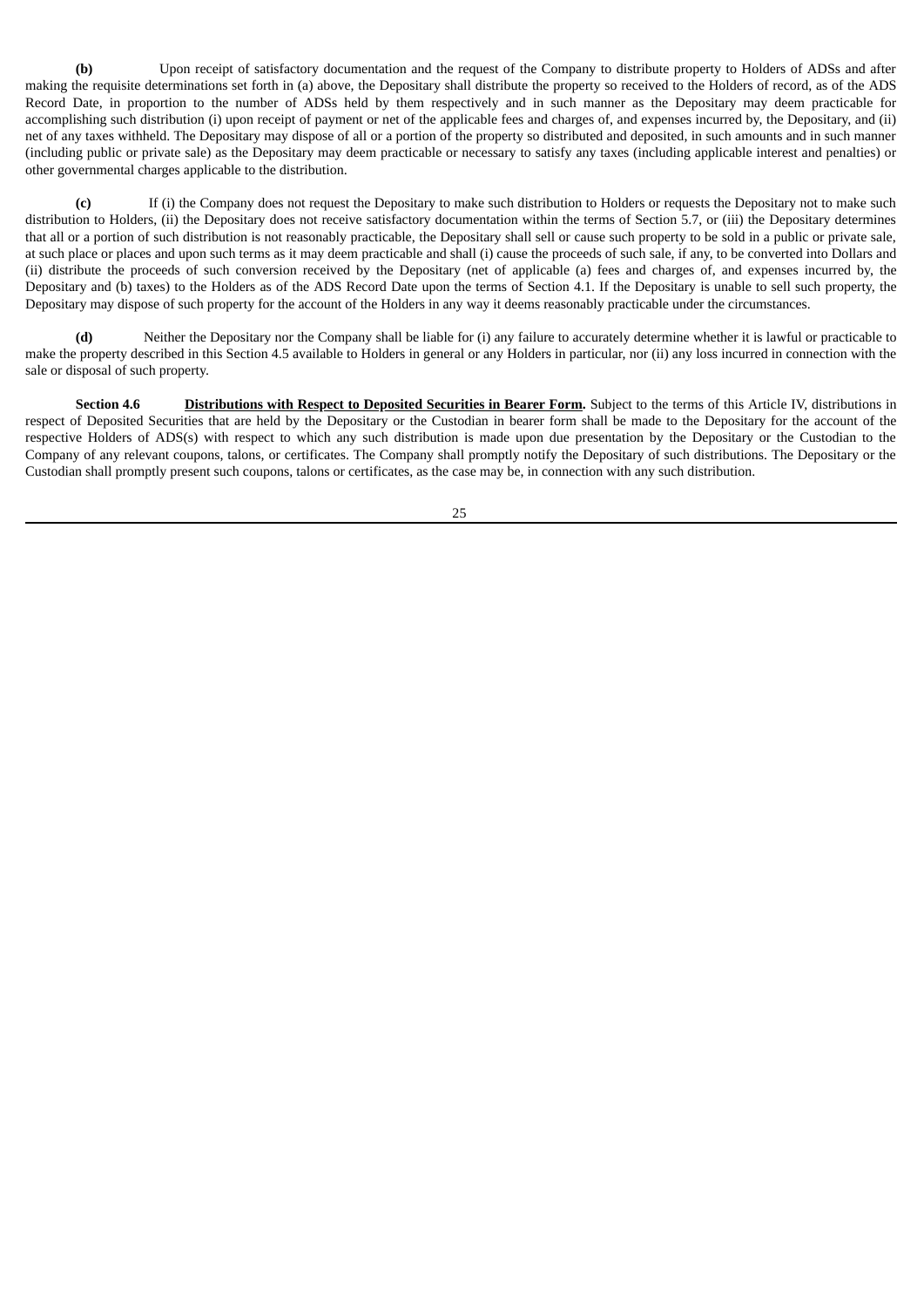**(b)** Upon receipt of satisfactory documentation and the request of the Company to distribute property to Holders of ADSs and after making the requisite determinations set forth in (a) above, the Depositary shall distribute the property so received to the Holders of record, as of the ADS Record Date, in proportion to the number of ADSs held by them respectively and in such manner as the Depositary may deem practicable for accomplishing such distribution (i) upon receipt of payment or net of the applicable fees and charges of, and expenses incurred by, the Depositary, and (ii) net of any taxes withheld. The Depositary may dispose of all or a portion of the property so distributed and deposited, in such amounts and in such manner (including public or private sale) as the Depositary may deem practicable or necessary to satisfy any taxes (including applicable interest and penalties) or other governmental charges applicable to the distribution.

**(c)** If (i) the Company does not request the Depositary to make such distribution to Holders or requests the Depositary not to make such distribution to Holders, (ii) the Depositary does not receive satisfactory documentation within the terms of Section 5.7, or (iii) the Depositary determines that all or a portion of such distribution is not reasonably practicable, the Depositary shall sell or cause such property to be sold in a public or private sale, at such place or places and upon such terms as it may deem practicable and shall (i) cause the proceeds of such sale, if any, to be converted into Dollars and (ii) distribute the proceeds of such conversion received by the Depositary (net of applicable (a) fees and charges of, and expenses incurred by, the Depositary and (b) taxes) to the Holders as of the ADS Record Date upon the terms of Section 4.1. If the Depositary is unable to sell such property, the Depositary may dispose of such property for the account of the Holders in any way it deems reasonably practicable under the circumstances.

**(d)** Neither the Depositary nor the Company shall be liable for (i) any failure to accurately determine whether it is lawful or practicable to make the property described in this Section 4.5 available to Holders in general or any Holders in particular, nor (ii) any loss incurred in connection with the sale or disposal of such property.

**Section 4.6 Distributions with Respect to Deposited Securities in Bearer Form.** Subject to the terms of this Article IV, distributions in respect of Deposited Securities that are held by the Depositary or the Custodian in bearer form shall be made to the Depositary for the account of the respective Holders of ADS(s) with respect to which any such distribution is made upon due presentation by the Depositary or the Custodian to the Company of any relevant coupons, talons, or certificates. The Company shall promptly notify the Depositary of such distributions. The Depositary or the Custodian shall promptly present such coupons, talons or certificates, as the case may be, in connection with any such distribution.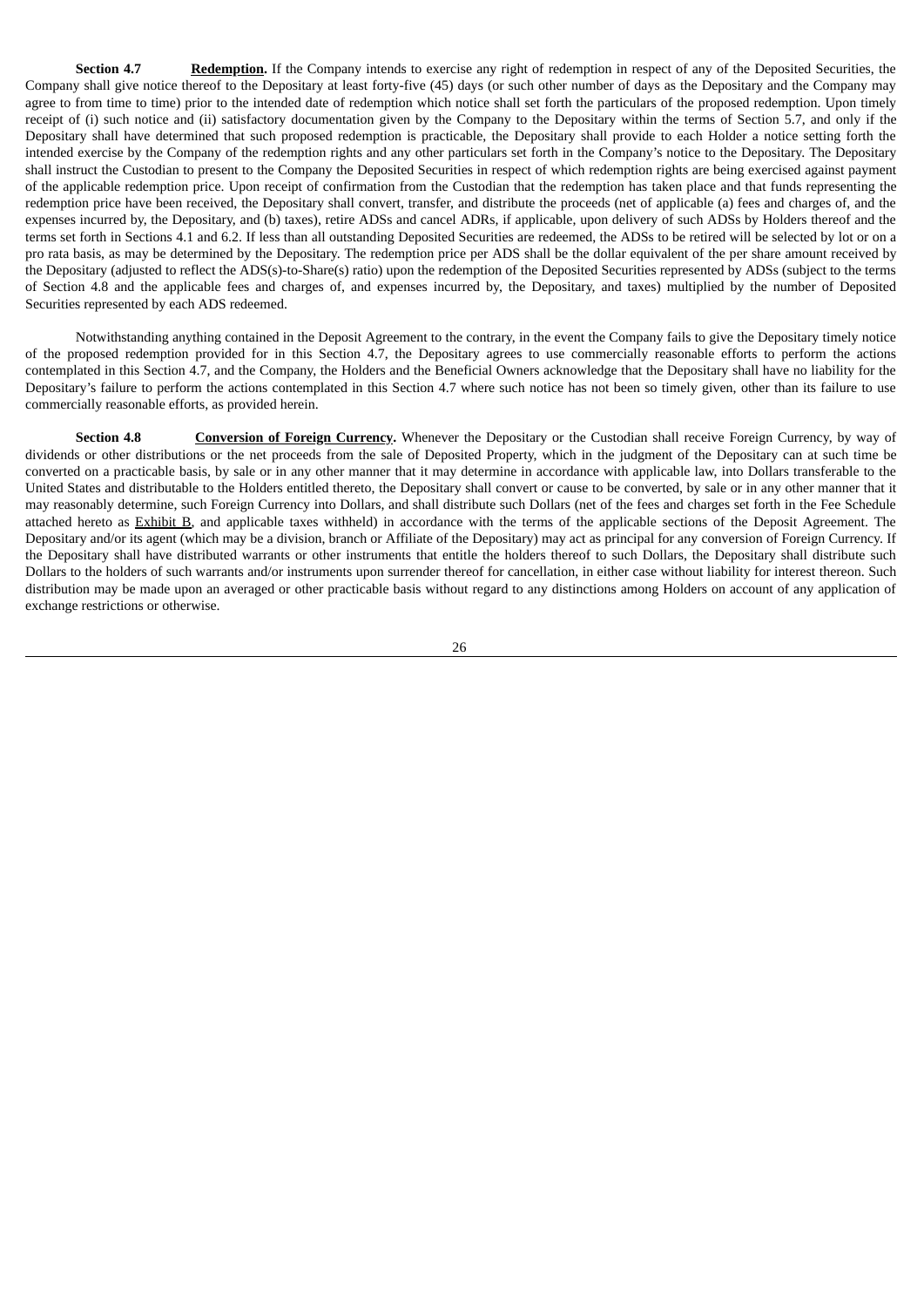**Section 4.7 Redemption.** If the Company intends to exercise any right of redemption in respect of any of the Deposited Securities, the Company shall give notice thereof to the Depositary at least forty-five (45) days (or such other number of days as the Depositary and the Company may agree to from time to time) prior to the intended date of redemption which notice shall set forth the particulars of the proposed redemption. Upon timely receipt of (i) such notice and (ii) satisfactory documentation given by the Company to the Depositary within the terms of Section 5.7, and only if the Depositary shall have determined that such proposed redemption is practicable, the Depositary shall provide to each Holder a notice setting forth the intended exercise by the Company of the redemption rights and any other particulars set forth in the Company's notice to the Depositary. The Depositary shall instruct the Custodian to present to the Company the Deposited Securities in respect of which redemption rights are being exercised against payment of the applicable redemption price. Upon receipt of confirmation from the Custodian that the redemption has taken place and that funds representing the redemption price have been received, the Depositary shall convert, transfer, and distribute the proceeds (net of applicable (a) fees and charges of, and the expenses incurred by, the Depositary, and (b) taxes), retire ADSs and cancel ADRs, if applicable, upon delivery of such ADSs by Holders thereof and the terms set forth in Sections 4.1 and 6.2. If less than all outstanding Deposited Securities are redeemed, the ADSs to be retired will be selected by lot or on a pro rata basis, as may be determined by the Depositary. The redemption price per ADS shall be the dollar equivalent of the per share amount received by the Depositary (adjusted to reflect the ADS(s)-to-Share(s) ratio) upon the redemption of the Deposited Securities represented by ADSs (subject to the terms of Section 4.8 and the applicable fees and charges of, and expenses incurred by, the Depositary, and taxes) multiplied by the number of Deposited Securities represented by each ADS redeemed.

Notwithstanding anything contained in the Deposit Agreement to the contrary, in the event the Company fails to give the Depositary timely notice of the proposed redemption provided for in this Section 4.7, the Depositary agrees to use commercially reasonable efforts to perform the actions contemplated in this Section 4.7, and the Company, the Holders and the Beneficial Owners acknowledge that the Depositary shall have no liability for the Depositary's failure to perform the actions contemplated in this Section 4.7 where such notice has not been so timely given, other than its failure to use commercially reasonable efforts, as provided herein.

**Section 4.8 Conversion of Foreign Currency.** Whenever the Depositary or the Custodian shall receive Foreign Currency, by way of dividends or other distributions or the net proceeds from the sale of Deposited Property, which in the judgment of the Depositary can at such time be converted on a practicable basis, by sale or in any other manner that it may determine in accordance with applicable law, into Dollars transferable to the United States and distributable to the Holders entitled thereto, the Depositary shall convert or cause to be converted, by sale or in any other manner that it may reasonably determine, such Foreign Currency into Dollars, and shall distribute such Dollars (net of the fees and charges set forth in the Fee Schedule attached hereto as Exhibit B, and applicable taxes withheld) in accordance with the terms of the applicable sections of the Deposit Agreement. The Depositary and/or its agent (which may be a division, branch or Affiliate of the Depositary) may act as principal for any conversion of Foreign Currency. If the Depositary shall have distributed warrants or other instruments that entitle the holders thereof to such Dollars, the Depositary shall distribute such Dollars to the holders of such warrants and/or instruments upon surrender thereof for cancellation, in either case without liability for interest thereon. Such distribution may be made upon an averaged or other practicable basis without regard to any distinctions among Holders on account of any application of exchange restrictions or otherwise.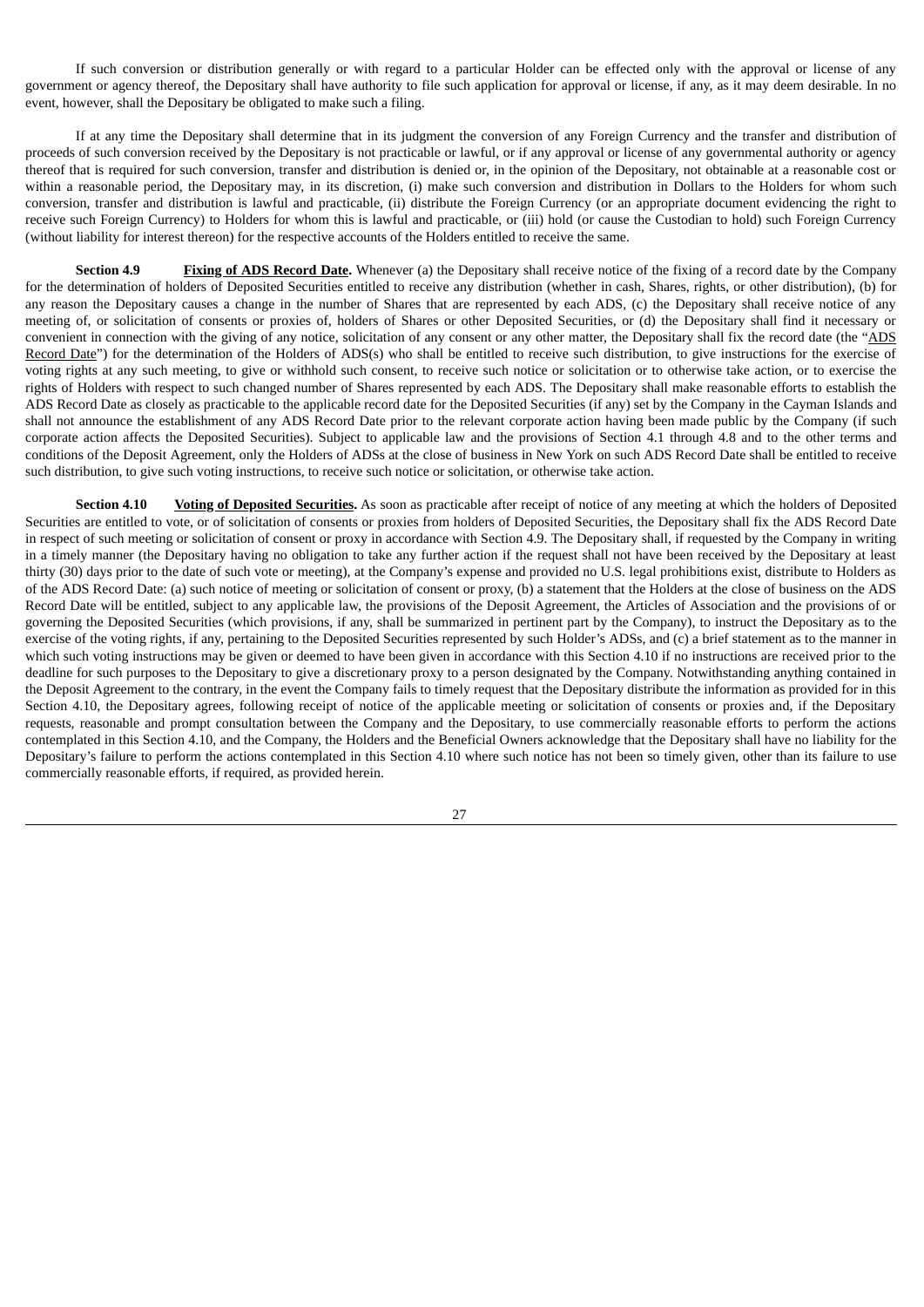If such conversion or distribution generally or with regard to a particular Holder can be effected only with the approval or license of any government or agency thereof, the Depositary shall have authority to file such application for approval or license, if any, as it may deem desirable. In no event, however, shall the Depositary be obligated to make such a filing.

If at any time the Depositary shall determine that in its judgment the conversion of any Foreign Currency and the transfer and distribution of proceeds of such conversion received by the Depositary is not practicable or lawful, or if any approval or license of any governmental authority or agency thereof that is required for such conversion, transfer and distribution is denied or, in the opinion of the Depositary, not obtainable at a reasonable cost or within a reasonable period, the Depositary may, in its discretion, (i) make such conversion and distribution in Dollars to the Holders for whom such conversion, transfer and distribution is lawful and practicable, (ii) distribute the Foreign Currency (or an appropriate document evidencing the right to receive such Foreign Currency) to Holders for whom this is lawful and practicable, or (iii) hold (or cause the Custodian to hold) such Foreign Currency (without liability for interest thereon) for the respective accounts of the Holders entitled to receive the same.

**Section 4.9 Fixing of ADS Record Date.** Whenever (a) the Depositary shall receive notice of the fixing of a record date by the Company for the determination of holders of Deposited Securities entitled to receive any distribution (whether in cash, Shares, rights, or other distribution), (b) for any reason the Depositary causes a change in the number of Shares that are represented by each ADS, (c) the Depositary shall receive notice of any meeting of, or solicitation of consents or proxies of, holders of Shares or other Deposited Securities, or (d) the Depositary shall find it necessary or convenient in connection with the giving of any notice, solicitation of any consent or any other matter, the Depositary shall fix the record date (the "ADS Record Date") for the determination of the Holders of ADS(s) who shall be entitled to receive such distribution, to give instructions for the exercise of voting rights at any such meeting, to give or withhold such consent, to receive such notice or solicitation or to otherwise take action, or to exercise the rights of Holders with respect to such changed number of Shares represented by each ADS. The Depositary shall make reasonable efforts to establish the ADS Record Date as closely as practicable to the applicable record date for the Deposited Securities (if any) set by the Company in the Cayman Islands and shall not announce the establishment of any ADS Record Date prior to the relevant corporate action having been made public by the Company (if such corporate action affects the Deposited Securities). Subject to applicable law and the provisions of Section 4.1 through 4.8 and to the other terms and conditions of the Deposit Agreement, only the Holders of ADSs at the close of business in New York on such ADS Record Date shall be entitled to receive such distribution, to give such voting instructions, to receive such notice or solicitation, or otherwise take action.

**Section 4.10 Voting of Deposited Securities.** As soon as practicable after receipt of notice of any meeting at which the holders of Deposited Securities are entitled to vote, or of solicitation of consents or proxies from holders of Deposited Securities, the Depositary shall fix the ADS Record Date in respect of such meeting or solicitation of consent or proxy in accordance with Section 4.9. The Depositary shall, if requested by the Company in writing in a timely manner (the Depositary having no obligation to take any further action if the request shall not have been received by the Depositary at least thirty (30) days prior to the date of such vote or meeting), at the Company's expense and provided no U.S. legal prohibitions exist, distribute to Holders as of the ADS Record Date: (a) such notice of meeting or solicitation of consent or proxy, (b) a statement that the Holders at the close of business on the ADS Record Date will be entitled, subject to any applicable law, the provisions of the Deposit Agreement, the Articles of Association and the provisions of or governing the Deposited Securities (which provisions, if any, shall be summarized in pertinent part by the Company), to instruct the Depositary as to the exercise of the voting rights, if any, pertaining to the Deposited Securities represented by such Holder's ADSs, and (c) a brief statement as to the manner in which such voting instructions may be given or deemed to have been given in accordance with this Section 4.10 if no instructions are received prior to the deadline for such purposes to the Depositary to give a discretionary proxy to a person designated by the Company. Notwithstanding anything contained in the Deposit Agreement to the contrary, in the event the Company fails to timely request that the Depositary distribute the information as provided for in this Section 4.10, the Depositary agrees, following receipt of notice of the applicable meeting or solicitation of consents or proxies and, if the Depositary requests, reasonable and prompt consultation between the Company and the Depositary, to use commercially reasonable efforts to perform the actions contemplated in this Section 4.10, and the Company, the Holders and the Beneficial Owners acknowledge that the Depositary shall have no liability for the Depositary's failure to perform the actions contemplated in this Section 4.10 where such notice has not been so timely given, other than its failure to use commercially reasonable efforts, if required, as provided herein.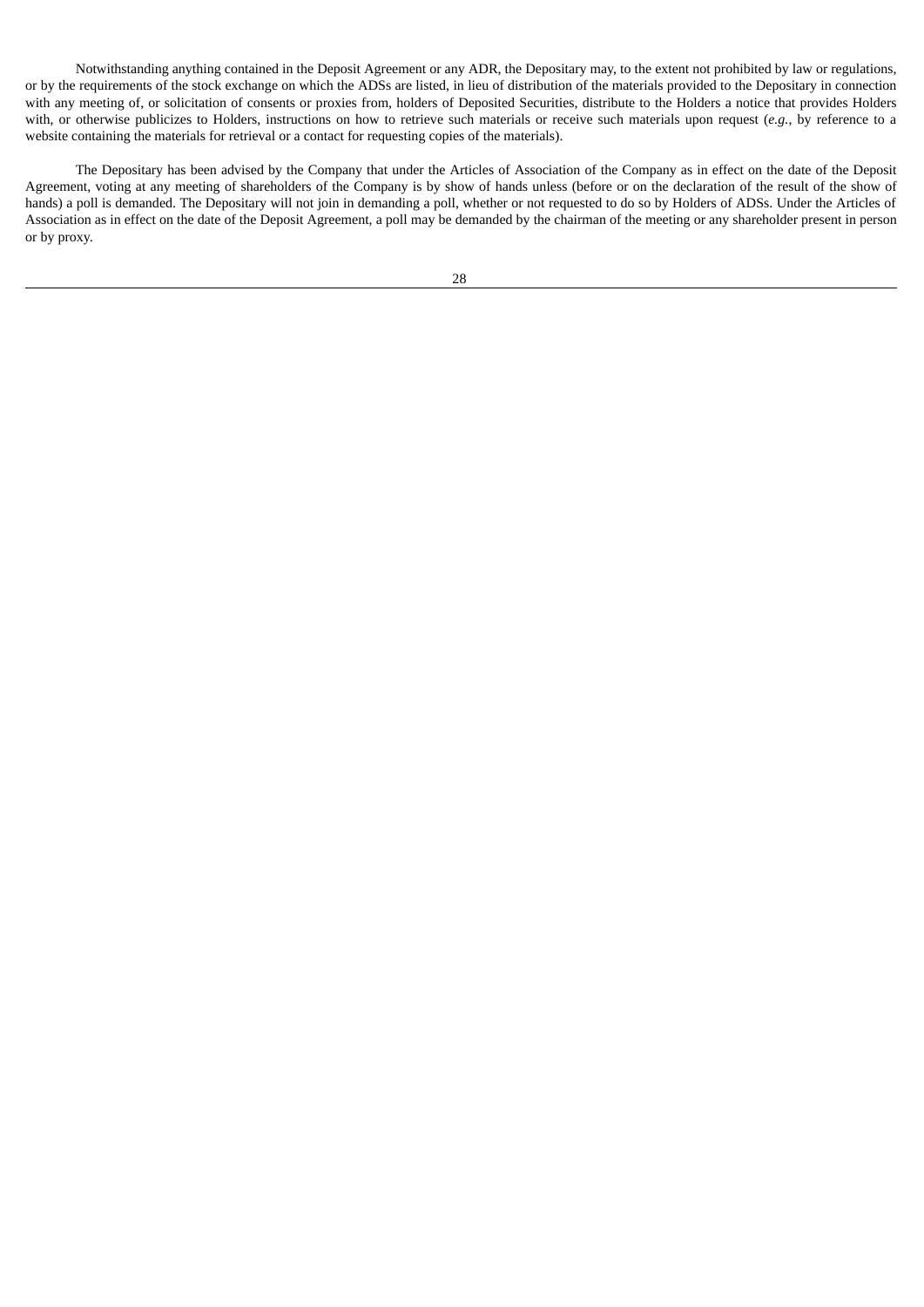Notwithstanding anything contained in the Deposit Agreement or any ADR, the Depositary may, to the extent not prohibited by law or regulations, or by the requirements of the stock exchange on which the ADSs are listed, in lieu of distribution of the materials provided to the Depositary in connection with any meeting of, or solicitation of consents or proxies from, holders of Deposited Securities, distribute to the Holders a notice that provides Holders with, or otherwise publicizes to Holders, instructions on how to retrieve such materials or receive such materials upon request (*e.g.*, by reference to a website containing the materials for retrieval or a contact for requesting copies of the materials).

The Depositary has been advised by the Company that under the Articles of Association of the Company as in effect on the date of the Deposit Agreement, voting at any meeting of shareholders of the Company is by show of hands unless (before or on the declaration of the result of the show of hands) a poll is demanded. The Depositary will not join in demanding a poll, whether or not requested to do so by Holders of ADSs. Under the Articles of Association as in effect on the date of the Deposit Agreement, a poll may be demanded by the chairman of the meeting or any shareholder present in person or by proxy.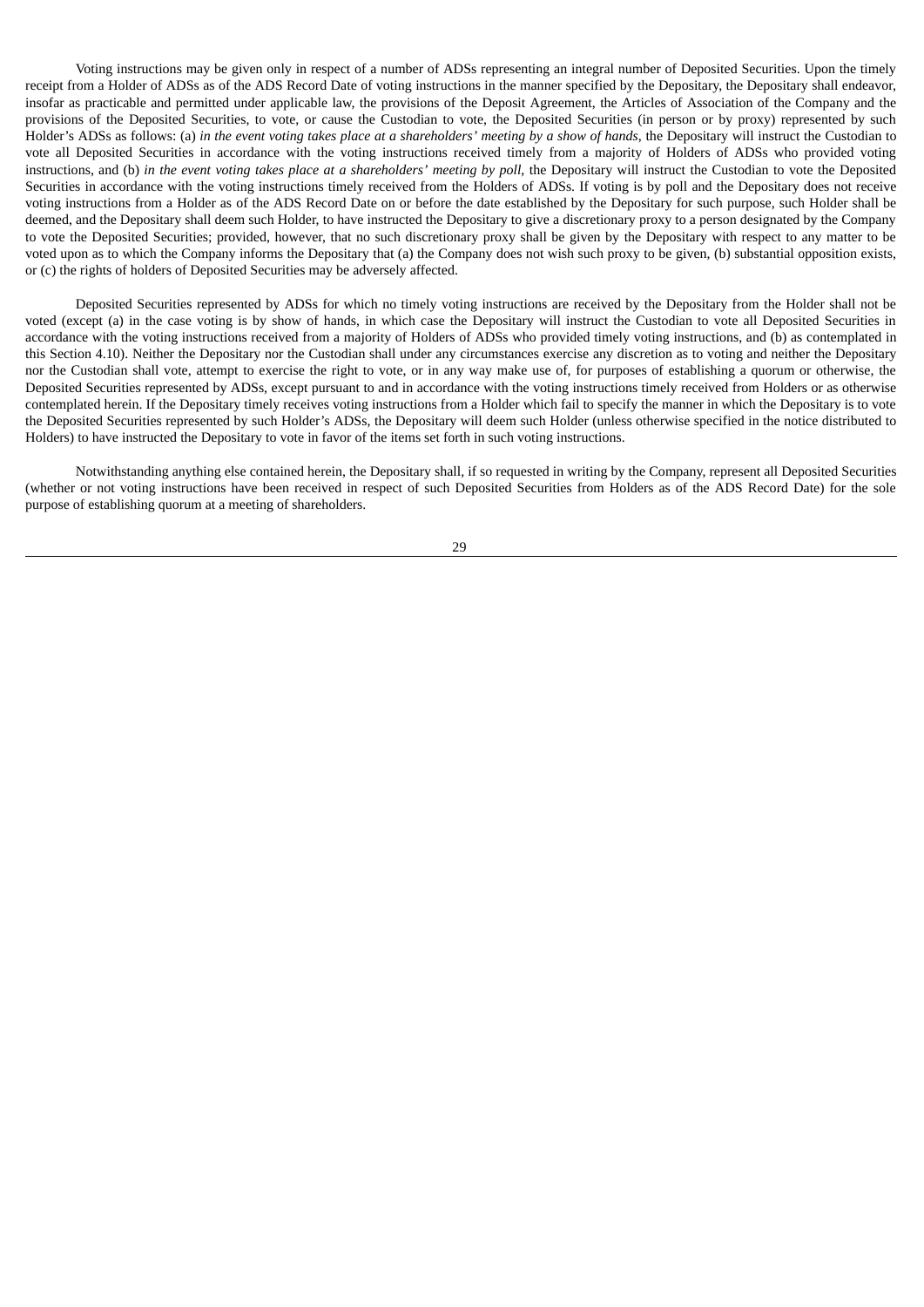Voting instructions may be given only in respect of a number of ADSs representing an integral number of Deposited Securities. Upon the timely receipt from a Holder of ADSs as of the ADS Record Date of voting instructions in the manner specified by the Depositary, the Depositary shall endeavor, insofar as practicable and permitted under applicable law, the provisions of the Deposit Agreement, the Articles of Association of the Company and the provisions of the Deposited Securities, to vote, or cause the Custodian to vote, the Deposited Securities (in person or by proxy) represented by such Holder's ADSs as follows: (a) in the event voting takes place at a shareholders' meeting by a show of hands, the Depositary will instruct the Custodian to vote all Deposited Securities in accordance with the voting instructions received timely from a majority of Holders of ADSs who provided voting instructions, and (b) in the event voting takes place at a shareholders' meeting by poll, the Depositary will instruct the Custodian to vote the Deposited Securities in accordance with the voting instructions timely received from the Holders of ADSs. If voting is by poll and the Depositary does not receive voting instructions from a Holder as of the ADS Record Date on or before the date established by the Depositary for such purpose, such Holder shall be deemed, and the Depositary shall deem such Holder, to have instructed the Depositary to give a discretionary proxy to a person designated by the Company to vote the Deposited Securities; provided, however, that no such discretionary proxy shall be given by the Depositary with respect to any matter to be voted upon as to which the Company informs the Depositary that (a) the Company does not wish such proxy to be given, (b) substantial opposition exists, or (c) the rights of holders of Deposited Securities may be adversely affected.

Deposited Securities represented by ADSs for which no timely voting instructions are received by the Depositary from the Holder shall not be voted (except (a) in the case voting is by show of hands, in which case the Depositary will instruct the Custodian to vote all Deposited Securities in accordance with the voting instructions received from a majority of Holders of ADSs who provided timely voting instructions, and (b) as contemplated in this Section 4.10). Neither the Depositary nor the Custodian shall under any circumstances exercise any discretion as to voting and neither the Depositary nor the Custodian shall vote, attempt to exercise the right to vote, or in any way make use of, for purposes of establishing a quorum or otherwise, the Deposited Securities represented by ADSs, except pursuant to and in accordance with the voting instructions timely received from Holders or as otherwise contemplated herein. If the Depositary timely receives voting instructions from a Holder which fail to specify the manner in which the Depositary is to vote the Deposited Securities represented by such Holder's ADSs, the Depositary will deem such Holder (unless otherwise specified in the notice distributed to Holders) to have instructed the Depositary to vote in favor of the items set forth in such voting instructions.

Notwithstanding anything else contained herein, the Depositary shall, if so requested in writing by the Company, represent all Deposited Securities (whether or not voting instructions have been received in respect of such Deposited Securities from Holders as of the ADS Record Date) for the sole purpose of establishing quorum at a meeting of shareholders.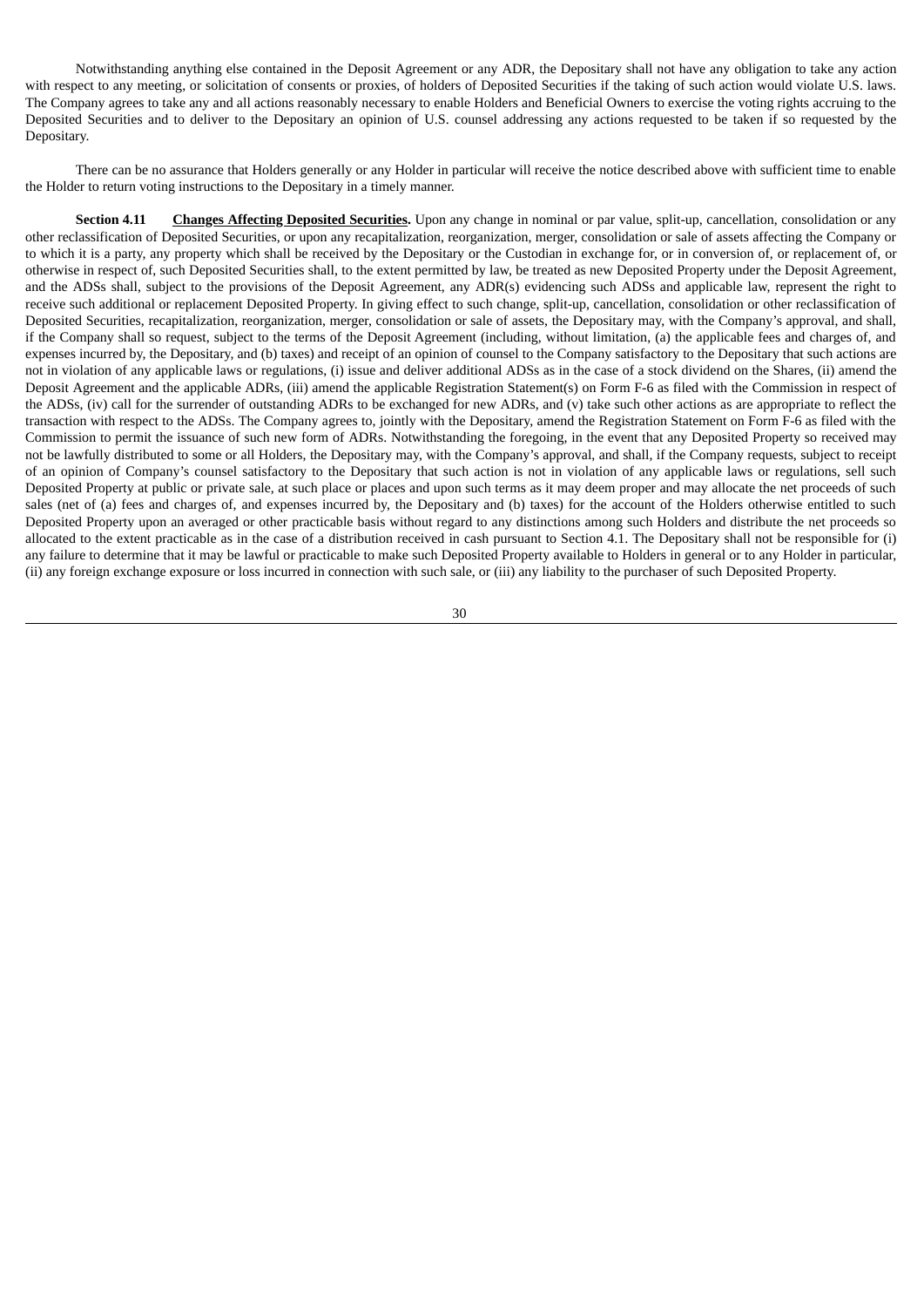Notwithstanding anything else contained in the Deposit Agreement or any ADR, the Depositary shall not have any obligation to take any action with respect to any meeting, or solicitation of consents or proxies, of holders of Deposited Securities if the taking of such action would violate U.S. laws. The Company agrees to take any and all actions reasonably necessary to enable Holders and Beneficial Owners to exercise the voting rights accruing to the Deposited Securities and to deliver to the Depositary an opinion of U.S. counsel addressing any actions requested to be taken if so requested by the Depositary.

There can be no assurance that Holders generally or any Holder in particular will receive the notice described above with sufficient time to enable the Holder to return voting instructions to the Depositary in a timely manner.

**Section 4.11 Changes Affecting Deposited Securities.** Upon any change in nominal or par value, split-up, cancellation, consolidation or any other reclassification of Deposited Securities, or upon any recapitalization, reorganization, merger, consolidation or sale of assets affecting the Company or to which it is a party, any property which shall be received by the Depositary or the Custodian in exchange for, or in conversion of, or replacement of, or otherwise in respect of, such Deposited Securities shall, to the extent permitted by law, be treated as new Deposited Property under the Deposit Agreement, and the ADSs shall, subject to the provisions of the Deposit Agreement, any ADR(s) evidencing such ADSs and applicable law, represent the right to receive such additional or replacement Deposited Property. In giving effect to such change, split-up, cancellation, consolidation or other reclassification of Deposited Securities, recapitalization, reorganization, merger, consolidation or sale of assets, the Depositary may, with the Company's approval, and shall, if the Company shall so request, subject to the terms of the Deposit Agreement (including, without limitation, (a) the applicable fees and charges of, and expenses incurred by, the Depositary, and (b) taxes) and receipt of an opinion of counsel to the Company satisfactory to the Depositary that such actions are not in violation of any applicable laws or regulations, (i) issue and deliver additional ADSs as in the case of a stock dividend on the Shares, (ii) amend the Deposit Agreement and the applicable ADRs, (iii) amend the applicable Registration Statement(s) on Form F-6 as filed with the Commission in respect of the ADSs, (iv) call for the surrender of outstanding ADRs to be exchanged for new ADRs, and (v) take such other actions as are appropriate to reflect the transaction with respect to the ADSs. The Company agrees to, jointly with the Depositary, amend the Registration Statement on Form F-6 as filed with the Commission to permit the issuance of such new form of ADRs. Notwithstanding the foregoing, in the event that any Deposited Property so received may not be lawfully distributed to some or all Holders, the Depositary may, with the Company's approval, and shall, if the Company requests, subject to receipt of an opinion of Company's counsel satisfactory to the Depositary that such action is not in violation of any applicable laws or regulations, sell such Deposited Property at public or private sale, at such place or places and upon such terms as it may deem proper and may allocate the net proceeds of such sales (net of (a) fees and charges of, and expenses incurred by, the Depositary and (b) taxes) for the account of the Holders otherwise entitled to such Deposited Property upon an averaged or other practicable basis without regard to any distinctions among such Holders and distribute the net proceeds so allocated to the extent practicable as in the case of a distribution received in cash pursuant to Section 4.1. The Depositary shall not be responsible for (i) any failure to determine that it may be lawful or practicable to make such Deposited Property available to Holders in general or to any Holder in particular, (ii) any foreign exchange exposure or loss incurred in connection with such sale, or (iii) any liability to the purchaser of such Deposited Property.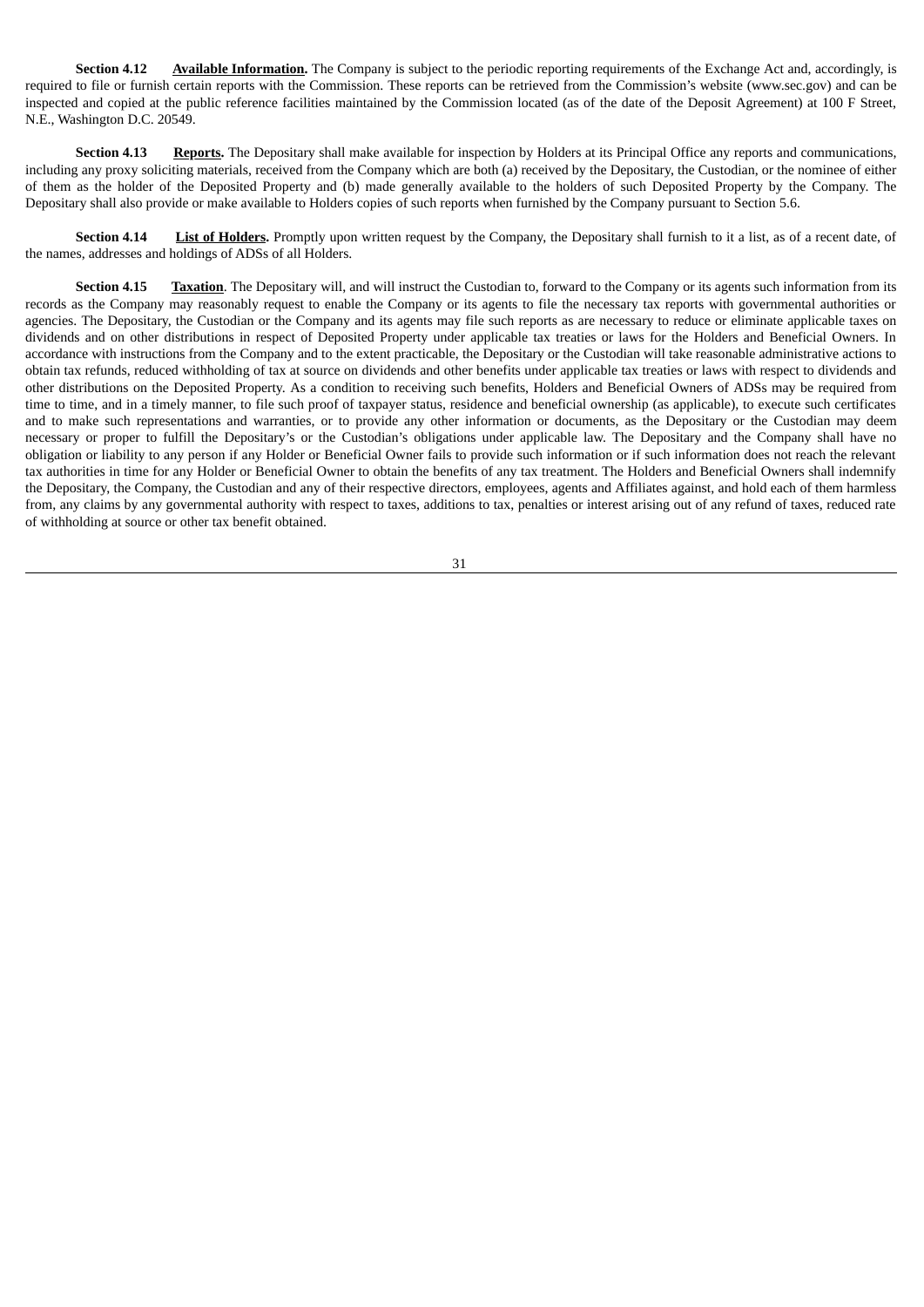**Section 4.12 Available Information**. The Company is subject to the periodic reporting requirements of the Exchange Act and, accordingly, is required to file or furnish certain reports with the Commission. These reports can be retrieved from the Commission's website (www.sec.gov) and can be inspected and copied at the public reference facilities maintained by the Commission located (as of the date of the Deposit Agreement) at 100 F Street, N.E., Washington D.C. 20549.

**Section 4.13 Reports.** The Depositary shall make available for inspection by Holders at its Principal Office any reports and communications, including any proxy soliciting materials, received from the Company which are both (a) received by the Depositary, the Custodian, or the nominee of either of them as the holder of the Deposited Property and (b) made generally available to the holders of such Deposited Property by the Company. The Depositary shall also provide or make available to Holders copies of such reports when furnished by the Company pursuant to Section 5.6.

**Section 4.14 List of Holders.** Promptly upon written request by the Company, the Depositary shall furnish to it a list, as of a recent date, of the names, addresses and holdings of ADSs of all Holders.

**Section 4.15 Taxation**. The Depositary will, and will instruct the Custodian to, forward to the Company or its agents such information from its records as the Company may reasonably request to enable the Company or its agents to file the necessary tax reports with governmental authorities or agencies. The Depositary, the Custodian or the Company and its agents may file such reports as are necessary to reduce or eliminate applicable taxes on dividends and on other distributions in respect of Deposited Property under applicable tax treaties or laws for the Holders and Beneficial Owners. In accordance with instructions from the Company and to the extent practicable, the Depositary or the Custodian will take reasonable administrative actions to obtain tax refunds, reduced withholding of tax at source on dividends and other benefits under applicable tax treaties or laws with respect to dividends and other distributions on the Deposited Property. As a condition to receiving such benefits, Holders and Beneficial Owners of ADSs may be required from time to time, and in a timely manner, to file such proof of taxpayer status, residence and beneficial ownership (as applicable), to execute such certificates and to make such representations and warranties, or to provide any other information or documents, as the Depositary or the Custodian may deem necessary or proper to fulfill the Depositary's or the Custodian's obligations under applicable law. The Depositary and the Company shall have no obligation or liability to any person if any Holder or Beneficial Owner fails to provide such information or if such information does not reach the relevant tax authorities in time for any Holder or Beneficial Owner to obtain the benefits of any tax treatment. The Holders and Beneficial Owners shall indemnify the Depositary, the Company, the Custodian and any of their respective directors, employees, agents and Affiliates against, and hold each of them harmless from, any claims by any governmental authority with respect to taxes, additions to tax, penalties or interest arising out of any refund of taxes, reduced rate of withholding at source or other tax benefit obtained.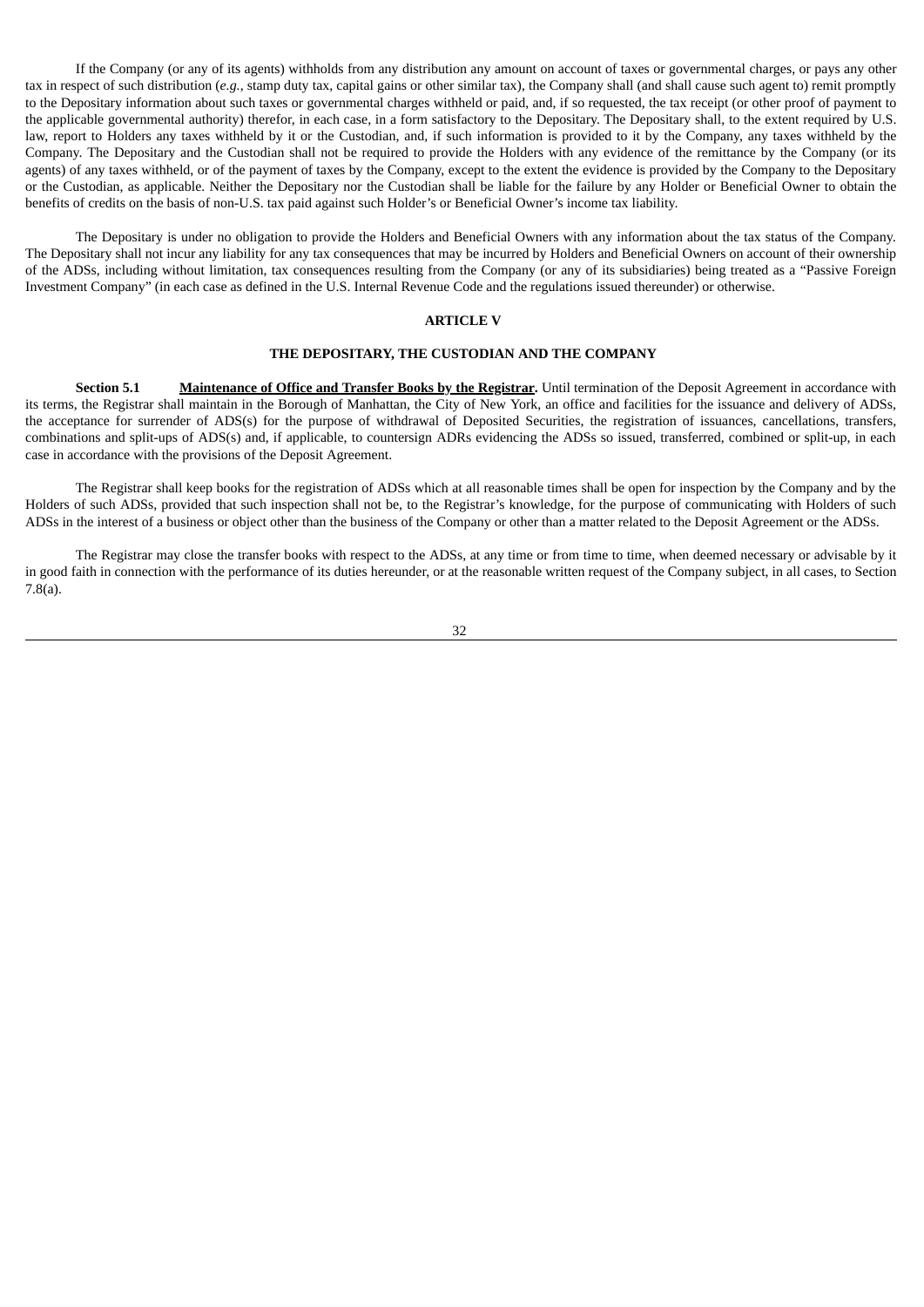If the Company (or any of its agents) withholds from any distribution any amount on account of taxes or governmental charges, or pays any other tax in respect of such distribution (*e.g.*, stamp duty tax, capital gains or other similar tax), the Company shall (and shall cause such agent to) remit promptly to the Depositary information about such taxes or governmental charges withheld or paid, and, if so requested, the tax receipt (or other proof of payment to the applicable governmental authority) therefor, in each case, in a form satisfactory to the Depositary. The Depositary shall, to the extent required by U.S. law, report to Holders any taxes withheld by it or the Custodian, and, if such information is provided to it by the Company, any taxes withheld by the Company. The Depositary and the Custodian shall not be required to provide the Holders with any evidence of the remittance by the Company (or its agents) of any taxes withheld, or of the payment of taxes by the Company, except to the extent the evidence is provided by the Company to the Depositary or the Custodian, as applicable. Neither the Depositary nor the Custodian shall be liable for the failure by any Holder or Beneficial Owner to obtain the benefits of credits on the basis of non-U.S. tax paid against such Holder's or Beneficial Owner's income tax liability.

The Depositary is under no obligation to provide the Holders and Beneficial Owners with any information about the tax status of the Company. The Depositary shall not incur any liability for any tax consequences that may be incurred by Holders and Beneficial Owners on account of their ownership of the ADSs, including without limitation, tax consequences resulting from the Company (or any of its subsidiaries) being treated as a "Passive Foreign Investment Company" (in each case as defined in the U.S. Internal Revenue Code and the regulations issued thereunder) or otherwise.

## **ARTICLE V**

# **THE DEPOSITARY, THE CUSTODIAN AND THE COMPANY**

**Section 5.1 Maintenance of Office and Transfer Books by the Registrar.** Until termination of the Deposit Agreement in accordance with its terms, the Registrar shall maintain in the Borough of Manhattan, the City of New York, an office and facilities for the issuance and delivery of ADSs, the acceptance for surrender of ADS(s) for the purpose of withdrawal of Deposited Securities, the registration of issuances, cancellations, transfers, combinations and split-ups of ADS(s) and, if applicable, to countersign ADRs evidencing the ADSs so issued, transferred, combined or split-up, in each case in accordance with the provisions of the Deposit Agreement.

The Registrar shall keep books for the registration of ADSs which at all reasonable times shall be open for inspection by the Company and by the Holders of such ADSs, provided that such inspection shall not be, to the Registrar's knowledge, for the purpose of communicating with Holders of such ADSs in the interest of a business or object other than the business of the Company or other than a matter related to the Deposit Agreement or the ADSs.

The Registrar may close the transfer books with respect to the ADSs, at any time or from time to time, when deemed necessary or advisable by it in good faith in connection with the performance of its duties hereunder, or at the reasonable written request of the Company subject, in all cases, to Section 7.8(a).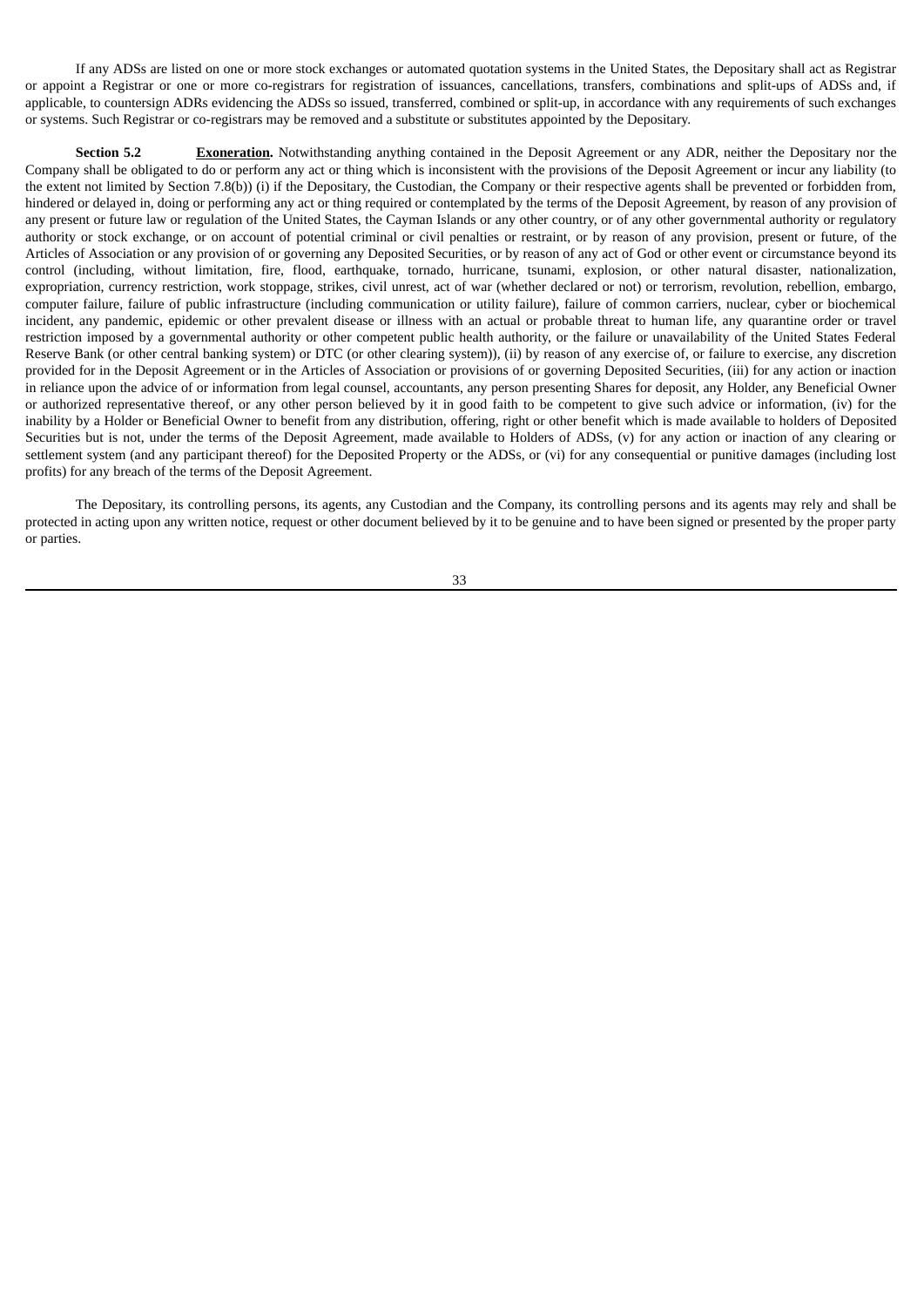If any ADSs are listed on one or more stock exchanges or automated quotation systems in the United States, the Depositary shall act as Registrar or appoint a Registrar or one or more co-registrars for registration of issuances, cancellations, transfers, combinations and split-ups of ADSs and, if applicable, to countersign ADRs evidencing the ADSs so issued, transferred, combined or split-up, in accordance with any requirements of such exchanges or systems. Such Registrar or co-registrars may be removed and a substitute or substitutes appointed by the Depositary.

**Section 5.2 Exoneration.** Notwithstanding anything contained in the Deposit Agreement or any ADR, neither the Depositary nor the Company shall be obligated to do or perform any act or thing which is inconsistent with the provisions of the Deposit Agreement or incur any liability (to the extent not limited by Section 7.8(b)) (i) if the Depositary, the Custodian, the Company or their respective agents shall be prevented or forbidden from, hindered or delayed in, doing or performing any act or thing required or contemplated by the terms of the Deposit Agreement, by reason of any provision of any present or future law or regulation of the United States, the Cayman Islands or any other country, or of any other governmental authority or regulatory authority or stock exchange, or on account of potential criminal or civil penalties or restraint, or by reason of any provision, present or future, of the Articles of Association or any provision of or governing any Deposited Securities, or by reason of any act of God or other event or circumstance beyond its control (including, without limitation, fire, flood, earthquake, tornado, hurricane, tsunami, explosion, or other natural disaster, nationalization, expropriation, currency restriction, work stoppage, strikes, civil unrest, act of war (whether declared or not) or terrorism, revolution, rebellion, embargo, computer failure, failure of public infrastructure (including communication or utility failure), failure of common carriers, nuclear, cyber or biochemical incident, any pandemic, epidemic or other prevalent disease or illness with an actual or probable threat to human life, any quarantine order or travel restriction imposed by a governmental authority or other competent public health authority, or the failure or unavailability of the United States Federal Reserve Bank (or other central banking system) or DTC (or other clearing system)), (ii) by reason of any exercise of, or failure to exercise, any discretion provided for in the Deposit Agreement or in the Articles of Association or provisions of or governing Deposited Securities, (iii) for any action or inaction in reliance upon the advice of or information from legal counsel, accountants, any person presenting Shares for deposit, any Holder, any Beneficial Owner or authorized representative thereof, or any other person believed by it in good faith to be competent to give such advice or information, (iv) for the inability by a Holder or Beneficial Owner to benefit from any distribution, offering, right or other benefit which is made available to holders of Deposited Securities but is not, under the terms of the Deposit Agreement, made available to Holders of ADSs, (v) for any action or inaction of any clearing or settlement system (and any participant thereof) for the Deposited Property or the ADSs, or (vi) for any consequential or punitive damages (including lost profits) for any breach of the terms of the Deposit Agreement.

The Depositary, its controlling persons, its agents, any Custodian and the Company, its controlling persons and its agents may rely and shall be protected in acting upon any written notice, request or other document believed by it to be genuine and to have been signed or presented by the proper party or parties.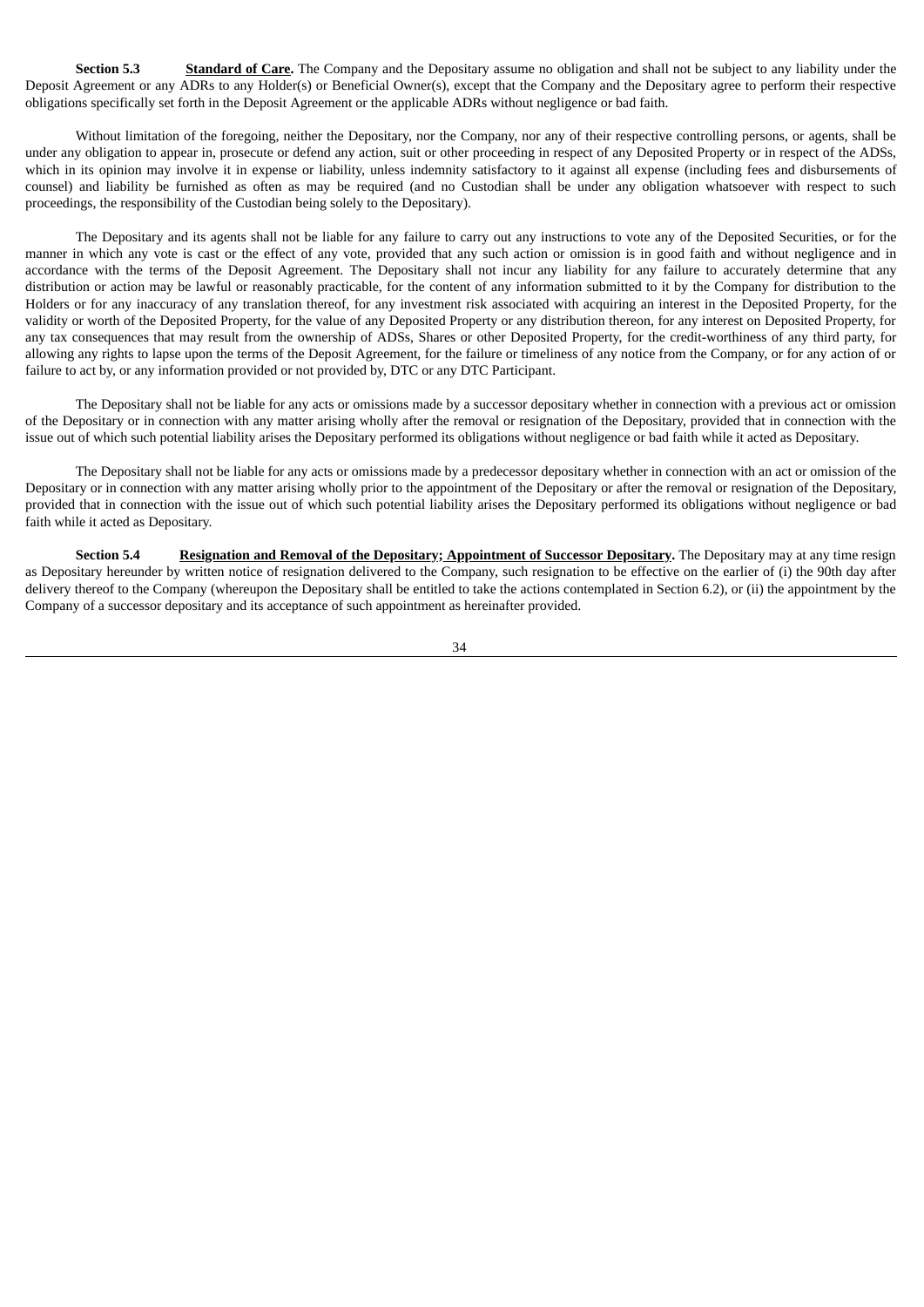**Section 5.3 Standard of Care.** The Company and the Depositary assume no obligation and shall not be subject to any liability under the Deposit Agreement or any ADRs to any Holder(s) or Beneficial Owner(s), except that the Company and the Depositary agree to perform their respective obligations specifically set forth in the Deposit Agreement or the applicable ADRs without negligence or bad faith.

Without limitation of the foregoing, neither the Depositary, nor the Company, nor any of their respective controlling persons, or agents, shall be under any obligation to appear in, prosecute or defend any action, suit or other proceeding in respect of any Deposited Property or in respect of the ADSs, which in its opinion may involve it in expense or liability, unless indemnity satisfactory to it against all expense (including fees and disbursements of counsel) and liability be furnished as often as may be required (and no Custodian shall be under any obligation whatsoever with respect to such proceedings, the responsibility of the Custodian being solely to the Depositary).

The Depositary and its agents shall not be liable for any failure to carry out any instructions to vote any of the Deposited Securities, or for the manner in which any vote is cast or the effect of any vote, provided that any such action or omission is in good faith and without negligence and in accordance with the terms of the Deposit Agreement. The Depositary shall not incur any liability for any failure to accurately determine that any distribution or action may be lawful or reasonably practicable, for the content of any information submitted to it by the Company for distribution to the Holders or for any inaccuracy of any translation thereof, for any investment risk associated with acquiring an interest in the Deposited Property, for the validity or worth of the Deposited Property, for the value of any Deposited Property or any distribution thereon, for any interest on Deposited Property, for any tax consequences that may result from the ownership of ADSs, Shares or other Deposited Property, for the credit-worthiness of any third party, for allowing any rights to lapse upon the terms of the Deposit Agreement, for the failure or timeliness of any notice from the Company, or for any action of or failure to act by, or any information provided or not provided by, DTC or any DTC Participant.

The Depositary shall not be liable for any acts or omissions made by a successor depositary whether in connection with a previous act or omission of the Depositary or in connection with any matter arising wholly after the removal or resignation of the Depositary, provided that in connection with the issue out of which such potential liability arises the Depositary performed its obligations without negligence or bad faith while it acted as Depositary.

The Depositary shall not be liable for any acts or omissions made by a predecessor depositary whether in connection with an act or omission of the Depositary or in connection with any matter arising wholly prior to the appointment of the Depositary or after the removal or resignation of the Depositary, provided that in connection with the issue out of which such potential liability arises the Depositary performed its obligations without negligence or bad faith while it acted as Depositary.

**Section 5.4 Resignation and Removal of the Depositary; Appointment of Successor Depositary.** The Depositary may at any time resign as Depositary hereunder by written notice of resignation delivered to the Company, such resignation to be effective on the earlier of (i) the 90th day after delivery thereof to the Company (whereupon the Depositary shall be entitled to take the actions contemplated in Section 6.2), or (ii) the appointment by the Company of a successor depositary and its acceptance of such appointment as hereinafter provided.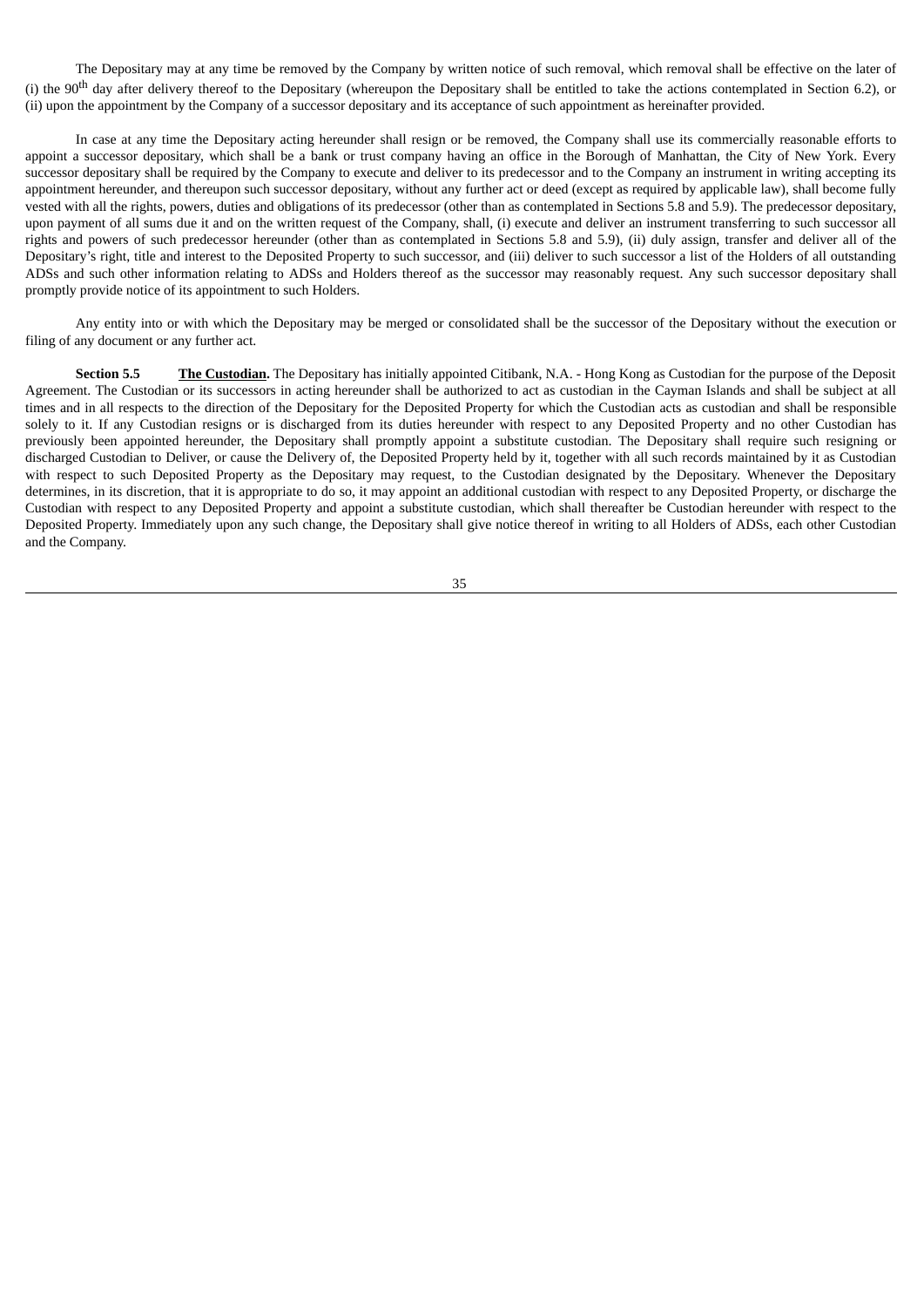The Depositary may at any time be removed by the Company by written notice of such removal, which removal shall be effective on the later of (i) the 90<sup>th</sup> day after delivery thereof to the Depositary (whereupon the Depositary shall be entitled to take the actions contemplated in Section 6.2), or (ii) upon the appointment by the Company of a successor depositary and its acceptance of such appointment as hereinafter provided.

In case at any time the Depositary acting hereunder shall resign or be removed, the Company shall use its commercially reasonable efforts to appoint a successor depositary, which shall be a bank or trust company having an office in the Borough of Manhattan, the City of New York. Every successor depositary shall be required by the Company to execute and deliver to its predecessor and to the Company an instrument in writing accepting its appointment hereunder, and thereupon such successor depositary, without any further act or deed (except as required by applicable law), shall become fully vested with all the rights, powers, duties and obligations of its predecessor (other than as contemplated in Sections 5.8 and 5.9). The predecessor depositary, upon payment of all sums due it and on the written request of the Company, shall, (i) execute and deliver an instrument transferring to such successor all rights and powers of such predecessor hereunder (other than as contemplated in Sections 5.8 and 5.9), (ii) duly assign, transfer and deliver all of the Depositary's right, title and interest to the Deposited Property to such successor, and (iii) deliver to such successor a list of the Holders of all outstanding ADSs and such other information relating to ADSs and Holders thereof as the successor may reasonably request. Any such successor depositary shall promptly provide notice of its appointment to such Holders.

Any entity into or with which the Depositary may be merged or consolidated shall be the successor of the Depositary without the execution or filing of any document or any further act.

**Section 5.5 The Custodian.** The Depositary has initially appointed Citibank, N.A. - Hong Kong as Custodian for the purpose of the Deposit Agreement. The Custodian or its successors in acting hereunder shall be authorized to act as custodian in the Cayman Islands and shall be subject at all times and in all respects to the direction of the Depositary for the Deposited Property for which the Custodian acts as custodian and shall be responsible solely to it. If any Custodian resigns or is discharged from its duties hereunder with respect to any Deposited Property and no other Custodian has previously been appointed hereunder, the Depositary shall promptly appoint a substitute custodian. The Depositary shall require such resigning or discharged Custodian to Deliver, or cause the Delivery of, the Deposited Property held by it, together with all such records maintained by it as Custodian with respect to such Deposited Property as the Depositary may request, to the Custodian designated by the Depositary. Whenever the Depositary determines, in its discretion, that it is appropriate to do so, it may appoint an additional custodian with respect to any Deposited Property, or discharge the Custodian with respect to any Deposited Property and appoint a substitute custodian, which shall thereafter be Custodian hereunder with respect to the Deposited Property. Immediately upon any such change, the Depositary shall give notice thereof in writing to all Holders of ADSs, each other Custodian and the Company.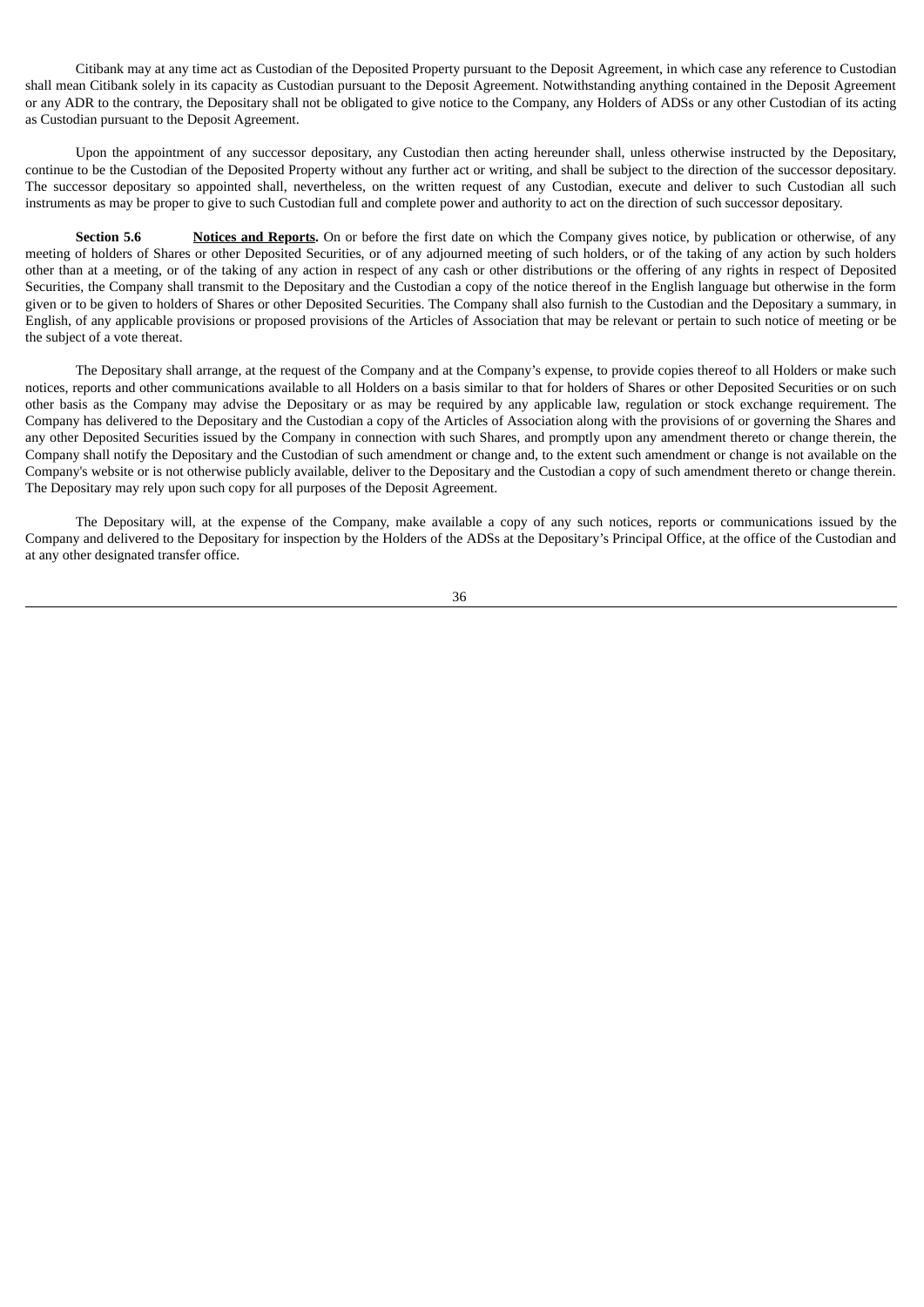Citibank may at any time act as Custodian of the Deposited Property pursuant to the Deposit Agreement, in which case any reference to Custodian shall mean Citibank solely in its capacity as Custodian pursuant to the Deposit Agreement. Notwithstanding anything contained in the Deposit Agreement or any ADR to the contrary, the Depositary shall not be obligated to give notice to the Company, any Holders of ADSs or any other Custodian of its acting as Custodian pursuant to the Deposit Agreement.

Upon the appointment of any successor depositary, any Custodian then acting hereunder shall, unless otherwise instructed by the Depositary, continue to be the Custodian of the Deposited Property without any further act or writing, and shall be subject to the direction of the successor depositary. The successor depositary so appointed shall, nevertheless, on the written request of any Custodian, execute and deliver to such Custodian all such instruments as may be proper to give to such Custodian full and complete power and authority to act on the direction of such successor depositary.

**Section <b>5.6 Notices and Reports.** On or before the first date on which the Company gives notice, by publication or otherwise, of any meeting of holders of Shares or other Deposited Securities, or of any adjourned meeting of such holders, or of the taking of any action by such holders other than at a meeting, or of the taking of any action in respect of any cash or other distributions or the offering of any rights in respect of Deposited Securities, the Company shall transmit to the Depositary and the Custodian a copy of the notice thereof in the English language but otherwise in the form given or to be given to holders of Shares or other Deposited Securities. The Company shall also furnish to the Custodian and the Depositary a summary, in English, of any applicable provisions or proposed provisions of the Articles of Association that may be relevant or pertain to such notice of meeting or be the subject of a vote thereat.

The Depositary shall arrange, at the request of the Company and at the Company's expense, to provide copies thereof to all Holders or make such notices, reports and other communications available to all Holders on a basis similar to that for holders of Shares or other Deposited Securities or on such other basis as the Company may advise the Depositary or as may be required by any applicable law, regulation or stock exchange requirement. The Company has delivered to the Depositary and the Custodian a copy of the Articles of Association along with the provisions of or governing the Shares and any other Deposited Securities issued by the Company in connection with such Shares, and promptly upon any amendment thereto or change therein, the Company shall notify the Depositary and the Custodian of such amendment or change and, to the extent such amendment or change is not available on the Company's website or is not otherwise publicly available, deliver to the Depositary and the Custodian a copy of such amendment thereto or change therein. The Depositary may rely upon such copy for all purposes of the Deposit Agreement.

The Depositary will, at the expense of the Company, make available a copy of any such notices, reports or communications issued by the Company and delivered to the Depositary for inspection by the Holders of the ADSs at the Depositary's Principal Office, at the office of the Custodian and at any other designated transfer office.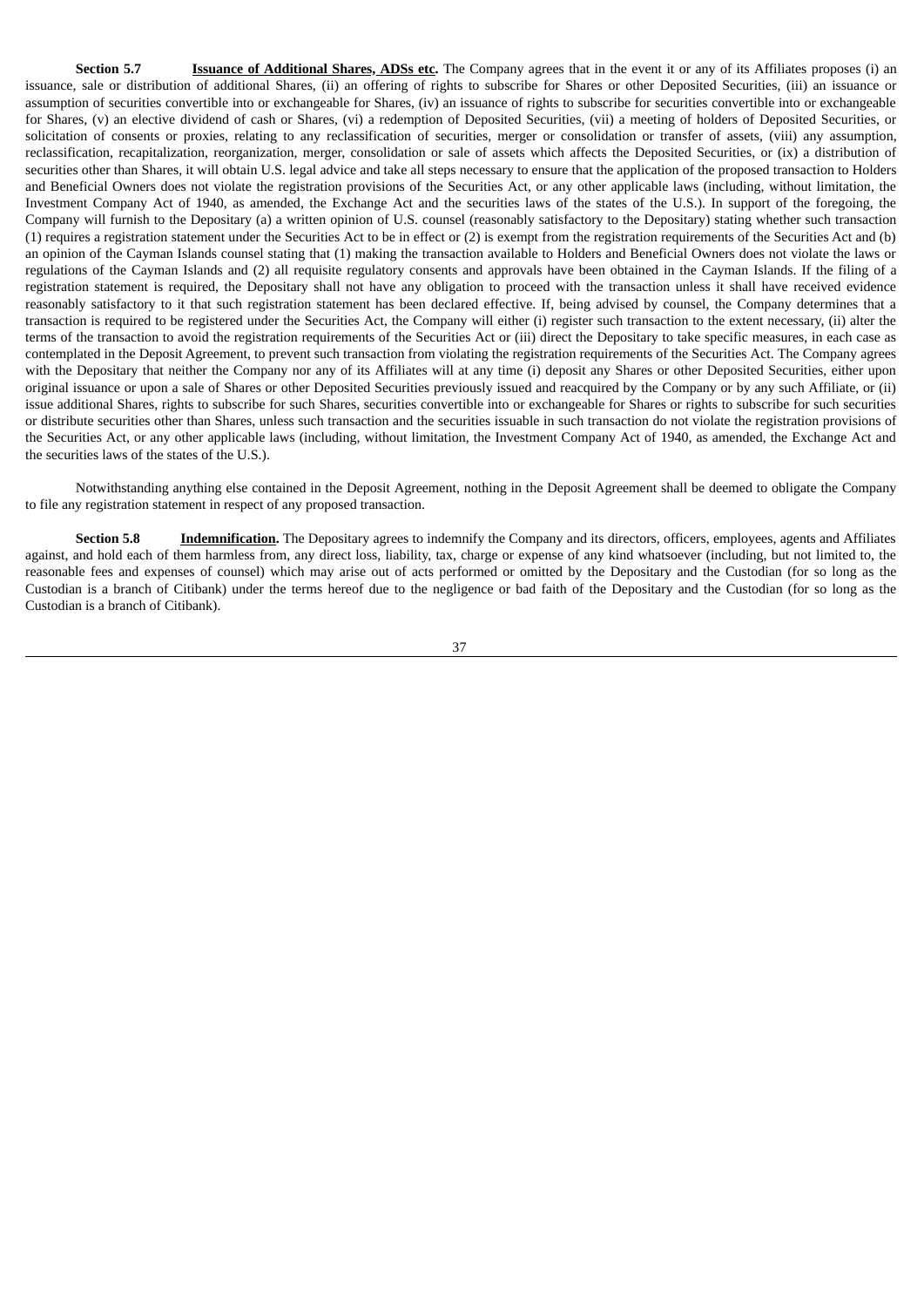**Section 5.7 Issuance of Additional Shares, ADSs etc.** The Company agrees that in the event it or any of its Affiliates proposes (i) an issuance, sale or distribution of additional Shares, (ii) an offering of rights to subscribe for Shares or other Deposited Securities, (iii) an issuance or assumption of securities convertible into or exchangeable for Shares, (iv) an issuance of rights to subscribe for securities convertible into or exchangeable for Shares, (v) an elective dividend of cash or Shares, (vi) a redemption of Deposited Securities, (vii) a meeting of holders of Deposited Securities, or solicitation of consents or proxies, relating to any reclassification of securities, merger or consolidation or transfer of assets, (viii) any assumption, reclassification, recapitalization, reorganization, merger, consolidation or sale of assets which affects the Deposited Securities, or (ix) a distribution of securities other than Shares, it will obtain U.S. legal advice and take all steps necessary to ensure that the application of the proposed transaction to Holders and Beneficial Owners does not violate the registration provisions of the Securities Act, or any other applicable laws (including, without limitation, the Investment Company Act of 1940, as amended, the Exchange Act and the securities laws of the states of the U.S.). In support of the foregoing, the Company will furnish to the Depositary (a) a written opinion of U.S. counsel (reasonably satisfactory to the Depositary) stating whether such transaction (1) requires a registration statement under the Securities Act to be in effect or (2) is exempt from the registration requirements of the Securities Act and (b) an opinion of the Cayman Islands counsel stating that (1) making the transaction available to Holders and Beneficial Owners does not violate the laws or regulations of the Cayman Islands and (2) all requisite regulatory consents and approvals have been obtained in the Cayman Islands. If the filing of a registration statement is required, the Depositary shall not have any obligation to proceed with the transaction unless it shall have received evidence reasonably satisfactory to it that such registration statement has been declared effective. If, being advised by counsel, the Company determines that a transaction is required to be registered under the Securities Act, the Company will either (i) register such transaction to the extent necessary, (ii) alter the terms of the transaction to avoid the registration requirements of the Securities Act or (iii) direct the Depositary to take specific measures, in each case as contemplated in the Deposit Agreement, to prevent such transaction from violating the registration requirements of the Securities Act. The Company agrees with the Depositary that neither the Company nor any of its Affiliates will at any time (i) deposit any Shares or other Deposited Securities, either upon original issuance or upon a sale of Shares or other Deposited Securities previously issued and reacquired by the Company or by any such Affiliate, or (ii) issue additional Shares, rights to subscribe for such Shares, securities convertible into or exchangeable for Shares or rights to subscribe for such securities or distribute securities other than Shares, unless such transaction and the securities issuable in such transaction do not violate the registration provisions of the Securities Act, or any other applicable laws (including, without limitation, the Investment Company Act of 1940, as amended, the Exchange Act and the securities laws of the states of the U.S.).

Notwithstanding anything else contained in the Deposit Agreement, nothing in the Deposit Agreement shall be deemed to obligate the Company to file any registration statement in respect of any proposed transaction.

**Section 5.8 Indemnification.** The Depositary agrees to indemnify the Company and its directors, officers, employees, agents and Affiliates against, and hold each of them harmless from, any direct loss, liability, tax, charge or expense of any kind whatsoever (including, but not limited to, the reasonable fees and expenses of counsel) which may arise out of acts performed or omitted by the Depositary and the Custodian (for so long as the Custodian is a branch of Citibank) under the terms hereof due to the negligence or bad faith of the Depositary and the Custodian (for so long as the Custodian is a branch of Citibank).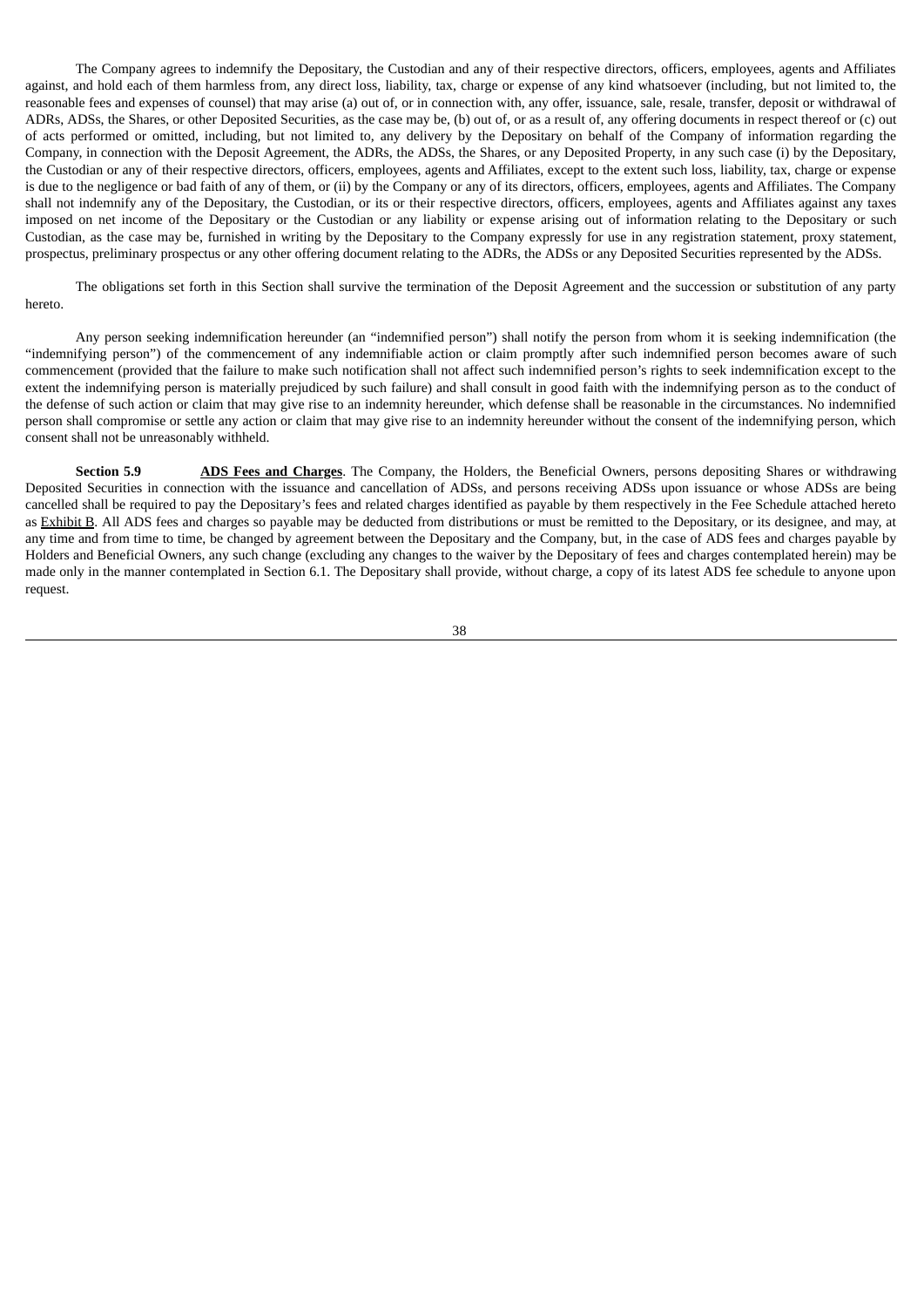The Company agrees to indemnify the Depositary, the Custodian and any of their respective directors, officers, employees, agents and Affiliates against, and hold each of them harmless from, any direct loss, liability, tax, charge or expense of any kind whatsoever (including, but not limited to, the reasonable fees and expenses of counsel) that may arise (a) out of, or in connection with, any offer, issuance, sale, resale, transfer, deposit or withdrawal of ADRs, ADSs, the Shares, or other Deposited Securities, as the case may be, (b) out of, or as a result of, any offering documents in respect thereof or (c) out of acts performed or omitted, including, but not limited to, any delivery by the Depositary on behalf of the Company of information regarding the Company, in connection with the Deposit Agreement, the ADRs, the ADSs, the Shares, or any Deposited Property, in any such case (i) by the Depositary, the Custodian or any of their respective directors, officers, employees, agents and Affiliates, except to the extent such loss, liability, tax, charge or expense is due to the negligence or bad faith of any of them, or (ii) by the Company or any of its directors, officers, employees, agents and Affiliates. The Company shall not indemnify any of the Depositary, the Custodian, or its or their respective directors, officers, employees, agents and Affiliates against any taxes imposed on net income of the Depositary or the Custodian or any liability or expense arising out of information relating to the Depositary or such Custodian, as the case may be, furnished in writing by the Depositary to the Company expressly for use in any registration statement, proxy statement, prospectus, preliminary prospectus or any other offering document relating to the ADRs, the ADSs or any Deposited Securities represented by the ADSs.

The obligations set forth in this Section shall survive the termination of the Deposit Agreement and the succession or substitution of any party hereto.

Any person seeking indemnification hereunder (an "indemnified person") shall notify the person from whom it is seeking indemnification (the "indemnifying person") of the commencement of any indemnifiable action or claim promptly after such indemnified person becomes aware of such commencement (provided that the failure to make such notification shall not affect such indemnified person's rights to seek indemnification except to the extent the indemnifying person is materially prejudiced by such failure) and shall consult in good faith with the indemnifying person as to the conduct of the defense of such action or claim that may give rise to an indemnity hereunder, which defense shall be reasonable in the circumstances. No indemnified person shall compromise or settle any action or claim that may give rise to an indemnity hereunder without the consent of the indemnifying person, which consent shall not be unreasonably withheld.

**Section 5.9 ADS Fees and Charges**. The Company, the Holders, the Beneficial Owners, persons depositing Shares or withdrawing Deposited Securities in connection with the issuance and cancellation of ADSs, and persons receiving ADSs upon issuance or whose ADSs are being cancelled shall be required to pay the Depositary's fees and related charges identified as payable by them respectively in the Fee Schedule attached hereto as Exhibit B. All ADS fees and charges so payable may be deducted from distributions or must be remitted to the Depositary, or its designee, and may, at any time and from time to time, be changed by agreement between the Depositary and the Company, but, in the case of ADS fees and charges payable by Holders and Beneficial Owners, any such change (excluding any changes to the waiver by the Depositary of fees and charges contemplated herein) may be made only in the manner contemplated in Section 6.1. The Depositary shall provide, without charge, a copy of its latest ADS fee schedule to anyone upon request.

38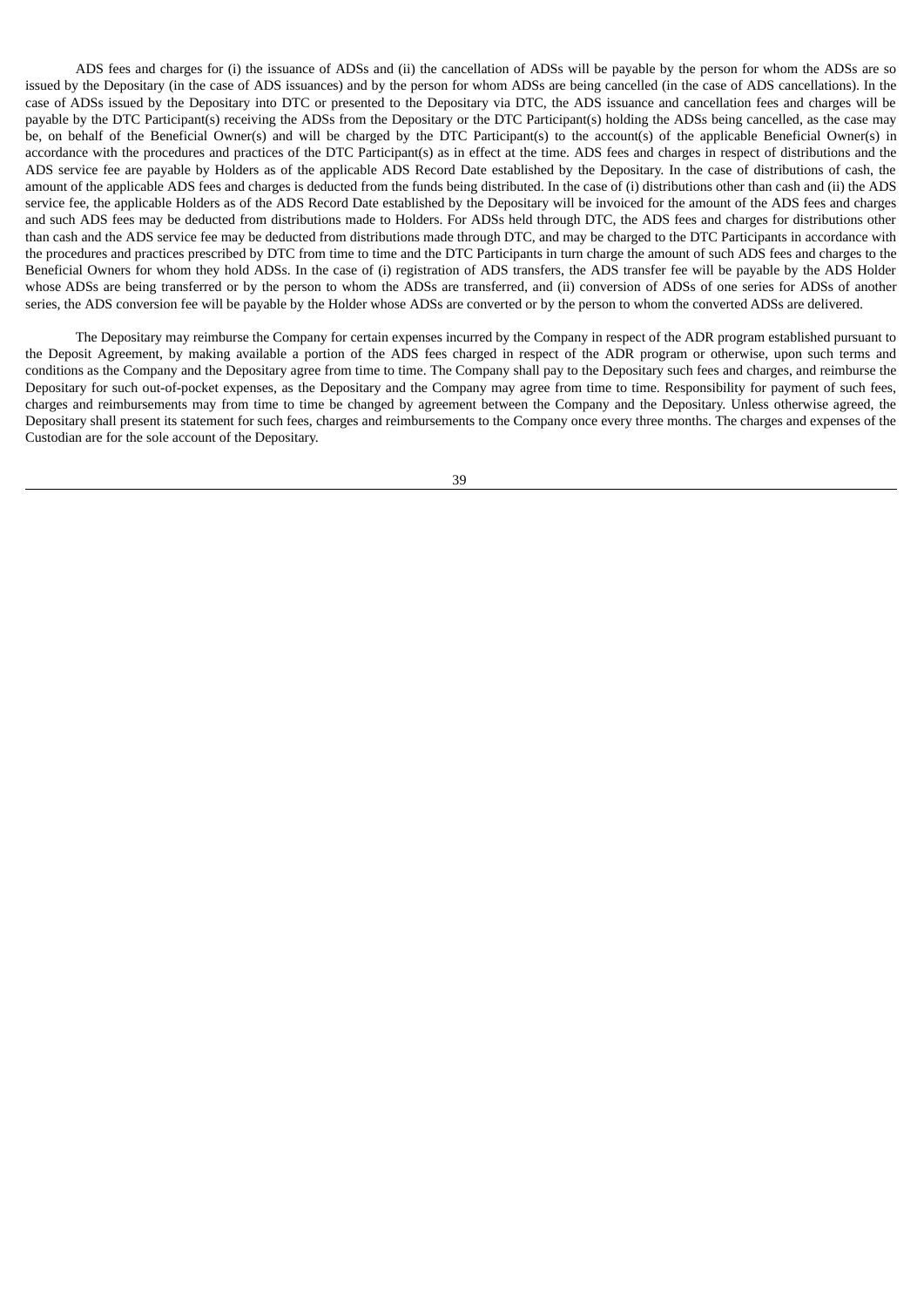ADS fees and charges for (i) the issuance of ADSs and (ii) the cancellation of ADSs will be payable by the person for whom the ADSs are so issued by the Depositary (in the case of ADS issuances) and by the person for whom ADSs are being cancelled (in the case of ADS cancellations). In the case of ADSs issued by the Depositary into DTC or presented to the Depositary via DTC, the ADS issuance and cancellation fees and charges will be payable by the DTC Participant(s) receiving the ADSs from the Depositary or the DTC Participant(s) holding the ADSs being cancelled, as the case may be, on behalf of the Beneficial Owner(s) and will be charged by the DTC Participant(s) to the account(s) of the applicable Beneficial Owner(s) in accordance with the procedures and practices of the DTC Participant(s) as in effect at the time. ADS fees and charges in respect of distributions and the ADS service fee are payable by Holders as of the applicable ADS Record Date established by the Depositary. In the case of distributions of cash, the amount of the applicable ADS fees and charges is deducted from the funds being distributed. In the case of (i) distributions other than cash and (ii) the ADS service fee, the applicable Holders as of the ADS Record Date established by the Depositary will be invoiced for the amount of the ADS fees and charges and such ADS fees may be deducted from distributions made to Holders. For ADSs held through DTC, the ADS fees and charges for distributions other than cash and the ADS service fee may be deducted from distributions made through DTC, and may be charged to the DTC Participants in accordance with the procedures and practices prescribed by DTC from time to time and the DTC Participants in turn charge the amount of such ADS fees and charges to the Beneficial Owners for whom they hold ADSs. In the case of (i) registration of ADS transfers, the ADS transfer fee will be payable by the ADS Holder whose ADSs are being transferred or by the person to whom the ADSs are transferred, and (ii) conversion of ADSs of one series for ADSs of another series, the ADS conversion fee will be payable by the Holder whose ADSs are converted or by the person to whom the converted ADSs are delivered.

The Depositary may reimburse the Company for certain expenses incurred by the Company in respect of the ADR program established pursuant to the Deposit Agreement, by making available a portion of the ADS fees charged in respect of the ADR program or otherwise, upon such terms and conditions as the Company and the Depositary agree from time to time. The Company shall pay to the Depositary such fees and charges, and reimburse the Depositary for such out-of-pocket expenses, as the Depositary and the Company may agree from time to time. Responsibility for payment of such fees, charges and reimbursements may from time to time be changed by agreement between the Company and the Depositary. Unless otherwise agreed, the Depositary shall present its statement for such fees, charges and reimbursements to the Company once every three months. The charges and expenses of the Custodian are for the sole account of the Depositary.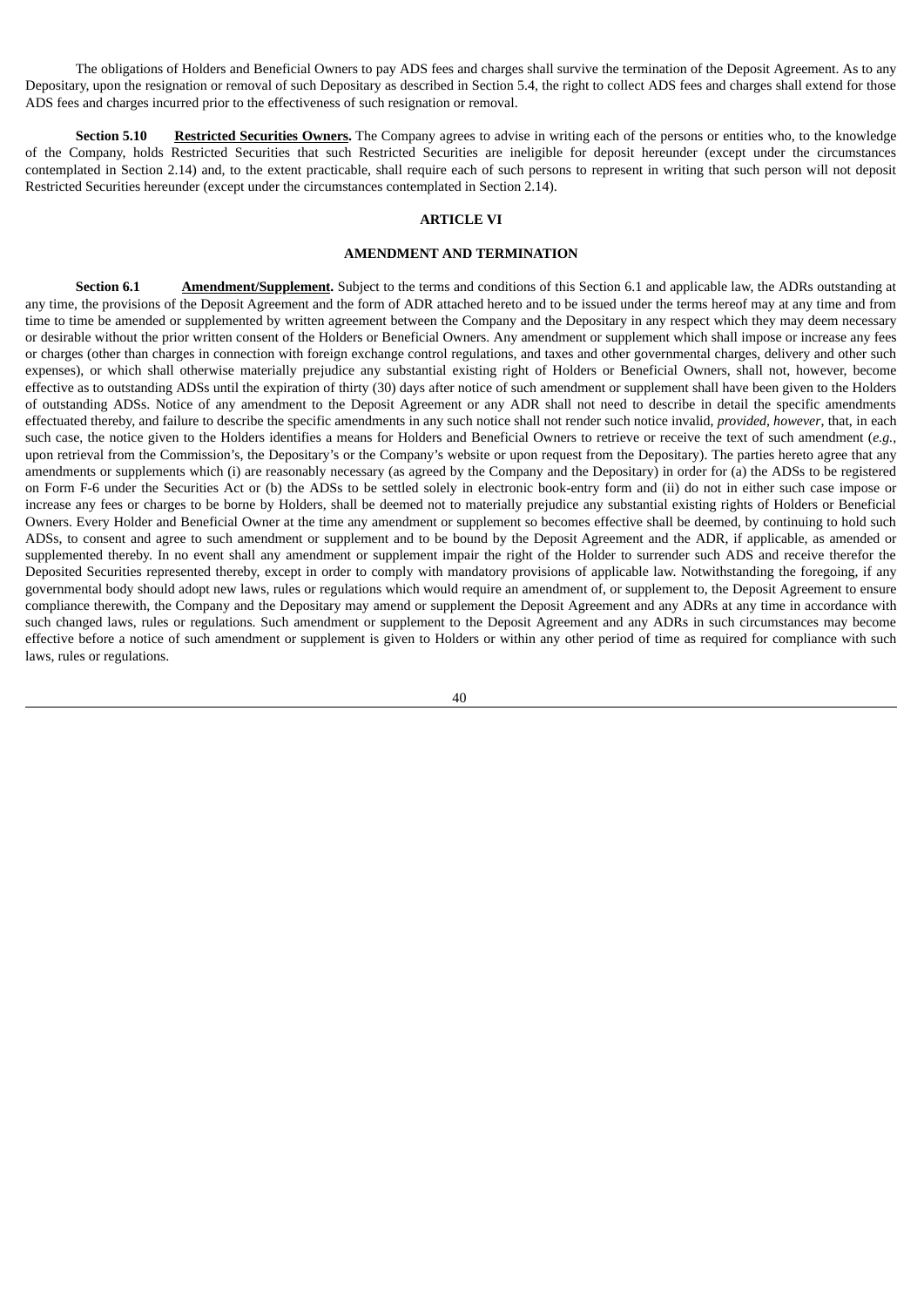The obligations of Holders and Beneficial Owners to pay ADS fees and charges shall survive the termination of the Deposit Agreement. As to any Depositary, upon the resignation or removal of such Depositary as described in Section 5.4, the right to collect ADS fees and charges shall extend for those ADS fees and charges incurred prior to the effectiveness of such resignation or removal.

**Section 5.10 Restricted Securities Owners.** The Company agrees to advise in writing each of the persons or entities who, to the knowledge of the Company, holds Restricted Securities that such Restricted Securities are ineligible for deposit hereunder (except under the circumstances contemplated in Section 2.14) and, to the extent practicable, shall require each of such persons to represent in writing that such person will not deposit Restricted Securities hereunder (except under the circumstances contemplated in Section 2.14).

# **ARTICLE VI**

#### **AMENDMENT AND TERMINATION**

**Section 6.1 Amendment/Supplement.** Subject to the terms and conditions of this Section 6.1 and applicable law, the ADRs outstanding at any time, the provisions of the Deposit Agreement and the form of ADR attached hereto and to be issued under the terms hereof may at any time and from time to time be amended or supplemented by written agreement between the Company and the Depositary in any respect which they may deem necessary or desirable without the prior written consent of the Holders or Beneficial Owners. Any amendment or supplement which shall impose or increase any fees or charges (other than charges in connection with foreign exchange control regulations, and taxes and other governmental charges, delivery and other such expenses), or which shall otherwise materially prejudice any substantial existing right of Holders or Beneficial Owners, shall not, however, become effective as to outstanding ADSs until the expiration of thirty (30) days after notice of such amendment or supplement shall have been given to the Holders of outstanding ADSs. Notice of any amendment to the Deposit Agreement or any ADR shall not need to describe in detail the specific amendments effectuated thereby, and failure to describe the specific amendments in any such notice shall not render such notice invalid, *provided, however*, that, in each such case, the notice given to the Holders identifies a means for Holders and Beneficial Owners to retrieve or receive the text of such amendment (*e.g.*, upon retrieval from the Commission's, the Depositary's or the Company's website or upon request from the Depositary). The parties hereto agree that any amendments or supplements which (i) are reasonably necessary (as agreed by the Company and the Depositary) in order for (a) the ADSs to be registered on Form F-6 under the Securities Act or (b) the ADSs to be settled solely in electronic book-entry form and (ii) do not in either such case impose or increase any fees or charges to be borne by Holders, shall be deemed not to materially prejudice any substantial existing rights of Holders or Beneficial Owners. Every Holder and Beneficial Owner at the time any amendment or supplement so becomes effective shall be deemed, by continuing to hold such ADSs, to consent and agree to such amendment or supplement and to be bound by the Deposit Agreement and the ADR, if applicable, as amended or supplemented thereby. In no event shall any amendment or supplement impair the right of the Holder to surrender such ADS and receive therefor the Deposited Securities represented thereby, except in order to comply with mandatory provisions of applicable law. Notwithstanding the foregoing, if any governmental body should adopt new laws, rules or regulations which would require an amendment of, or supplement to, the Deposit Agreement to ensure compliance therewith, the Company and the Depositary may amend or supplement the Deposit Agreement and any ADRs at any time in accordance with such changed laws, rules or regulations. Such amendment or supplement to the Deposit Agreement and any ADRs in such circumstances may become effective before a notice of such amendment or supplement is given to Holders or within any other period of time as required for compliance with such laws, rules or regulations.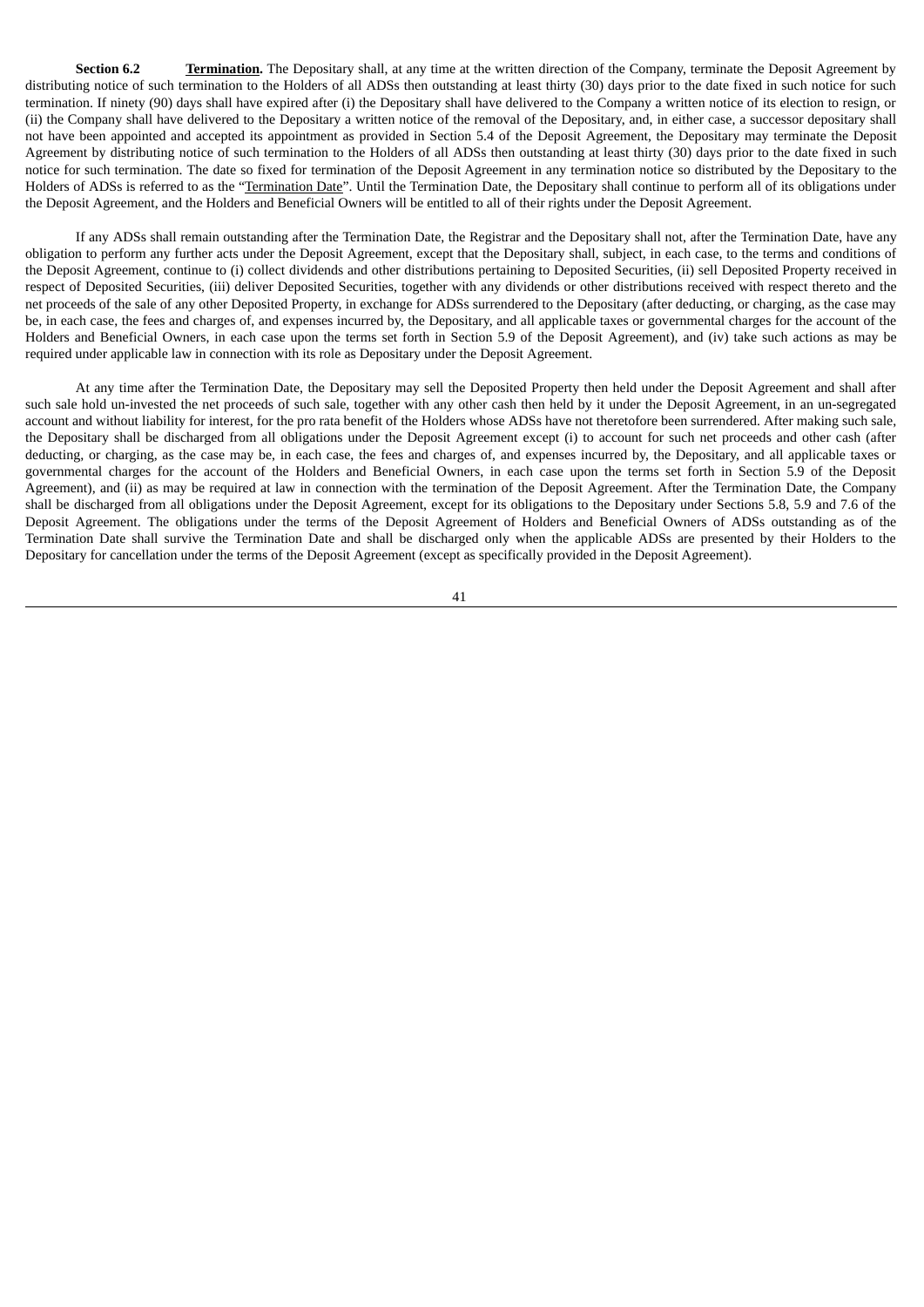**Section 6.2 Termination.** The Depositary shall, at any time at the written direction of the Company, terminate the Deposit Agreement by distributing notice of such termination to the Holders of all ADSs then outstanding at least thirty (30) days prior to the date fixed in such notice for such termination. If ninety (90) days shall have expired after (i) the Depositary shall have delivered to the Company a written notice of its election to resign, or (ii) the Company shall have delivered to the Depositary a written notice of the removal of the Depositary, and, in either case, a successor depositary shall not have been appointed and accepted its appointment as provided in Section 5.4 of the Deposit Agreement, the Depositary may terminate the Deposit Agreement by distributing notice of such termination to the Holders of all ADSs then outstanding at least thirty (30) days prior to the date fixed in such notice for such termination. The date so fixed for termination of the Deposit Agreement in any termination notice so distributed by the Depositary to the Holders of ADSs is referred to as the "Termination Date". Until the Termination Date, the Depositary shall continue to perform all of its obligations under the Deposit Agreement, and the Holders and Beneficial Owners will be entitled to all of their rights under the Deposit Agreement.

If any ADSs shall remain outstanding after the Termination Date, the Registrar and the Depositary shall not, after the Termination Date, have any obligation to perform any further acts under the Deposit Agreement, except that the Depositary shall, subject, in each case, to the terms and conditions of the Deposit Agreement, continue to (i) collect dividends and other distributions pertaining to Deposited Securities, (ii) sell Deposited Property received in respect of Deposited Securities, (iii) deliver Deposited Securities, together with any dividends or other distributions received with respect thereto and the net proceeds of the sale of any other Deposited Property, in exchange for ADSs surrendered to the Depositary (after deducting, or charging, as the case may be, in each case, the fees and charges of, and expenses incurred by, the Depositary, and all applicable taxes or governmental charges for the account of the Holders and Beneficial Owners, in each case upon the terms set forth in Section 5.9 of the Deposit Agreement), and (iv) take such actions as may be required under applicable law in connection with its role as Depositary under the Deposit Agreement.

At any time after the Termination Date, the Depositary may sell the Deposited Property then held under the Deposit Agreement and shall after such sale hold un-invested the net proceeds of such sale, together with any other cash then held by it under the Deposit Agreement, in an un-segregated account and without liability for interest, for the pro rata benefit of the Holders whose ADSs have not theretofore been surrendered. After making such sale, the Depositary shall be discharged from all obligations under the Deposit Agreement except (i) to account for such net proceeds and other cash (after deducting, or charging, as the case may be, in each case, the fees and charges of, and expenses incurred by, the Depositary, and all applicable taxes or governmental charges for the account of the Holders and Beneficial Owners, in each case upon the terms set forth in Section 5.9 of the Deposit Agreement), and (ii) as may be required at law in connection with the termination of the Deposit Agreement. After the Termination Date, the Company shall be discharged from all obligations under the Deposit Agreement, except for its obligations to the Depositary under Sections 5.8, 5.9 and 7.6 of the Deposit Agreement. The obligations under the terms of the Deposit Agreement of Holders and Beneficial Owners of ADSs outstanding as of the Termination Date shall survive the Termination Date and shall be discharged only when the applicable ADSs are presented by their Holders to the Depositary for cancellation under the terms of the Deposit Agreement (except as specifically provided in the Deposit Agreement).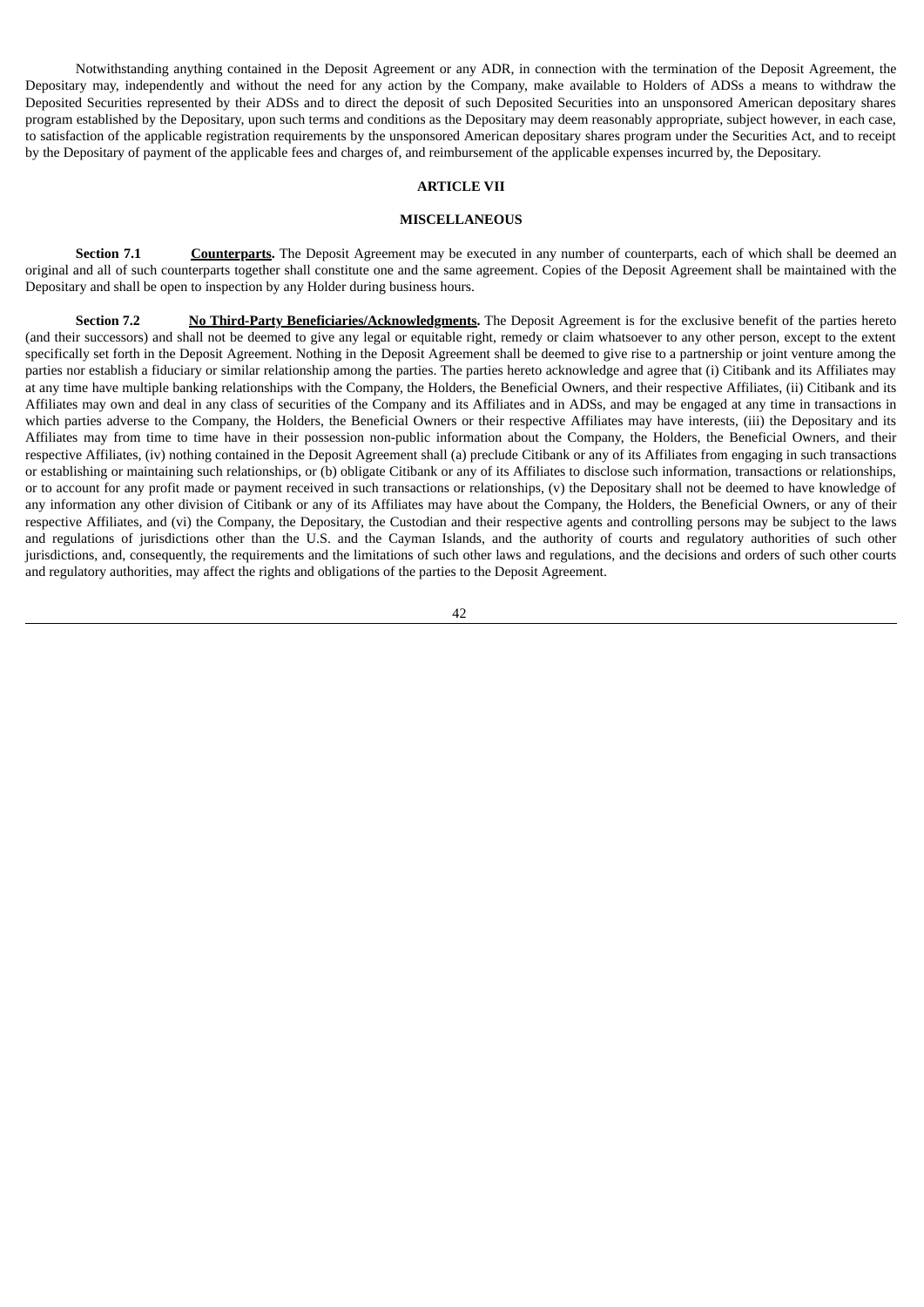Notwithstanding anything contained in the Deposit Agreement or any ADR, in connection with the termination of the Deposit Agreement, the Depositary may, independently and without the need for any action by the Company, make available to Holders of ADSs a means to withdraw the Deposited Securities represented by their ADSs and to direct the deposit of such Deposited Securities into an unsponsored American depositary shares program established by the Depositary, upon such terms and conditions as the Depositary may deem reasonably appropriate, subject however, in each case, to satisfaction of the applicable registration requirements by the unsponsored American depositary shares program under the Securities Act, and to receipt by the Depositary of payment of the applicable fees and charges of, and reimbursement of the applicable expenses incurred by, the Depositary.

#### **ARTICLE VII**

#### **MISCELLANEOUS**

**Section 7.1 Counterparts.** The Deposit Agreement may be executed in any number of counterparts, each of which shall be deemed an original and all of such counterparts together shall constitute one and the same agreement. Copies of the Deposit Agreement shall be maintained with the Depositary and shall be open to inspection by any Holder during business hours.

**Section 7.2 No Third-Party Beneficiaries/Acknowledgments.** The Deposit Agreement is for the exclusive benefit of the parties hereto (and their successors) and shall not be deemed to give any legal or equitable right, remedy or claim whatsoever to any other person, except to the extent specifically set forth in the Deposit Agreement. Nothing in the Deposit Agreement shall be deemed to give rise to a partnership or joint venture among the parties nor establish a fiduciary or similar relationship among the parties. The parties hereto acknowledge and agree that (i) Citibank and its Affiliates may at any time have multiple banking relationships with the Company, the Holders, the Beneficial Owners, and their respective Affiliates, (ii) Citibank and its Affiliates may own and deal in any class of securities of the Company and its Affiliates and in ADSs, and may be engaged at any time in transactions in which parties adverse to the Company, the Holders, the Beneficial Owners or their respective Affiliates may have interests, (iii) the Depositary and its Affiliates may from time to time have in their possession non-public information about the Company, the Holders, the Beneficial Owners, and their respective Affiliates, (iv) nothing contained in the Deposit Agreement shall (a) preclude Citibank or any of its Affiliates from engaging in such transactions or establishing or maintaining such relationships, or (b) obligate Citibank or any of its Affiliates to disclose such information, transactions or relationships, or to account for any profit made or payment received in such transactions or relationships, (v) the Depositary shall not be deemed to have knowledge of any information any other division of Citibank or any of its Affiliates may have about the Company, the Holders, the Beneficial Owners, or any of their respective Affiliates, and (vi) the Company, the Depositary, the Custodian and their respective agents and controlling persons may be subject to the laws and regulations of jurisdictions other than the U.S. and the Cayman Islands, and the authority of courts and regulatory authorities of such other jurisdictions, and, consequently, the requirements and the limitations of such other laws and regulations, and the decisions and orders of such other courts and regulatory authorities, may affect the rights and obligations of the parties to the Deposit Agreement.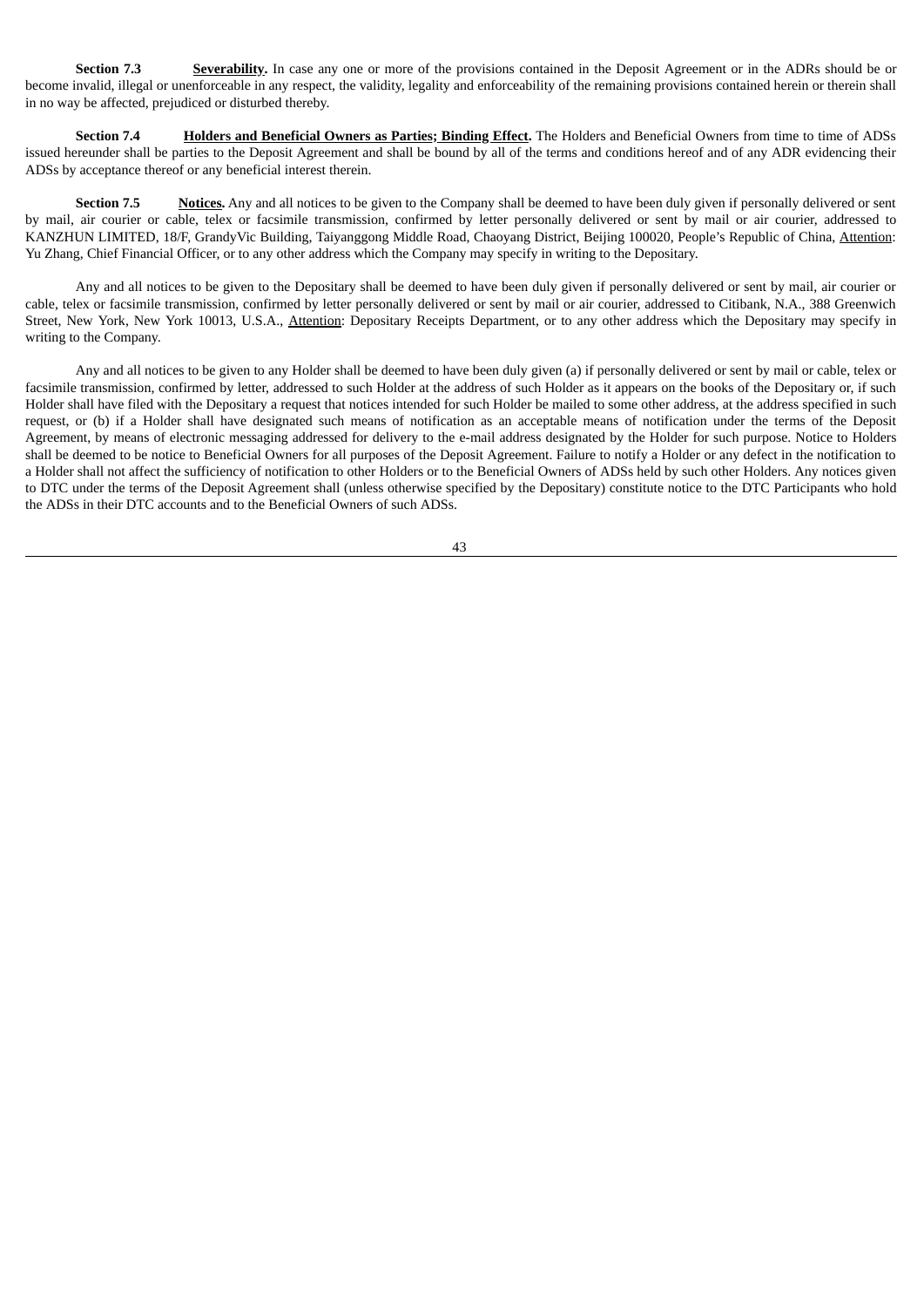**Section 7.3 Severability.** In case any one or more of the provisions contained in the Deposit Agreement or in the ADRs should be or become invalid, illegal or unenforceable in any respect, the validity, legality and enforceability of the remaining provisions contained herein or therein shall in no way be affected, prejudiced or disturbed thereby.

**Section 7.4 Holders and Beneficial Owners as Parties; Binding Effect.** The Holders and Beneficial Owners from time to time of ADSs issued hereunder shall be parties to the Deposit Agreement and shall be bound by all of the terms and conditions hereof and of any ADR evidencing their ADSs by acceptance thereof or any beneficial interest therein.

**Section 7.5 Notices.** Any and all notices to be given to the Company shall be deemed to have been duly given if personally delivered or sent by mail, air courier or cable, telex or facsimile transmission, confirmed by letter personally delivered or sent by mail or air courier, addressed to KANZHUN LIMITED, 18/F, GrandyVic Building, Taiyanggong Middle Road, Chaoyang District, Beijing 100020, People's Republic of China, Attention: Yu Zhang, Chief Financial Officer, or to any other address which the Company may specify in writing to the Depositary.

Any and all notices to be given to the Depositary shall be deemed to have been duly given if personally delivered or sent by mail, air courier or cable, telex or facsimile transmission, confirmed by letter personally delivered or sent by mail or air courier, addressed to Citibank, N.A., 388 Greenwich Street, New York, New York 10013, U.S.A., Attention: Depositary Receipts Department, or to any other address which the Depositary may specify in writing to the Company.

Any and all notices to be given to any Holder shall be deemed to have been duly given (a) if personally delivered or sent by mail or cable, telex or facsimile transmission, confirmed by letter, addressed to such Holder at the address of such Holder as it appears on the books of the Depositary or, if such Holder shall have filed with the Depositary a request that notices intended for such Holder be mailed to some other address, at the address specified in such request, or (b) if a Holder shall have designated such means of notification as an acceptable means of notification under the terms of the Deposit Agreement, by means of electronic messaging addressed for delivery to the e-mail address designated by the Holder for such purpose. Notice to Holders shall be deemed to be notice to Beneficial Owners for all purposes of the Deposit Agreement. Failure to notify a Holder or any defect in the notification to a Holder shall not affect the sufficiency of notification to other Holders or to the Beneficial Owners of ADSs held by such other Holders. Any notices given to DTC under the terms of the Deposit Agreement shall (unless otherwise specified by the Depositary) constitute notice to the DTC Participants who hold the ADSs in their DTC accounts and to the Beneficial Owners of such ADSs.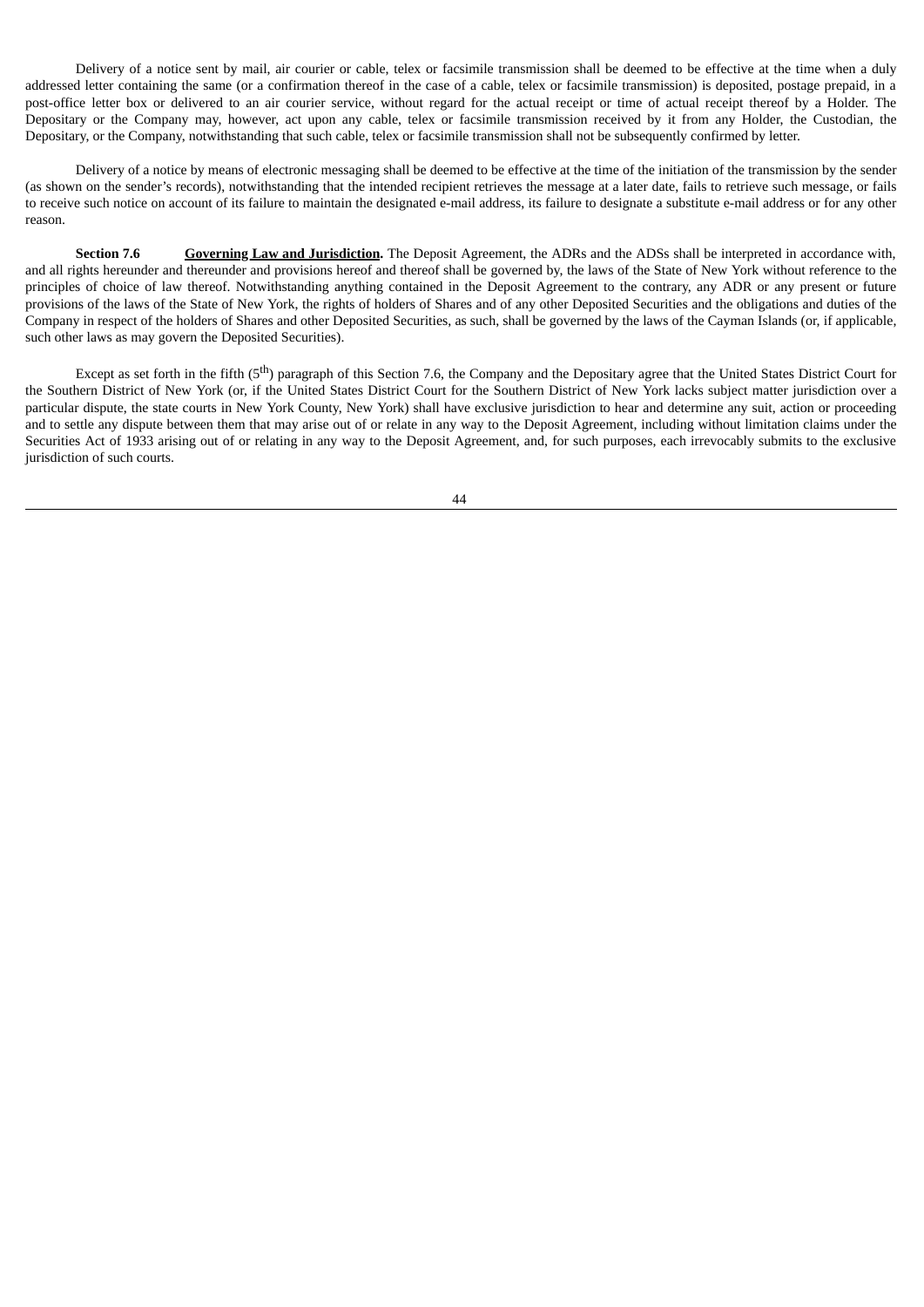Delivery of a notice sent by mail, air courier or cable, telex or facsimile transmission shall be deemed to be effective at the time when a duly addressed letter containing the same (or a confirmation thereof in the case of a cable, telex or facsimile transmission) is deposited, postage prepaid, in a post-office letter box or delivered to an air courier service, without regard for the actual receipt or time of actual receipt thereof by a Holder. The Depositary or the Company may, however, act upon any cable, telex or facsimile transmission received by it from any Holder, the Custodian, the Depositary, or the Company, notwithstanding that such cable, telex or facsimile transmission shall not be subsequently confirmed by letter.

Delivery of a notice by means of electronic messaging shall be deemed to be effective at the time of the initiation of the transmission by the sender (as shown on the sender's records), notwithstanding that the intended recipient retrieves the message at a later date, fails to retrieve such message, or fails to receive such notice on account of its failure to maintain the designated e-mail address, its failure to designate a substitute e-mail address or for any other reason.

**Section 7.6 Governing Law and Jurisdiction.** The Deposit Agreement, the ADRs and the ADSs shall be interpreted in accordance with, and all rights hereunder and thereunder and provisions hereof and thereof shall be governed by, the laws of the State of New York without reference to the principles of choice of law thereof. Notwithstanding anything contained in the Deposit Agreement to the contrary, any ADR or any present or future provisions of the laws of the State of New York, the rights of holders of Shares and of any other Deposited Securities and the obligations and duties of the Company in respect of the holders of Shares and other Deposited Securities, as such, shall be governed by the laws of the Cayman Islands (or, if applicable, such other laws as may govern the Deposited Securities).

Except as set forth in the fifth (5<sup>th</sup>) paragraph of this Section 7.6, the Company and the Depositary agree that the United States District Court for the Southern District of New York (or, if the United States District Court for the Southern District of New York lacks subject matter jurisdiction over a particular dispute, the state courts in New York County, New York) shall have exclusive jurisdiction to hear and determine any suit, action or proceeding and to settle any dispute between them that may arise out of or relate in any way to the Deposit Agreement, including without limitation claims under the Securities Act of 1933 arising out of or relating in any way to the Deposit Agreement, and, for such purposes, each irrevocably submits to the exclusive jurisdiction of such courts.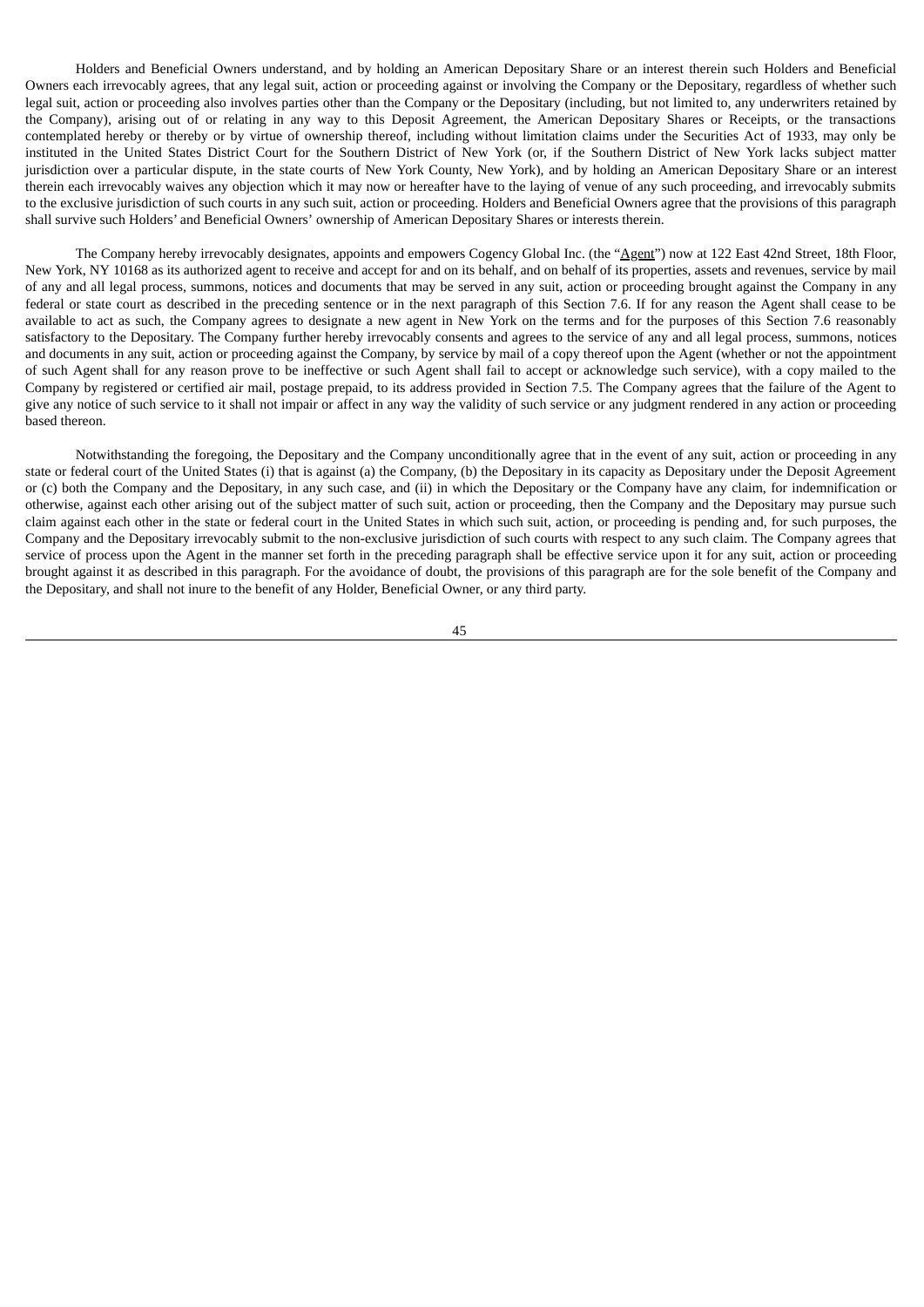Holders and Beneficial Owners understand, and by holding an American Depositary Share or an interest therein such Holders and Beneficial Owners each irrevocably agrees, that any legal suit, action or proceeding against or involving the Company or the Depositary, regardless of whether such legal suit, action or proceeding also involves parties other than the Company or the Depositary (including, but not limited to, any underwriters retained by the Company), arising out of or relating in any way to this Deposit Agreement, the American Depositary Shares or Receipts, or the transactions contemplated hereby or thereby or by virtue of ownership thereof, including without limitation claims under the Securities Act of 1933, may only be instituted in the United States District Court for the Southern District of New York (or, if the Southern District of New York lacks subject matter jurisdiction over a particular dispute, in the state courts of New York County, New York), and by holding an American Depositary Share or an interest therein each irrevocably waives any objection which it may now or hereafter have to the laying of venue of any such proceeding, and irrevocably submits to the exclusive jurisdiction of such courts in any such suit, action or proceeding. Holders and Beneficial Owners agree that the provisions of this paragraph shall survive such Holders' and Beneficial Owners' ownership of American Depositary Shares or interests therein.

The Company hereby irrevocably designates, appoints and empowers Cogency Global Inc. (the "Agent") now at 122 East 42nd Street, 18th Floor, New York, NY 10168 as its authorized agent to receive and accept for and on its behalf, and on behalf of its properties, assets and revenues, service by mail of any and all legal process, summons, notices and documents that may be served in any suit, action or proceeding brought against the Company in any federal or state court as described in the preceding sentence or in the next paragraph of this Section 7.6. If for any reason the Agent shall cease to be available to act as such, the Company agrees to designate a new agent in New York on the terms and for the purposes of this Section 7.6 reasonably satisfactory to the Depositary. The Company further hereby irrevocably consents and agrees to the service of any and all legal process, summons, notices and documents in any suit, action or proceeding against the Company, by service by mail of a copy thereof upon the Agent (whether or not the appointment of such Agent shall for any reason prove to be ineffective or such Agent shall fail to accept or acknowledge such service), with a copy mailed to the Company by registered or certified air mail, postage prepaid, to its address provided in Section 7.5. The Company agrees that the failure of the Agent to give any notice of such service to it shall not impair or affect in any way the validity of such service or any judgment rendered in any action or proceeding based thereon.

Notwithstanding the foregoing, the Depositary and the Company unconditionally agree that in the event of any suit, action or proceeding in any state or federal court of the United States (i) that is against (a) the Company, (b) the Depositary in its capacity as Depositary under the Deposit Agreement or (c) both the Company and the Depositary, in any such case, and (ii) in which the Depositary or the Company have any claim, for indemnification or otherwise, against each other arising out of the subject matter of such suit, action or proceeding, then the Company and the Depositary may pursue such claim against each other in the state or federal court in the United States in which such suit, action, or proceeding is pending and, for such purposes, the Company and the Depositary irrevocably submit to the non-exclusive jurisdiction of such courts with respect to any such claim. The Company agrees that service of process upon the Agent in the manner set forth in the preceding paragraph shall be effective service upon it for any suit, action or proceeding brought against it as described in this paragraph. For the avoidance of doubt, the provisions of this paragraph are for the sole benefit of the Company and the Depositary, and shall not inure to the benefit of any Holder, Beneficial Owner, or any third party.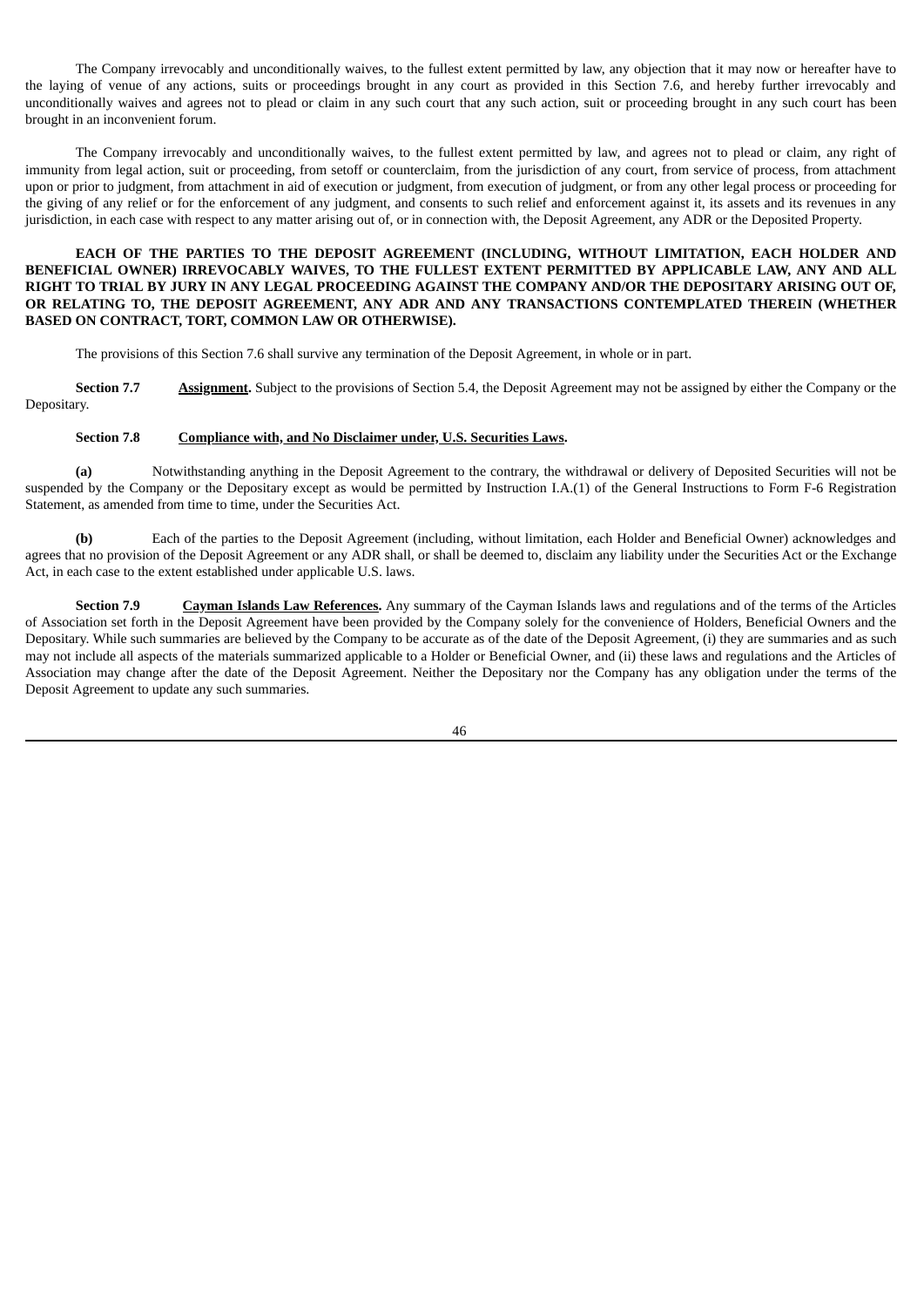The Company irrevocably and unconditionally waives, to the fullest extent permitted by law, any objection that it may now or hereafter have to the laying of venue of any actions, suits or proceedings brought in any court as provided in this Section 7.6, and hereby further irrevocably and unconditionally waives and agrees not to plead or claim in any such court that any such action, suit or proceeding brought in any such court has been brought in an inconvenient forum.

The Company irrevocably and unconditionally waives, to the fullest extent permitted by law, and agrees not to plead or claim, any right of immunity from legal action, suit or proceeding, from setoff or counterclaim, from the jurisdiction of any court, from service of process, from attachment upon or prior to judgment, from attachment in aid of execution or judgment, from execution of judgment, or from any other legal process or proceeding for the giving of any relief or for the enforcement of any judgment, and consents to such relief and enforcement against it, its assets and its revenues in any jurisdiction, in each case with respect to any matter arising out of, or in connection with, the Deposit Agreement, any ADR or the Deposited Property.

# **EACH OF THE PARTIES TO THE DEPOSIT AGREEMENT (INCLUDING, WITHOUT LIMITATION, EACH HOLDER AND BENEFICIAL OWNER) IRREVOCABLY WAIVES, TO THE FULLEST EXTENT PERMITTED BY APPLICABLE LAW, ANY AND ALL** RIGHT TO TRIAL BY JURY IN ANY LEGAL PROCEEDING AGAINST THE COMPANY AND/OR THE DEPOSITARY ARISING OUT OF, **OR RELATING TO, THE DEPOSIT AGREEMENT, ANY ADR AND ANY TRANSACTIONS CONTEMPLATED THEREIN (WHETHER BASED ON CONTRACT, TORT, COMMON LAW OR OTHERWISE).**

The provisions of this Section 7.6 shall survive any termination of the Deposit Agreement, in whole or in part.

**Section 7.7 Assignment.** Subject to the provisions of Section 5.4, the Deposit Agreement may not be assigned by either the Company or the Depositary.

#### **Section 7.8 Compliance with, and No Disclaimer under, U.S. Securities Laws.**

**(a)** Notwithstanding anything in the Deposit Agreement to the contrary, the withdrawal or delivery of Deposited Securities will not be suspended by the Company or the Depositary except as would be permitted by Instruction I.A.(1) of the General Instructions to Form F-6 Registration Statement, as amended from time to time, under the Securities Act.

**(b)** Each of the parties to the Deposit Agreement (including, without limitation, each Holder and Beneficial Owner) acknowledges and agrees that no provision of the Deposit Agreement or any ADR shall, or shall be deemed to, disclaim any liability under the Securities Act or the Exchange Act, in each case to the extent established under applicable U.S. laws.

**Section 7.9 Cayman Islands Law References.** Any summary of the Cayman Islands laws and regulations and of the terms of the Articles of Association set forth in the Deposit Agreement have been provided by the Company solely for the convenience of Holders, Beneficial Owners and the Depositary. While such summaries are believed by the Company to be accurate as of the date of the Deposit Agreement, (i) they are summaries and as such may not include all aspects of the materials summarized applicable to a Holder or Beneficial Owner, and (ii) these laws and regulations and the Articles of Association may change after the date of the Deposit Agreement. Neither the Depositary nor the Company has any obligation under the terms of the Deposit Agreement to update any such summaries.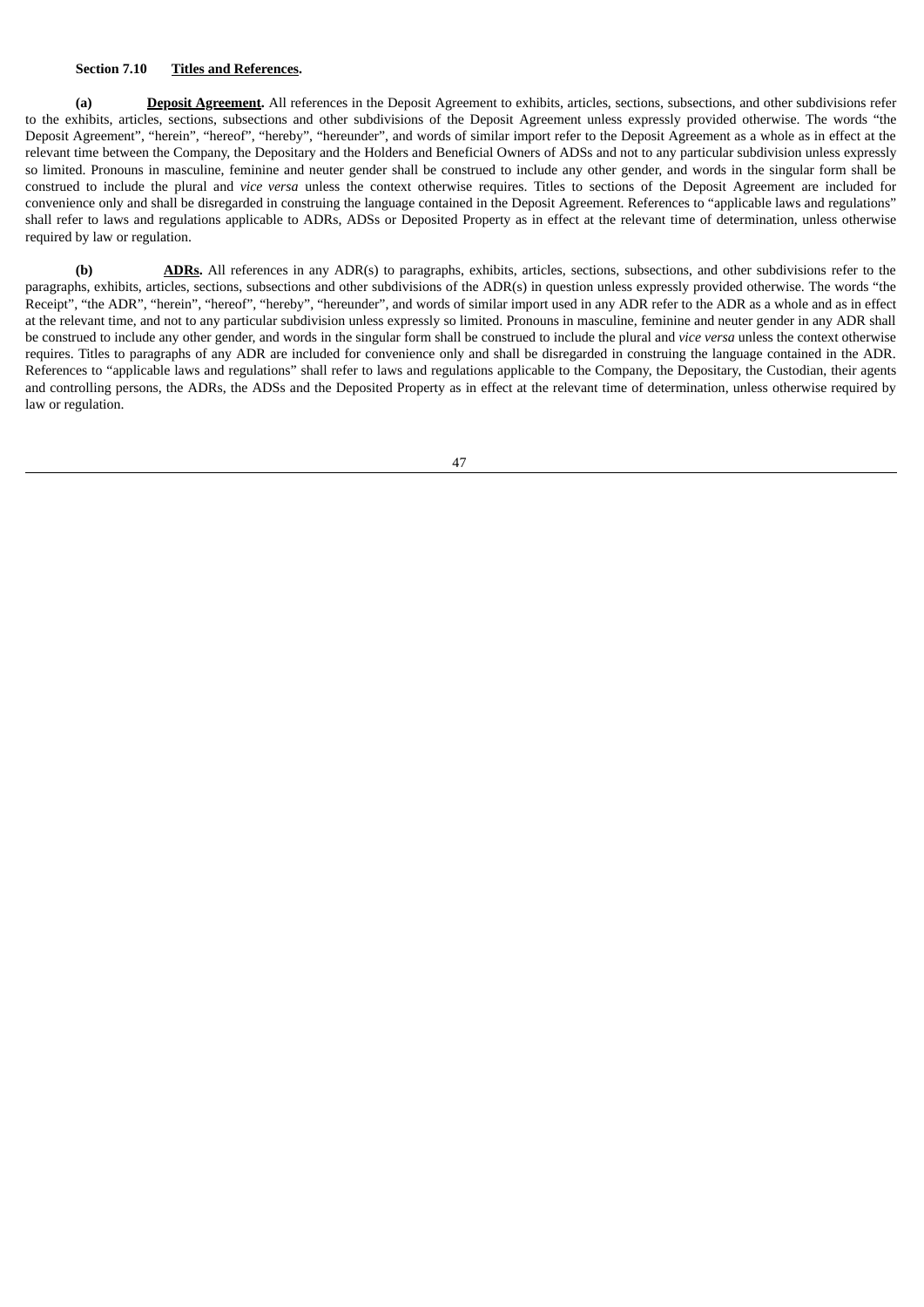## **Section 7.10 Titles and References.**

**(a) Deposit Agreement.** All references in the Deposit Agreement to exhibits, articles, sections, subsections, and other subdivisions refer to the exhibits, articles, sections, subsections and other subdivisions of the Deposit Agreement unless expressly provided otherwise. The words "the Deposit Agreement", "herein", "hereof", "hereby", "hereunder", and words of similar import refer to the Deposit Agreement as a whole as in effect at the relevant time between the Company, the Depositary and the Holders and Beneficial Owners of ADSs and not to any particular subdivision unless expressly so limited. Pronouns in masculine, feminine and neuter gender shall be construed to include any other gender, and words in the singular form shall be construed to include the plural and *vice versa* unless the context otherwise requires. Titles to sections of the Deposit Agreement are included for convenience only and shall be disregarded in construing the language contained in the Deposit Agreement. References to "applicable laws and regulations" shall refer to laws and regulations applicable to ADRs, ADSs or Deposited Property as in effect at the relevant time of determination, unless otherwise required by law or regulation.

**(b) ADRs.** All references in any ADR(s) to paragraphs, exhibits, articles, sections, subsections, and other subdivisions refer to the paragraphs, exhibits, articles, sections, subsections and other subdivisions of the ADR(s) in question unless expressly provided otherwise. The words "the Receipt", "the ADR", "herein", "hereof", "hereby", "hereunder", and words of similar import used in any ADR refer to the ADR as a whole and as in effect at the relevant time, and not to any particular subdivision unless expressly so limited. Pronouns in masculine, feminine and neuter gender in any ADR shall be construed to include any other gender, and words in the singular form shall be construed to include the plural and *vice versa* unless the context otherwise requires. Titles to paragraphs of any ADR are included for convenience only and shall be disregarded in construing the language contained in the ADR. References to "applicable laws and regulations" shall refer to laws and regulations applicable to the Company, the Depositary, the Custodian, their agents and controlling persons, the ADRs, the ADSs and the Deposited Property as in effect at the relevant time of determination, unless otherwise required by law or regulation.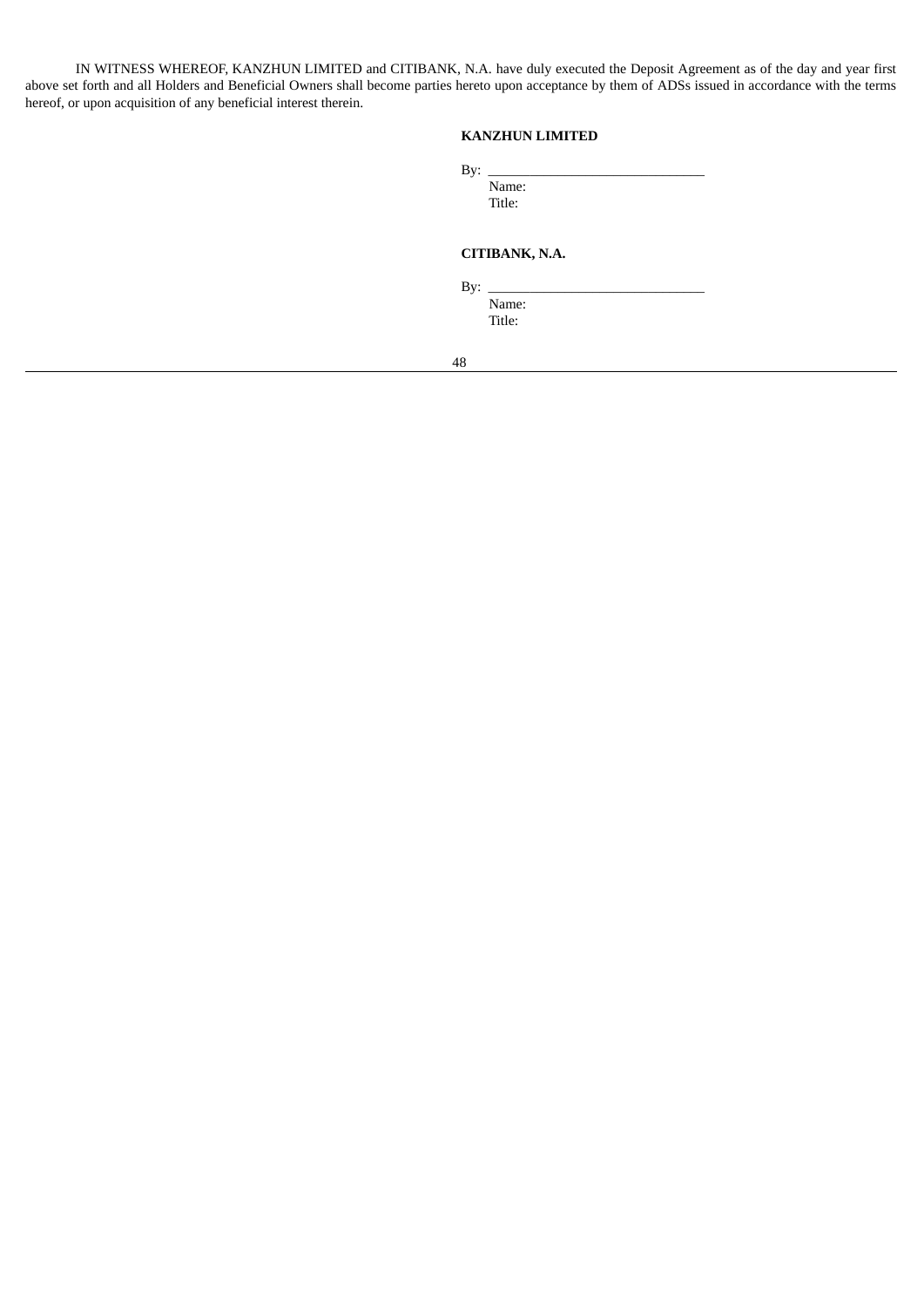IN WITNESS WHEREOF, KANZHUN LIMITED and CITIBANK, N.A. have duly executed the Deposit Agreement as of the day and year first above set forth and all Holders and Beneficial Owners shall become parties hereto upon acceptance by them of ADSs issued in accordance with the terms hereof, or upon acquisition of any beneficial interest therein.

# **KANZHUN LIMITED**

| By: |        |  |  |  |
|-----|--------|--|--|--|
|     | Name:  |  |  |  |
|     | Title: |  |  |  |
|     |        |  |  |  |

# **CITIBANK, N.A.**

By: \_\_\_\_\_\_\_\_\_\_\_\_\_\_\_\_\_\_\_\_\_\_\_\_\_\_\_\_\_\_\_

Name: Title: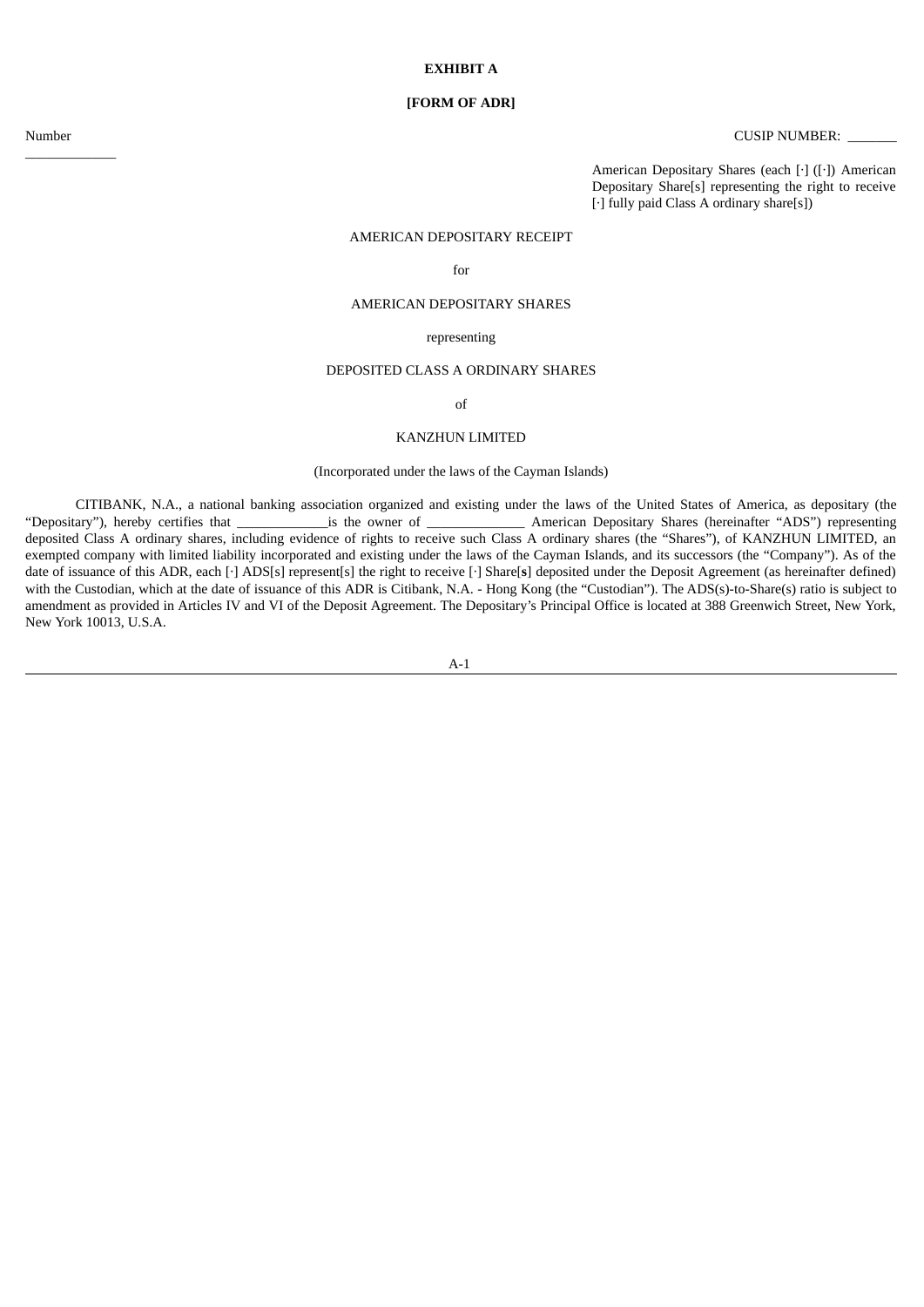# **[FORM OF ADR]**

 $\overline{\phantom{a}}$  , where  $\overline{\phantom{a}}$ 

Number CUSIP NUMBER:

American Depositary Shares (each [·] ([·]) American Depositary Share[s] representing the right to receive [·] fully paid Class A ordinary share[s])

## AMERICAN DEPOSITARY RECEIPT

for

#### AMERICAN DEPOSITARY SHARES

#### representing

# DEPOSITED CLASS A ORDINARY SHARES

of

### KANZHUN LIMITED

# (Incorporated under the laws of the Cayman Islands)

CITIBANK, N.A., a national banking association organized and existing under the laws of the United States of America, as depositary (the is the owner of **EXECUTE:** American Depositary Shares (hereinafter "ADS") representing deposited Class A ordinary shares, including evidence of rights to receive such Class A ordinary shares (the "Shares"), of KANZHUN LIMITED, an exempted company with limited liability incorporated and existing under the laws of the Cayman Islands, and its successors (the "Company"). As of the date of issuance of this ADR, each [·] ADS[s] represent[s] the right to receive [·] Share[**s**] deposited under the Deposit Agreement (as hereinafter defined) with the Custodian, which at the date of issuance of this ADR is Citibank, N.A. - Hong Kong (the "Custodian"). The ADS(s)-to-Share(s) ratio is subject to amendment as provided in Articles IV and VI of the Deposit Agreement. The Depositary's Principal Office is located at 388 Greenwich Street, New York, New York 10013, U.S.A.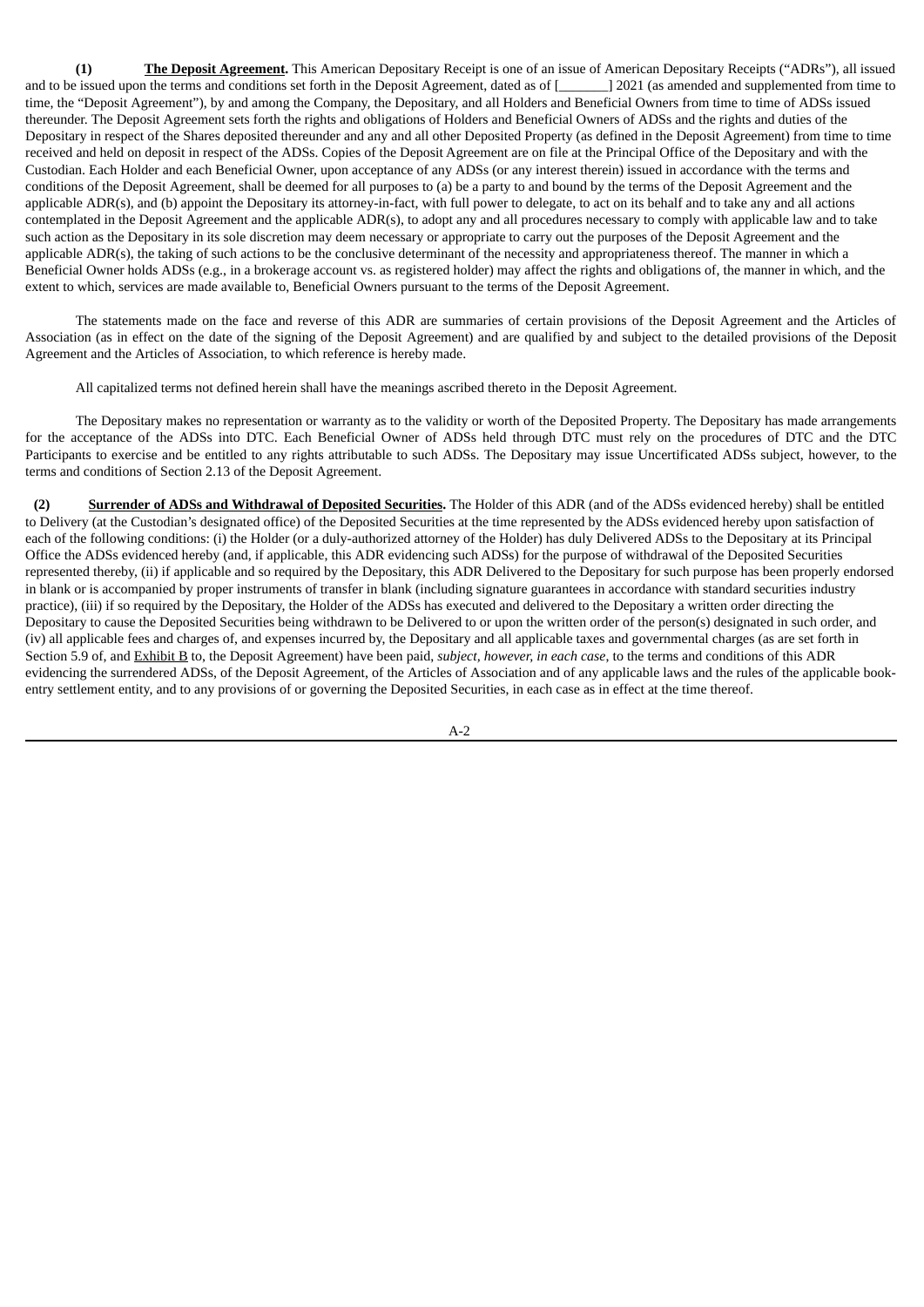**(1) The Deposit Agreement.** This American Depositary Receipt is one of an issue of American Depositary Receipts ("ADRs"), all issued and to be issued upon the terms and conditions set forth in the Deposit Agreement, dated as of [\_\_\_\_\_\_\_] 2021 (as amended and supplemented from time to time, the "Deposit Agreement"), by and among the Company, the Depositary, and all Holders and Beneficial Owners from time to time of ADSs issued thereunder. The Deposit Agreement sets forth the rights and obligations of Holders and Beneficial Owners of ADSs and the rights and duties of the Depositary in respect of the Shares deposited thereunder and any and all other Deposited Property (as defined in the Deposit Agreement) from time to time received and held on deposit in respect of the ADSs. Copies of the Deposit Agreement are on file at the Principal Office of the Depositary and with the Custodian. Each Holder and each Beneficial Owner, upon acceptance of any ADSs (or any interest therein) issued in accordance with the terms and conditions of the Deposit Agreement, shall be deemed for all purposes to (a) be a party to and bound by the terms of the Deposit Agreement and the applicable ADR(s), and (b) appoint the Depositary its attorney-in-fact, with full power to delegate, to act on its behalf and to take any and all actions contemplated in the Deposit Agreement and the applicable ADR(s), to adopt any and all procedures necessary to comply with applicable law and to take such action as the Depositary in its sole discretion may deem necessary or appropriate to carry out the purposes of the Deposit Agreement and the applicable ADR(s), the taking of such actions to be the conclusive determinant of the necessity and appropriateness thereof. The manner in which a Beneficial Owner holds ADSs (e.g., in a brokerage account vs. as registered holder) may affect the rights and obligations of, the manner in which, and the extent to which, services are made available to, Beneficial Owners pursuant to the terms of the Deposit Agreement.

The statements made on the face and reverse of this ADR are summaries of certain provisions of the Deposit Agreement and the Articles of Association (as in effect on the date of the signing of the Deposit Agreement) and are qualified by and subject to the detailed provisions of the Deposit Agreement and the Articles of Association, to which reference is hereby made.

All capitalized terms not defined herein shall have the meanings ascribed thereto in the Deposit Agreement.

The Depositary makes no representation or warranty as to the validity or worth of the Deposited Property. The Depositary has made arrangements for the acceptance of the ADSs into DTC. Each Beneficial Owner of ADSs held through DTC must rely on the procedures of DTC and the DTC Participants to exercise and be entitled to any rights attributable to such ADSs. The Depositary may issue Uncertificated ADSs subject, however, to the terms and conditions of Section 2.13 of the Deposit Agreement.

**(2) Surrender of ADSs and Withdrawal of Deposited Securities.** The Holder of this ADR (and of the ADSs evidenced hereby) shall be entitled to Delivery (at the Custodian's designated office) of the Deposited Securities at the time represented by the ADSs evidenced hereby upon satisfaction of each of the following conditions: (i) the Holder (or a duly-authorized attorney of the Holder) has duly Delivered ADSs to the Depositary at its Principal Office the ADSs evidenced hereby (and, if applicable, this ADR evidencing such ADSs) for the purpose of withdrawal of the Deposited Securities represented thereby, (ii) if applicable and so required by the Depositary, this ADR Delivered to the Depositary for such purpose has been properly endorsed in blank or is accompanied by proper instruments of transfer in blank (including signature guarantees in accordance with standard securities industry practice), (iii) if so required by the Depositary, the Holder of the ADSs has executed and delivered to the Depositary a written order directing the Depositary to cause the Deposited Securities being withdrawn to be Delivered to or upon the written order of the person(s) designated in such order, and (iv) all applicable fees and charges of, and expenses incurred by, the Depositary and all applicable taxes and governmental charges (as are set forth in Section 5.9 of, and Exhibit B to, the Deposit Agreement) have been paid, *subject, however, in each case*, to the terms and conditions of this ADR evidencing the surrendered ADSs, of the Deposit Agreement, of the Articles of Association and of any applicable laws and the rules of the applicable bookentry settlement entity, and to any provisions of or governing the Deposited Securities, in each case as in effect at the time thereof.

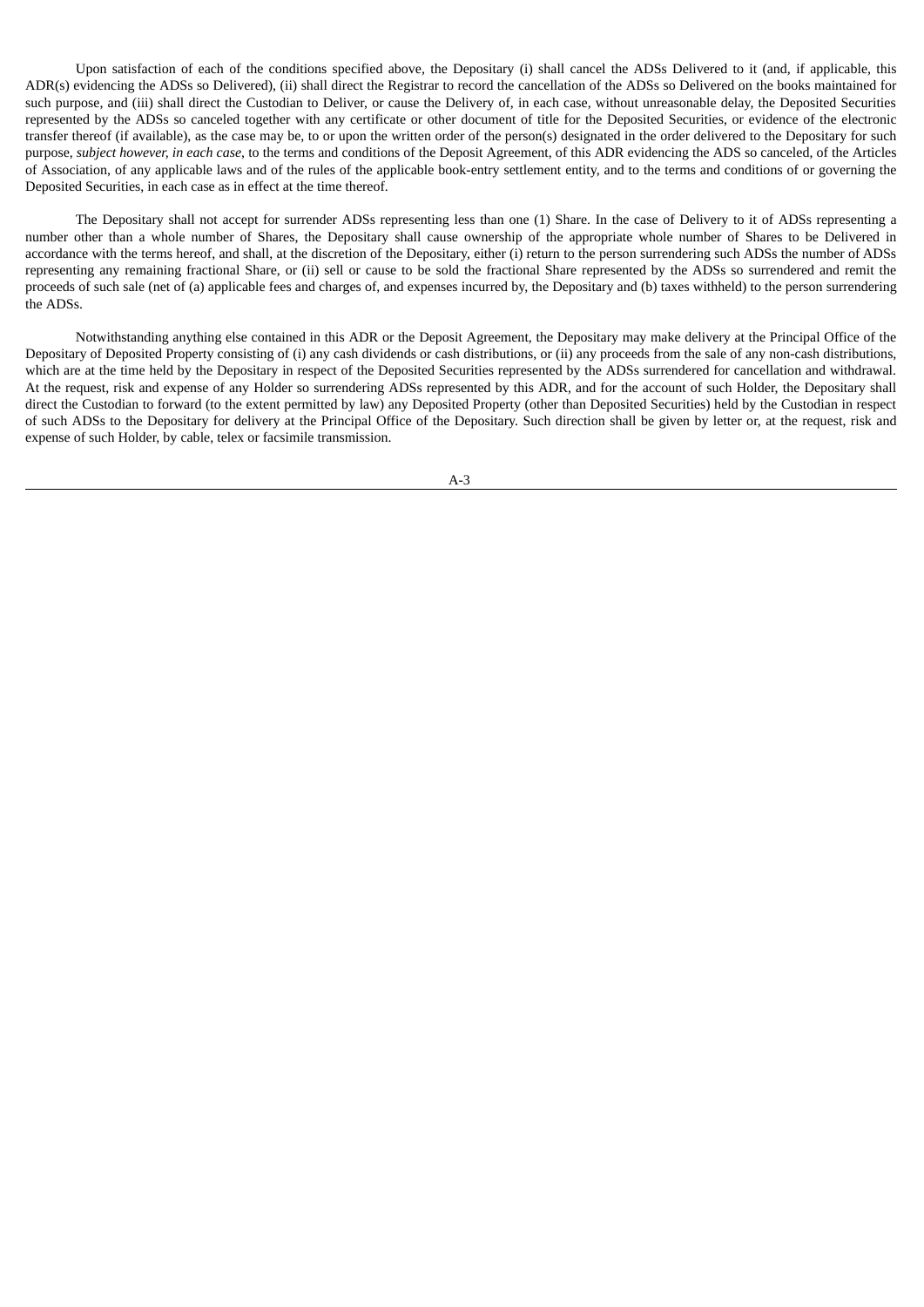Upon satisfaction of each of the conditions specified above, the Depositary (i) shall cancel the ADSs Delivered to it (and, if applicable, this ADR(s) evidencing the ADSs so Delivered), (ii) shall direct the Registrar to record the cancellation of the ADSs so Delivered on the books maintained for such purpose, and (iii) shall direct the Custodian to Deliver, or cause the Delivery of, in each case, without unreasonable delay, the Deposited Securities represented by the ADSs so canceled together with any certificate or other document of title for the Deposited Securities, or evidence of the electronic transfer thereof (if available), as the case may be, to or upon the written order of the person(s) designated in the order delivered to the Depositary for such purpose, *subject however, in each case*, to the terms and conditions of the Deposit Agreement, of this ADR evidencing the ADS so canceled, of the Articles of Association, of any applicable laws and of the rules of the applicable book-entry settlement entity, and to the terms and conditions of or governing the Deposited Securities, in each case as in effect at the time thereof.

The Depositary shall not accept for surrender ADSs representing less than one (1) Share. In the case of Delivery to it of ADSs representing a number other than a whole number of Shares, the Depositary shall cause ownership of the appropriate whole number of Shares to be Delivered in accordance with the terms hereof, and shall, at the discretion of the Depositary, either (i) return to the person surrendering such ADSs the number of ADSs representing any remaining fractional Share, or (ii) sell or cause to be sold the fractional Share represented by the ADSs so surrendered and remit the proceeds of such sale (net of (a) applicable fees and charges of, and expenses incurred by, the Depositary and (b) taxes withheld) to the person surrendering the ADSs.

Notwithstanding anything else contained in this ADR or the Deposit Agreement, the Depositary may make delivery at the Principal Office of the Depositary of Deposited Property consisting of (i) any cash dividends or cash distributions, or (ii) any proceeds from the sale of any non-cash distributions, which are at the time held by the Depositary in respect of the Deposited Securities represented by the ADSs surrendered for cancellation and withdrawal. At the request, risk and expense of any Holder so surrendering ADSs represented by this ADR, and for the account of such Holder, the Depositary shall direct the Custodian to forward (to the extent permitted by law) any Deposited Property (other than Deposited Securities) held by the Custodian in respect of such ADSs to the Depositary for delivery at the Principal Office of the Depositary. Such direction shall be given by letter or, at the request, risk and expense of such Holder, by cable, telex or facsimile transmission.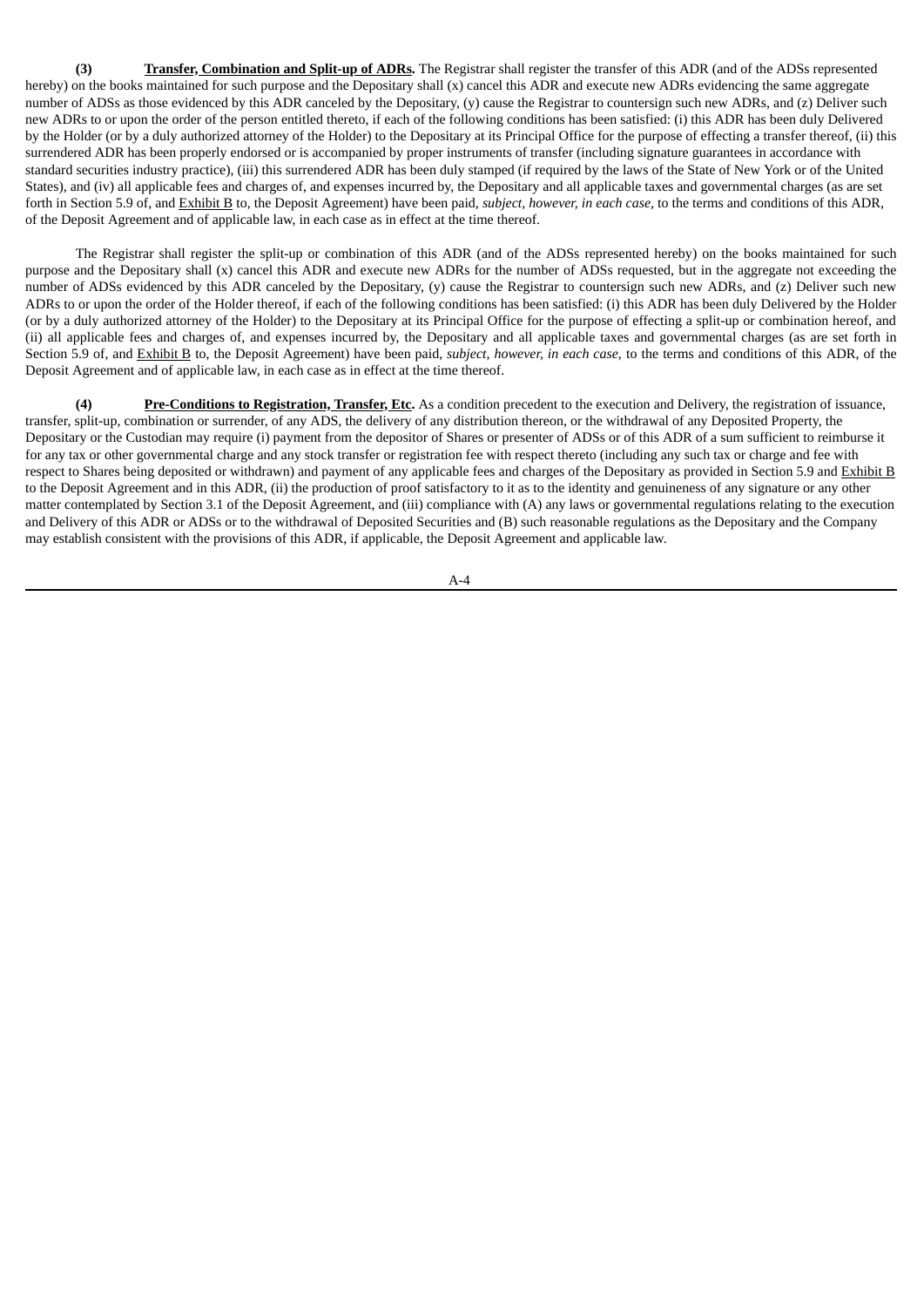**(3) Transfer, Combination and Split-up of ADRs.** The Registrar shall register the transfer of this ADR (and of the ADSs represented hereby) on the books maintained for such purpose and the Depositary shall (x) cancel this ADR and execute new ADRs evidencing the same aggregate number of ADSs as those evidenced by this ADR canceled by the Depositary, (y) cause the Registrar to countersign such new ADRs, and (z) Deliver such new ADRs to or upon the order of the person entitled thereto, if each of the following conditions has been satisfied: (i) this ADR has been duly Delivered by the Holder (or by a duly authorized attorney of the Holder) to the Depositary at its Principal Office for the purpose of effecting a transfer thereof, (ii) this surrendered ADR has been properly endorsed or is accompanied by proper instruments of transfer (including signature guarantees in accordance with standard securities industry practice), (iii) this surrendered ADR has been duly stamped (if required by the laws of the State of New York or of the United States), and (iv) all applicable fees and charges of, and expenses incurred by, the Depositary and all applicable taxes and governmental charges (as are set forth in Section 5.9 of, and Exhibit B to, the Deposit Agreement) have been paid, *subject, however, in each case,* to the terms and conditions of this ADR, of the Deposit Agreement and of applicable law, in each case as in effect at the time thereof.

The Registrar shall register the split-up or combination of this ADR (and of the ADSs represented hereby) on the books maintained for such purpose and the Depositary shall (x) cancel this ADR and execute new ADRs for the number of ADSs requested, but in the aggregate not exceeding the number of ADSs evidenced by this ADR canceled by the Depositary, (y) cause the Registrar to countersign such new ADRs, and (z) Deliver such new ADRs to or upon the order of the Holder thereof, if each of the following conditions has been satisfied: (i) this ADR has been duly Delivered by the Holder (or by a duly authorized attorney of the Holder) to the Depositary at its Principal Office for the purpose of effecting a split-up or combination hereof, and (ii) all applicable fees and charges of, and expenses incurred by, the Depositary and all applicable taxes and governmental charges (as are set forth in Section 5.9 of, and Exhibit B to, the Deposit Agreement) have been paid, *subject, however, in each case*, to the terms and conditions of this ADR, of the Deposit Agreement and of applicable law, in each case as in effect at the time thereof.

**(4) Pre-Conditions to Registration, Transfer, Etc.** As a condition precedent to the execution and Delivery, the registration of issuance, transfer, split-up, combination or surrender, of any ADS, the delivery of any distribution thereon, or the withdrawal of any Deposited Property, the Depositary or the Custodian may require (i) payment from the depositor of Shares or presenter of ADSs or of this ADR of a sum sufficient to reimburse it for any tax or other governmental charge and any stock transfer or registration fee with respect thereto (including any such tax or charge and fee with respect to Shares being deposited or withdrawn) and payment of any applicable fees and charges of the Depositary as provided in Section 5.9 and Exhibit B to the Deposit Agreement and in this ADR, (ii) the production of proof satisfactory to it as to the identity and genuineness of any signature or any other matter contemplated by Section 3.1 of the Deposit Agreement, and (iii) compliance with (A) any laws or governmental regulations relating to the execution and Delivery of this ADR or ADSs or to the withdrawal of Deposited Securities and (B) such reasonable regulations as the Depositary and the Company may establish consistent with the provisions of this ADR, if applicable, the Deposit Agreement and applicable law.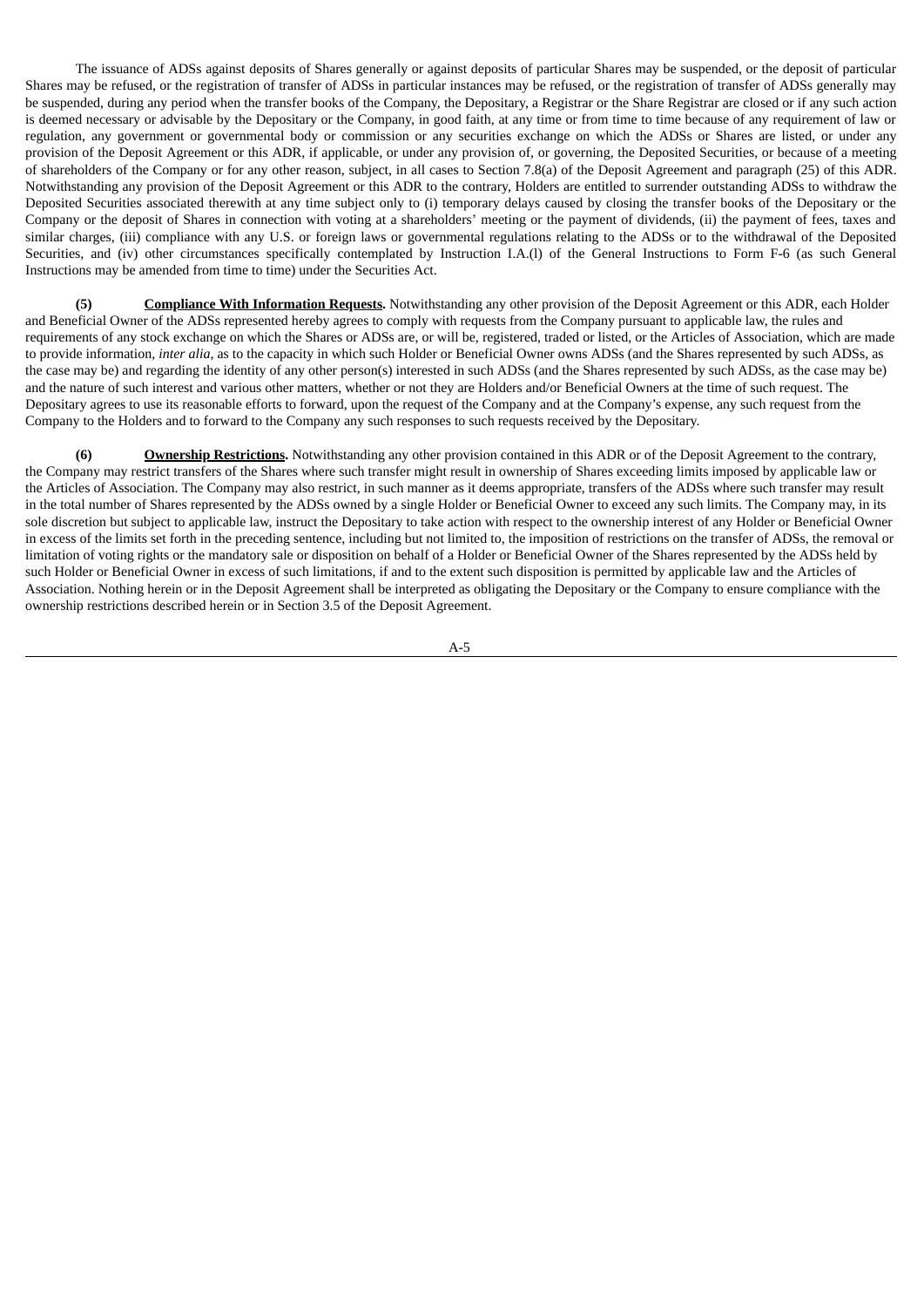The issuance of ADSs against deposits of Shares generally or against deposits of particular Shares may be suspended, or the deposit of particular Shares may be refused, or the registration of transfer of ADSs in particular instances may be refused, or the registration of transfer of ADSs generally may be suspended, during any period when the transfer books of the Company, the Depositary, a Registrar or the Share Registrar are closed or if any such action is deemed necessary or advisable by the Depositary or the Company, in good faith, at any time or from time to time because of any requirement of law or regulation, any government or governmental body or commission or any securities exchange on which the ADSs or Shares are listed, or under any provision of the Deposit Agreement or this ADR, if applicable, or under any provision of, or governing, the Deposited Securities, or because of a meeting of shareholders of the Company or for any other reason, subject, in all cases to Section 7.8(a) of the Deposit Agreement and paragraph (25) of this ADR. Notwithstanding any provision of the Deposit Agreement or this ADR to the contrary, Holders are entitled to surrender outstanding ADSs to withdraw the Deposited Securities associated therewith at any time subject only to (i) temporary delays caused by closing the transfer books of the Depositary or the Company or the deposit of Shares in connection with voting at a shareholders' meeting or the payment of dividends, (ii) the payment of fees, taxes and similar charges, (iii) compliance with any U.S. or foreign laws or governmental regulations relating to the ADSs or to the withdrawal of the Deposited Securities, and (iv) other circumstances specifically contemplated by Instruction I.A.(l) of the General Instructions to Form F-6 (as such General Instructions may be amended from time to time) under the Securities Act.

**(5) Compliance With Information Requests.** Notwithstanding any other provision of the Deposit Agreement or this ADR, each Holder and Beneficial Owner of the ADSs represented hereby agrees to comply with requests from the Company pursuant to applicable law, the rules and requirements of any stock exchange on which the Shares or ADSs are, or will be, registered, traded or listed, or the Articles of Association, which are made to provide information, *inter alia*, as to the capacity in which such Holder or Beneficial Owner owns ADSs (and the Shares represented by such ADSs, as the case may be) and regarding the identity of any other person(s) interested in such ADSs (and the Shares represented by such ADSs, as the case may be) and the nature of such interest and various other matters, whether or not they are Holders and/or Beneficial Owners at the time of such request. The Depositary agrees to use its reasonable efforts to forward, upon the request of the Company and at the Company's expense, any such request from the Company to the Holders and to forward to the Company any such responses to such requests received by the Depositary.

**(6) Ownership Restrictions.** Notwithstanding any other provision contained in this ADR or of the Deposit Agreement to the contrary, the Company may restrict transfers of the Shares where such transfer might result in ownership of Shares exceeding limits imposed by applicable law or the Articles of Association. The Company may also restrict, in such manner as it deems appropriate, transfers of the ADSs where such transfer may result in the total number of Shares represented by the ADSs owned by a single Holder or Beneficial Owner to exceed any such limits. The Company may, in its sole discretion but subject to applicable law, instruct the Depositary to take action with respect to the ownership interest of any Holder or Beneficial Owner in excess of the limits set forth in the preceding sentence, including but not limited to, the imposition of restrictions on the transfer of ADSs, the removal or limitation of voting rights or the mandatory sale or disposition on behalf of a Holder or Beneficial Owner of the Shares represented by the ADSs held by such Holder or Beneficial Owner in excess of such limitations, if and to the extent such disposition is permitted by applicable law and the Articles of Association. Nothing herein or in the Deposit Agreement shall be interpreted as obligating the Depositary or the Company to ensure compliance with the ownership restrictions described herein or in Section 3.5 of the Deposit Agreement.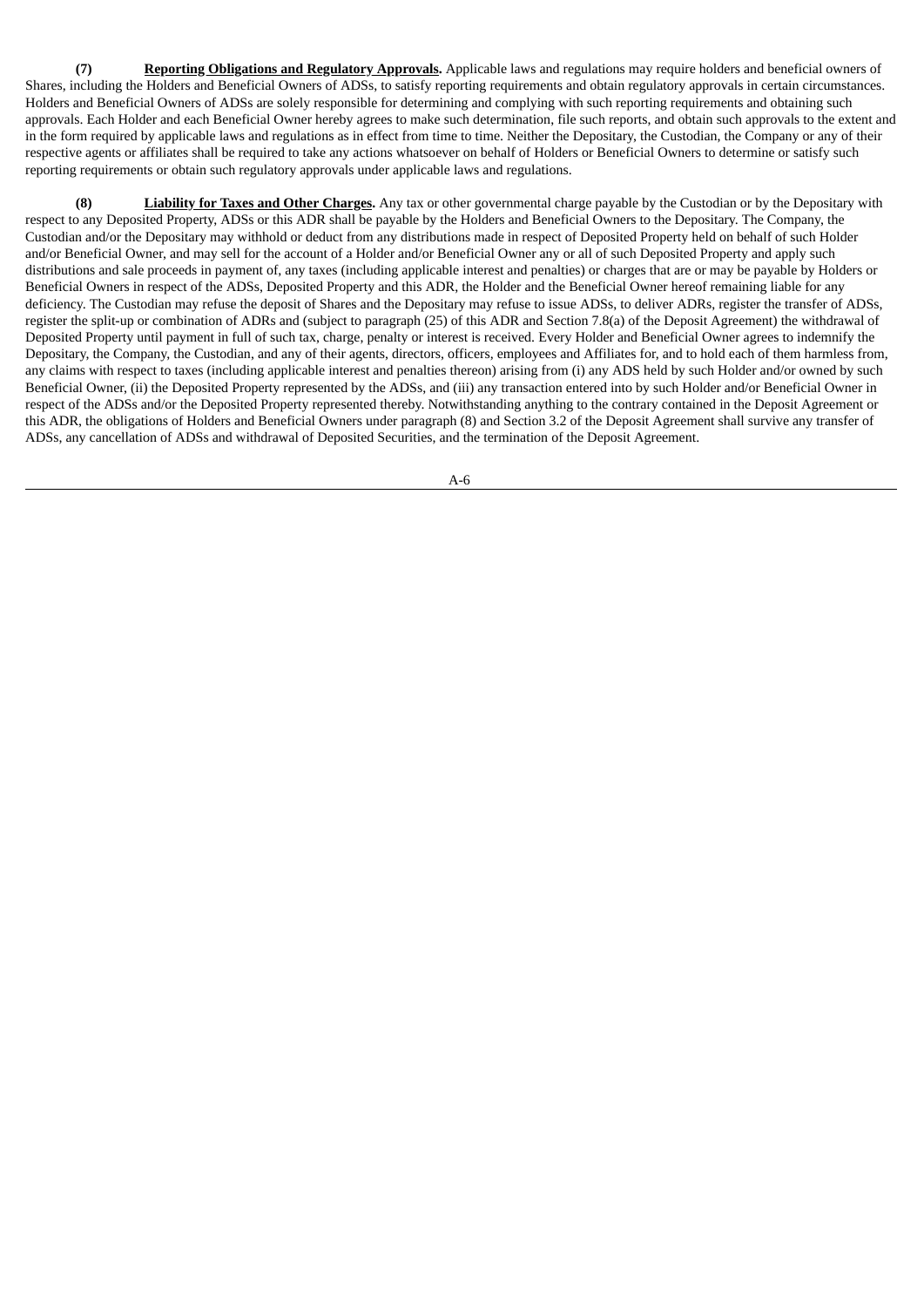**(7) Reporting Obligations and Regulatory Approvals.** Applicable laws and regulations may require holders and beneficial owners of Shares, including the Holders and Beneficial Owners of ADSs, to satisfy reporting requirements and obtain regulatory approvals in certain circumstances. Holders and Beneficial Owners of ADSs are solely responsible for determining and complying with such reporting requirements and obtaining such approvals. Each Holder and each Beneficial Owner hereby agrees to make such determination, file such reports, and obtain such approvals to the extent and in the form required by applicable laws and regulations as in effect from time to time. Neither the Depositary, the Custodian, the Company or any of their respective agents or affiliates shall be required to take any actions whatsoever on behalf of Holders or Beneficial Owners to determine or satisfy such reporting requirements or obtain such regulatory approvals under applicable laws and regulations.

**(8) Liability for Taxes and Other Charges.** Any tax or other governmental charge payable by the Custodian or by the Depositary with respect to any Deposited Property, ADSs or this ADR shall be payable by the Holders and Beneficial Owners to the Depositary. The Company, the Custodian and/or the Depositary may withhold or deduct from any distributions made in respect of Deposited Property held on behalf of such Holder and/or Beneficial Owner, and may sell for the account of a Holder and/or Beneficial Owner any or all of such Deposited Property and apply such distributions and sale proceeds in payment of, any taxes (including applicable interest and penalties) or charges that are or may be payable by Holders or Beneficial Owners in respect of the ADSs, Deposited Property and this ADR, the Holder and the Beneficial Owner hereof remaining liable for any deficiency. The Custodian may refuse the deposit of Shares and the Depositary may refuse to issue ADSs, to deliver ADRs, register the transfer of ADSs, register the split-up or combination of ADRs and (subject to paragraph (25) of this ADR and Section 7.8(a) of the Deposit Agreement) the withdrawal of Deposited Property until payment in full of such tax, charge, penalty or interest is received. Every Holder and Beneficial Owner agrees to indemnify the Depositary, the Company, the Custodian, and any of their agents, directors, officers, employees and Affiliates for, and to hold each of them harmless from, any claims with respect to taxes (including applicable interest and penalties thereon) arising from (i) any ADS held by such Holder and/or owned by such Beneficial Owner, (ii) the Deposited Property represented by the ADSs, and (iii) any transaction entered into by such Holder and/or Beneficial Owner in respect of the ADSs and/or the Deposited Property represented thereby. Notwithstanding anything to the contrary contained in the Deposit Agreement or this ADR, the obligations of Holders and Beneficial Owners under paragraph (8) and Section 3.2 of the Deposit Agreement shall survive any transfer of ADSs, any cancellation of ADSs and withdrawal of Deposited Securities, and the termination of the Deposit Agreement.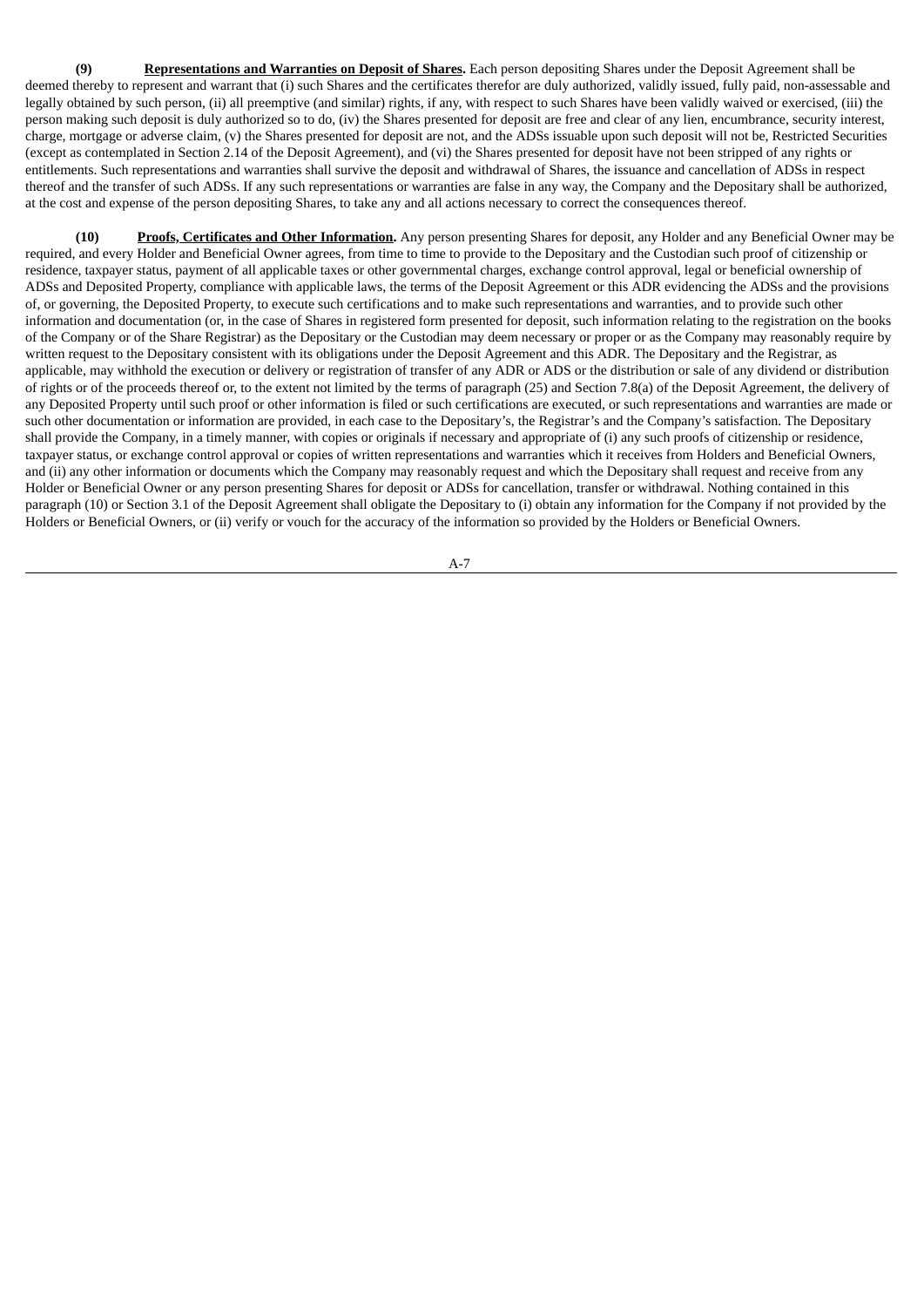**(9) Representations and Warranties on Deposit of Shares.** Each person depositing Shares under the Deposit Agreement shall be deemed thereby to represent and warrant that (i) such Shares and the certificates therefor are duly authorized, validly issued, fully paid, non-assessable and legally obtained by such person, (ii) all preemptive (and similar) rights, if any, with respect to such Shares have been validly waived or exercised, (iii) the person making such deposit is duly authorized so to do, (iv) the Shares presented for deposit are free and clear of any lien, encumbrance, security interest, charge, mortgage or adverse claim, (v) the Shares presented for deposit are not, and the ADSs issuable upon such deposit will not be, Restricted Securities (except as contemplated in Section 2.14 of the Deposit Agreement), and (vi) the Shares presented for deposit have not been stripped of any rights or entitlements. Such representations and warranties shall survive the deposit and withdrawal of Shares, the issuance and cancellation of ADSs in respect thereof and the transfer of such ADSs. If any such representations or warranties are false in any way, the Company and the Depositary shall be authorized, at the cost and expense of the person depositing Shares, to take any and all actions necessary to correct the consequences thereof.

**(10) Proofs, Certificates and Other Information.** Any person presenting Shares for deposit, any Holder and any Beneficial Owner may be required, and every Holder and Beneficial Owner agrees, from time to time to provide to the Depositary and the Custodian such proof of citizenship or residence, taxpayer status, payment of all applicable taxes or other governmental charges, exchange control approval, legal or beneficial ownership of ADSs and Deposited Property, compliance with applicable laws, the terms of the Deposit Agreement or this ADR evidencing the ADSs and the provisions of, or governing, the Deposited Property, to execute such certifications and to make such representations and warranties, and to provide such other information and documentation (or, in the case of Shares in registered form presented for deposit, such information relating to the registration on the books of the Company or of the Share Registrar) as the Depositary or the Custodian may deem necessary or proper or as the Company may reasonably require by written request to the Depositary consistent with its obligations under the Deposit Agreement and this ADR. The Depositary and the Registrar, as applicable, may withhold the execution or delivery or registration of transfer of any ADR or ADS or the distribution or sale of any dividend or distribution of rights or of the proceeds thereof or, to the extent not limited by the terms of paragraph (25) and Section 7.8(a) of the Deposit Agreement, the delivery of any Deposited Property until such proof or other information is filed or such certifications are executed, or such representations and warranties are made or such other documentation or information are provided, in each case to the Depositary's, the Registrar's and the Company's satisfaction. The Depositary shall provide the Company, in a timely manner, with copies or originals if necessary and appropriate of (i) any such proofs of citizenship or residence, taxpayer status, or exchange control approval or copies of written representations and warranties which it receives from Holders and Beneficial Owners, and (ii) any other information or documents which the Company may reasonably request and which the Depositary shall request and receive from any Holder or Beneficial Owner or any person presenting Shares for deposit or ADSs for cancellation, transfer or withdrawal. Nothing contained in this paragraph (10) or Section 3.1 of the Deposit Agreement shall obligate the Depositary to (i) obtain any information for the Company if not provided by the Holders or Beneficial Owners, or (ii) verify or vouch for the accuracy of the information so provided by the Holders or Beneficial Owners.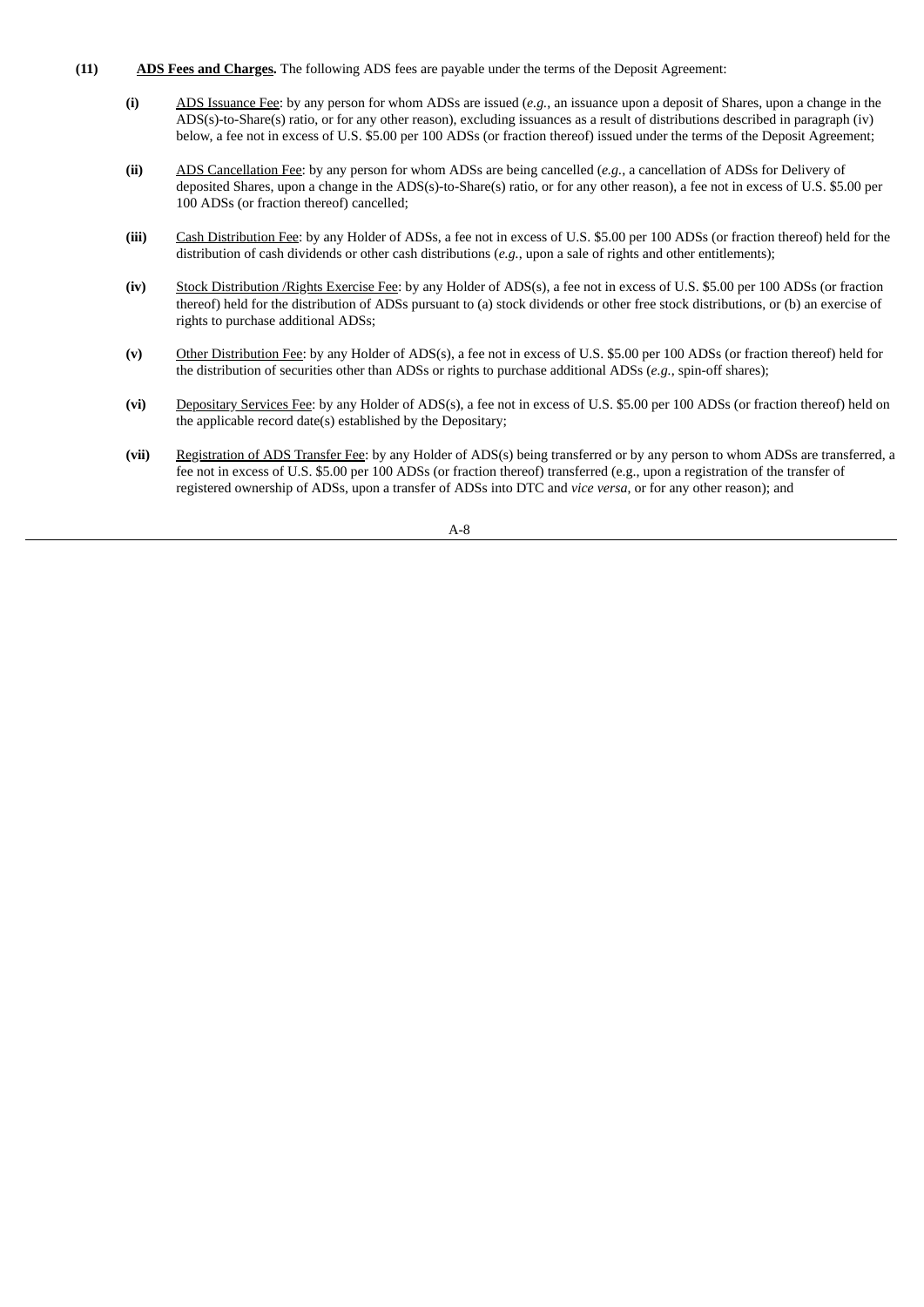- **(11) ADS Fees and Charges.** The following ADS fees are payable under the terms of the Deposit Agreement:
	- **(i)** ADS Issuance Fee: by any person for whom ADSs are issued (*e.g.*, an issuance upon a deposit of Shares, upon a change in the ADS(s)-to-Share(s) ratio, or for any other reason), excluding issuances as a result of distributions described in paragraph (iv) below, a fee not in excess of U.S. \$5.00 per 100 ADSs (or fraction thereof) issued under the terms of the Deposit Agreement;
	- **(ii)** ADS Cancellation Fee: by any person for whom ADSs are being cancelled (*e.g.*, a cancellation of ADSs for Delivery of deposited Shares, upon a change in the ADS(s)-to-Share(s) ratio, or for any other reason), a fee not in excess of U.S. \$5.00 per 100 ADSs (or fraction thereof) cancelled;
	- **(iii)** Cash Distribution Fee: by any Holder of ADSs, a fee not in excess of U.S. \$5.00 per 100 ADSs (or fraction thereof) held for the distribution of cash dividends or other cash distributions (*e.g.*, upon a sale of rights and other entitlements);
	- **(iv)** Stock Distribution /Rights Exercise Fee: by any Holder of ADS(s), a fee not in excess of U.S. \$5.00 per 100 ADSs (or fraction thereof) held for the distribution of ADSs pursuant to (a) stock dividends or other free stock distributions, or (b) an exercise of rights to purchase additional ADSs;
	- **(v)** Other Distribution Fee: by any Holder of ADS(s), a fee not in excess of U.S. \$5.00 per 100 ADSs (or fraction thereof) held for the distribution of securities other than ADSs or rights to purchase additional ADSs (*e.g.*, spin-off shares);
	- **(vi)** Depositary Services Fee: by any Holder of ADS(s), a fee not in excess of U.S. \$5.00 per 100 ADSs (or fraction thereof) held on the applicable record date(s) established by the Depositary;
	- **(vii)** Registration of ADS Transfer Fee: by any Holder of ADS(s) being transferred or by any person to whom ADSs are transferred, a fee not in excess of U.S. \$5.00 per 100 ADSs (or fraction thereof) transferred (e.g., upon a registration of the transfer of registered ownership of ADSs, upon a transfer of ADSs into DTC and *vice versa*, or for any other reason); and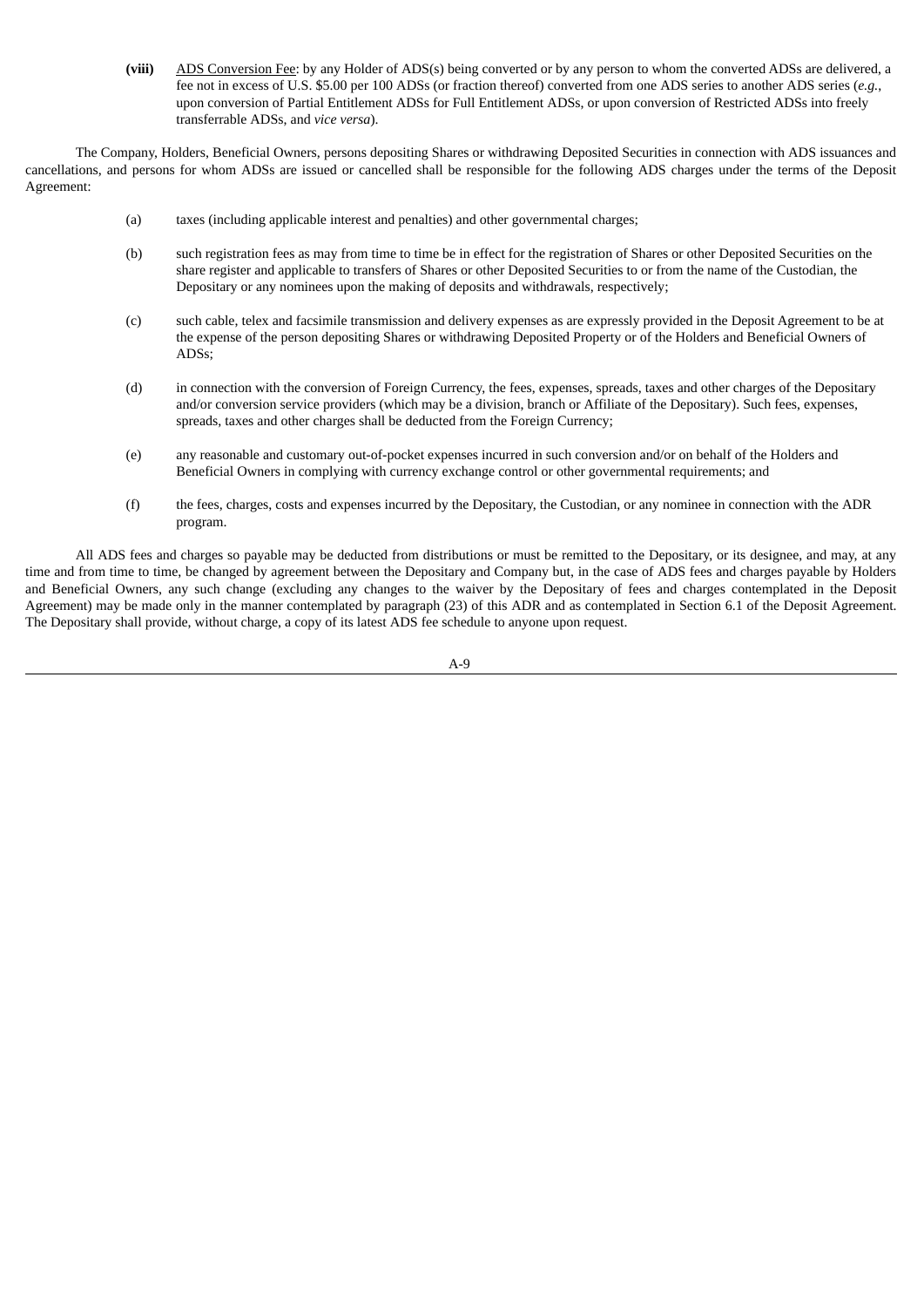**(viii)** ADS Conversion Fee: by any Holder of ADS(s) being converted or by any person to whom the converted ADSs are delivered, a fee not in excess of U.S. \$5.00 per 100 ADSs (or fraction thereof) converted from one ADS series to another ADS series (*e.g.*, upon conversion of Partial Entitlement ADSs for Full Entitlement ADSs, or upon conversion of Restricted ADSs into freely transferrable ADSs, and *vice versa*).

The Company, Holders, Beneficial Owners, persons depositing Shares or withdrawing Deposited Securities in connection with ADS issuances and cancellations, and persons for whom ADSs are issued or cancelled shall be responsible for the following ADS charges under the terms of the Deposit Agreement:

- (a) taxes (including applicable interest and penalties) and other governmental charges;
- (b) such registration fees as may from time to time be in effect for the registration of Shares or other Deposited Securities on the share register and applicable to transfers of Shares or other Deposited Securities to or from the name of the Custodian, the Depositary or any nominees upon the making of deposits and withdrawals, respectively;
- (c) such cable, telex and facsimile transmission and delivery expenses as are expressly provided in the Deposit Agreement to be at the expense of the person depositing Shares or withdrawing Deposited Property or of the Holders and Beneficial Owners of ADSs;
- (d) in connection with the conversion of Foreign Currency, the fees, expenses, spreads, taxes and other charges of the Depositary and/or conversion service providers (which may be a division, branch or Affiliate of the Depositary). Such fees, expenses, spreads, taxes and other charges shall be deducted from the Foreign Currency;
- (e) any reasonable and customary out-of-pocket expenses incurred in such conversion and/or on behalf of the Holders and Beneficial Owners in complying with currency exchange control or other governmental requirements; and
- (f) the fees, charges, costs and expenses incurred by the Depositary, the Custodian, or any nominee in connection with the ADR program.

All ADS fees and charges so payable may be deducted from distributions or must be remitted to the Depositary, or its designee, and may, at any time and from time to time, be changed by agreement between the Depositary and Company but, in the case of ADS fees and charges payable by Holders and Beneficial Owners, any such change (excluding any changes to the waiver by the Depositary of fees and charges contemplated in the Deposit Agreement) may be made only in the manner contemplated by paragraph (23) of this ADR and as contemplated in Section 6.1 of the Deposit Agreement. The Depositary shall provide, without charge, a copy of its latest ADS fee schedule to anyone upon request.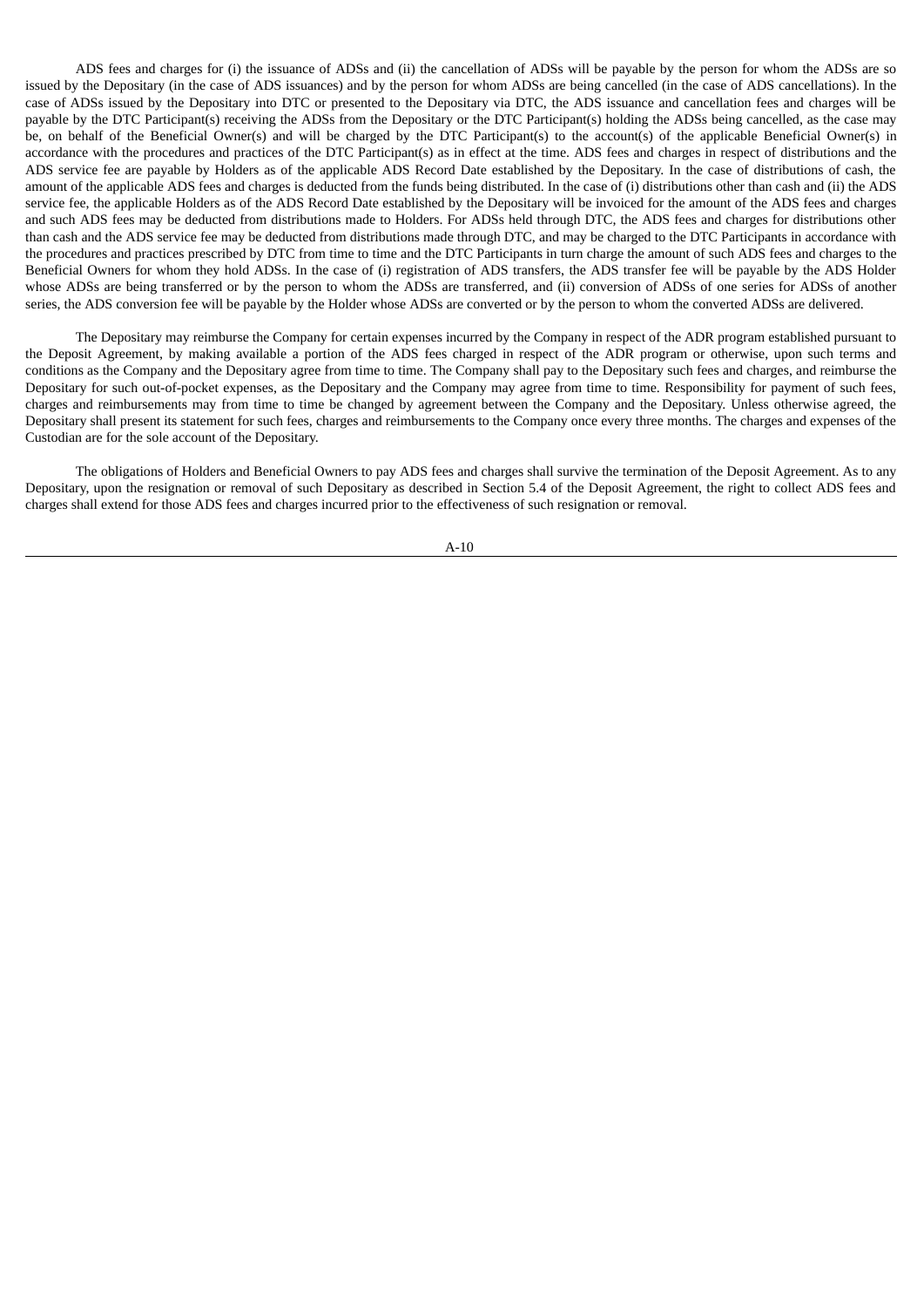ADS fees and charges for (i) the issuance of ADSs and (ii) the cancellation of ADSs will be payable by the person for whom the ADSs are so issued by the Depositary (in the case of ADS issuances) and by the person for whom ADSs are being cancelled (in the case of ADS cancellations). In the case of ADSs issued by the Depositary into DTC or presented to the Depositary via DTC, the ADS issuance and cancellation fees and charges will be payable by the DTC Participant(s) receiving the ADSs from the Depositary or the DTC Participant(s) holding the ADSs being cancelled, as the case may be, on behalf of the Beneficial Owner(s) and will be charged by the DTC Participant(s) to the account(s) of the applicable Beneficial Owner(s) in accordance with the procedures and practices of the DTC Participant(s) as in effect at the time. ADS fees and charges in respect of distributions and the ADS service fee are payable by Holders as of the applicable ADS Record Date established by the Depositary. In the case of distributions of cash, the amount of the applicable ADS fees and charges is deducted from the funds being distributed. In the case of (i) distributions other than cash and (ii) the ADS service fee, the applicable Holders as of the ADS Record Date established by the Depositary will be invoiced for the amount of the ADS fees and charges and such ADS fees may be deducted from distributions made to Holders. For ADSs held through DTC, the ADS fees and charges for distributions other than cash and the ADS service fee may be deducted from distributions made through DTC, and may be charged to the DTC Participants in accordance with the procedures and practices prescribed by DTC from time to time and the DTC Participants in turn charge the amount of such ADS fees and charges to the Beneficial Owners for whom they hold ADSs. In the case of (i) registration of ADS transfers, the ADS transfer fee will be payable by the ADS Holder whose ADSs are being transferred or by the person to whom the ADSs are transferred, and (ii) conversion of ADSs of one series for ADSs of another series, the ADS conversion fee will be payable by the Holder whose ADSs are converted or by the person to whom the converted ADSs are delivered.

The Depositary may reimburse the Company for certain expenses incurred by the Company in respect of the ADR program established pursuant to the Deposit Agreement, by making available a portion of the ADS fees charged in respect of the ADR program or otherwise, upon such terms and conditions as the Company and the Depositary agree from time to time. The Company shall pay to the Depositary such fees and charges, and reimburse the Depositary for such out-of-pocket expenses, as the Depositary and the Company may agree from time to time. Responsibility for payment of such fees, charges and reimbursements may from time to time be changed by agreement between the Company and the Depositary. Unless otherwise agreed, the Depositary shall present its statement for such fees, charges and reimbursements to the Company once every three months. The charges and expenses of the Custodian are for the sole account of the Depositary.

The obligations of Holders and Beneficial Owners to pay ADS fees and charges shall survive the termination of the Deposit Agreement. As to any Depositary, upon the resignation or removal of such Depositary as described in Section 5.4 of the Deposit Agreement, the right to collect ADS fees and charges shall extend for those ADS fees and charges incurred prior to the effectiveness of such resignation or removal.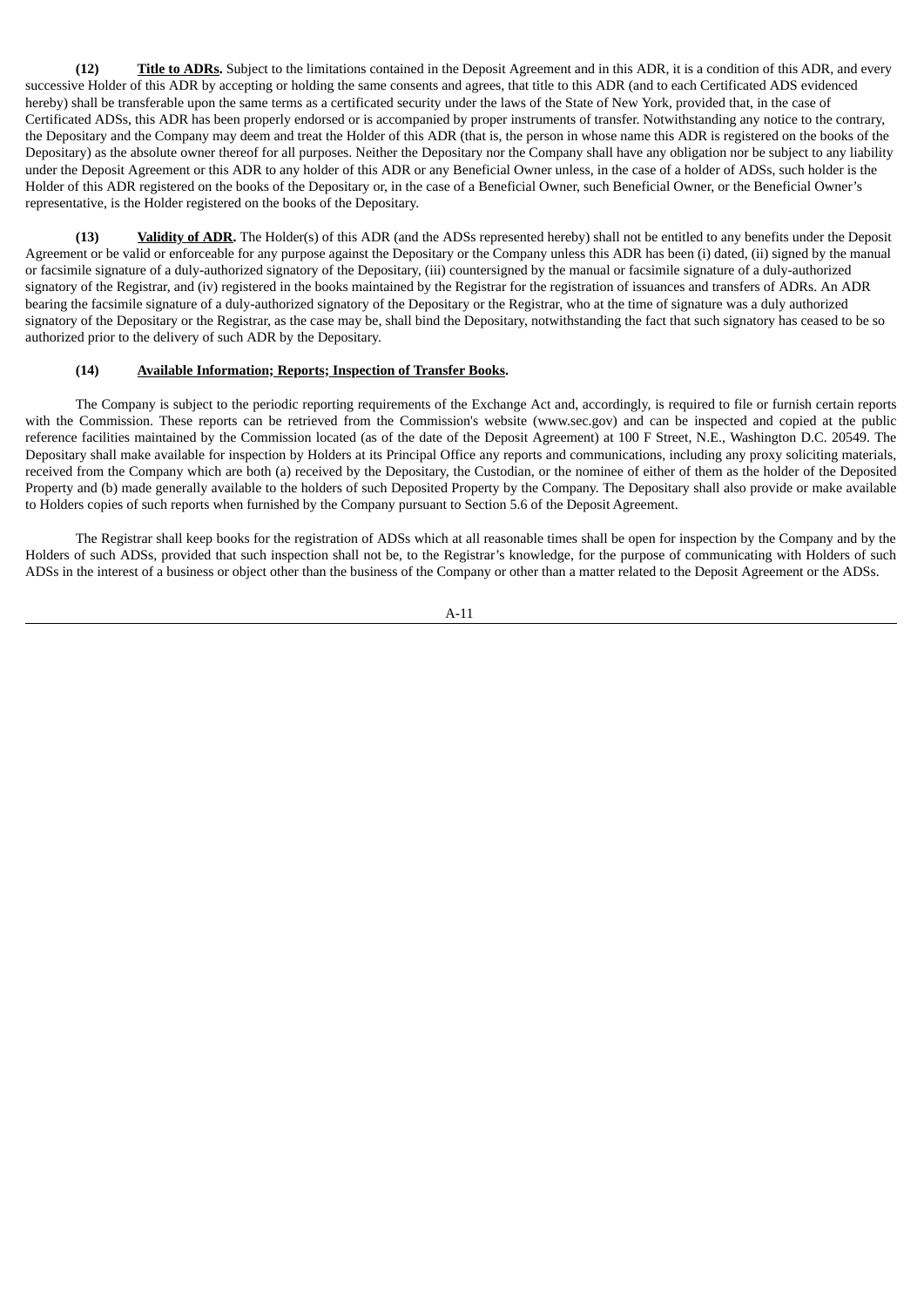**(12) Title to ADRs.** Subject to the limitations contained in the Deposit Agreement and in this ADR, it is a condition of this ADR, and every successive Holder of this ADR by accepting or holding the same consents and agrees, that title to this ADR (and to each Certificated ADS evidenced hereby) shall be transferable upon the same terms as a certificated security under the laws of the State of New York, provided that, in the case of Certificated ADSs, this ADR has been properly endorsed or is accompanied by proper instruments of transfer. Notwithstanding any notice to the contrary, the Depositary and the Company may deem and treat the Holder of this ADR (that is, the person in whose name this ADR is registered on the books of the Depositary) as the absolute owner thereof for all purposes. Neither the Depositary nor the Company shall have any obligation nor be subject to any liability under the Deposit Agreement or this ADR to any holder of this ADR or any Beneficial Owner unless, in the case of a holder of ADSs, such holder is the Holder of this ADR registered on the books of the Depositary or, in the case of a Beneficial Owner, such Beneficial Owner, or the Beneficial Owner's representative, is the Holder registered on the books of the Depositary.

**(13) Validity of ADR.** The Holder(s) of this ADR (and the ADSs represented hereby) shall not be entitled to any benefits under the Deposit Agreement or be valid or enforceable for any purpose against the Depositary or the Company unless this ADR has been (i) dated, (ii) signed by the manual or facsimile signature of a duly-authorized signatory of the Depositary, (iii) countersigned by the manual or facsimile signature of a duly-authorized signatory of the Registrar, and (iv) registered in the books maintained by the Registrar for the registration of issuances and transfers of ADRs. An ADR bearing the facsimile signature of a duly-authorized signatory of the Depositary or the Registrar, who at the time of signature was a duly authorized signatory of the Depositary or the Registrar, as the case may be, shall bind the Depositary, notwithstanding the fact that such signatory has ceased to be so authorized prior to the delivery of such ADR by the Depositary.

#### **(14) Available Information; Reports; Inspection of Transfer Books.**

The Company is subject to the periodic reporting requirements of the Exchange Act and, accordingly, is required to file or furnish certain reports with the Commission. These reports can be retrieved from the Commission's website (www.sec.gov) and can be inspected and copied at the public reference facilities maintained by the Commission located (as of the date of the Deposit Agreement) at 100 F Street, N.E., Washington D.C. 20549. The Depositary shall make available for inspection by Holders at its Principal Office any reports and communications, including any proxy soliciting materials, received from the Company which are both (a) received by the Depositary, the Custodian, or the nominee of either of them as the holder of the Deposited Property and (b) made generally available to the holders of such Deposited Property by the Company. The Depositary shall also provide or make available to Holders copies of such reports when furnished by the Company pursuant to Section 5.6 of the Deposit Agreement.

The Registrar shall keep books for the registration of ADSs which at all reasonable times shall be open for inspection by the Company and by the Holders of such ADSs, provided that such inspection shall not be, to the Registrar's knowledge, for the purpose of communicating with Holders of such ADSs in the interest of a business or object other than the business of the Company or other than a matter related to the Deposit Agreement or the ADSs.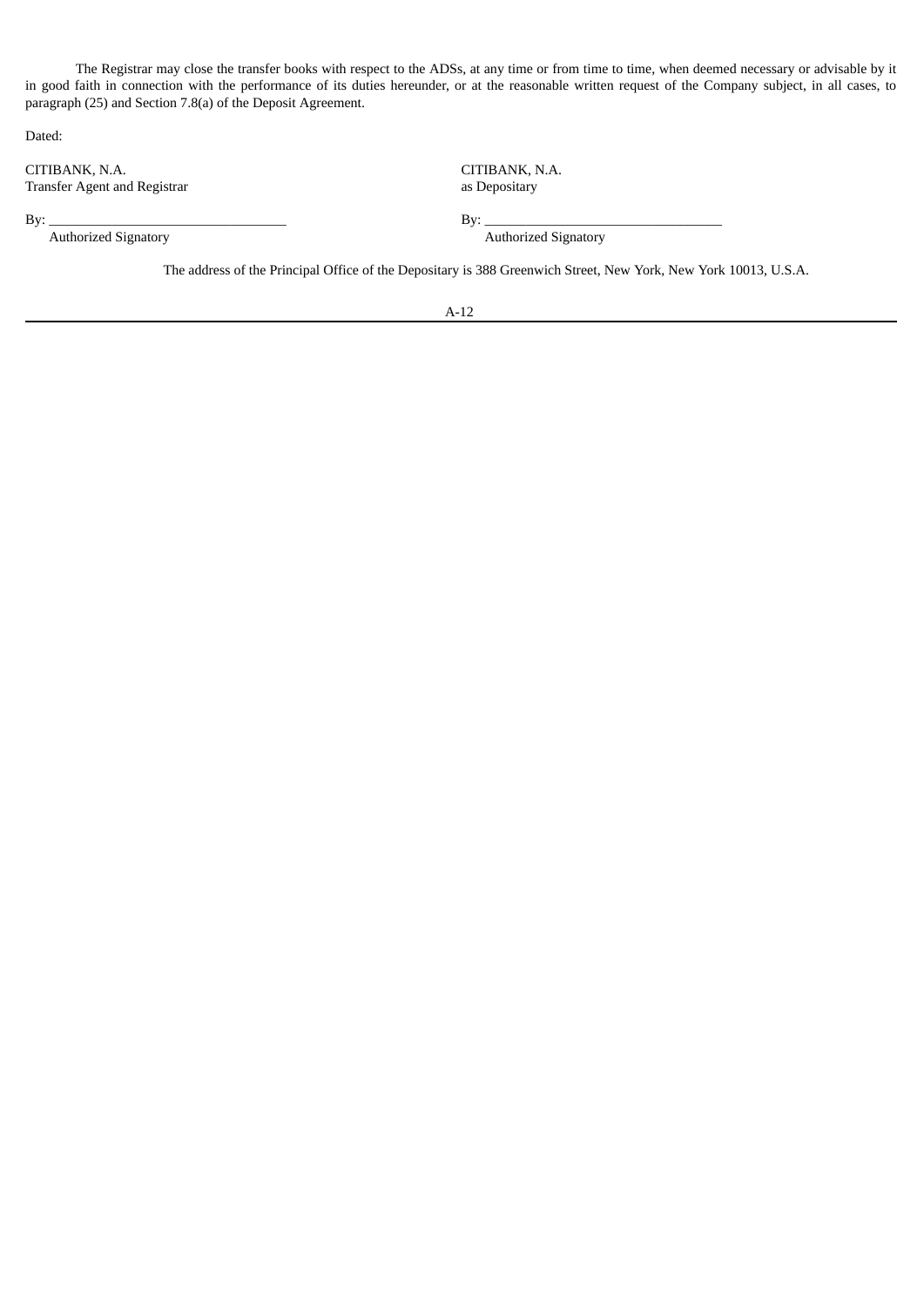The Registrar may close the transfer books with respect to the ADSs, at any time or from time to time, when deemed necessary or advisable by it in good faith in connection with the performance of its duties hereunder, or at the reasonable written request of the Company subject, in all cases, to paragraph (25) and Section 7.8(a) of the Deposit Agreement.

Dated:

CITIBANK, N.A. Transfer Agent and Registrar

CITIBANK, N.A. as Depositary

 $\text{By:}\_\_\_\_\_\_\_$ Authorized Signatory **Authorized Signatory** Authorized Signatory

The address of the Principal Office of the Depositary is 388 Greenwich Street, New York, New York 10013, U.S.A.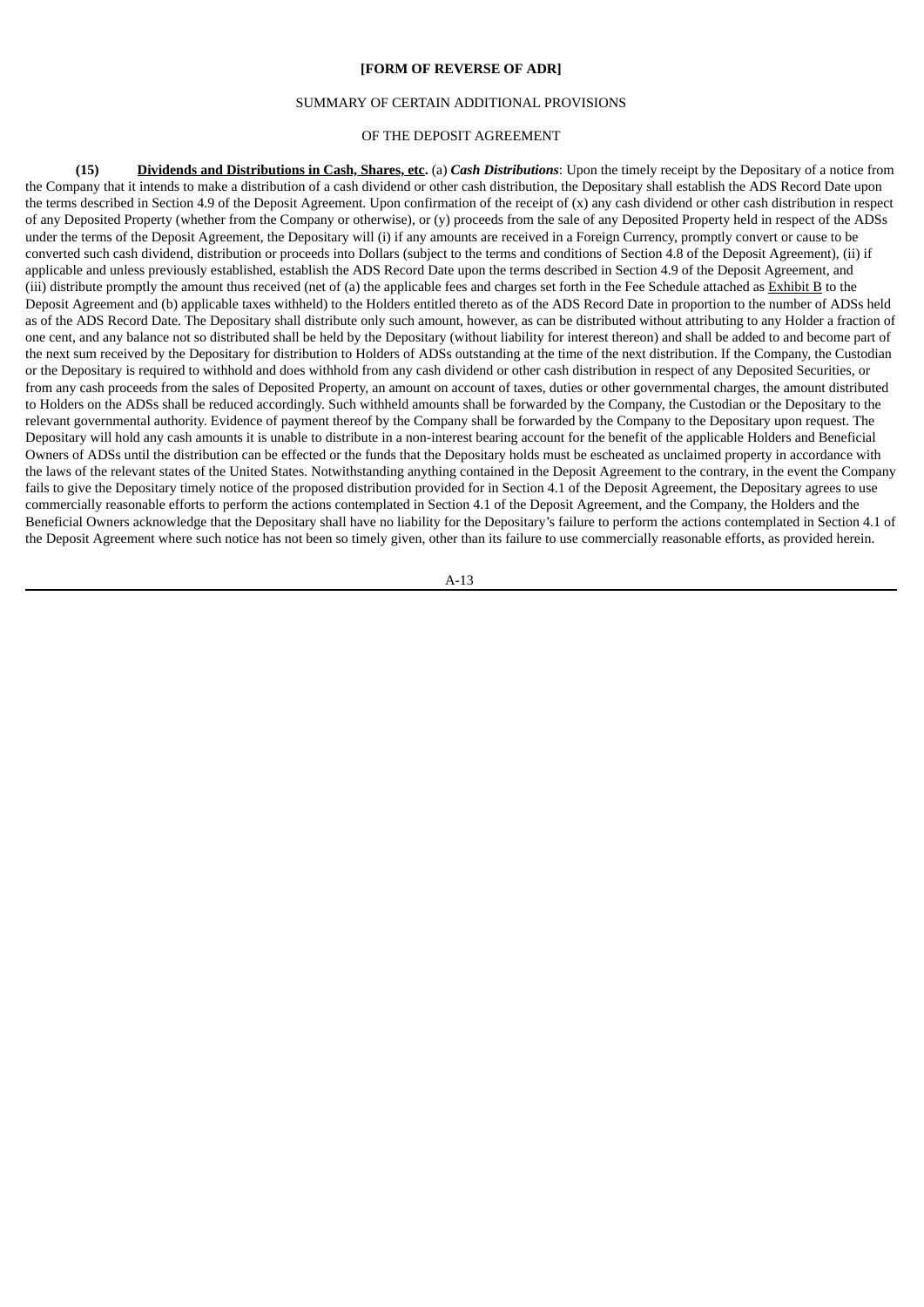#### **[FORM OF REVERSE OF ADR]**

#### SUMMARY OF CERTAIN ADDITIONAL PROVISIONS

## OF THE DEPOSIT AGREEMENT

**(15) Dividends and Distributions in Cash, Shares, etc.** (a) *Cash Distributions*: Upon the timely receipt by the Depositary of a notice from the Company that it intends to make a distribution of a cash dividend or other cash distribution, the Depositary shall establish the ADS Record Date upon the terms described in Section 4.9 of the Deposit Agreement. Upon confirmation of the receipt of (x) any cash dividend or other cash distribution in respect of any Deposited Property (whether from the Company or otherwise), or (y) proceeds from the sale of any Deposited Property held in respect of the ADSs under the terms of the Deposit Agreement, the Depositary will (i) if any amounts are received in a Foreign Currency, promptly convert or cause to be converted such cash dividend, distribution or proceeds into Dollars (subject to the terms and conditions of Section 4.8 of the Deposit Agreement), (ii) if applicable and unless previously established, establish the ADS Record Date upon the terms described in Section 4.9 of the Deposit Agreement, and (iii) distribute promptly the amount thus received (net of (a) the applicable fees and charges set forth in the Fee Schedule attached as Exhibit B to the Deposit Agreement and (b) applicable taxes withheld) to the Holders entitled thereto as of the ADS Record Date in proportion to the number of ADSs held as of the ADS Record Date. The Depositary shall distribute only such amount, however, as can be distributed without attributing to any Holder a fraction of one cent, and any balance not so distributed shall be held by the Depositary (without liability for interest thereon) and shall be added to and become part of the next sum received by the Depositary for distribution to Holders of ADSs outstanding at the time of the next distribution. If the Company, the Custodian or the Depositary is required to withhold and does withhold from any cash dividend or other cash distribution in respect of any Deposited Securities, or from any cash proceeds from the sales of Deposited Property, an amount on account of taxes, duties or other governmental charges, the amount distributed to Holders on the ADSs shall be reduced accordingly. Such withheld amounts shall be forwarded by the Company, the Custodian or the Depositary to the relevant governmental authority. Evidence of payment thereof by the Company shall be forwarded by the Company to the Depositary upon request. The Depositary will hold any cash amounts it is unable to distribute in a non-interest bearing account for the benefit of the applicable Holders and Beneficial Owners of ADSs until the distribution can be effected or the funds that the Depositary holds must be escheated as unclaimed property in accordance with the laws of the relevant states of the United States. Notwithstanding anything contained in the Deposit Agreement to the contrary, in the event the Company fails to give the Depositary timely notice of the proposed distribution provided for in Section 4.1 of the Deposit Agreement, the Depositary agrees to use commercially reasonable efforts to perform the actions contemplated in Section 4.1 of the Deposit Agreement, and the Company, the Holders and the Beneficial Owners acknowledge that the Depositary shall have no liability for the Depositary's failure to perform the actions contemplated in Section 4.1 of the Deposit Agreement where such notice has not been so timely given, other than its failure to use commercially reasonable efforts, as provided herein.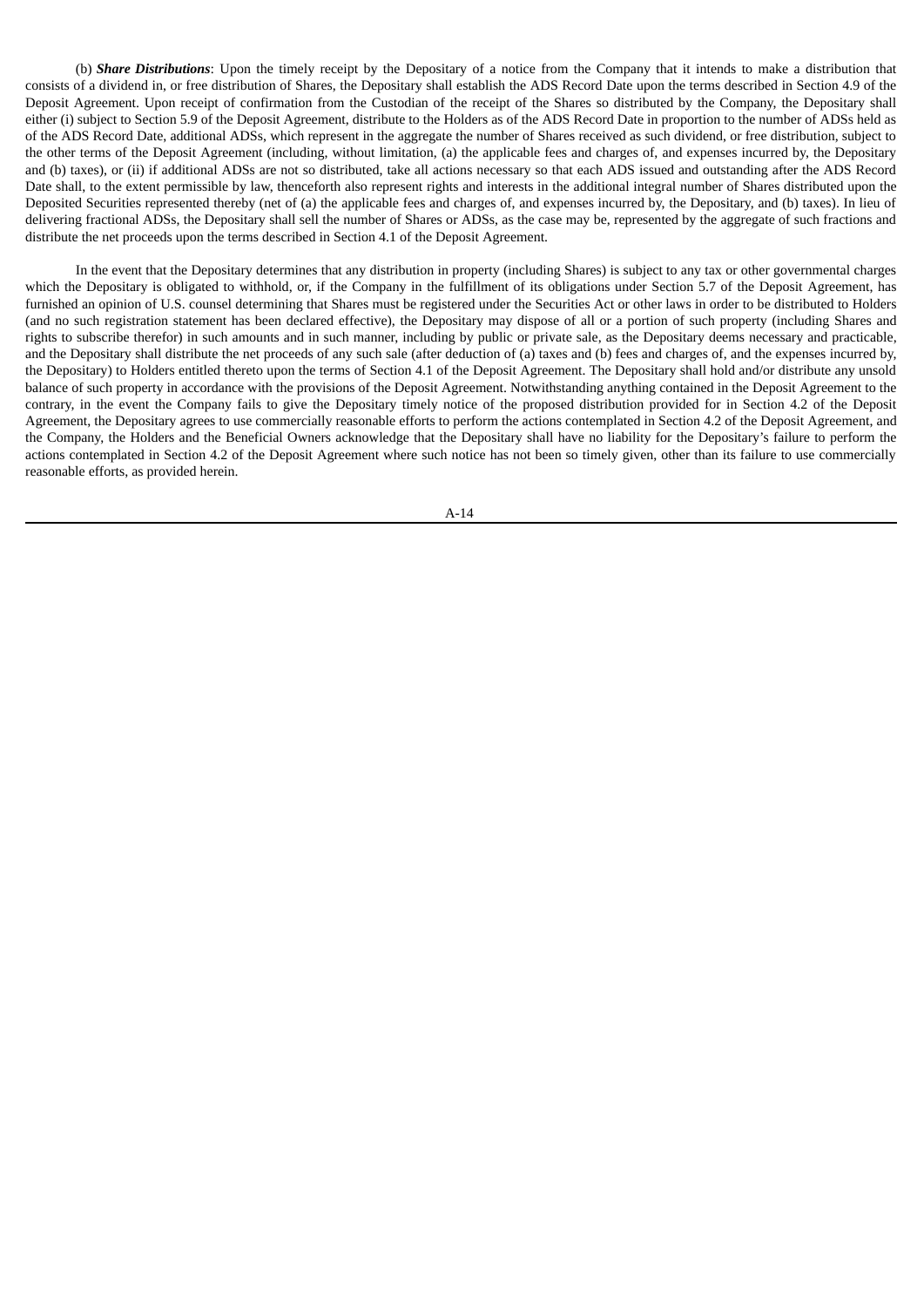(b) *Share Distributions*: Upon the timely receipt by the Depositary of a notice from the Company that it intends to make a distribution that consists of a dividend in, or free distribution of Shares, the Depositary shall establish the ADS Record Date upon the terms described in Section 4.9 of the Deposit Agreement. Upon receipt of confirmation from the Custodian of the receipt of the Shares so distributed by the Company, the Depositary shall either (i) subject to Section 5.9 of the Deposit Agreement, distribute to the Holders as of the ADS Record Date in proportion to the number of ADSs held as of the ADS Record Date, additional ADSs, which represent in the aggregate the number of Shares received as such dividend, or free distribution, subject to the other terms of the Deposit Agreement (including, without limitation, (a) the applicable fees and charges of, and expenses incurred by, the Depositary and (b) taxes), or (ii) if additional ADSs are not so distributed, take all actions necessary so that each ADS issued and outstanding after the ADS Record Date shall, to the extent permissible by law, thenceforth also represent rights and interests in the additional integral number of Shares distributed upon the Deposited Securities represented thereby (net of (a) the applicable fees and charges of, and expenses incurred by, the Depositary, and (b) taxes). In lieu of delivering fractional ADSs, the Depositary shall sell the number of Shares or ADSs, as the case may be, represented by the aggregate of such fractions and distribute the net proceeds upon the terms described in Section 4.1 of the Deposit Agreement.

In the event that the Depositary determines that any distribution in property (including Shares) is subject to any tax or other governmental charges which the Depositary is obligated to withhold, or, if the Company in the fulfillment of its obligations under Section 5.7 of the Deposit Agreement, has furnished an opinion of U.S. counsel determining that Shares must be registered under the Securities Act or other laws in order to be distributed to Holders (and no such registration statement has been declared effective), the Depositary may dispose of all or a portion of such property (including Shares and rights to subscribe therefor) in such amounts and in such manner, including by public or private sale, as the Depositary deems necessary and practicable, and the Depositary shall distribute the net proceeds of any such sale (after deduction of (a) taxes and (b) fees and charges of, and the expenses incurred by, the Depositary) to Holders entitled thereto upon the terms of Section 4.1 of the Deposit Agreement. The Depositary shall hold and/or distribute any unsold balance of such property in accordance with the provisions of the Deposit Agreement. Notwithstanding anything contained in the Deposit Agreement to the contrary, in the event the Company fails to give the Depositary timely notice of the proposed distribution provided for in Section 4.2 of the Deposit Agreement, the Depositary agrees to use commercially reasonable efforts to perform the actions contemplated in Section 4.2 of the Deposit Agreement, and the Company, the Holders and the Beneficial Owners acknowledge that the Depositary shall have no liability for the Depositary's failure to perform the actions contemplated in Section 4.2 of the Deposit Agreement where such notice has not been so timely given, other than its failure to use commercially reasonable efforts, as provided herein.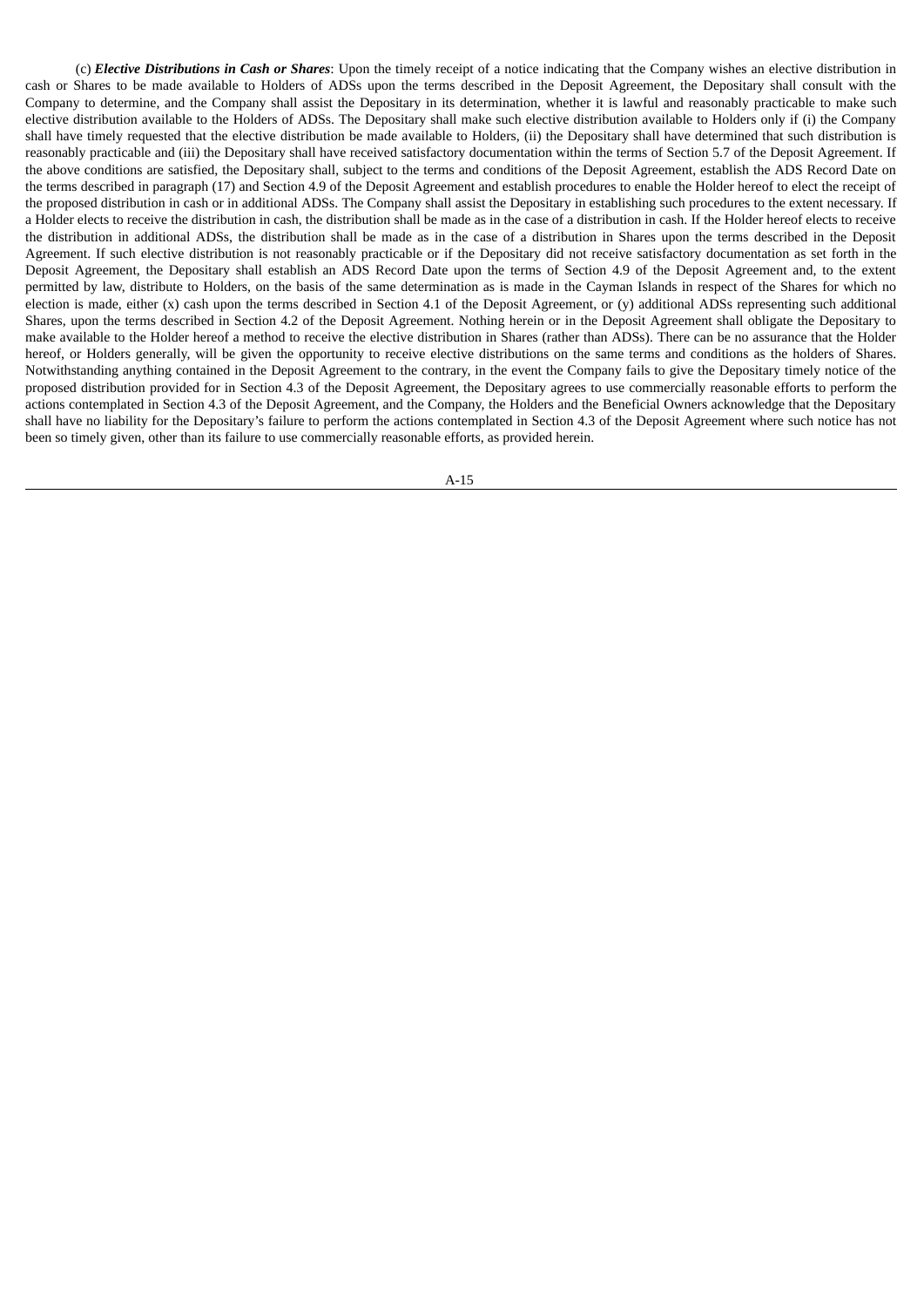(c) *Elective Distributions in Cash or Shares*: Upon the timely receipt of a notice indicating that the Company wishes an elective distribution in cash or Shares to be made available to Holders of ADSs upon the terms described in the Deposit Agreement, the Depositary shall consult with the Company to determine, and the Company shall assist the Depositary in its determination, whether it is lawful and reasonably practicable to make such elective distribution available to the Holders of ADSs. The Depositary shall make such elective distribution available to Holders only if (i) the Company shall have timely requested that the elective distribution be made available to Holders, (ii) the Depositary shall have determined that such distribution is reasonably practicable and (iii) the Depositary shall have received satisfactory documentation within the terms of Section 5.7 of the Deposit Agreement. If the above conditions are satisfied, the Depositary shall, subject to the terms and conditions of the Deposit Agreement, establish the ADS Record Date on the terms described in paragraph (17) and Section 4.9 of the Deposit Agreement and establish procedures to enable the Holder hereof to elect the receipt of the proposed distribution in cash or in additional ADSs. The Company shall assist the Depositary in establishing such procedures to the extent necessary. If a Holder elects to receive the distribution in cash, the distribution shall be made as in the case of a distribution in cash. If the Holder hereof elects to receive the distribution in additional ADSs, the distribution shall be made as in the case of a distribution in Shares upon the terms described in the Deposit Agreement. If such elective distribution is not reasonably practicable or if the Depositary did not receive satisfactory documentation as set forth in the Deposit Agreement, the Depositary shall establish an ADS Record Date upon the terms of Section 4.9 of the Deposit Agreement and, to the extent permitted by law, distribute to Holders, on the basis of the same determination as is made in the Cayman Islands in respect of the Shares for which no election is made, either  $(x)$  cash upon the terms described in Section 4.1 of the Deposit Agreement, or  $(y)$  additional ADSs representing such additional Shares, upon the terms described in Section 4.2 of the Deposit Agreement. Nothing herein or in the Deposit Agreement shall obligate the Depositary to make available to the Holder hereof a method to receive the elective distribution in Shares (rather than ADSs). There can be no assurance that the Holder hereof, or Holders generally, will be given the opportunity to receive elective distributions on the same terms and conditions as the holders of Shares. Notwithstanding anything contained in the Deposit Agreement to the contrary, in the event the Company fails to give the Depositary timely notice of the proposed distribution provided for in Section 4.3 of the Deposit Agreement, the Depositary agrees to use commercially reasonable efforts to perform the actions contemplated in Section 4.3 of the Deposit Agreement, and the Company, the Holders and the Beneficial Owners acknowledge that the Depositary shall have no liability for the Depositary's failure to perform the actions contemplated in Section 4.3 of the Deposit Agreement where such notice has not been so timely given, other than its failure to use commercially reasonable efforts, as provided herein.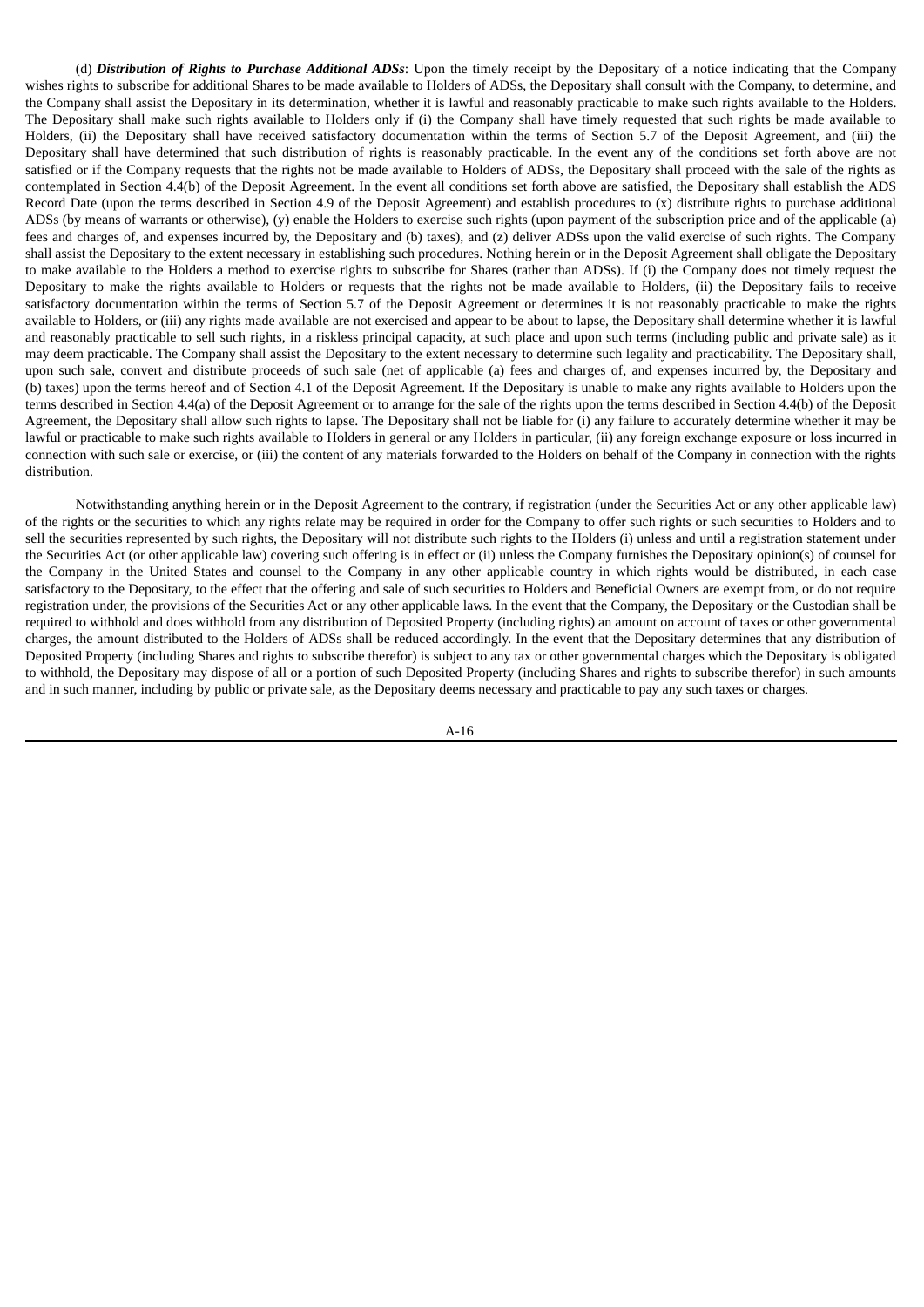(d) *Distribution of Rights to Purchase Additional ADSs*: Upon the timely receipt by the Depositary of a notice indicating that the Company wishes rights to subscribe for additional Shares to be made available to Holders of ADSs, the Depositary shall consult with the Company, to determine, and the Company shall assist the Depositary in its determination, whether it is lawful and reasonably practicable to make such rights available to the Holders. The Depositary shall make such rights available to Holders only if (i) the Company shall have timely requested that such rights be made available to Holders, (ii) the Depositary shall have received satisfactory documentation within the terms of Section 5.7 of the Deposit Agreement, and (iii) the Depositary shall have determined that such distribution of rights is reasonably practicable. In the event any of the conditions set forth above are not satisfied or if the Company requests that the rights not be made available to Holders of ADSs, the Depositary shall proceed with the sale of the rights as contemplated in Section 4.4(b) of the Deposit Agreement. In the event all conditions set forth above are satisfied, the Depositary shall establish the ADS Record Date (upon the terms described in Section 4.9 of the Deposit Agreement) and establish procedures to (x) distribute rights to purchase additional ADSs (by means of warrants or otherwise), (y) enable the Holders to exercise such rights (upon payment of the subscription price and of the applicable (a) fees and charges of, and expenses incurred by, the Depositary and (b) taxes), and (z) deliver ADSs upon the valid exercise of such rights. The Company shall assist the Depositary to the extent necessary in establishing such procedures. Nothing herein or in the Deposit Agreement shall obligate the Depositary to make available to the Holders a method to exercise rights to subscribe for Shares (rather than ADSs). If (i) the Company does not timely request the Depositary to make the rights available to Holders or requests that the rights not be made available to Holders, (ii) the Depositary fails to receive satisfactory documentation within the terms of Section 5.7 of the Deposit Agreement or determines it is not reasonably practicable to make the rights available to Holders, or (iii) any rights made available are not exercised and appear to be about to lapse, the Depositary shall determine whether it is lawful and reasonably practicable to sell such rights, in a riskless principal capacity, at such place and upon such terms (including public and private sale) as it may deem practicable. The Company shall assist the Depositary to the extent necessary to determine such legality and practicability. The Depositary shall, upon such sale, convert and distribute proceeds of such sale (net of applicable (a) fees and charges of, and expenses incurred by, the Depositary and (b) taxes) upon the terms hereof and of Section 4.1 of the Deposit Agreement. If the Depositary is unable to make any rights available to Holders upon the terms described in Section 4.4(a) of the Deposit Agreement or to arrange for the sale of the rights upon the terms described in Section 4.4(b) of the Deposit Agreement, the Depositary shall allow such rights to lapse. The Depositary shall not be liable for (i) any failure to accurately determine whether it may be lawful or practicable to make such rights available to Holders in general or any Holders in particular, (ii) any foreign exchange exposure or loss incurred in connection with such sale or exercise, or (iii) the content of any materials forwarded to the Holders on behalf of the Company in connection with the rights distribution.

Notwithstanding anything herein or in the Deposit Agreement to the contrary, if registration (under the Securities Act or any other applicable law) of the rights or the securities to which any rights relate may be required in order for the Company to offer such rights or such securities to Holders and to sell the securities represented by such rights, the Depositary will not distribute such rights to the Holders (i) unless and until a registration statement under the Securities Act (or other applicable law) covering such offering is in effect or (ii) unless the Company furnishes the Depositary opinion(s) of counsel for the Company in the United States and counsel to the Company in any other applicable country in which rights would be distributed, in each case satisfactory to the Depositary, to the effect that the offering and sale of such securities to Holders and Beneficial Owners are exempt from, or do not require registration under, the provisions of the Securities Act or any other applicable laws. In the event that the Company, the Depositary or the Custodian shall be required to withhold and does withhold from any distribution of Deposited Property (including rights) an amount on account of taxes or other governmental charges, the amount distributed to the Holders of ADSs shall be reduced accordingly. In the event that the Depositary determines that any distribution of Deposited Property (including Shares and rights to subscribe therefor) is subject to any tax or other governmental charges which the Depositary is obligated to withhold, the Depositary may dispose of all or a portion of such Deposited Property (including Shares and rights to subscribe therefor) in such amounts and in such manner, including by public or private sale, as the Depositary deems necessary and practicable to pay any such taxes or charges.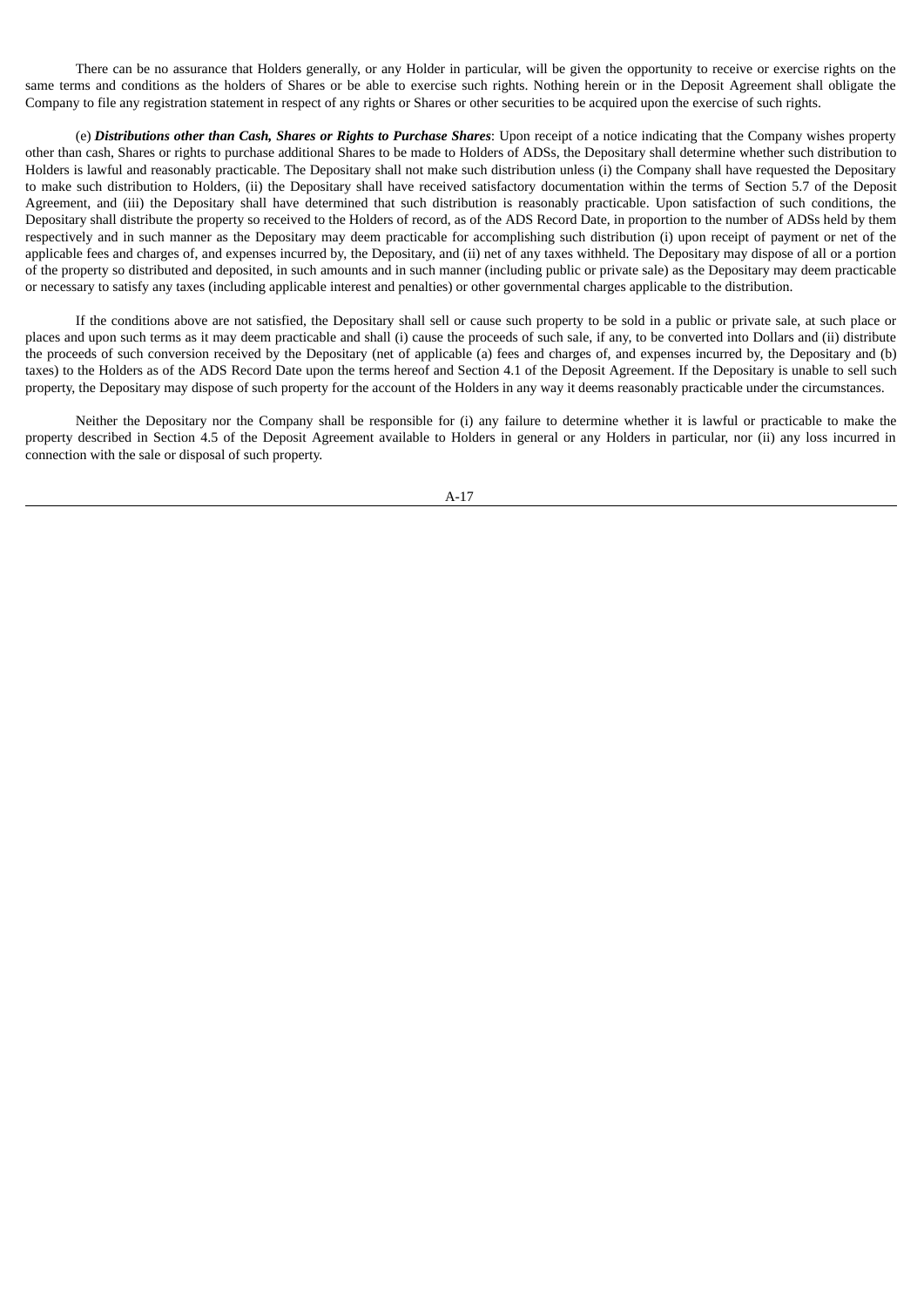There can be no assurance that Holders generally, or any Holder in particular, will be given the opportunity to receive or exercise rights on the same terms and conditions as the holders of Shares or be able to exercise such rights. Nothing herein or in the Deposit Agreement shall obligate the Company to file any registration statement in respect of any rights or Shares or other securities to be acquired upon the exercise of such rights.

(e) *Distributions other than Cash, Shares or Rights to Purchase Shares*: Upon receipt of a notice indicating that the Company wishes property other than cash, Shares or rights to purchase additional Shares to be made to Holders of ADSs, the Depositary shall determine whether such distribution to Holders is lawful and reasonably practicable. The Depositary shall not make such distribution unless (i) the Company shall have requested the Depositary to make such distribution to Holders, (ii) the Depositary shall have received satisfactory documentation within the terms of Section 5.7 of the Deposit Agreement, and (iii) the Depositary shall have determined that such distribution is reasonably practicable. Upon satisfaction of such conditions, the Depositary shall distribute the property so received to the Holders of record, as of the ADS Record Date, in proportion to the number of ADSs held by them respectively and in such manner as the Depositary may deem practicable for accomplishing such distribution (i) upon receipt of payment or net of the applicable fees and charges of, and expenses incurred by, the Depositary, and (ii) net of any taxes withheld. The Depositary may dispose of all or a portion of the property so distributed and deposited, in such amounts and in such manner (including public or private sale) as the Depositary may deem practicable or necessary to satisfy any taxes (including applicable interest and penalties) or other governmental charges applicable to the distribution.

If the conditions above are not satisfied, the Depositary shall sell or cause such property to be sold in a public or private sale, at such place or places and upon such terms as it may deem practicable and shall (i) cause the proceeds of such sale, if any, to be converted into Dollars and (ii) distribute the proceeds of such conversion received by the Depositary (net of applicable (a) fees and charges of, and expenses incurred by, the Depositary and (b) taxes) to the Holders as of the ADS Record Date upon the terms hereof and Section 4.1 of the Deposit Agreement. If the Depositary is unable to sell such property, the Depositary may dispose of such property for the account of the Holders in any way it deems reasonably practicable under the circumstances.

Neither the Depositary nor the Company shall be responsible for (i) any failure to determine whether it is lawful or practicable to make the property described in Section 4.5 of the Deposit Agreement available to Holders in general or any Holders in particular, nor (ii) any loss incurred in connection with the sale or disposal of such property.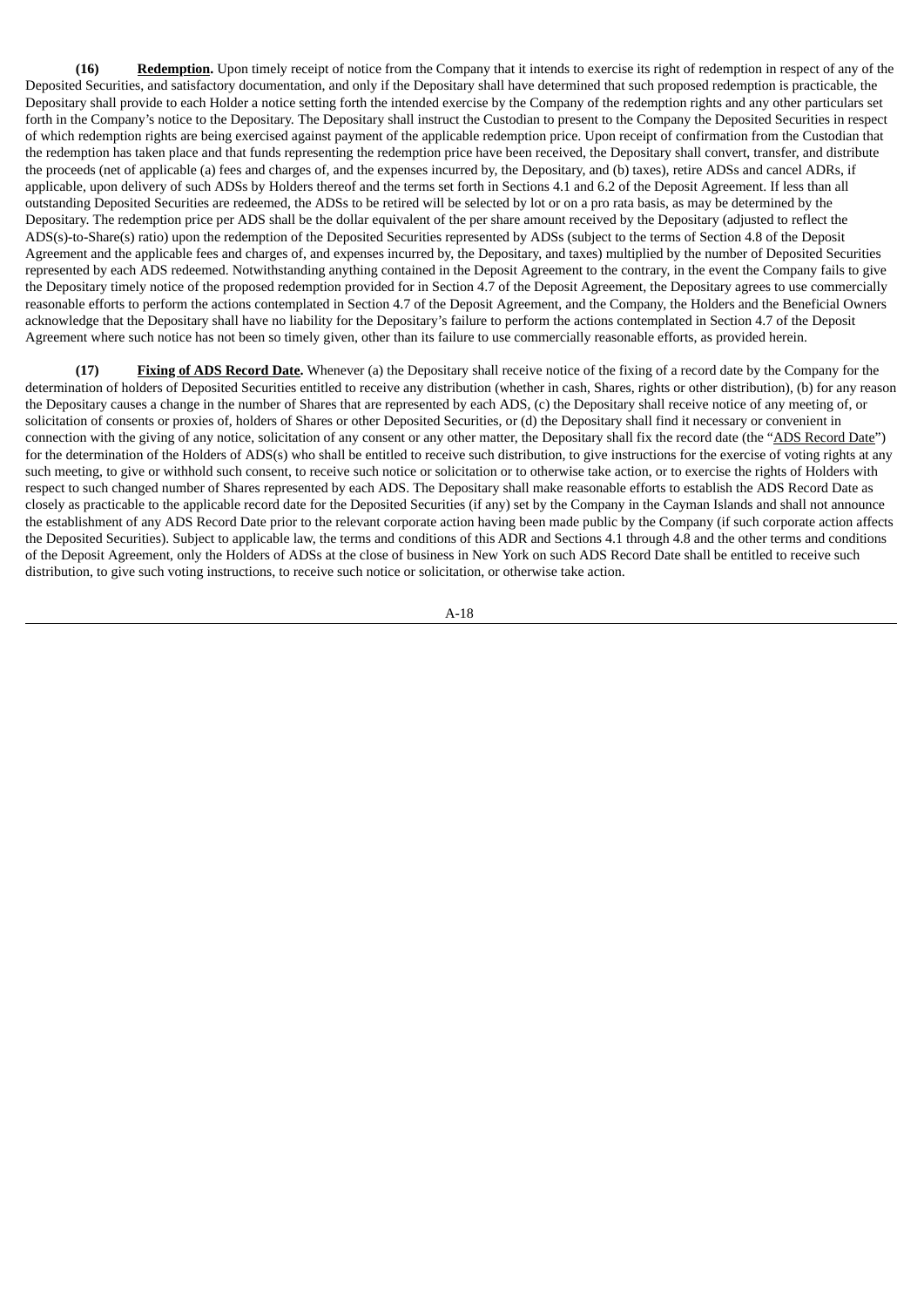**(16) Redemption.** Upon timely receipt of notice from the Company that it intends to exercise its right of redemption in respect of any of the Deposited Securities, and satisfactory documentation, and only if the Depositary shall have determined that such proposed redemption is practicable, the Depositary shall provide to each Holder a notice setting forth the intended exercise by the Company of the redemption rights and any other particulars set forth in the Company's notice to the Depositary. The Depositary shall instruct the Custodian to present to the Company the Deposited Securities in respect of which redemption rights are being exercised against payment of the applicable redemption price. Upon receipt of confirmation from the Custodian that the redemption has taken place and that funds representing the redemption price have been received, the Depositary shall convert, transfer, and distribute the proceeds (net of applicable (a) fees and charges of, and the expenses incurred by, the Depositary, and (b) taxes), retire ADSs and cancel ADRs, if applicable, upon delivery of such ADSs by Holders thereof and the terms set forth in Sections 4.1 and 6.2 of the Deposit Agreement. If less than all outstanding Deposited Securities are redeemed, the ADSs to be retired will be selected by lot or on a pro rata basis, as may be determined by the Depositary. The redemption price per ADS shall be the dollar equivalent of the per share amount received by the Depositary (adjusted to reflect the ADS(s)-to-Share(s) ratio) upon the redemption of the Deposited Securities represented by ADSs (subject to the terms of Section 4.8 of the Deposit Agreement and the applicable fees and charges of, and expenses incurred by, the Depositary, and taxes) multiplied by the number of Deposited Securities represented by each ADS redeemed. Notwithstanding anything contained in the Deposit Agreement to the contrary, in the event the Company fails to give the Depositary timely notice of the proposed redemption provided for in Section 4.7 of the Deposit Agreement, the Depositary agrees to use commercially reasonable efforts to perform the actions contemplated in Section 4.7 of the Deposit Agreement, and the Company, the Holders and the Beneficial Owners acknowledge that the Depositary shall have no liability for the Depositary's failure to perform the actions contemplated in Section 4.7 of the Deposit Agreement where such notice has not been so timely given, other than its failure to use commercially reasonable efforts, as provided herein.

**(17) Fixing of ADS Record Date.** Whenever (a) the Depositary shall receive notice of the fixing of a record date by the Company for the determination of holders of Deposited Securities entitled to receive any distribution (whether in cash, Shares, rights or other distribution), (b) for any reason the Depositary causes a change in the number of Shares that are represented by each ADS, (c) the Depositary shall receive notice of any meeting of, or solicitation of consents or proxies of, holders of Shares or other Deposited Securities, or (d) the Depositary shall find it necessary or convenient in connection with the giving of any notice, solicitation of any consent or any other matter, the Depositary shall fix the record date (the "ADS Record Date") for the determination of the Holders of ADS(s) who shall be entitled to receive such distribution, to give instructions for the exercise of voting rights at any such meeting, to give or withhold such consent, to receive such notice or solicitation or to otherwise take action, or to exercise the rights of Holders with respect to such changed number of Shares represented by each ADS. The Depositary shall make reasonable efforts to establish the ADS Record Date as closely as practicable to the applicable record date for the Deposited Securities (if any) set by the Company in the Cayman Islands and shall not announce the establishment of any ADS Record Date prior to the relevant corporate action having been made public by the Company (if such corporate action affects the Deposited Securities). Subject to applicable law, the terms and conditions of this ADR and Sections 4.1 through 4.8 and the other terms and conditions of the Deposit Agreement, only the Holders of ADSs at the close of business in New York on such ADS Record Date shall be entitled to receive such distribution, to give such voting instructions, to receive such notice or solicitation, or otherwise take action.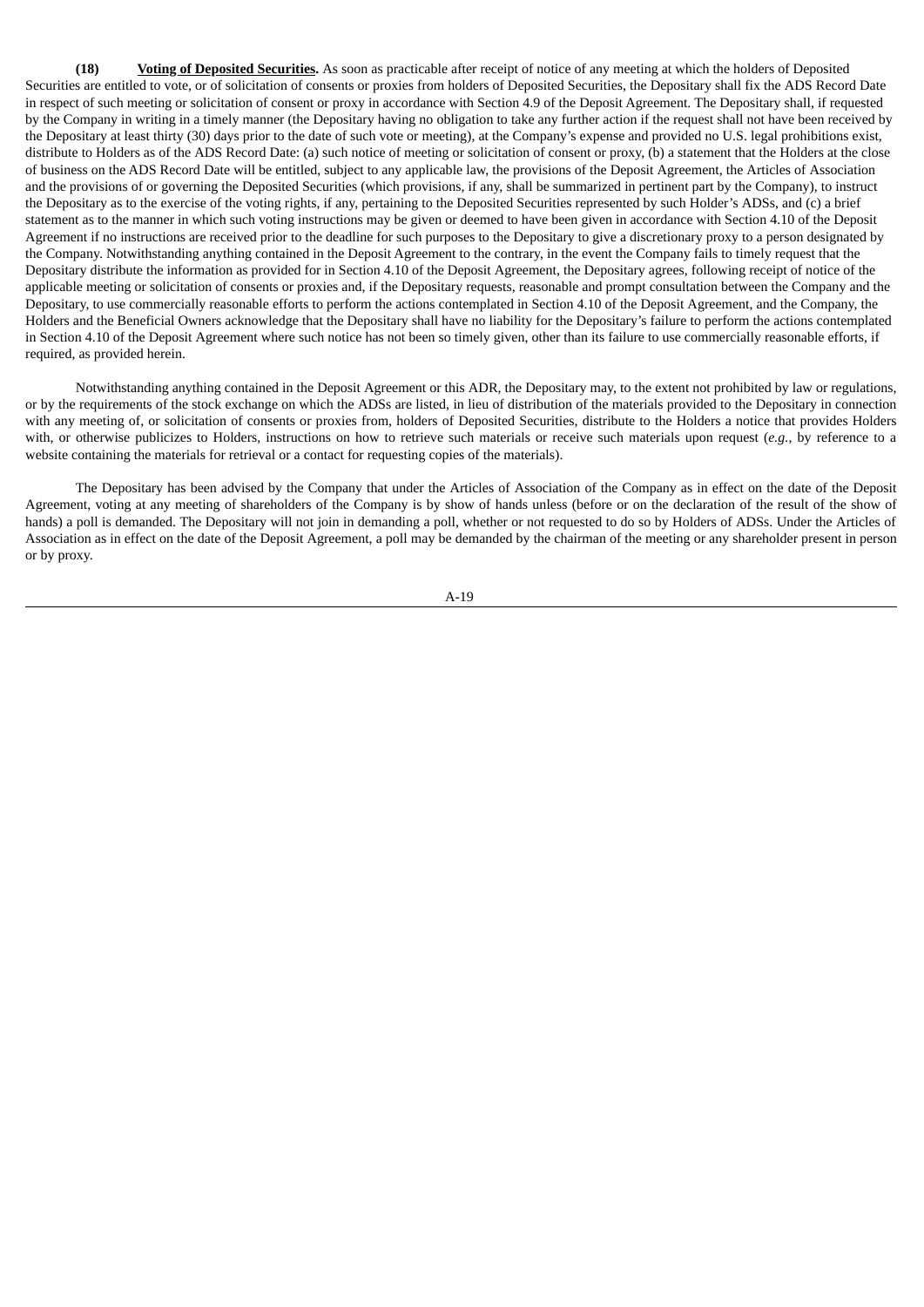**(18) Voting of Deposited Securities.** As soon as practicable after receipt of notice of any meeting at which the holders of Deposited Securities are entitled to vote, or of solicitation of consents or proxies from holders of Deposited Securities, the Depositary shall fix the ADS Record Date in respect of such meeting or solicitation of consent or proxy in accordance with Section 4.9 of the Deposit Agreement. The Depositary shall, if requested by the Company in writing in a timely manner (the Depositary having no obligation to take any further action if the request shall not have been received by the Depositary at least thirty (30) days prior to the date of such vote or meeting), at the Company's expense and provided no U.S. legal prohibitions exist, distribute to Holders as of the ADS Record Date: (a) such notice of meeting or solicitation of consent or proxy, (b) a statement that the Holders at the close of business on the ADS Record Date will be entitled, subject to any applicable law, the provisions of the Deposit Agreement, the Articles of Association and the provisions of or governing the Deposited Securities (which provisions, if any, shall be summarized in pertinent part by the Company), to instruct the Depositary as to the exercise of the voting rights, if any, pertaining to the Deposited Securities represented by such Holder's ADSs, and (c) a brief statement as to the manner in which such voting instructions may be given or deemed to have been given in accordance with Section 4.10 of the Deposit Agreement if no instructions are received prior to the deadline for such purposes to the Depositary to give a discretionary proxy to a person designated by the Company. Notwithstanding anything contained in the Deposit Agreement to the contrary, in the event the Company fails to timely request that the Depositary distribute the information as provided for in Section 4.10 of the Deposit Agreement, the Depositary agrees, following receipt of notice of the applicable meeting or solicitation of consents or proxies and, if the Depositary requests, reasonable and prompt consultation between the Company and the Depositary, to use commercially reasonable efforts to perform the actions contemplated in Section 4.10 of the Deposit Agreement, and the Company, the Holders and the Beneficial Owners acknowledge that the Depositary shall have no liability for the Depositary's failure to perform the actions contemplated in Section 4.10 of the Deposit Agreement where such notice has not been so timely given, other than its failure to use commercially reasonable efforts, if required, as provided herein.

Notwithstanding anything contained in the Deposit Agreement or this ADR, the Depositary may, to the extent not prohibited by law or regulations, or by the requirements of the stock exchange on which the ADSs are listed, in lieu of distribution of the materials provided to the Depositary in connection with any meeting of, or solicitation of consents or proxies from, holders of Deposited Securities, distribute to the Holders a notice that provides Holders with, or otherwise publicizes to Holders, instructions on how to retrieve such materials or receive such materials upon request (*e.g.*, by reference to a website containing the materials for retrieval or a contact for requesting copies of the materials).

The Depositary has been advised by the Company that under the Articles of Association of the Company as in effect on the date of the Deposit Agreement, voting at any meeting of shareholders of the Company is by show of hands unless (before or on the declaration of the result of the show of hands) a poll is demanded. The Depositary will not join in demanding a poll, whether or not requested to do so by Holders of ADSs. Under the Articles of Association as in effect on the date of the Deposit Agreement, a poll may be demanded by the chairman of the meeting or any shareholder present in person or by proxy.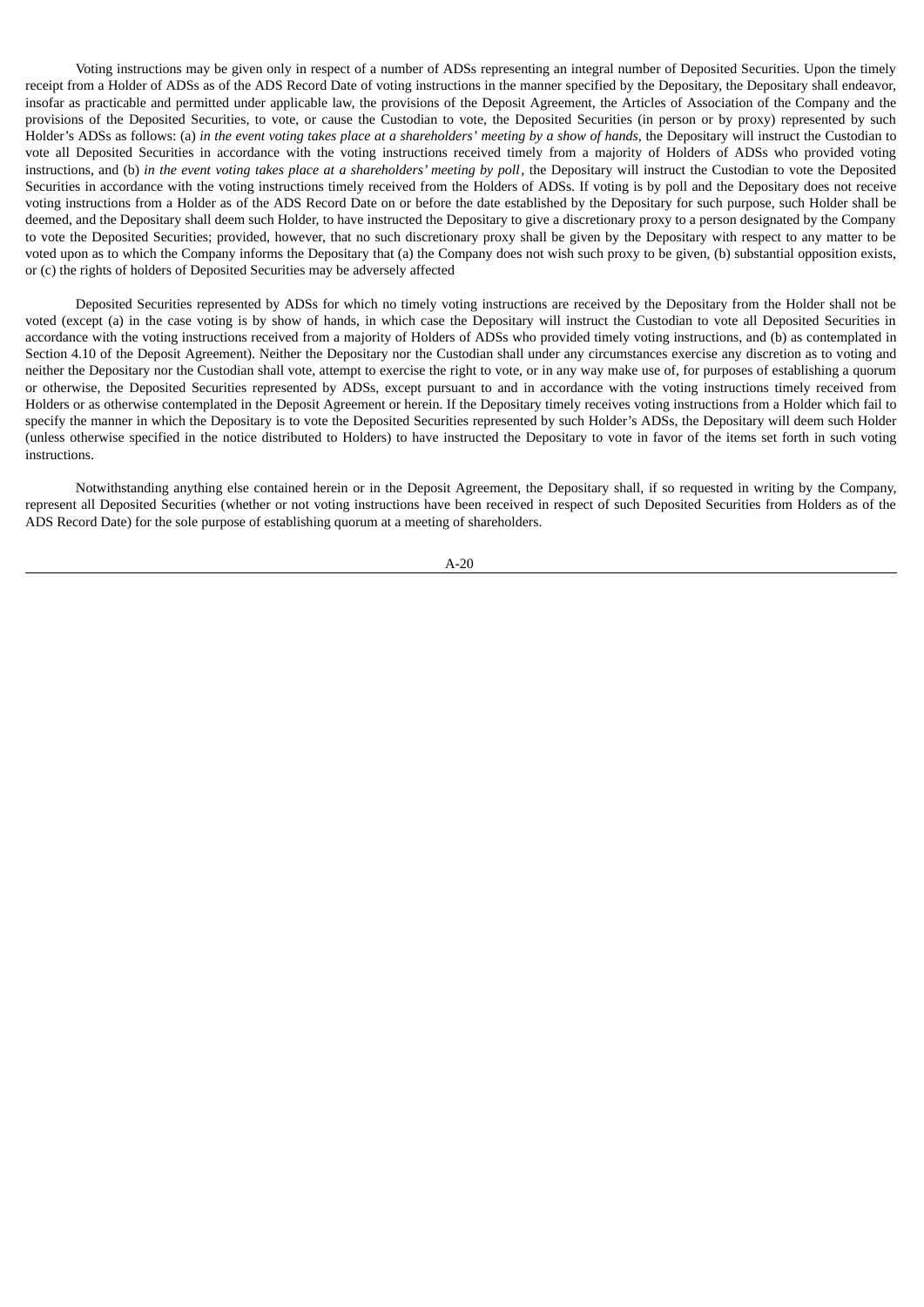Voting instructions may be given only in respect of a number of ADSs representing an integral number of Deposited Securities. Upon the timely receipt from a Holder of ADSs as of the ADS Record Date of voting instructions in the manner specified by the Depositary, the Depositary shall endeavor, insofar as practicable and permitted under applicable law, the provisions of the Deposit Agreement, the Articles of Association of the Company and the provisions of the Deposited Securities, to vote, or cause the Custodian to vote, the Deposited Securities (in person or by proxy) represented by such Holder's ADSs as follows: (a) in the event voting takes place at a shareholders' meeting by a show of hands, the Depositary will instruct the Custodian to vote all Deposited Securities in accordance with the voting instructions received timely from a majority of Holders of ADSs who provided voting instructions, and (b) in the event voting takes place at a shareholders' meeting by poll, the Depositary will instruct the Custodian to vote the Deposited Securities in accordance with the voting instructions timely received from the Holders of ADSs. If voting is by poll and the Depositary does not receive voting instructions from a Holder as of the ADS Record Date on or before the date established by the Depositary for such purpose, such Holder shall be deemed, and the Depositary shall deem such Holder, to have instructed the Depositary to give a discretionary proxy to a person designated by the Company to vote the Deposited Securities; provided, however, that no such discretionary proxy shall be given by the Depositary with respect to any matter to be voted upon as to which the Company informs the Depositary that (a) the Company does not wish such proxy to be given, (b) substantial opposition exists, or (c) the rights of holders of Deposited Securities may be adversely affected

Deposited Securities represented by ADSs for which no timely voting instructions are received by the Depositary from the Holder shall not be voted (except (a) in the case voting is by show of hands, in which case the Depositary will instruct the Custodian to vote all Deposited Securities in accordance with the voting instructions received from a majority of Holders of ADSs who provided timely voting instructions, and (b) as contemplated in Section 4.10 of the Deposit Agreement). Neither the Depositary nor the Custodian shall under any circumstances exercise any discretion as to voting and neither the Depositary nor the Custodian shall vote, attempt to exercise the right to vote, or in any way make use of, for purposes of establishing a quorum or otherwise, the Deposited Securities represented by ADSs, except pursuant to and in accordance with the voting instructions timely received from Holders or as otherwise contemplated in the Deposit Agreement or herein. If the Depositary timely receives voting instructions from a Holder which fail to specify the manner in which the Depositary is to vote the Deposited Securities represented by such Holder's ADSs, the Depositary will deem such Holder (unless otherwise specified in the notice distributed to Holders) to have instructed the Depositary to vote in favor of the items set forth in such voting instructions.

Notwithstanding anything else contained herein or in the Deposit Agreement, the Depositary shall, if so requested in writing by the Company, represent all Deposited Securities (whether or not voting instructions have been received in respect of such Deposited Securities from Holders as of the ADS Record Date) for the sole purpose of establishing quorum at a meeting of shareholders.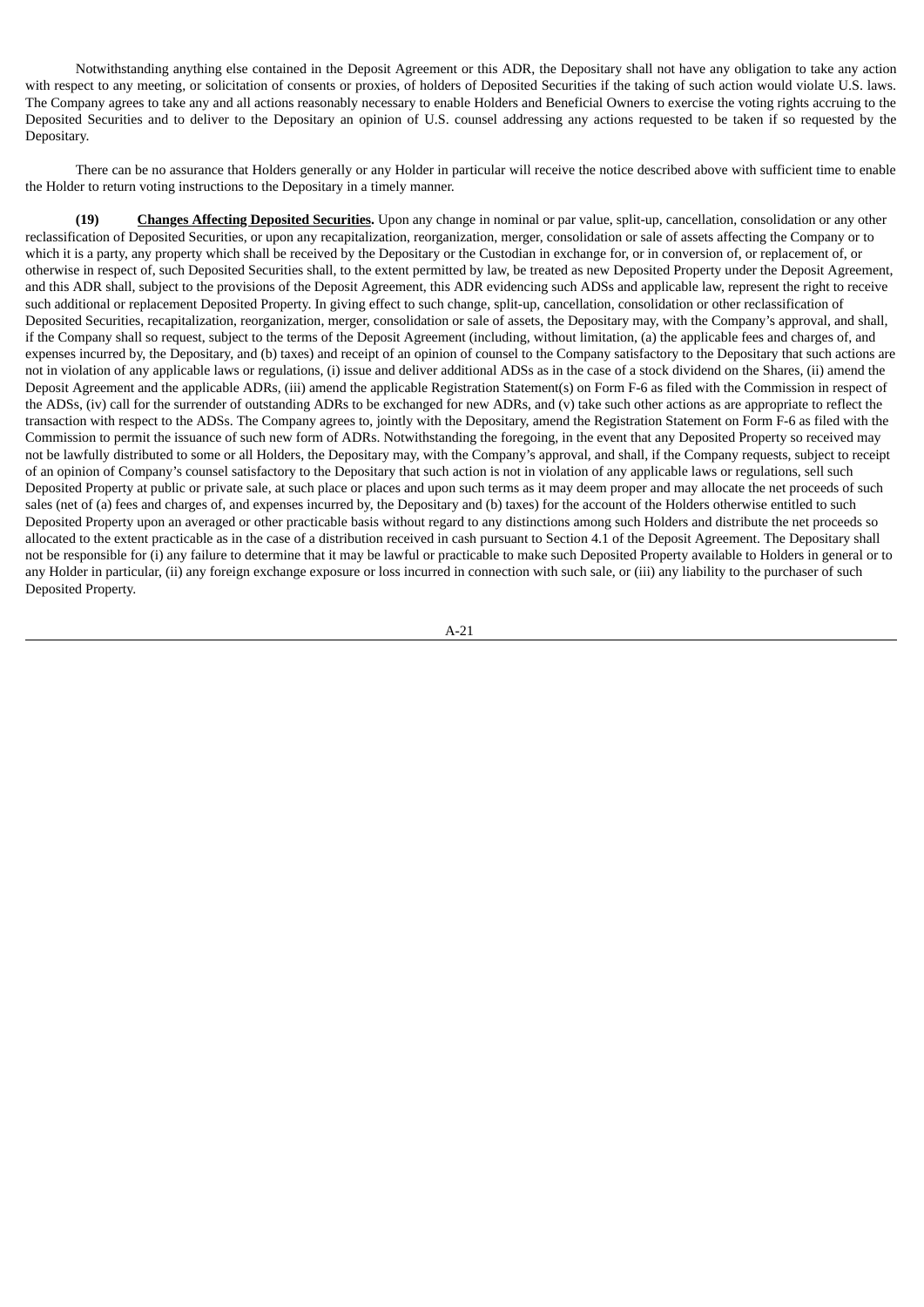Notwithstanding anything else contained in the Deposit Agreement or this ADR, the Depositary shall not have any obligation to take any action with respect to any meeting, or solicitation of consents or proxies, of holders of Deposited Securities if the taking of such action would violate U.S. laws. The Company agrees to take any and all actions reasonably necessary to enable Holders and Beneficial Owners to exercise the voting rights accruing to the Deposited Securities and to deliver to the Depositary an opinion of U.S. counsel addressing any actions requested to be taken if so requested by the Depositary.

There can be no assurance that Holders generally or any Holder in particular will receive the notice described above with sufficient time to enable the Holder to return voting instructions to the Depositary in a timely manner.

**(19) Changes Affecting Deposited Securities.** Upon any change in nominal or par value, split-up, cancellation, consolidation or any other reclassification of Deposited Securities, or upon any recapitalization, reorganization, merger, consolidation or sale of assets affecting the Company or to which it is a party, any property which shall be received by the Depositary or the Custodian in exchange for, or in conversion of, or replacement of, or otherwise in respect of, such Deposited Securities shall, to the extent permitted by law, be treated as new Deposited Property under the Deposit Agreement, and this ADR shall, subject to the provisions of the Deposit Agreement, this ADR evidencing such ADSs and applicable law, represent the right to receive such additional or replacement Deposited Property. In giving effect to such change, split-up, cancellation, consolidation or other reclassification of Deposited Securities, recapitalization, reorganization, merger, consolidation or sale of assets, the Depositary may, with the Company's approval, and shall, if the Company shall so request, subject to the terms of the Deposit Agreement (including, without limitation, (a) the applicable fees and charges of, and expenses incurred by, the Depositary, and (b) taxes) and receipt of an opinion of counsel to the Company satisfactory to the Depositary that such actions are not in violation of any applicable laws or regulations, (i) issue and deliver additional ADSs as in the case of a stock dividend on the Shares, (ii) amend the Deposit Agreement and the applicable ADRs, (iii) amend the applicable Registration Statement(s) on Form F-6 as filed with the Commission in respect of the ADSs, (iv) call for the surrender of outstanding ADRs to be exchanged for new ADRs, and (v) take such other actions as are appropriate to reflect the transaction with respect to the ADSs. The Company agrees to, jointly with the Depositary, amend the Registration Statement on Form F-6 as filed with the Commission to permit the issuance of such new form of ADRs. Notwithstanding the foregoing, in the event that any Deposited Property so received may not be lawfully distributed to some or all Holders, the Depositary may, with the Company's approval, and shall, if the Company requests, subject to receipt of an opinion of Company's counsel satisfactory to the Depositary that such action is not in violation of any applicable laws or regulations, sell such Deposited Property at public or private sale, at such place or places and upon such terms as it may deem proper and may allocate the net proceeds of such sales (net of (a) fees and charges of, and expenses incurred by, the Depositary and (b) taxes) for the account of the Holders otherwise entitled to such Deposited Property upon an averaged or other practicable basis without regard to any distinctions among such Holders and distribute the net proceeds so allocated to the extent practicable as in the case of a distribution received in cash pursuant to Section 4.1 of the Deposit Agreement. The Depositary shall not be responsible for (i) any failure to determine that it may be lawful or practicable to make such Deposited Property available to Holders in general or to any Holder in particular, (ii) any foreign exchange exposure or loss incurred in connection with such sale, or (iii) any liability to the purchaser of such Deposited Property.

$$
A-21
$$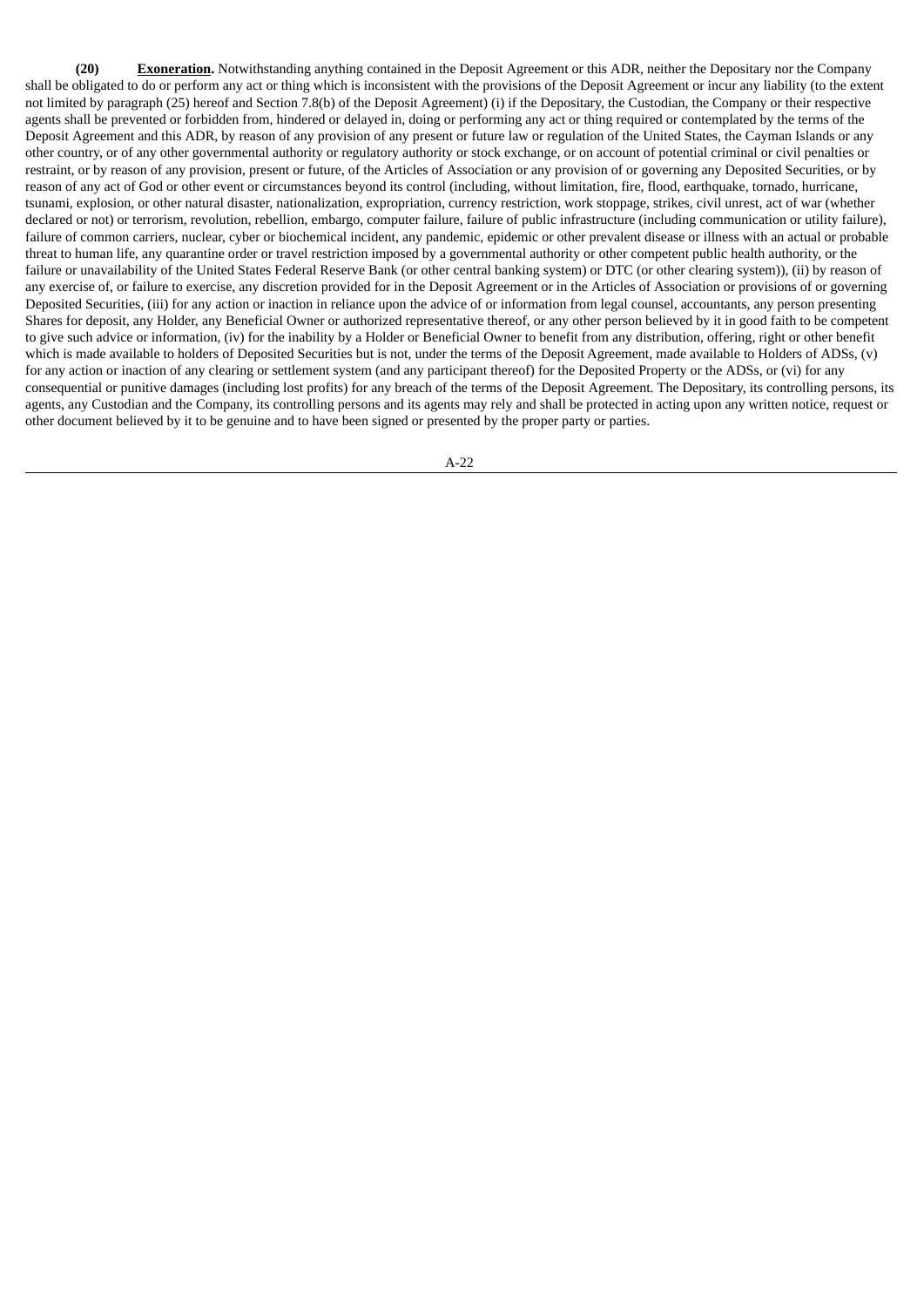**(20) Exoneration.** Notwithstanding anything contained in the Deposit Agreement or this ADR, neither the Depositary nor the Company shall be obligated to do or perform any act or thing which is inconsistent with the provisions of the Deposit Agreement or incur any liability (to the extent not limited by paragraph (25) hereof and Section 7.8(b) of the Deposit Agreement) (i) if the Depositary, the Custodian, the Company or their respective agents shall be prevented or forbidden from, hindered or delayed in, doing or performing any act or thing required or contemplated by the terms of the Deposit Agreement and this ADR, by reason of any provision of any present or future law or regulation of the United States, the Cayman Islands or any other country, or of any other governmental authority or regulatory authority or stock exchange, or on account of potential criminal or civil penalties or restraint, or by reason of any provision, present or future, of the Articles of Association or any provision of or governing any Deposited Securities, or by reason of any act of God or other event or circumstances beyond its control (including, without limitation, fire, flood, earthquake, tornado, hurricane, tsunami, explosion, or other natural disaster, nationalization, expropriation, currency restriction, work stoppage, strikes, civil unrest, act of war (whether declared or not) or terrorism, revolution, rebellion, embargo, computer failure, failure of public infrastructure (including communication or utility failure), failure of common carriers, nuclear, cyber or biochemical incident, any pandemic, epidemic or other prevalent disease or illness with an actual or probable threat to human life, any quarantine order or travel restriction imposed by a governmental authority or other competent public health authority, or the failure or unavailability of the United States Federal Reserve Bank (or other central banking system) or DTC (or other clearing system)), (ii) by reason of any exercise of, or failure to exercise, any discretion provided for in the Deposit Agreement or in the Articles of Association or provisions of or governing Deposited Securities, (iii) for any action or inaction in reliance upon the advice of or information from legal counsel, accountants, any person presenting Shares for deposit, any Holder, any Beneficial Owner or authorized representative thereof, or any other person believed by it in good faith to be competent to give such advice or information, (iv) for the inability by a Holder or Beneficial Owner to benefit from any distribution, offering, right or other benefit which is made available to holders of Deposited Securities but is not, under the terms of the Deposit Agreement, made available to Holders of ADSs, (v) for any action or inaction of any clearing or settlement system (and any participant thereof) for the Deposited Property or the ADSs, or (vi) for any consequential or punitive damages (including lost profits) for any breach of the terms of the Deposit Agreement. The Depositary, its controlling persons, its agents, any Custodian and the Company, its controlling persons and its agents may rely and shall be protected in acting upon any written notice, request or other document believed by it to be genuine and to have been signed or presented by the proper party or parties.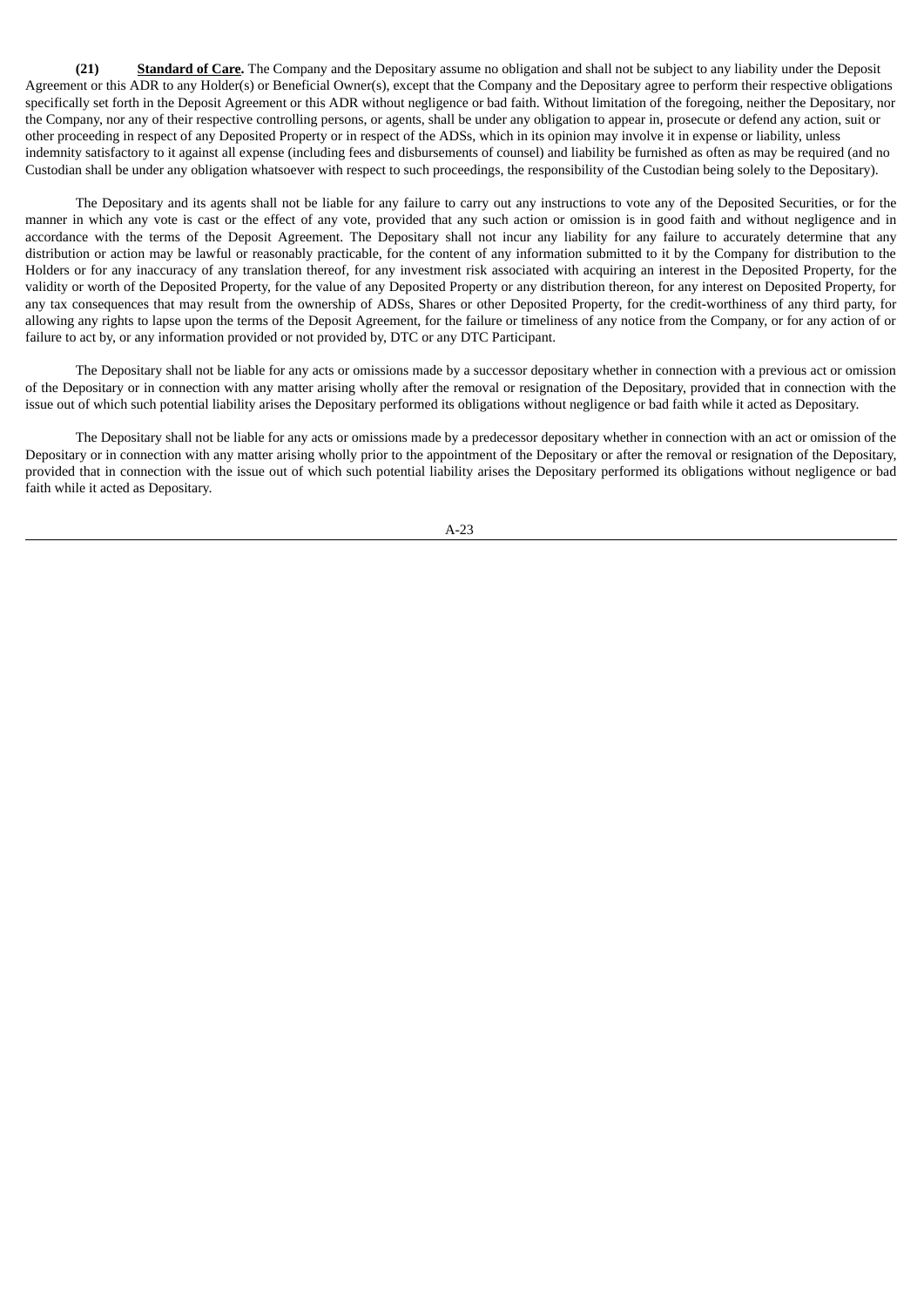**(21) Standard of Care.** The Company and the Depositary assume no obligation and shall not be subject to any liability under the Deposit Agreement or this ADR to any Holder(s) or Beneficial Owner(s), except that the Company and the Depositary agree to perform their respective obligations specifically set forth in the Deposit Agreement or this ADR without negligence or bad faith. Without limitation of the foregoing, neither the Depositary, nor the Company, nor any of their respective controlling persons, or agents, shall be under any obligation to appear in, prosecute or defend any action, suit or other proceeding in respect of any Deposited Property or in respect of the ADSs, which in its opinion may involve it in expense or liability, unless indemnity satisfactory to it against all expense (including fees and disbursements of counsel) and liability be furnished as often as may be required (and no Custodian shall be under any obligation whatsoever with respect to such proceedings, the responsibility of the Custodian being solely to the Depositary).

The Depositary and its agents shall not be liable for any failure to carry out any instructions to vote any of the Deposited Securities, or for the manner in which any vote is cast or the effect of any vote, provided that any such action or omission is in good faith and without negligence and in accordance with the terms of the Deposit Agreement. The Depositary shall not incur any liability for any failure to accurately determine that any distribution or action may be lawful or reasonably practicable, for the content of any information submitted to it by the Company for distribution to the Holders or for any inaccuracy of any translation thereof, for any investment risk associated with acquiring an interest in the Deposited Property, for the validity or worth of the Deposited Property, for the value of any Deposited Property or any distribution thereon, for any interest on Deposited Property, for any tax consequences that may result from the ownership of ADSs, Shares or other Deposited Property, for the credit-worthiness of any third party, for allowing any rights to lapse upon the terms of the Deposit Agreement, for the failure or timeliness of any notice from the Company, or for any action of or failure to act by, or any information provided or not provided by, DTC or any DTC Participant.

The Depositary shall not be liable for any acts or omissions made by a successor depositary whether in connection with a previous act or omission of the Depositary or in connection with any matter arising wholly after the removal or resignation of the Depositary, provided that in connection with the issue out of which such potential liability arises the Depositary performed its obligations without negligence or bad faith while it acted as Depositary.

The Depositary shall not be liable for any acts or omissions made by a predecessor depositary whether in connection with an act or omission of the Depositary or in connection with any matter arising wholly prior to the appointment of the Depositary or after the removal or resignation of the Depositary, provided that in connection with the issue out of which such potential liability arises the Depositary performed its obligations without negligence or bad faith while it acted as Depositary.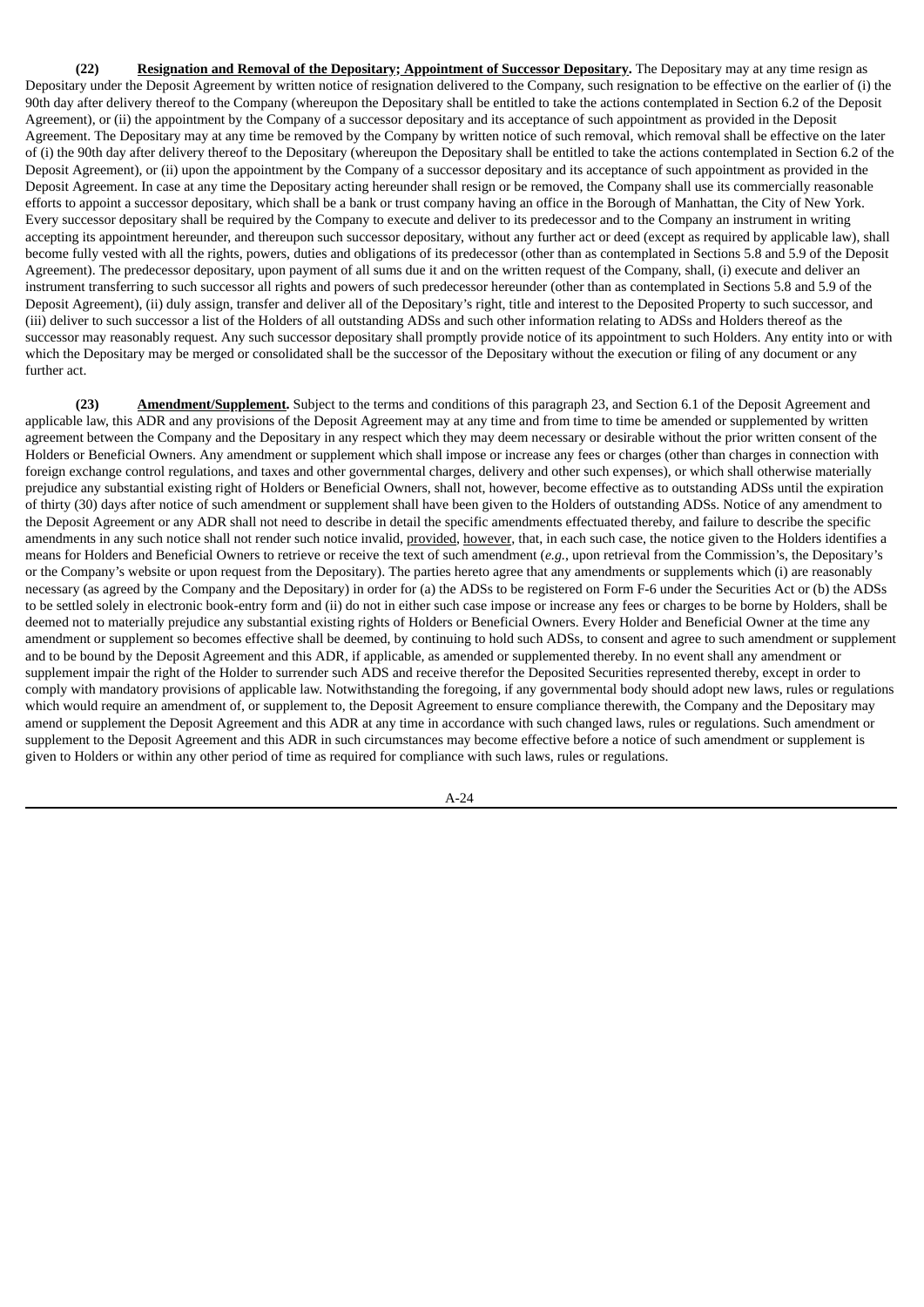**(22) Resignation and Removal of the Depositary; Appointment of Successor Depositary.** The Depositary may at any time resign as Depositary under the Deposit Agreement by written notice of resignation delivered to the Company, such resignation to be effective on the earlier of (i) the 90th day after delivery thereof to the Company (whereupon the Depositary shall be entitled to take the actions contemplated in Section 6.2 of the Deposit Agreement), or (ii) the appointment by the Company of a successor depositary and its acceptance of such appointment as provided in the Deposit Agreement. The Depositary may at any time be removed by the Company by written notice of such removal, which removal shall be effective on the later of (i) the 90th day after delivery thereof to the Depositary (whereupon the Depositary shall be entitled to take the actions contemplated in Section 6.2 of the Deposit Agreement), or (ii) upon the appointment by the Company of a successor depositary and its acceptance of such appointment as provided in the Deposit Agreement. In case at any time the Depositary acting hereunder shall resign or be removed, the Company shall use its commercially reasonable efforts to appoint a successor depositary, which shall be a bank or trust company having an office in the Borough of Manhattan, the City of New York. Every successor depositary shall be required by the Company to execute and deliver to its predecessor and to the Company an instrument in writing accepting its appointment hereunder, and thereupon such successor depositary, without any further act or deed (except as required by applicable law), shall become fully vested with all the rights, powers, duties and obligations of its predecessor (other than as contemplated in Sections 5.8 and 5.9 of the Deposit Agreement). The predecessor depositary, upon payment of all sums due it and on the written request of the Company, shall, (i) execute and deliver an instrument transferring to such successor all rights and powers of such predecessor hereunder (other than as contemplated in Sections 5.8 and 5.9 of the Deposit Agreement), (ii) duly assign, transfer and deliver all of the Depositary's right, title and interest to the Deposited Property to such successor, and (iii) deliver to such successor a list of the Holders of all outstanding ADSs and such other information relating to ADSs and Holders thereof as the successor may reasonably request. Any such successor depositary shall promptly provide notice of its appointment to such Holders. Any entity into or with which the Depositary may be merged or consolidated shall be the successor of the Depositary without the execution or filing of any document or any further act.

**(23) Amendment/Supplement.** Subject to the terms and conditions of this paragraph 23, and Section 6.1 of the Deposit Agreement and applicable law, this ADR and any provisions of the Deposit Agreement may at any time and from time to time be amended or supplemented by written agreement between the Company and the Depositary in any respect which they may deem necessary or desirable without the prior written consent of the Holders or Beneficial Owners. Any amendment or supplement which shall impose or increase any fees or charges (other than charges in connection with foreign exchange control regulations, and taxes and other governmental charges, delivery and other such expenses), or which shall otherwise materially prejudice any substantial existing right of Holders or Beneficial Owners, shall not, however, become effective as to outstanding ADSs until the expiration of thirty (30) days after notice of such amendment or supplement shall have been given to the Holders of outstanding ADSs. Notice of any amendment to the Deposit Agreement or any ADR shall not need to describe in detail the specific amendments effectuated thereby, and failure to describe the specific amendments in any such notice shall not render such notice invalid, provided, however, that, in each such case, the notice given to the Holders identifies a means for Holders and Beneficial Owners to retrieve or receive the text of such amendment (*e.g.*, upon retrieval from the Commission's, the Depositary's or the Company's website or upon request from the Depositary). The parties hereto agree that any amendments or supplements which (i) are reasonably necessary (as agreed by the Company and the Depositary) in order for (a) the ADSs to be registered on Form F-6 under the Securities Act or (b) the ADSs to be settled solely in electronic book-entry form and (ii) do not in either such case impose or increase any fees or charges to be borne by Holders, shall be deemed not to materially prejudice any substantial existing rights of Holders or Beneficial Owners. Every Holder and Beneficial Owner at the time any amendment or supplement so becomes effective shall be deemed, by continuing to hold such ADSs, to consent and agree to such amendment or supplement and to be bound by the Deposit Agreement and this ADR, if applicable, as amended or supplemented thereby. In no event shall any amendment or supplement impair the right of the Holder to surrender such ADS and receive therefor the Deposited Securities represented thereby, except in order to comply with mandatory provisions of applicable law. Notwithstanding the foregoing, if any governmental body should adopt new laws, rules or regulations which would require an amendment of, or supplement to, the Deposit Agreement to ensure compliance therewith, the Company and the Depositary may amend or supplement the Deposit Agreement and this ADR at any time in accordance with such changed laws, rules or regulations. Such amendment or supplement to the Deposit Agreement and this ADR in such circumstances may become effective before a notice of such amendment or supplement is given to Holders or within any other period of time as required for compliance with such laws, rules or regulations.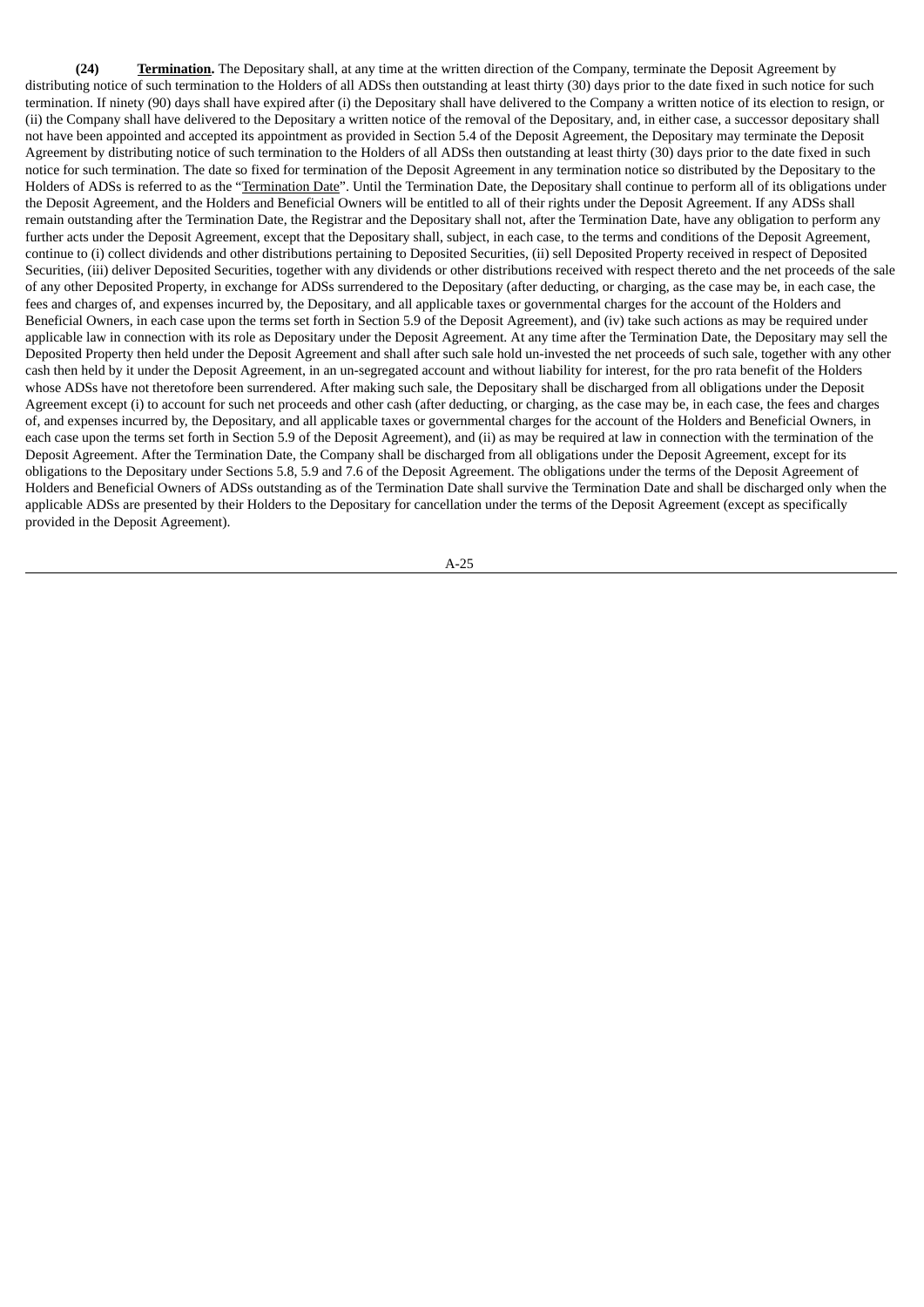**(24) Termination.** The Depositary shall, at any time at the written direction of the Company, terminate the Deposit Agreement by distributing notice of such termination to the Holders of all ADSs then outstanding at least thirty (30) days prior to the date fixed in such notice for such termination. If ninety (90) days shall have expired after (i) the Depositary shall have delivered to the Company a written notice of its election to resign, or (ii) the Company shall have delivered to the Depositary a written notice of the removal of the Depositary, and, in either case, a successor depositary shall not have been appointed and accepted its appointment as provided in Section 5.4 of the Deposit Agreement, the Depositary may terminate the Deposit Agreement by distributing notice of such termination to the Holders of all ADSs then outstanding at least thirty (30) days prior to the date fixed in such notice for such termination. The date so fixed for termination of the Deposit Agreement in any termination notice so distributed by the Depositary to the Holders of ADSs is referred to as the "Termination Date". Until the Termination Date, the Depositary shall continue to perform all of its obligations under the Deposit Agreement, and the Holders and Beneficial Owners will be entitled to all of their rights under the Deposit Agreement. If any ADSs shall remain outstanding after the Termination Date, the Registrar and the Depositary shall not, after the Termination Date, have any obligation to perform any further acts under the Deposit Agreement, except that the Depositary shall, subject, in each case, to the terms and conditions of the Deposit Agreement, continue to (i) collect dividends and other distributions pertaining to Deposited Securities, (ii) sell Deposited Property received in respect of Deposited Securities, (iii) deliver Deposited Securities, together with any dividends or other distributions received with respect thereto and the net proceeds of the sale of any other Deposited Property, in exchange for ADSs surrendered to the Depositary (after deducting, or charging, as the case may be, in each case, the fees and charges of, and expenses incurred by, the Depositary, and all applicable taxes or governmental charges for the account of the Holders and Beneficial Owners, in each case upon the terms set forth in Section 5.9 of the Deposit Agreement), and (iv) take such actions as may be required under applicable law in connection with its role as Depositary under the Deposit Agreement. At any time after the Termination Date, the Depositary may sell the Deposited Property then held under the Deposit Agreement and shall after such sale hold un-invested the net proceeds of such sale, together with any other cash then held by it under the Deposit Agreement, in an un-segregated account and without liability for interest, for the pro rata benefit of the Holders whose ADSs have not theretofore been surrendered. After making such sale, the Depositary shall be discharged from all obligations under the Deposit Agreement except (i) to account for such net proceeds and other cash (after deducting, or charging, as the case may be, in each case, the fees and charges of, and expenses incurred by, the Depositary, and all applicable taxes or governmental charges for the account of the Holders and Beneficial Owners, in each case upon the terms set forth in Section 5.9 of the Deposit Agreement), and (ii) as may be required at law in connection with the termination of the Deposit Agreement. After the Termination Date, the Company shall be discharged from all obligations under the Deposit Agreement, except for its obligations to the Depositary under Sections 5.8, 5.9 and 7.6 of the Deposit Agreement. The obligations under the terms of the Deposit Agreement of Holders and Beneficial Owners of ADSs outstanding as of the Termination Date shall survive the Termination Date and shall be discharged only when the applicable ADSs are presented by their Holders to the Depositary for cancellation under the terms of the Deposit Agreement (except as specifically provided in the Deposit Agreement).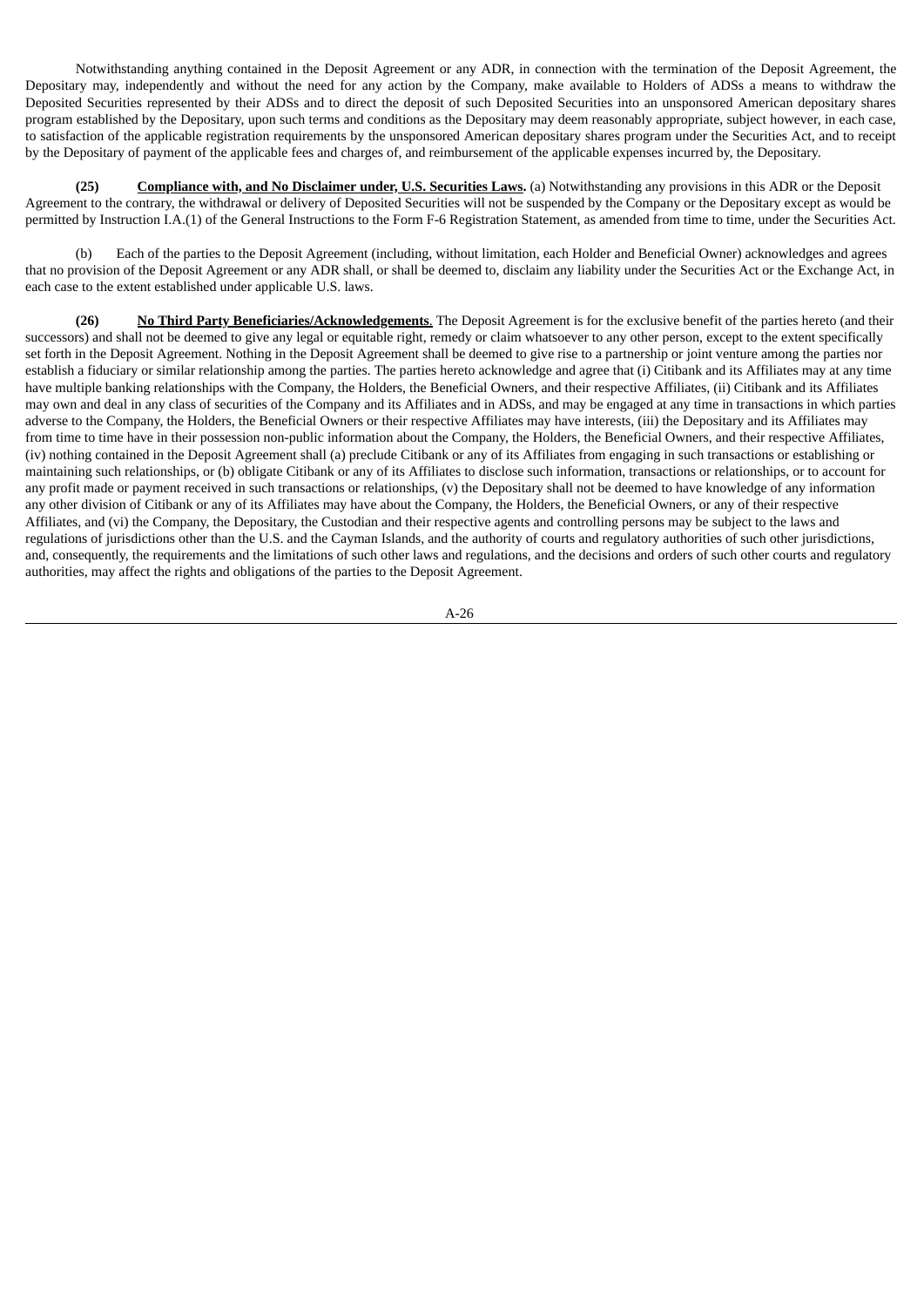Notwithstanding anything contained in the Deposit Agreement or any ADR, in connection with the termination of the Deposit Agreement, the Depositary may, independently and without the need for any action by the Company, make available to Holders of ADSs a means to withdraw the Deposited Securities represented by their ADSs and to direct the deposit of such Deposited Securities into an unsponsored American depositary shares program established by the Depositary, upon such terms and conditions as the Depositary may deem reasonably appropriate, subject however, in each case, to satisfaction of the applicable registration requirements by the unsponsored American depositary shares program under the Securities Act, and to receipt by the Depositary of payment of the applicable fees and charges of, and reimbursement of the applicable expenses incurred by, the Depositary.

**(25) Compliance with, and No Disclaimer under, U.S. Securities Laws.** (a) Notwithstanding any provisions in this ADR or the Deposit Agreement to the contrary, the withdrawal or delivery of Deposited Securities will not be suspended by the Company or the Depositary except as would be permitted by Instruction I.A.(1) of the General Instructions to the Form F-6 Registration Statement, as amended from time to time, under the Securities Act.

(b) Each of the parties to the Deposit Agreement (including, without limitation, each Holder and Beneficial Owner) acknowledges and agrees that no provision of the Deposit Agreement or any ADR shall, or shall be deemed to, disclaim any liability under the Securities Act or the Exchange Act, in each case to the extent established under applicable U.S. laws.

**(26) No Third Party Beneficiaries/Acknowledgements**. The Deposit Agreement is for the exclusive benefit of the parties hereto (and their successors) and shall not be deemed to give any legal or equitable right, remedy or claim whatsoever to any other person, except to the extent specifically set forth in the Deposit Agreement. Nothing in the Deposit Agreement shall be deemed to give rise to a partnership or joint venture among the parties nor establish a fiduciary or similar relationship among the parties. The parties hereto acknowledge and agree that (i) Citibank and its Affiliates may at any time have multiple banking relationships with the Company, the Holders, the Beneficial Owners, and their respective Affiliates, (ii) Citibank and its Affiliates may own and deal in any class of securities of the Company and its Affiliates and in ADSs, and may be engaged at any time in transactions in which parties adverse to the Company, the Holders, the Beneficial Owners or their respective Affiliates may have interests, (iii) the Depositary and its Affiliates may from time to time have in their possession non-public information about the Company, the Holders, the Beneficial Owners, and their respective Affiliates, (iv) nothing contained in the Deposit Agreement shall (a) preclude Citibank or any of its Affiliates from engaging in such transactions or establishing or maintaining such relationships, or (b) obligate Citibank or any of its Affiliates to disclose such information, transactions or relationships, or to account for any profit made or payment received in such transactions or relationships, (v) the Depositary shall not be deemed to have knowledge of any information any other division of Citibank or any of its Affiliates may have about the Company, the Holders, the Beneficial Owners, or any of their respective Affiliates, and (vi) the Company, the Depositary, the Custodian and their respective agents and controlling persons may be subject to the laws and regulations of jurisdictions other than the U.S. and the Cayman Islands, and the authority of courts and regulatory authorities of such other jurisdictions, and, consequently, the requirements and the limitations of such other laws and regulations, and the decisions and orders of such other courts and regulatory authorities, may affect the rights and obligations of the parties to the Deposit Agreement.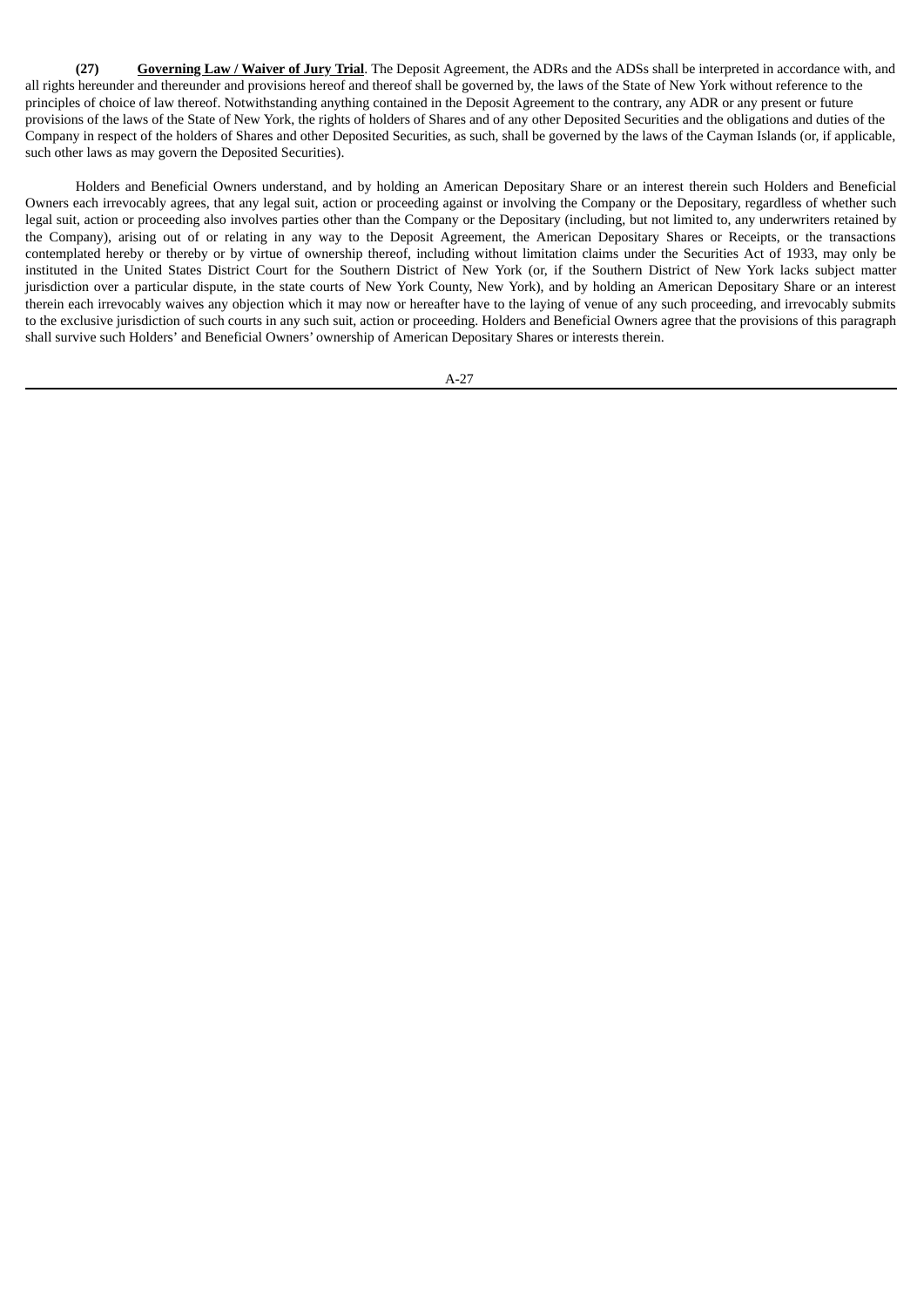**(27) Governing Law / Waiver of Jury Trial**. The Deposit Agreement, the ADRs and the ADSs shall be interpreted in accordance with, and all rights hereunder and thereunder and provisions hereof and thereof shall be governed by, the laws of the State of New York without reference to the principles of choice of law thereof. Notwithstanding anything contained in the Deposit Agreement to the contrary, any ADR or any present or future provisions of the laws of the State of New York, the rights of holders of Shares and of any other Deposited Securities and the obligations and duties of the Company in respect of the holders of Shares and other Deposited Securities, as such, shall be governed by the laws of the Cayman Islands (or, if applicable, such other laws as may govern the Deposited Securities).

Holders and Beneficial Owners understand, and by holding an American Depositary Share or an interest therein such Holders and Beneficial Owners each irrevocably agrees, that any legal suit, action or proceeding against or involving the Company or the Depositary, regardless of whether such legal suit, action or proceeding also involves parties other than the Company or the Depositary (including, but not limited to, any underwriters retained by the Company), arising out of or relating in any way to the Deposit Agreement, the American Depositary Shares or Receipts, or the transactions contemplated hereby or thereby or by virtue of ownership thereof, including without limitation claims under the Securities Act of 1933, may only be instituted in the United States District Court for the Southern District of New York (or, if the Southern District of New York lacks subject matter jurisdiction over a particular dispute, in the state courts of New York County, New York), and by holding an American Depositary Share or an interest therein each irrevocably waives any objection which it may now or hereafter have to the laying of venue of any such proceeding, and irrevocably submits to the exclusive jurisdiction of such courts in any such suit, action or proceeding. Holders and Beneficial Owners agree that the provisions of this paragraph shall survive such Holders' and Beneficial Owners' ownership of American Depositary Shares or interests therein.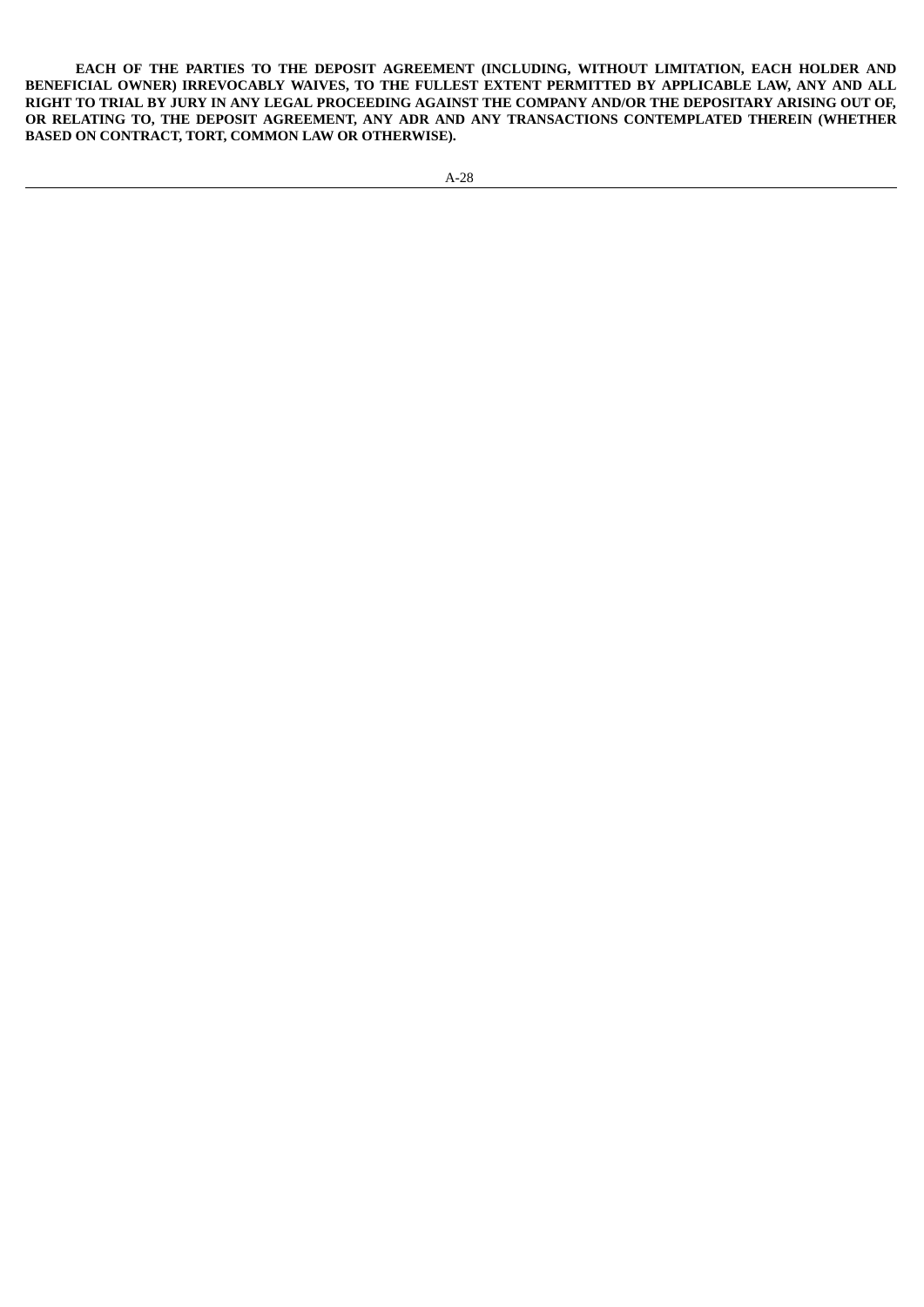**EACH OF THE PARTIES TO THE DEPOSIT AGREEMENT (INCLUDING, WITHOUT LIMITATION, EACH HOLDER AND BENEFICIAL OWNER) IRREVOCABLY WAIVES, TO THE FULLEST EXTENT PERMITTED BY APPLICABLE LAW, ANY AND ALL** RIGHT TO TRIAL BY JURY IN ANY LEGAL PROCEEDING AGAINST THE COMPANY AND/OR THE DEPOSITARY ARISING OUT OF, **OR RELATING TO, THE DEPOSIT AGREEMENT, ANY ADR AND ANY TRANSACTIONS CONTEMPLATED THEREIN (WHETHER BASED ON CONTRACT, TORT, COMMON LAW OR OTHERWISE).**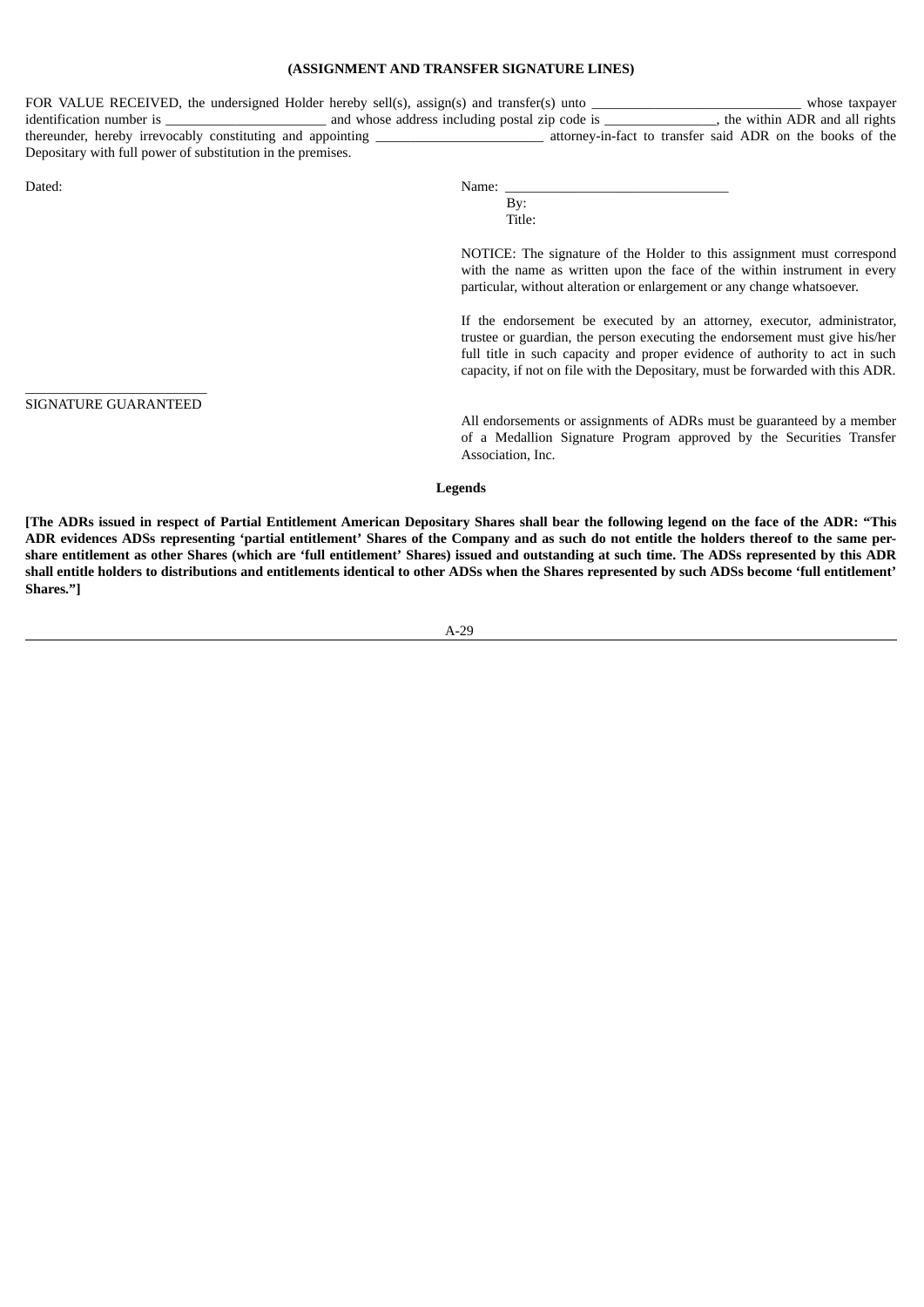#### **(ASSIGNMENT AND TRANSFER SIGNATURE LINES)**

| FOR VALUE RECEIVED, the undersigned Holder hereby sell(s), assign(s) and transfer(s) unto |                                                |  | whose taxpayer                                            |
|-------------------------------------------------------------------------------------------|------------------------------------------------|--|-----------------------------------------------------------|
| identification number is                                                                  | and whose address including postal zip code is |  | the within ADR and all rights                             |
| thereunder, hereby irrevocably constituting and appointing                                |                                                |  | attorney-in-fact to transfer said ADR on the books of the |
| Depositary with full power of substitution in the premises.                               |                                                |  |                                                           |
|                                                                                           |                                                |  |                                                           |

 $\_$ SIGNATURE GUARANTEED

| Dater<br>---- | 'Name.<br>______ |
|---------------|------------------|
|               |                  |

By: Title:

NOTICE: The signature of the Holder to this assignment must correspond with the name as written upon the face of the within instrument in every particular, without alteration or enlargement or any change whatsoever.

If the endorsement be executed by an attorney, executor, administrator, trustee or guardian, the person executing the endorsement must give his/her full title in such capacity and proper evidence of authority to act in such capacity, if not on file with the Depositary, must be forwarded with this ADR.

All endorsements or assignments of ADRs must be guaranteed by a member of a Medallion Signature Program approved by the Securities Transfer Association, Inc.

**Legends**

[The ADRs issued in respect of Partial Entitlement American Depositary Shares shall bear the following legend on the face of the ADR: "This ADR evidences ADSs representing 'partial entitlement' Shares of the Company and as such do not entitle the holders thereof to the same pershare entitlement as other Shares (which are 'full entitlement' Shares) issued and outstanding at such time. The ADSs represented by this ADR shall entitle holders to distributions and entitlements identical to other ADSs when the Shares represented by such ADSs become 'full entitlement' **Shares."]**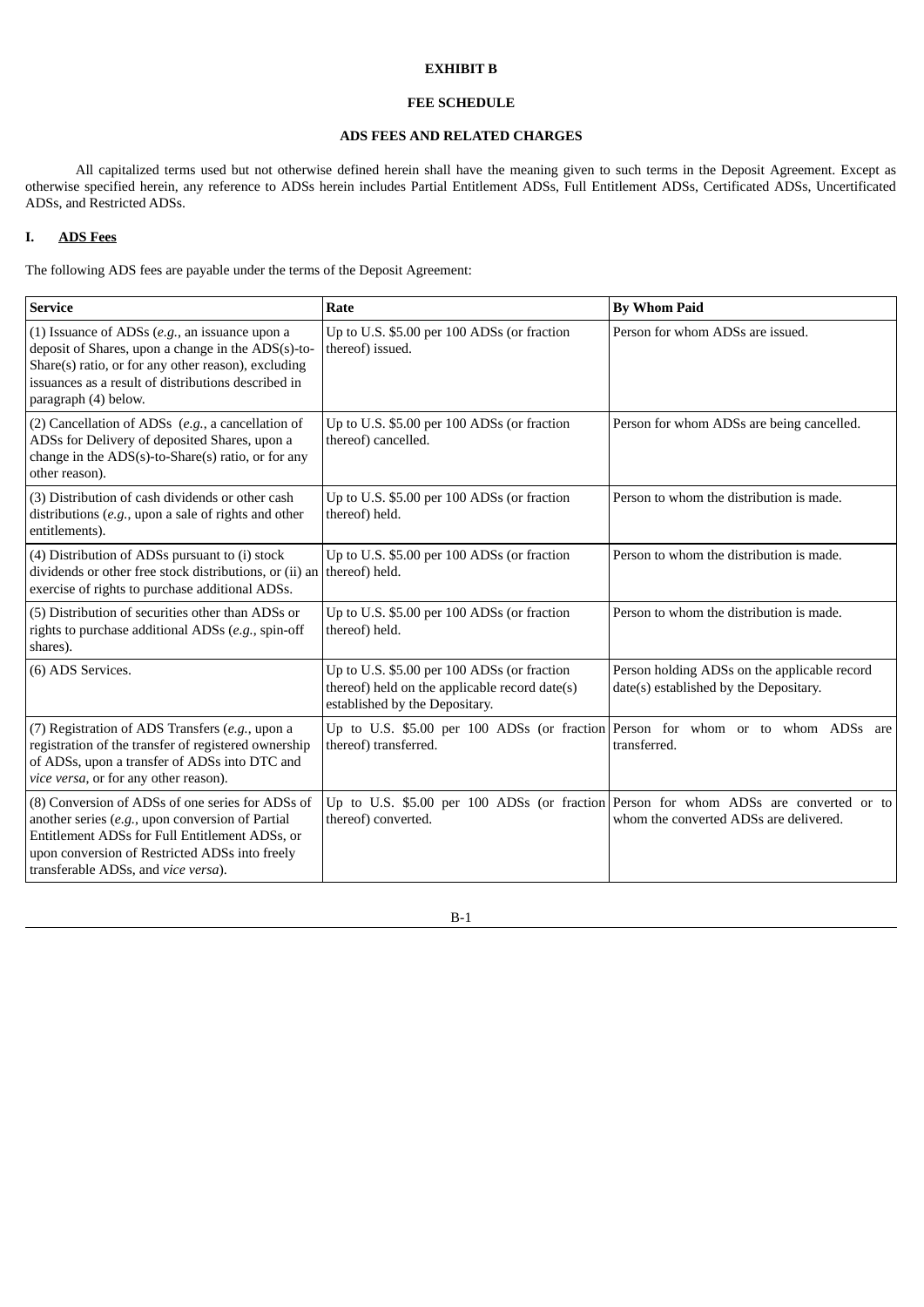#### **EXHIBIT B**

#### **FEE SCHEDULE**

## **ADS FEES AND RELATED CHARGES**

All capitalized terms used but not otherwise defined herein shall have the meaning given to such terms in the Deposit Agreement. Except as otherwise specified herein, any reference to ADSs herein includes Partial Entitlement ADSs, Full Entitlement ADSs, Certificated ADSs, Uncertificated ADSs, and Restricted ADSs.

## **I. ADS Fees**

The following ADS fees are payable under the terms of the Deposit Agreement:

| <b>Service</b>                                                                                                                                                                                                                                    | Rate                                                                                                                            | <b>By Whom Paid</b>                                                                                                            |
|---------------------------------------------------------------------------------------------------------------------------------------------------------------------------------------------------------------------------------------------------|---------------------------------------------------------------------------------------------------------------------------------|--------------------------------------------------------------------------------------------------------------------------------|
| (1) Issuance of ADSs $(e.g.,$ an issuance upon a<br>deposit of Shares, upon a change in the ADS(s)-to-<br>Share(s) ratio, or for any other reason), excluding<br>issuances as a result of distributions described in<br>paragraph (4) below.      | Up to U.S. \$5.00 per 100 ADSs (or fraction<br>thereof) issued.                                                                 | Person for whom ADSs are issued.                                                                                               |
| (2) Cancellation of ADSs $(e.g., a \ncancellation of$<br>ADSs for Delivery of deposited Shares, upon a<br>change in the ADS(s)-to-Share(s) ratio, or for any<br>other reason).                                                                    | Up to U.S. \$5.00 per 100 ADSs (or fraction<br>thereof) cancelled.                                                              | Person for whom ADSs are being cancelled.                                                                                      |
| (3) Distribution of cash dividends or other cash<br>distributions $(e.g.,$ upon a sale of rights and other<br>entitlements).                                                                                                                      | Up to U.S. \$5.00 per 100 ADSs (or fraction<br>thereof) held.                                                                   | Person to whom the distribution is made.                                                                                       |
| (4) Distribution of ADSs pursuant to (i) stock<br>dividends or other free stock distributions, or (ii) an<br>exercise of rights to purchase additional ADSs.                                                                                      | Up to U.S. \$5.00 per 100 ADSs (or fraction<br>thereof) held.                                                                   | Person to whom the distribution is made.                                                                                       |
| (5) Distribution of securities other than ADSs or<br>rights to purchase additional ADSs (e.g., spin-off<br>shares).                                                                                                                               | Up to U.S. \$5.00 per 100 ADSs (or fraction<br>thereof) held.                                                                   | Person to whom the distribution is made.                                                                                       |
| (6) ADS Services.                                                                                                                                                                                                                                 | Up to U.S. \$5.00 per 100 ADSs (or fraction<br>thereof) held on the applicable record date(s)<br>established by the Depositary. | Person holding ADSs on the applicable record<br>date(s) established by the Depositary.                                         |
| (7) Registration of ADS Transfers (e.g., upon a<br>registration of the transfer of registered ownership<br>of ADSs, upon a transfer of ADSs into DTC and<br>vice versa, or for any other reason).                                                 | Up to U.S. \$5.00 per 100 ADSs (or fraction Person for whom or to whom ADSs are<br>thereof) transferred.                        | transferred.                                                                                                                   |
| (8) Conversion of ADSs of one series for ADSs of<br>another series $(e.g.,$ upon conversion of Partial<br>Entitlement ADSs for Full Entitlement ADSs, or<br>upon conversion of Restricted ADSs into freely<br>transferable ADSs, and vice versa). | thereof) converted.                                                                                                             | Up to U.S. \$5.00 per 100 ADSs (or fraction Person for whom ADSs are converted or to<br>whom the converted ADSs are delivered. |

B-1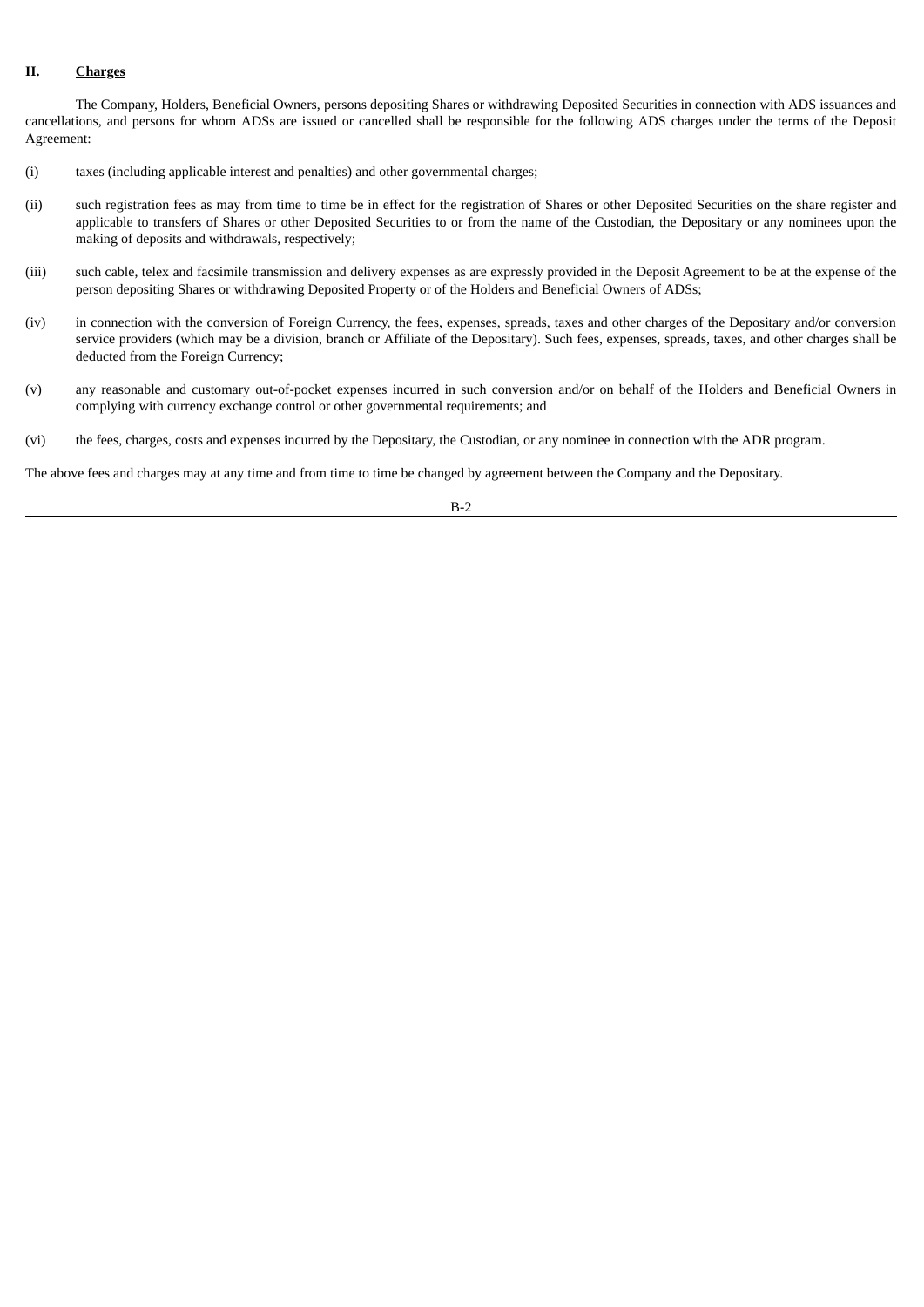## **II. Charges**

The Company, Holders, Beneficial Owners, persons depositing Shares or withdrawing Deposited Securities in connection with ADS issuances and cancellations, and persons for whom ADSs are issued or cancelled shall be responsible for the following ADS charges under the terms of the Deposit Agreement:

- (i) taxes (including applicable interest and penalties) and other governmental charges;
- (ii) such registration fees as may from time to time be in effect for the registration of Shares or other Deposited Securities on the share register and applicable to transfers of Shares or other Deposited Securities to or from the name of the Custodian, the Depositary or any nominees upon the making of deposits and withdrawals, respectively;
- (iii) such cable, telex and facsimile transmission and delivery expenses as are expressly provided in the Deposit Agreement to be at the expense of the person depositing Shares or withdrawing Deposited Property or of the Holders and Beneficial Owners of ADSs;
- (iv) in connection with the conversion of Foreign Currency, the fees, expenses, spreads, taxes and other charges of the Depositary and/or conversion service providers (which may be a division, branch or Affiliate of the Depositary). Such fees, expenses, spreads, taxes, and other charges shall be deducted from the Foreign Currency;
- (v) any reasonable and customary out-of-pocket expenses incurred in such conversion and/or on behalf of the Holders and Beneficial Owners in complying with currency exchange control or other governmental requirements; and
- (vi) the fees, charges, costs and expenses incurred by the Depositary, the Custodian, or any nominee in connection with the ADR program.

The above fees and charges may at any time and from time to time be changed by agreement between the Company and the Depositary.

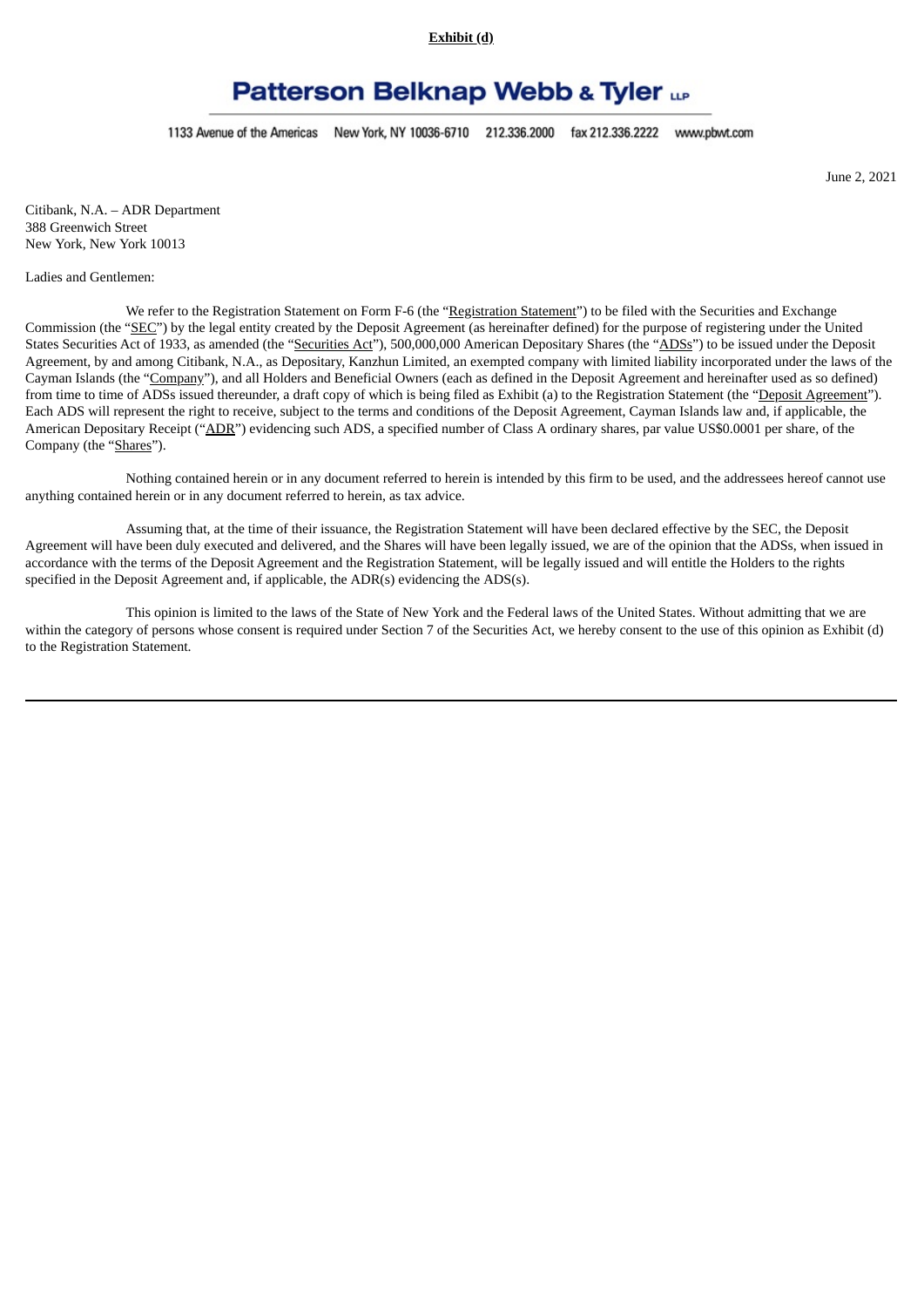**Exhibit (d)**

# **Patterson Belknap Webb & Tyler up**

1133 Avenue of the Americas New York, NY 10036-6710 212.336.2000 fax 212.336.2222 www.pbwt.com

June 2, 2021

Citibank, N.A. – ADR Department 388 Greenwich Street New York, New York 10013

#### Ladies and Gentlemen:

We refer to the Registration Statement on Form F-6 (the "Registration Statement") to be filed with the Securities and Exchange Commission (the "SEC") by the legal entity created by the Deposit Agreement (as hereinafter defined) for the purpose of registering under the United States Securities Act of 1933, as amended (the "Securities Act"), 500,000,000 American Depositary Shares (the "ADSs") to be issued under the Deposit Agreement, by and among Citibank, N.A., as Depositary, Kanzhun Limited, an exempted company with limited liability incorporated under the laws of the Cayman Islands (the "Company"), and all Holders and Beneficial Owners (each as defined in the Deposit Agreement and hereinafter used as so defined) from time to time of ADSs issued thereunder, a draft copy of which is being filed as Exhibit (a) to the Registration Statement (the "Deposit Agreement"). Each ADS will represent the right to receive, subject to the terms and conditions of the Deposit Agreement, Cayman Islands law and, if applicable, the American Depositary Receipt ("ADR") evidencing such ADS, a specified number of Class A ordinary shares, par value US\$0.0001 per share, of the Company (the "Shares").

Nothing contained herein or in any document referred to herein is intended by this firm to be used, and the addressees hereof cannot use anything contained herein or in any document referred to herein, as tax advice.

Assuming that, at the time of their issuance, the Registration Statement will have been declared effective by the SEC, the Deposit Agreement will have been duly executed and delivered, and the Shares will have been legally issued, we are of the opinion that the ADSs, when issued in accordance with the terms of the Deposit Agreement and the Registration Statement, will be legally issued and will entitle the Holders to the rights specified in the Deposit Agreement and, if applicable, the ADR(s) evidencing the ADS(s).

This opinion is limited to the laws of the State of New York and the Federal laws of the United States. Without admitting that we are within the category of persons whose consent is required under Section 7 of the Securities Act, we hereby consent to the use of this opinion as Exhibit (d) to the Registration Statement.